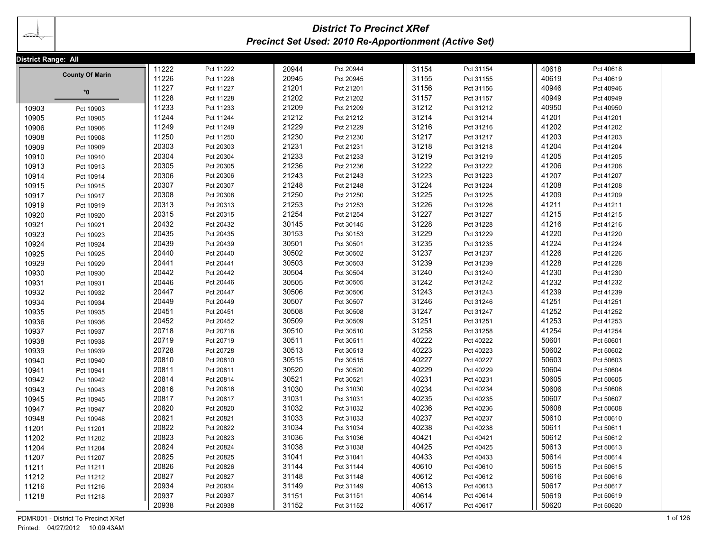| ______ |  |
|--------|--|
|        |  |

# *District To Precinct XRef Precinct Set Used: 2010 Re-Apportionment (Active Set)*

| District Range: All |                        |       |           |       |           |       |           |       |           |  |
|---------------------|------------------------|-------|-----------|-------|-----------|-------|-----------|-------|-----------|--|
|                     |                        | 11222 | Pct 11222 | 20944 | Pct 20944 | 31154 | Pct 31154 | 40618 | Pct 40618 |  |
|                     | <b>County Of Marin</b> | 11226 | Pct 11226 | 20945 | Pct 20945 | 31155 | Pct 31155 | 40619 | Pct 40619 |  |
|                     | *0                     | 11227 | Pct 11227 | 21201 | Pct 21201 | 31156 | Pct 31156 | 40946 | Pct 40946 |  |
|                     |                        | 11228 | Pct 11228 | 21202 | Pct 21202 | 31157 | Pct 31157 | 40949 | Pct 40949 |  |
| 10903               | Pct 10903              | 11233 | Pct 11233 | 21209 | Pct 21209 | 31212 | Pct 31212 | 40950 | Pct 40950 |  |
| 10905               | Pct 10905              | 11244 | Pct 11244 | 21212 | Pct 21212 | 31214 | Pct 31214 | 41201 | Pct 41201 |  |
| 10906               | Pct 10906              | 11249 | Pct 11249 | 21229 | Pct 21229 | 31216 | Pct 31216 | 41202 | Pct 41202 |  |
| 10908               | Pct 10908              | 11250 | Pct 11250 | 21230 | Pct 21230 | 31217 | Pct 31217 | 41203 | Pct 41203 |  |
| 10909               | Pct 10909              | 20303 | Pct 20303 | 21231 | Pct 21231 | 31218 | Pct 31218 | 41204 | Pct 41204 |  |
| 10910               | Pct 10910              | 20304 | Pct 20304 | 21233 | Pct 21233 | 31219 | Pct 31219 | 41205 | Pct 41205 |  |
| 10913               | Pct 10913              | 20305 | Pct 20305 | 21236 | Pct 21236 | 31222 | Pct 31222 | 41206 | Pct 41206 |  |
| 10914               | Pct 10914              | 20306 | Pct 20306 | 21243 | Pct 21243 | 31223 | Pct 31223 | 41207 | Pct 41207 |  |
| 10915               | Pct 10915              | 20307 | Pct 20307 | 21248 | Pct 21248 | 31224 | Pct 31224 | 41208 | Pct 41208 |  |
| 10917               | Pct 10917              | 20308 | Pct 20308 | 21250 | Pct 21250 | 31225 | Pct 31225 | 41209 | Pct 41209 |  |
| 10919               | Pct 10919              | 20313 | Pct 20313 | 21253 | Pct 21253 | 31226 | Pct 31226 | 41211 | Pct 41211 |  |
| 10920               | Pct 10920              | 20315 | Pct 20315 | 21254 | Pct 21254 | 31227 | Pct 31227 | 41215 | Pct 41215 |  |
| 10921               | Pct 10921              | 20432 | Pct 20432 | 30145 | Pct 30145 | 31228 | Pct 31228 | 41216 | Pct 41216 |  |
| 10923               | Pct 10923              | 20435 | Pct 20435 | 30153 | Pct 30153 | 31229 | Pct 31229 | 41220 | Pct 41220 |  |
| 10924               | Pct 10924              | 20439 | Pct 20439 | 30501 | Pct 30501 | 31235 | Pct 31235 | 41224 | Pct 41224 |  |
| 10925               | Pct 10925              | 20440 | Pct 20440 | 30502 | Pct 30502 | 31237 | Pct 31237 | 41226 | Pct 41226 |  |
| 10929               | Pct 10929              | 20441 | Pct 20441 | 30503 | Pct 30503 | 31239 | Pct 31239 | 41228 | Pct 41228 |  |
| 10930               | Pct 10930              | 20442 | Pct 20442 | 30504 | Pct 30504 | 31240 | Pct 31240 | 41230 | Pct 41230 |  |
| 10931               | Pct 10931              | 20446 | Pct 20446 | 30505 | Pct 30505 | 31242 | Pct 31242 | 41232 | Pct 41232 |  |
| 10932               | Pct 10932              | 20447 | Pct 20447 | 30506 | Pct 30506 | 31243 | Pct 31243 | 41239 | Pct 41239 |  |
| 10934               | Pct 10934              | 20449 | Pct 20449 | 30507 | Pct 30507 | 31246 | Pct 31246 | 41251 | Pct 41251 |  |
| 10935               | Pct 10935              | 20451 | Pct 20451 | 30508 | Pct 30508 | 31247 | Pct 31247 | 41252 | Pct 41252 |  |
| 10936               | Pct 10936              | 20452 | Pct 20452 | 30509 | Pct 30509 | 31251 | Pct 31251 | 41253 | Pct 41253 |  |
| 10937               | Pct 10937              | 20718 | Pct 20718 | 30510 | Pct 30510 | 31258 | Pct 31258 | 41254 | Pct 41254 |  |
| 10938               | Pct 10938              | 20719 | Pct 20719 | 30511 | Pct 30511 | 40222 | Pct 40222 | 50601 | Pct 50601 |  |
| 10939               | Pct 10939              | 20728 | Pct 20728 | 30513 | Pct 30513 | 40223 | Pct 40223 | 50602 | Pct 50602 |  |
| 10940               | Pct 10940              | 20810 | Pct 20810 | 30515 | Pct 30515 | 40227 | Pct 40227 | 50603 | Pct 50603 |  |
| 10941               | Pct 10941              | 20811 | Pct 20811 | 30520 | Pct 30520 | 40229 | Pct 40229 | 50604 | Pct 50604 |  |
| 10942               | Pct 10942              | 20814 | Pct 20814 | 30521 | Pct 30521 | 40231 | Pct 40231 | 50605 | Pct 50605 |  |
| 10943               | Pct 10943              | 20816 | Pct 20816 | 31030 | Pct 31030 | 40234 | Pct 40234 | 50606 | Pct 50606 |  |
| 10945               | Pct 10945              | 20817 | Pct 20817 | 31031 | Pct 31031 | 40235 | Pct 40235 | 50607 | Pct 50607 |  |
| 10947               | Pct 10947              | 20820 | Pct 20820 | 31032 | Pct 31032 | 40236 | Pct 40236 | 50608 | Pct 50608 |  |
| 10948               | Pct 10948              | 20821 | Pct 20821 | 31033 | Pct 31033 | 40237 | Pct 40237 | 50610 | Pct 50610 |  |
| 11201               | Pct 11201              | 20822 | Pct 20822 | 31034 | Pct 31034 | 40238 | Pct 40238 | 50611 | Pct 50611 |  |
| 11202               | Pct 11202              | 20823 | Pct 20823 | 31036 | Pct 31036 | 40421 | Pct 40421 | 50612 | Pct 50612 |  |
| 11204               | Pct 11204              | 20824 | Pct 20824 | 31038 | Pct 31038 | 40425 | Pct 40425 | 50613 | Pct 50613 |  |
| 11207               | Pct 11207              | 20825 | Pct 20825 | 31041 | Pct 31041 | 40433 | Pct 40433 | 50614 | Pct 50614 |  |
| 11211               | Pct 11211              | 20826 | Pct 20826 | 31144 | Pct 31144 | 40610 | Pct 40610 | 50615 | Pct 50615 |  |
| 11212               | Pct 11212              | 20827 | Pct 20827 | 31148 | Pct 31148 | 40612 | Pct 40612 | 50616 | Pct 50616 |  |
| 11216               | Pct 11216              | 20934 | Pct 20934 | 31149 | Pct 31149 | 40613 | Pct 40613 | 50617 | Pct 50617 |  |
| 11218               | Pct 11218              | 20937 | Pct 20937 | 31151 | Pct 31151 | 40614 | Pct 40614 | 50619 | Pct 50619 |  |
|                     |                        | 20938 | Pct 20938 | 31152 | Pct 31152 | 40617 | Pct 40617 | 50620 | Pct 50620 |  |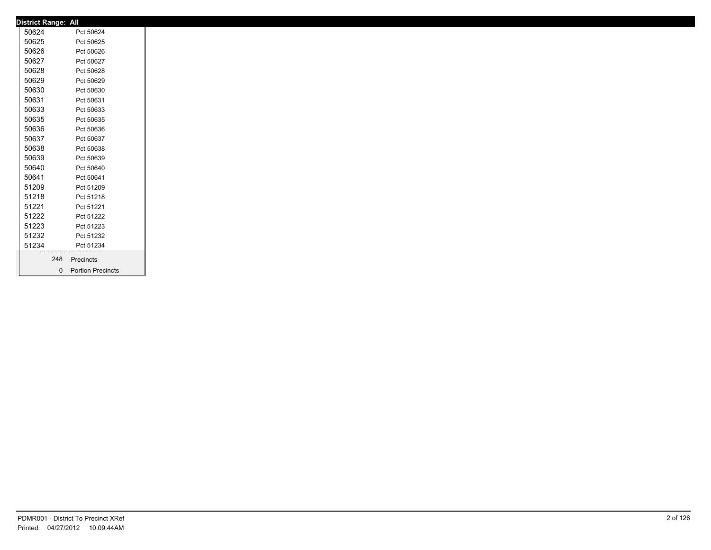| <b>District Range: All</b> |     |                     |
|----------------------------|-----|---------------------|
| 50624                      |     | Pct 50624           |
| 50625                      |     | Pct 50625           |
| 50626                      |     | Pct 50626           |
| 50627                      |     | Pct 50627           |
| 50628                      |     | Pct 50628           |
| 50629                      |     | Pct 50629           |
| 50630                      |     | Pct 50630           |
| 50631                      |     | Pct 50631           |
| 50633                      |     | Pct 50633           |
| 50635                      |     | Pct 50635           |
| 50636                      |     | Pct 50636           |
| 50637                      |     | Pct 50637           |
| 50638                      |     | Pct 50638           |
| 50639                      |     | Pct 50639           |
| 50640                      |     | Pct 50640           |
| 50641                      |     | Pct 50641           |
| 51209                      |     | Pct 51209           |
| 51218                      |     | Pct 51218           |
| 51221                      |     | Pct 51221           |
| 51222                      |     | Pct 51222           |
| 51223                      |     | Pct 51223           |
| 51232                      |     | Pct 51232           |
| 51234                      |     | Pct 51234           |
|                            | 248 | Precincts           |
|                            |     |                     |
|                            |     | 0 Portion Precincts |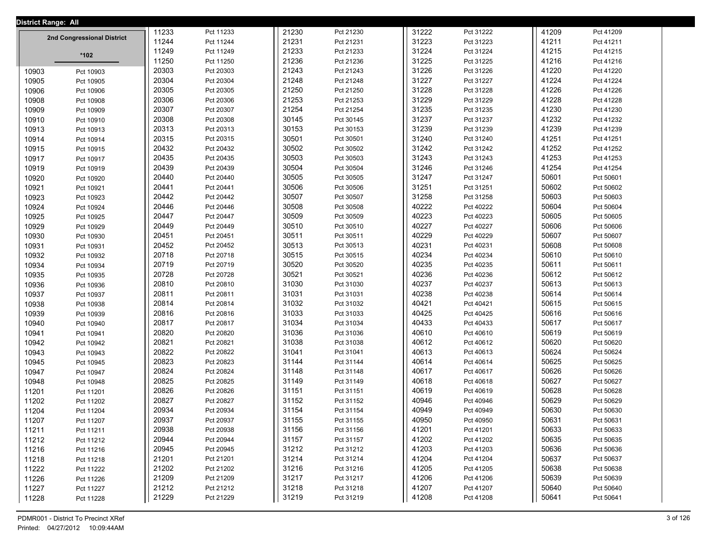| <b>District Range: All</b> |                            |       |           |  |       |           |  |       |           |       |           |  |
|----------------------------|----------------------------|-------|-----------|--|-------|-----------|--|-------|-----------|-------|-----------|--|
|                            |                            | 11233 | Pct 11233 |  | 21230 | Pct 21230 |  | 31222 | Pct 31222 | 41209 | Pct 41209 |  |
|                            | 2nd Congressional District | 11244 | Pct 11244 |  | 21231 | Pct 21231 |  | 31223 | Pct 31223 | 41211 | Pct 41211 |  |
|                            | *102                       | 11249 | Pct 11249 |  | 21233 | Pct 21233 |  | 31224 | Pct 31224 | 41215 | Pct 41215 |  |
|                            |                            | 11250 | Pct 11250 |  | 21236 | Pct 21236 |  | 31225 | Pct 31225 | 41216 | Pct 41216 |  |
| 10903                      | Pct 10903                  | 20303 | Pct 20303 |  | 21243 | Pct 21243 |  | 31226 | Pct 31226 | 41220 | Pct 41220 |  |
| 10905                      | Pct 10905                  | 20304 | Pct 20304 |  | 21248 | Pct 21248 |  | 31227 | Pct 31227 | 41224 | Pct 41224 |  |
| 10906                      | Pct 10906                  | 20305 | Pct 20305 |  | 21250 | Pct 21250 |  | 31228 | Pct 31228 | 41226 | Pct 41226 |  |
| 10908                      | Pct 10908                  | 20306 | Pct 20306 |  | 21253 | Pct 21253 |  | 31229 | Pct 31229 | 41228 | Pct 41228 |  |
| 10909                      | Pct 10909                  | 20307 | Pct 20307 |  | 21254 | Pct 21254 |  | 31235 | Pct 31235 | 41230 | Pct 41230 |  |
| 10910                      | Pct 10910                  | 20308 | Pct 20308 |  | 30145 | Pct 30145 |  | 31237 | Pct 31237 | 41232 | Pct 41232 |  |
| 10913                      | Pct 10913                  | 20313 | Pct 20313 |  | 30153 | Pct 30153 |  | 31239 | Pct 31239 | 41239 | Pct 41239 |  |
| 10914                      | Pct 10914                  | 20315 | Pct 20315 |  | 30501 | Pct 30501 |  | 31240 | Pct 31240 | 41251 | Pct 41251 |  |
| 10915                      | Pct 10915                  | 20432 | Pct 20432 |  | 30502 | Pct 30502 |  | 31242 | Pct 31242 | 41252 | Pct 41252 |  |
| 10917                      | Pct 10917                  | 20435 | Pct 20435 |  | 30503 | Pct 30503 |  | 31243 | Pct 31243 | 41253 | Pct 41253 |  |
| 10919                      | Pct 10919                  | 20439 | Pct 20439 |  | 30504 | Pct 30504 |  | 31246 | Pct 31246 | 41254 | Pct 41254 |  |
| 10920                      | Pct 10920                  | 20440 | Pct 20440 |  | 30505 | Pct 30505 |  | 31247 | Pct 31247 | 50601 | Pct 50601 |  |
| 10921                      | Pct 10921                  | 20441 | Pct 20441 |  | 30506 | Pct 30506 |  | 31251 | Pct 31251 | 50602 | Pct 50602 |  |
| 10923                      | Pct 10923                  | 20442 | Pct 20442 |  | 30507 | Pct 30507 |  | 31258 | Pct 31258 | 50603 | Pct 50603 |  |
| 10924                      | Pct 10924                  | 20446 | Pct 20446 |  | 30508 | Pct 30508 |  | 40222 | Pct 40222 | 50604 | Pct 50604 |  |
| 10925                      | Pct 10925                  | 20447 | Pct 20447 |  | 30509 | Pct 30509 |  | 40223 | Pct 40223 | 50605 | Pct 50605 |  |
| 10929                      | Pct 10929                  | 20449 | Pct 20449 |  | 30510 | Pct 30510 |  | 40227 | Pct 40227 | 50606 | Pct 50606 |  |
| 10930                      | Pct 10930                  | 20451 | Pct 20451 |  | 30511 | Pct 30511 |  | 40229 | Pct 40229 | 50607 | Pct 50607 |  |
| 10931                      | Pct 10931                  | 20452 | Pct 20452 |  | 30513 | Pct 30513 |  | 40231 | Pct 40231 | 50608 | Pct 50608 |  |
| 10932                      | Pct 10932                  | 20718 | Pct 20718 |  | 30515 | Pct 30515 |  | 40234 | Pct 40234 | 50610 | Pct 50610 |  |
| 10934                      | Pct 10934                  | 20719 | Pct 20719 |  | 30520 | Pct 30520 |  | 40235 | Pct 40235 | 50611 | Pct 50611 |  |
| 10935                      | Pct 10935                  | 20728 | Pct 20728 |  | 30521 | Pct 30521 |  | 40236 | Pct 40236 | 50612 | Pct 50612 |  |
| 10936                      | Pct 10936                  | 20810 | Pct 20810 |  | 31030 | Pct 31030 |  | 40237 | Pct 40237 | 50613 | Pct 50613 |  |
| 10937                      | Pct 10937                  | 20811 | Pct 20811 |  | 31031 | Pct 31031 |  | 40238 | Pct 40238 | 50614 | Pct 50614 |  |
| 10938                      | Pct 10938                  | 20814 | Pct 20814 |  | 31032 | Pct 31032 |  | 40421 | Pct 40421 | 50615 | Pct 50615 |  |
| 10939                      | Pct 10939                  | 20816 | Pct 20816 |  | 31033 | Pct 31033 |  | 40425 | Pct 40425 | 50616 | Pct 50616 |  |
| 10940                      | Pct 10940                  | 20817 | Pct 20817 |  | 31034 | Pct 31034 |  | 40433 | Pct 40433 | 50617 | Pct 50617 |  |
| 10941                      | Pct 10941                  | 20820 | Pct 20820 |  | 31036 | Pct 31036 |  | 40610 | Pct 40610 | 50619 | Pct 50619 |  |
| 10942                      | Pct 10942                  | 20821 | Pct 20821 |  | 31038 | Pct 31038 |  | 40612 | Pct 40612 | 50620 | Pct 50620 |  |
| 10943                      | Pct 10943                  | 20822 | Pct 20822 |  | 31041 | Pct 31041 |  | 40613 | Pct 40613 | 50624 | Pct 50624 |  |
| 10945                      | Pct 10945                  | 20823 | Pct 20823 |  | 31144 | Pct 31144 |  | 40614 | Pct 40614 | 50625 | Pct 50625 |  |
| 10947                      | Pct 10947                  | 20824 | Pct 20824 |  | 31148 | Pct 31148 |  | 40617 | Pct 40617 | 50626 | Pct 50626 |  |
| 10948                      | Pct 10948                  | 20825 | Pct 20825 |  | 31149 | Pct 31149 |  | 40618 | Pct 40618 | 50627 | Pct 50627 |  |
| 11201                      | Pct 11201                  | 20826 | Pct 20826 |  | 31151 | Pct 31151 |  | 40619 | Pct 40619 | 50628 | Pct 50628 |  |
| 11202                      | Pct 11202                  | 20827 | Pct 20827 |  | 31152 | Pct 31152 |  | 40946 | Pct 40946 | 50629 | Pct 50629 |  |
| 11204                      | Pct 11204                  | 20934 | Pct 20934 |  | 31154 | Pct 31154 |  | 40949 | Pct 40949 | 50630 | Pct 50630 |  |
| 11207                      | Pct 11207                  | 20937 | Pct 20937 |  | 31155 | Pct 31155 |  | 40950 | Pct 40950 | 50631 | Pct 50631 |  |
| 11211                      | Pct 11211                  | 20938 | Pct 20938 |  | 31156 | Pct 31156 |  | 41201 | Pct 41201 | 50633 | Pct 50633 |  |
| 11212                      | Pct 11212                  | 20944 | Pct 20944 |  | 31157 | Pct 31157 |  | 41202 | Pct 41202 | 50635 | Pct 50635 |  |
| 11216                      | Pct 11216                  | 20945 | Pct 20945 |  | 31212 | Pct 31212 |  | 41203 | Pct 41203 | 50636 | Pct 50636 |  |
| 11218                      | Pct 11218                  | 21201 | Pct 21201 |  | 31214 | Pct 31214 |  | 41204 | Pct 41204 | 50637 | Pct 50637 |  |
| 11222                      | Pct 11222                  | 21202 | Pct 21202 |  | 31216 | Pct 31216 |  | 41205 | Pct 41205 | 50638 | Pct 50638 |  |
| 11226                      | Pct 11226                  | 21209 | Pct 21209 |  | 31217 | Pct 31217 |  | 41206 | Pct 41206 | 50639 | Pct 50639 |  |
| 11227                      | Pct 11227                  | 21212 | Pct 21212 |  | 31218 | Pct 31218 |  | 41207 | Pct 41207 | 50640 | Pct 50640 |  |
| 11228                      | Pct 11228                  | 21229 | Pct 21229 |  | 31219 | Pct 31219 |  | 41208 | Pct 41208 | 50641 | Pct 50641 |  |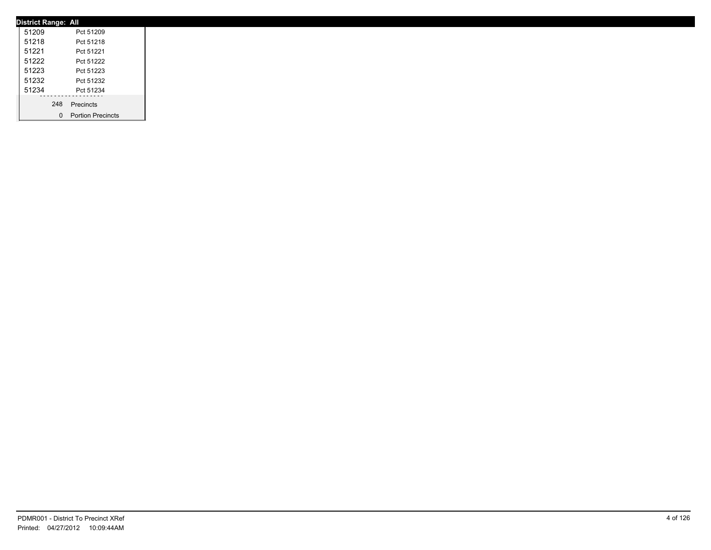| <b>District Range: All</b> |                     |  |
|----------------------------|---------------------|--|
| 51209                      | Pct 51209           |  |
| 51218                      | Pct 51218           |  |
| 51221                      | Pct 51221           |  |
| 51222                      | Pct 51222           |  |
| 51223                      | Pct 51223           |  |
| 51232                      | Pct 51232           |  |
| 51234                      | Pct 51234           |  |
|                            | 248 Precincts       |  |
|                            |                     |  |
|                            | 0 Portion Precincts |  |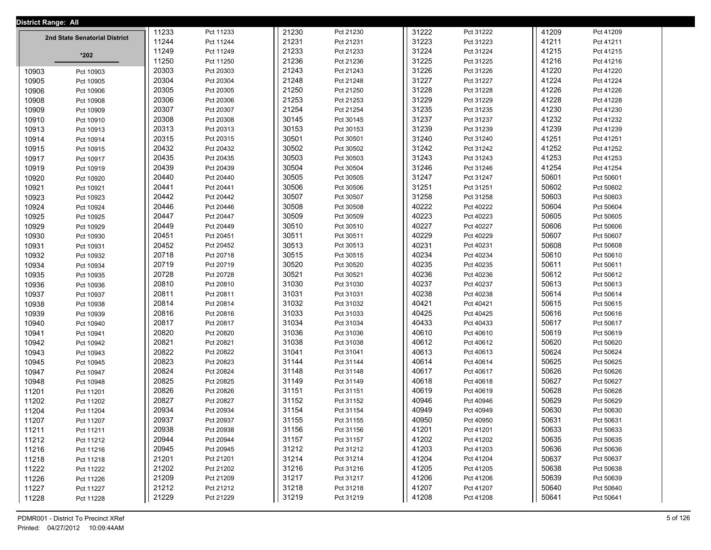| <b>District Range: All</b> |                               |       |           |       |           |       |           |       |           |  |
|----------------------------|-------------------------------|-------|-----------|-------|-----------|-------|-----------|-------|-----------|--|
|                            | 2nd State Senatorial District | 11233 | Pct 11233 | 21230 | Pct 21230 | 31222 | Pct 31222 | 41209 | Pct 41209 |  |
|                            |                               | 11244 | Pct 11244 | 21231 | Pct 21231 | 31223 | Pct 31223 | 41211 | Pct 41211 |  |
|                            | $*202$                        | 11249 | Pct 11249 | 21233 | Pct 21233 | 31224 | Pct 31224 | 41215 | Pct 41215 |  |
|                            |                               | 11250 | Pct 11250 | 21236 | Pct 21236 | 31225 | Pct 31225 | 41216 | Pct 41216 |  |
| 10903                      | Pct 10903                     | 20303 | Pct 20303 | 21243 | Pct 21243 | 31226 | Pct 31226 | 41220 | Pct 41220 |  |
| 10905                      | Pct 10905                     | 20304 | Pct 20304 | 21248 | Pct 21248 | 31227 | Pct 31227 | 41224 | Pct 41224 |  |
| 10906                      | Pct 10906                     | 20305 | Pct 20305 | 21250 | Pct 21250 | 31228 | Pct 31228 | 41226 | Pct 41226 |  |
| 10908                      | Pct 10908                     | 20306 | Pct 20306 | 21253 | Pct 21253 | 31229 | Pct 31229 | 41228 | Pct 41228 |  |
| 10909                      | Pct 10909                     | 20307 | Pct 20307 | 21254 | Pct 21254 | 31235 | Pct 31235 | 41230 | Pct 41230 |  |
| 10910                      | Pct 10910                     | 20308 | Pct 20308 | 30145 | Pct 30145 | 31237 | Pct 31237 | 41232 | Pct 41232 |  |
| 10913                      | Pct 10913                     | 20313 | Pct 20313 | 30153 | Pct 30153 | 31239 | Pct 31239 | 41239 | Pct 41239 |  |
| 10914                      | Pct 10914                     | 20315 | Pct 20315 | 30501 | Pct 30501 | 31240 | Pct 31240 | 41251 | Pct 41251 |  |
| 10915                      | Pct 10915                     | 20432 | Pct 20432 | 30502 | Pct 30502 | 31242 | Pct 31242 | 41252 | Pct 41252 |  |
| 10917                      | Pct 10917                     | 20435 | Pct 20435 | 30503 | Pct 30503 | 31243 | Pct 31243 | 41253 | Pct 41253 |  |
| 10919                      | Pct 10919                     | 20439 | Pct 20439 | 30504 | Pct 30504 | 31246 | Pct 31246 | 41254 | Pct 41254 |  |
| 10920                      | Pct 10920                     | 20440 | Pct 20440 | 30505 | Pct 30505 | 31247 | Pct 31247 | 50601 | Pct 50601 |  |
| 10921                      | Pct 10921                     | 20441 | Pct 20441 | 30506 | Pct 30506 | 31251 | Pct 31251 | 50602 | Pct 50602 |  |
| 10923                      | Pct 10923                     | 20442 | Pct 20442 | 30507 | Pct 30507 | 31258 | Pct 31258 | 50603 | Pct 50603 |  |
| 10924                      | Pct 10924                     | 20446 | Pct 20446 | 30508 | Pct 30508 | 40222 | Pct 40222 | 50604 | Pct 50604 |  |
| 10925                      | Pct 10925                     | 20447 | Pct 20447 | 30509 | Pct 30509 | 40223 | Pct 40223 | 50605 | Pct 50605 |  |
| 10929                      | Pct 10929                     | 20449 | Pct 20449 | 30510 | Pct 30510 | 40227 | Pct 40227 | 50606 | Pct 50606 |  |
| 10930                      | Pct 10930                     | 20451 | Pct 20451 | 30511 | Pct 30511 | 40229 | Pct 40229 | 50607 | Pct 50607 |  |
| 10931                      | Pct 10931                     | 20452 | Pct 20452 | 30513 | Pct 30513 | 40231 | Pct 40231 | 50608 | Pct 50608 |  |
| 10932                      | Pct 10932                     | 20718 | Pct 20718 | 30515 | Pct 30515 | 40234 | Pct 40234 | 50610 | Pct 50610 |  |
| 10934                      | Pct 10934                     | 20719 | Pct 20719 | 30520 | Pct 30520 | 40235 | Pct 40235 | 50611 | Pct 50611 |  |
| 10935                      | Pct 10935                     | 20728 | Pct 20728 | 30521 | Pct 30521 | 40236 | Pct 40236 | 50612 | Pct 50612 |  |
| 10936                      | Pct 10936                     | 20810 | Pct 20810 | 31030 | Pct 31030 | 40237 | Pct 40237 | 50613 | Pct 50613 |  |
| 10937                      | Pct 10937                     | 20811 | Pct 20811 | 31031 | Pct 31031 | 40238 | Pct 40238 | 50614 | Pct 50614 |  |
| 10938                      | Pct 10938                     | 20814 | Pct 20814 | 31032 | Pct 31032 | 40421 | Pct 40421 | 50615 | Pct 50615 |  |
| 10939                      | Pct 10939                     | 20816 | Pct 20816 | 31033 | Pct 31033 | 40425 | Pct 40425 | 50616 | Pct 50616 |  |
| 10940                      | Pct 10940                     | 20817 | Pct 20817 | 31034 | Pct 31034 | 40433 | Pct 40433 | 50617 | Pct 50617 |  |
| 10941                      | Pct 10941                     | 20820 | Pct 20820 | 31036 | Pct 31036 | 40610 | Pct 40610 | 50619 | Pct 50619 |  |
| 10942                      | Pct 10942                     | 20821 | Pct 20821 | 31038 | Pct 31038 | 40612 | Pct 40612 | 50620 | Pct 50620 |  |
| 10943                      | Pct 10943                     | 20822 | Pct 20822 | 31041 | Pct 31041 | 40613 | Pct 40613 | 50624 | Pct 50624 |  |
| 10945                      | Pct 10945                     | 20823 | Pct 20823 | 31144 | Pct 31144 | 40614 | Pct 40614 | 50625 | Pct 50625 |  |
| 10947                      | Pct 10947                     | 20824 | Pct 20824 | 31148 | Pct 31148 | 40617 | Pct 40617 | 50626 | Pct 50626 |  |
| 10948                      | Pct 10948                     | 20825 | Pct 20825 | 31149 | Pct 31149 | 40618 | Pct 40618 | 50627 | Pct 50627 |  |
| 11201                      | Pct 11201                     | 20826 | Pct 20826 | 31151 | Pct 31151 | 40619 | Pct 40619 | 50628 | Pct 50628 |  |
| 11202                      | Pct 11202                     | 20827 | Pct 20827 | 31152 | Pct 31152 | 40946 | Pct 40946 | 50629 | Pct 50629 |  |
| 11204                      | Pct 11204                     | 20934 | Pct 20934 | 31154 | Pct 31154 | 40949 | Pct 40949 | 50630 | Pct 50630 |  |
| 11207                      | Pct 11207                     | 20937 | Pct 20937 | 31155 | Pct 31155 | 40950 | Pct 40950 | 50631 | Pct 50631 |  |
| 11211                      | Pct 11211                     | 20938 | Pct 20938 | 31156 | Pct 31156 | 41201 | Pct 41201 | 50633 | Pct 50633 |  |
| 11212                      | Pct 11212                     | 20944 | Pct 20944 | 31157 | Pct 31157 | 41202 | Pct 41202 | 50635 | Pct 50635 |  |
| 11216                      | Pct 11216                     | 20945 | Pct 20945 | 31212 | Pct 31212 | 41203 | Pct 41203 | 50636 | Pct 50636 |  |
| 11218                      | Pct 11218                     | 21201 | Pct 21201 | 31214 | Pct 31214 | 41204 | Pct 41204 | 50637 | Pct 50637 |  |
| 11222                      | Pct 11222                     | 21202 | Pct 21202 | 31216 | Pct 31216 | 41205 | Pct 41205 | 50638 | Pct 50638 |  |
| 11226                      | Pct 11226                     | 21209 | Pct 21209 | 31217 | Pct 31217 | 41206 | Pct 41206 | 50639 | Pct 50639 |  |
| 11227                      | Pct 11227                     | 21212 | Pct 21212 | 31218 | Pct 31218 | 41207 | Pct 41207 | 50640 | Pct 50640 |  |
| 11228                      | Pct 11228                     | 21229 | Pct 21229 | 31219 | Pct 31219 | 41208 | Pct 41208 | 50641 | Pct 50641 |  |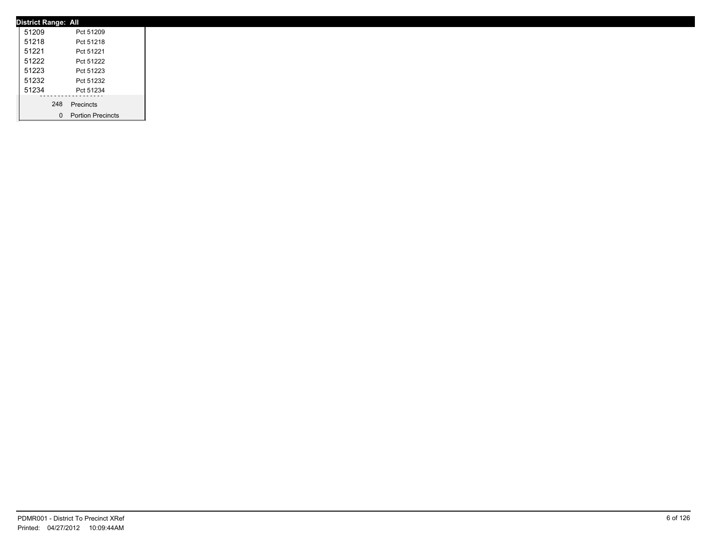| <b>District Range: All</b> |                     |
|----------------------------|---------------------|
| 51209                      | Pct 51209           |
| 51218                      | Pct 51218           |
| 51221                      | Pct 51221           |
| 51222                      | Pct 51222           |
| 51223                      | Pct 51223           |
| 51232                      | Pct 51232           |
| 51234                      | Pct 51234           |
|                            | 248 Precincts       |
|                            |                     |
|                            | 0 Portion Precincts |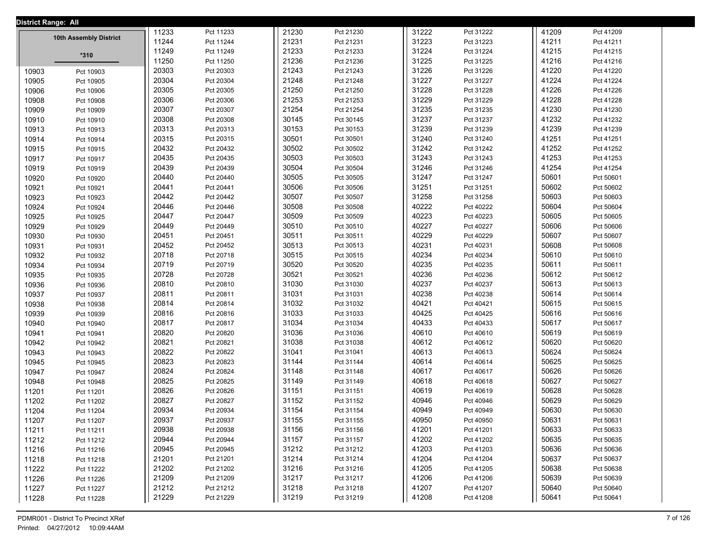| District Range: All |                        |       |           |       |           |       |           |       |           |  |
|---------------------|------------------------|-------|-----------|-------|-----------|-------|-----------|-------|-----------|--|
|                     |                        | 11233 | Pct 11233 | 21230 | Pct 21230 | 31222 | Pct 31222 | 41209 | Pct 41209 |  |
|                     | 10th Assembly District | 11244 | Pct 11244 | 21231 | Pct 21231 | 31223 | Pct 31223 | 41211 | Pct 41211 |  |
|                     | $*310$                 | 11249 | Pct 11249 | 21233 | Pct 21233 | 31224 | Pct 31224 | 41215 | Pct 41215 |  |
|                     |                        | 11250 | Pct 11250 | 21236 | Pct 21236 | 31225 | Pct 31225 | 41216 | Pct 41216 |  |
| 10903               | Pct 10903              | 20303 | Pct 20303 | 21243 | Pct 21243 | 31226 | Pct 31226 | 41220 | Pct 41220 |  |
| 10905               | Pct 10905              | 20304 | Pct 20304 | 21248 | Pct 21248 | 31227 | Pct 31227 | 41224 | Pct 41224 |  |
| 10906               | Pct 10906              | 20305 | Pct 20305 | 21250 | Pct 21250 | 31228 | Pct 31228 | 41226 | Pct 41226 |  |
| 10908               | Pct 10908              | 20306 | Pct 20306 | 21253 | Pct 21253 | 31229 | Pct 31229 | 41228 | Pct 41228 |  |
| 10909               | Pct 10909              | 20307 | Pct 20307 | 21254 | Pct 21254 | 31235 | Pct 31235 | 41230 | Pct 41230 |  |
| 10910               | Pct 10910              | 20308 | Pct 20308 | 30145 | Pct 30145 | 31237 | Pct 31237 | 41232 | Pct 41232 |  |
| 10913               | Pct 10913              | 20313 | Pct 20313 | 30153 | Pct 30153 | 31239 | Pct 31239 | 41239 | Pct 41239 |  |
| 10914               | Pct 10914              | 20315 | Pct 20315 | 30501 | Pct 30501 | 31240 | Pct 31240 | 41251 | Pct 41251 |  |
| 10915               | Pct 10915              | 20432 | Pct 20432 | 30502 | Pct 30502 | 31242 | Pct 31242 | 41252 | Pct 41252 |  |
| 10917               | Pct 10917              | 20435 | Pct 20435 | 30503 | Pct 30503 | 31243 | Pct 31243 | 41253 | Pct 41253 |  |
| 10919               | Pct 10919              | 20439 | Pct 20439 | 30504 | Pct 30504 | 31246 | Pct 31246 | 41254 | Pct 41254 |  |
| 10920               | Pct 10920              | 20440 | Pct 20440 | 30505 | Pct 30505 | 31247 | Pct 31247 | 50601 | Pct 50601 |  |
| 10921               | Pct 10921              | 20441 | Pct 20441 | 30506 | Pct 30506 | 31251 | Pct 31251 | 50602 | Pct 50602 |  |
| 10923               | Pct 10923              | 20442 | Pct 20442 | 30507 | Pct 30507 | 31258 | Pct 31258 | 50603 | Pct 50603 |  |
| 10924               | Pct 10924              | 20446 | Pct 20446 | 30508 | Pct 30508 | 40222 | Pct 40222 | 50604 | Pct 50604 |  |
| 10925               | Pct 10925              | 20447 | Pct 20447 | 30509 | Pct 30509 | 40223 | Pct 40223 | 50605 | Pct 50605 |  |
| 10929               | Pct 10929              | 20449 | Pct 20449 | 30510 | Pct 30510 | 40227 | Pct 40227 | 50606 | Pct 50606 |  |
| 10930               | Pct 10930              | 20451 | Pct 20451 | 30511 | Pct 30511 | 40229 | Pct 40229 | 50607 | Pct 50607 |  |
| 10931               | Pct 10931              | 20452 | Pct 20452 | 30513 | Pct 30513 | 40231 | Pct 40231 | 50608 | Pct 50608 |  |
| 10932               | Pct 10932              | 20718 | Pct 20718 | 30515 | Pct 30515 | 40234 | Pct 40234 | 50610 | Pct 50610 |  |
| 10934               | Pct 10934              | 20719 | Pct 20719 | 30520 | Pct 30520 | 40235 | Pct 40235 | 50611 | Pct 50611 |  |
| 10935               | Pct 10935              | 20728 | Pct 20728 | 30521 | Pct 30521 | 40236 | Pct 40236 | 50612 | Pct 50612 |  |
| 10936               | Pct 10936              | 20810 | Pct 20810 | 31030 | Pct 31030 | 40237 | Pct 40237 | 50613 | Pct 50613 |  |
| 10937               | Pct 10937              | 20811 | Pct 20811 | 31031 | Pct 31031 | 40238 | Pct 40238 | 50614 | Pct 50614 |  |
| 10938               | Pct 10938              | 20814 | Pct 20814 | 31032 | Pct 31032 | 40421 | Pct 40421 | 50615 | Pct 50615 |  |
| 10939               | Pct 10939              | 20816 | Pct 20816 | 31033 | Pct 31033 | 40425 | Pct 40425 | 50616 | Pct 50616 |  |
| 10940               | Pct 10940              | 20817 | Pct 20817 | 31034 | Pct 31034 | 40433 | Pct 40433 | 50617 | Pct 50617 |  |
| 10941               | Pct 10941              | 20820 | Pct 20820 | 31036 | Pct 31036 | 40610 | Pct 40610 | 50619 | Pct 50619 |  |
| 10942               | Pct 10942              | 20821 | Pct 20821 | 31038 | Pct 31038 | 40612 | Pct 40612 | 50620 | Pct 50620 |  |
| 10943               | Pct 10943              | 20822 | Pct 20822 | 31041 | Pct 31041 | 40613 | Pct 40613 | 50624 | Pct 50624 |  |
| 10945               | Pct 10945              | 20823 | Pct 20823 | 31144 | Pct 31144 | 40614 | Pct 40614 | 50625 | Pct 50625 |  |
| 10947               | Pct 10947              | 20824 | Pct 20824 | 31148 | Pct 31148 | 40617 | Pct 40617 | 50626 | Pct 50626 |  |
| 10948               | Pct 10948              | 20825 | Pct 20825 | 31149 | Pct 31149 | 40618 | Pct 40618 | 50627 | Pct 50627 |  |
| 11201               | Pct 11201              | 20826 | Pct 20826 | 31151 | Pct 31151 | 40619 | Pct 40619 | 50628 | Pct 50628 |  |
| 11202               | Pct 11202              | 20827 | Pct 20827 | 31152 | Pct 31152 | 40946 | Pct 40946 | 50629 | Pct 50629 |  |
| 11204               | Pct 11204              | 20934 | Pct 20934 | 31154 | Pct 31154 | 40949 | Pct 40949 | 50630 | Pct 50630 |  |
| 11207               | Pct 11207              | 20937 | Pct 20937 | 31155 | Pct 31155 | 40950 | Pct 40950 | 50631 | Pct 50631 |  |
| 11211               | Pct 11211              | 20938 | Pct 20938 | 31156 | Pct 31156 | 41201 | Pct 41201 | 50633 | Pct 50633 |  |
| 11212               | Pct 11212              | 20944 | Pct 20944 | 31157 | Pct 31157 | 41202 | Pct 41202 | 50635 | Pct 50635 |  |
| 11216               | Pct 11216              | 20945 | Pct 20945 | 31212 | Pct 31212 | 41203 | Pct 41203 | 50636 | Pct 50636 |  |
| 11218               | Pct 11218              | 21201 | Pct 21201 | 31214 | Pct 31214 | 41204 | Pct 41204 | 50637 | Pct 50637 |  |
| 11222               | Pct 11222              | 21202 | Pct 21202 | 31216 | Pct 31216 | 41205 | Pct 41205 | 50638 | Pct 50638 |  |
| 11226               | Pct 11226              | 21209 | Pct 21209 | 31217 | Pct 31217 | 41206 | Pct 41206 | 50639 | Pct 50639 |  |
| 11227               | Pct 11227              | 21212 | Pct 21212 | 31218 | Pct 31218 | 41207 | Pct 41207 | 50640 | Pct 50640 |  |
| 11228               | Pct 11228              | 21229 | Pct 21229 | 31219 | Pct 31219 | 41208 | Pct 41208 | 50641 | Pct 50641 |  |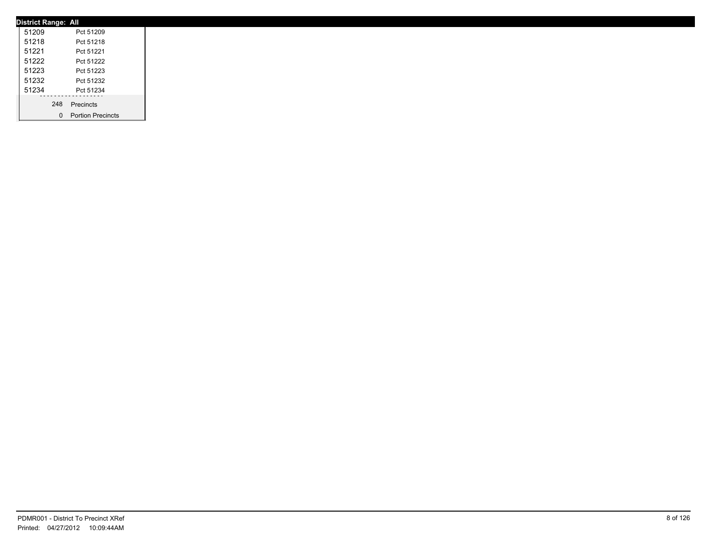| <b>District Range: All</b> |                     |
|----------------------------|---------------------|
| 51209                      | Pct 51209           |
| 51218                      | Pct 51218           |
| 51221                      | Pct 51221           |
| 51222                      | Pct 51222           |
| 51223                      | Pct 51223           |
| 51232                      | Pct 51232           |
| 51234                      | Pct 51234           |
|                            | 248 Precincts       |
|                            |                     |
|                            | 0 Portion Precincts |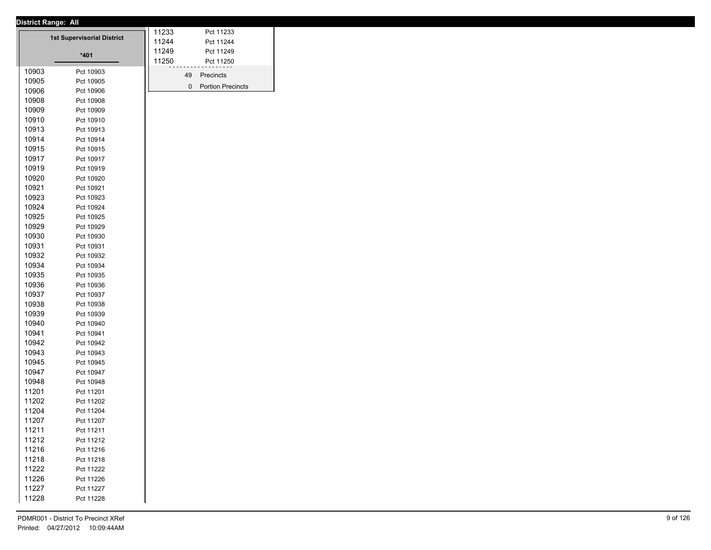|       | <u>District Range. All</u>        | 11233 |    | Pct 11233           |
|-------|-----------------------------------|-------|----|---------------------|
|       | <b>1st Supervisorial District</b> | 11244 |    | Pct 11244           |
|       |                                   | 11249 |    | Pct 11249           |
|       | $*401$                            | 11250 |    |                     |
|       |                                   |       |    | Pct 11250           |
| 10903 | Pct 10903                         |       | 49 | Precincts           |
| 10905 | Pct 10905                         |       |    | 0 Portion Precincts |
| 10906 | Pct 10906                         |       |    |                     |
| 10908 | Pct 10908                         |       |    |                     |
| 10909 | Pct 10909                         |       |    |                     |
| 10910 | Pct 10910                         |       |    |                     |
| 10913 | Pct 10913                         |       |    |                     |
| 10914 | Pct 10914                         |       |    |                     |
| 10915 | Pct 10915                         |       |    |                     |
| 10917 | Pct 10917                         |       |    |                     |
| 10919 | Pct 10919                         |       |    |                     |
| 10920 | Pct 10920                         |       |    |                     |
| 10921 | Pct 10921                         |       |    |                     |
| 10923 | Pct 10923                         |       |    |                     |
| 10924 | Pct 10924                         |       |    |                     |
| 10925 | Pct 10925                         |       |    |                     |
| 10929 | Pct 10929                         |       |    |                     |
| 10930 | Pct 10930                         |       |    |                     |
| 10931 | Pct 10931                         |       |    |                     |
| 10932 | Pct 10932                         |       |    |                     |
| 10934 | Pct 10934                         |       |    |                     |
| 10935 | Pct 10935                         |       |    |                     |
| 10936 | Pct 10936                         |       |    |                     |
| 10937 | Pct 10937                         |       |    |                     |
| 10938 |                                   |       |    |                     |
|       | Pct 10938                         |       |    |                     |
| 10939 | Pct 10939                         |       |    |                     |
| 10940 | Pct 10940                         |       |    |                     |
| 10941 | Pct 10941                         |       |    |                     |
| 10942 | Pct 10942                         |       |    |                     |
| 10943 | Pct 10943                         |       |    |                     |
| 10945 | Pct 10945                         |       |    |                     |
| 10947 | Pct 10947                         |       |    |                     |
| 10948 | Pct 10948                         |       |    |                     |
| 11201 | Pct 11201                         |       |    |                     |
| 11202 | Pct 11202                         |       |    |                     |
| 11204 | Pct 11204                         |       |    |                     |
| 11207 | Pct 11207                         |       |    |                     |
| 11211 | Pct 11211                         |       |    |                     |
| 11212 | Pct 11212                         |       |    |                     |
| 11216 | Pct 11216                         |       |    |                     |
|       |                                   |       |    |                     |
| 11218 | Pct 11218                         |       |    |                     |
| 11222 | Pct 11222                         |       |    |                     |
| 11226 | Pct 11226                         |       |    |                     |
| 11227 | Pct 11227                         |       |    |                     |
| 11228 | Pct 11228                         |       |    |                     |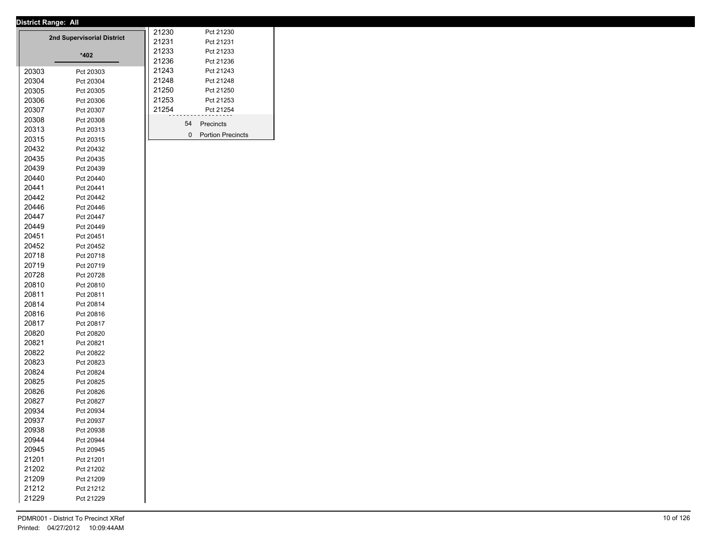|                | District Range: All        |                |    |                          |
|----------------|----------------------------|----------------|----|--------------------------|
|                | 2nd Supervisorial District | 21230<br>21231 |    | Pct 21230<br>Pct 21231   |
|                | *402                       | 21233          |    | Pct 21233                |
|                |                            | 21236          |    | Pct 21236                |
| 20303          | Pct 20303                  | 21243          |    | Pct 21243                |
| 20304          | Pct 20304                  | 21248          |    | Pct 21248                |
| 20305          | Pct 20305                  | 21250          |    | Pct 21250                |
| 20306          | Pct 20306                  | 21253          |    | Pct 21253                |
| 20307          | Pct 20307                  | 21254          |    | Pct 21254                |
| 20308          | Pct 20308                  |                |    |                          |
| 20313          | Pct 20313                  |                | 54 | Precincts                |
| 20315          | Pct 20315                  |                | 0  | <b>Portion Precincts</b> |
| 20432          | Pct 20432                  |                |    |                          |
| 20435          | Pct 20435                  |                |    |                          |
| 20439          | Pct 20439                  |                |    |                          |
| 20440          | Pct 20440                  |                |    |                          |
| 20441          | Pct 20441                  |                |    |                          |
| 20442          | Pct 20442                  |                |    |                          |
| 20446          | Pct 20446                  |                |    |                          |
| 20447          | Pct 20447                  |                |    |                          |
| 20449          | Pct 20449                  |                |    |                          |
| 20451          | Pct 20451                  |                |    |                          |
| 20452          | Pct 20452                  |                |    |                          |
| 20718          | Pct 20718                  |                |    |                          |
| 20719          | Pct 20719                  |                |    |                          |
| 20728          | Pct 20728                  |                |    |                          |
| 20810          | Pct 20810                  |                |    |                          |
| 20811          | Pct 20811                  |                |    |                          |
| 20814          | Pct 20814                  |                |    |                          |
| 20816          | Pct 20816                  |                |    |                          |
| 20817          | Pct 20817                  |                |    |                          |
| 20820          | Pct 20820                  |                |    |                          |
| 20821          | Pct 20821                  |                |    |                          |
| 20822          | Pct 20822                  |                |    |                          |
| 20823          | Pct 20823                  |                |    |                          |
| 20824          | Pct 20824                  |                |    |                          |
| 20825          | Pct 20825                  |                |    |                          |
| 20826          | Pct 20826                  |                |    |                          |
| 20827          | Pct 20827                  |                |    |                          |
|                | Pct 20934                  |                |    |                          |
| 20934<br>20937 |                            |                |    |                          |
|                | Pct 20937                  |                |    |                          |
| 20938          | Pct 20938                  |                |    |                          |
| 20944          | Pct 20944                  |                |    |                          |
| 20945          | Pct 20945                  |                |    |                          |
| 21201          | Pct 21201                  |                |    |                          |
| 21202          | Pct 21202                  |                |    |                          |
| 21209          | Pct 21209                  |                |    |                          |
| 21212          | Pct 21212                  |                |    |                          |
| 21229          | Pct 21229                  |                |    |                          |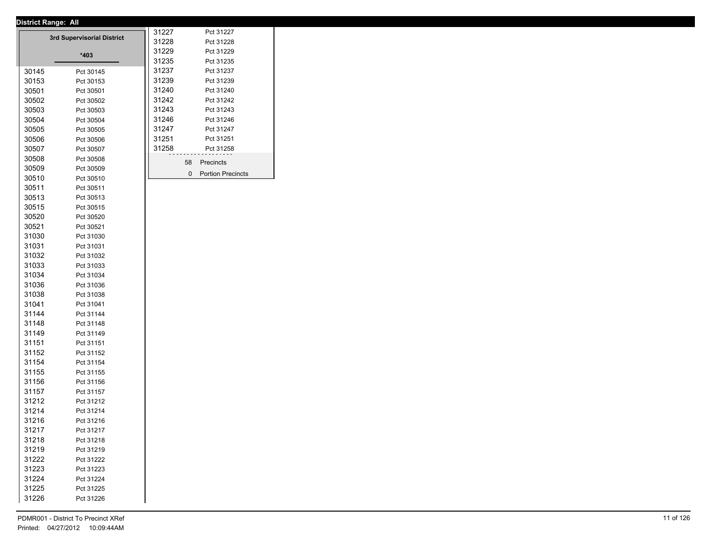| Pct 31227<br>3rd Supervisorial District<br>31228<br>Pct 31228<br>31229<br>Pct 31229<br>*403<br>31235<br>Pct 31235<br>31237<br>Pct 31237<br>30145<br>Pct 30145<br>31239<br>Pct 31239<br>30153<br>Pct 30153<br>31240<br>Pct 31240<br>30501<br>Pct 30501<br>31242<br>Pct 31242<br>30502<br>Pct 30502<br>31243<br>Pct 31243<br>30503<br>Pct 30503<br>31246<br>Pct 31246<br>30504<br>Pct 30504<br>31247<br>Pct 31247<br>30505<br>Pct 30505<br>31251<br>Pct 31251<br>30506<br>Pct 30506<br>31258<br>Pct 31258<br>30507<br>Pct 30507<br>30508<br>Pct 30508<br>58<br>Precincts<br>30509<br>Pct 30509<br>$\mathbf{0}$<br><b>Portion Precincts</b><br>30510<br>Pct 30510<br>30511<br>Pct 30511<br>30513<br>Pct 30513<br>30515<br>Pct 30515<br>30520<br>Pct 30520<br>30521<br>Pct 30521<br>31030<br>Pct 31030<br>31031<br>Pct 31031<br>31032<br>Pct 31032<br>31033<br>Pct 31033<br>31034<br>Pct 31034<br>31036<br>Pct 31036<br>31038<br>Pct 31038<br>31041<br>Pct 31041<br>31144<br>Pct 31144<br>31148<br>Pct 31148<br>31149<br>Pct 31149<br>31151<br>Pct 31151<br>31152<br>Pct 31152<br>31154<br>Pct 31154<br>31155<br>Pct 31155<br>31156<br>Pct 31156<br>31157<br>Pct 31157<br>31212<br>Pct 31212<br>31214<br>Pct 31214<br>31216<br>Pct 31216<br>31217<br>Pct 31217<br>31218<br>Pct 31218<br>31219<br>Pct 31219<br>31222<br>Pct 31222<br>31223<br>Pct 31223<br>31224<br>Pct 31224<br>31225<br>Pct 31225<br>31226<br>Pct 31226 |  | District Range: All |       |  |
|----------------------------------------------------------------------------------------------------------------------------------------------------------------------------------------------------------------------------------------------------------------------------------------------------------------------------------------------------------------------------------------------------------------------------------------------------------------------------------------------------------------------------------------------------------------------------------------------------------------------------------------------------------------------------------------------------------------------------------------------------------------------------------------------------------------------------------------------------------------------------------------------------------------------------------------------------------------------------------------------------------------------------------------------------------------------------------------------------------------------------------------------------------------------------------------------------------------------------------------------------------------------------------------------------------------------------------------------------------------------------------------------------------------------|--|---------------------|-------|--|
|                                                                                                                                                                                                                                                                                                                                                                                                                                                                                                                                                                                                                                                                                                                                                                                                                                                                                                                                                                                                                                                                                                                                                                                                                                                                                                                                                                                                                      |  |                     | 31227 |  |
|                                                                                                                                                                                                                                                                                                                                                                                                                                                                                                                                                                                                                                                                                                                                                                                                                                                                                                                                                                                                                                                                                                                                                                                                                                                                                                                                                                                                                      |  |                     |       |  |
|                                                                                                                                                                                                                                                                                                                                                                                                                                                                                                                                                                                                                                                                                                                                                                                                                                                                                                                                                                                                                                                                                                                                                                                                                                                                                                                                                                                                                      |  |                     |       |  |
|                                                                                                                                                                                                                                                                                                                                                                                                                                                                                                                                                                                                                                                                                                                                                                                                                                                                                                                                                                                                                                                                                                                                                                                                                                                                                                                                                                                                                      |  |                     |       |  |
|                                                                                                                                                                                                                                                                                                                                                                                                                                                                                                                                                                                                                                                                                                                                                                                                                                                                                                                                                                                                                                                                                                                                                                                                                                                                                                                                                                                                                      |  |                     |       |  |
|                                                                                                                                                                                                                                                                                                                                                                                                                                                                                                                                                                                                                                                                                                                                                                                                                                                                                                                                                                                                                                                                                                                                                                                                                                                                                                                                                                                                                      |  |                     |       |  |
|                                                                                                                                                                                                                                                                                                                                                                                                                                                                                                                                                                                                                                                                                                                                                                                                                                                                                                                                                                                                                                                                                                                                                                                                                                                                                                                                                                                                                      |  |                     |       |  |
|                                                                                                                                                                                                                                                                                                                                                                                                                                                                                                                                                                                                                                                                                                                                                                                                                                                                                                                                                                                                                                                                                                                                                                                                                                                                                                                                                                                                                      |  |                     |       |  |
|                                                                                                                                                                                                                                                                                                                                                                                                                                                                                                                                                                                                                                                                                                                                                                                                                                                                                                                                                                                                                                                                                                                                                                                                                                                                                                                                                                                                                      |  |                     |       |  |
|                                                                                                                                                                                                                                                                                                                                                                                                                                                                                                                                                                                                                                                                                                                                                                                                                                                                                                                                                                                                                                                                                                                                                                                                                                                                                                                                                                                                                      |  |                     |       |  |
|                                                                                                                                                                                                                                                                                                                                                                                                                                                                                                                                                                                                                                                                                                                                                                                                                                                                                                                                                                                                                                                                                                                                                                                                                                                                                                                                                                                                                      |  |                     |       |  |
|                                                                                                                                                                                                                                                                                                                                                                                                                                                                                                                                                                                                                                                                                                                                                                                                                                                                                                                                                                                                                                                                                                                                                                                                                                                                                                                                                                                                                      |  |                     |       |  |
|                                                                                                                                                                                                                                                                                                                                                                                                                                                                                                                                                                                                                                                                                                                                                                                                                                                                                                                                                                                                                                                                                                                                                                                                                                                                                                                                                                                                                      |  |                     |       |  |
|                                                                                                                                                                                                                                                                                                                                                                                                                                                                                                                                                                                                                                                                                                                                                                                                                                                                                                                                                                                                                                                                                                                                                                                                                                                                                                                                                                                                                      |  |                     |       |  |
|                                                                                                                                                                                                                                                                                                                                                                                                                                                                                                                                                                                                                                                                                                                                                                                                                                                                                                                                                                                                                                                                                                                                                                                                                                                                                                                                                                                                                      |  |                     |       |  |
|                                                                                                                                                                                                                                                                                                                                                                                                                                                                                                                                                                                                                                                                                                                                                                                                                                                                                                                                                                                                                                                                                                                                                                                                                                                                                                                                                                                                                      |  |                     |       |  |
|                                                                                                                                                                                                                                                                                                                                                                                                                                                                                                                                                                                                                                                                                                                                                                                                                                                                                                                                                                                                                                                                                                                                                                                                                                                                                                                                                                                                                      |  |                     |       |  |
|                                                                                                                                                                                                                                                                                                                                                                                                                                                                                                                                                                                                                                                                                                                                                                                                                                                                                                                                                                                                                                                                                                                                                                                                                                                                                                                                                                                                                      |  |                     |       |  |
|                                                                                                                                                                                                                                                                                                                                                                                                                                                                                                                                                                                                                                                                                                                                                                                                                                                                                                                                                                                                                                                                                                                                                                                                                                                                                                                                                                                                                      |  |                     |       |  |
|                                                                                                                                                                                                                                                                                                                                                                                                                                                                                                                                                                                                                                                                                                                                                                                                                                                                                                                                                                                                                                                                                                                                                                                                                                                                                                                                                                                                                      |  |                     |       |  |
|                                                                                                                                                                                                                                                                                                                                                                                                                                                                                                                                                                                                                                                                                                                                                                                                                                                                                                                                                                                                                                                                                                                                                                                                                                                                                                                                                                                                                      |  |                     |       |  |
|                                                                                                                                                                                                                                                                                                                                                                                                                                                                                                                                                                                                                                                                                                                                                                                                                                                                                                                                                                                                                                                                                                                                                                                                                                                                                                                                                                                                                      |  |                     |       |  |
|                                                                                                                                                                                                                                                                                                                                                                                                                                                                                                                                                                                                                                                                                                                                                                                                                                                                                                                                                                                                                                                                                                                                                                                                                                                                                                                                                                                                                      |  |                     |       |  |
|                                                                                                                                                                                                                                                                                                                                                                                                                                                                                                                                                                                                                                                                                                                                                                                                                                                                                                                                                                                                                                                                                                                                                                                                                                                                                                                                                                                                                      |  |                     |       |  |
|                                                                                                                                                                                                                                                                                                                                                                                                                                                                                                                                                                                                                                                                                                                                                                                                                                                                                                                                                                                                                                                                                                                                                                                                                                                                                                                                                                                                                      |  |                     |       |  |
|                                                                                                                                                                                                                                                                                                                                                                                                                                                                                                                                                                                                                                                                                                                                                                                                                                                                                                                                                                                                                                                                                                                                                                                                                                                                                                                                                                                                                      |  |                     |       |  |
|                                                                                                                                                                                                                                                                                                                                                                                                                                                                                                                                                                                                                                                                                                                                                                                                                                                                                                                                                                                                                                                                                                                                                                                                                                                                                                                                                                                                                      |  |                     |       |  |
|                                                                                                                                                                                                                                                                                                                                                                                                                                                                                                                                                                                                                                                                                                                                                                                                                                                                                                                                                                                                                                                                                                                                                                                                                                                                                                                                                                                                                      |  |                     |       |  |
|                                                                                                                                                                                                                                                                                                                                                                                                                                                                                                                                                                                                                                                                                                                                                                                                                                                                                                                                                                                                                                                                                                                                                                                                                                                                                                                                                                                                                      |  |                     |       |  |
|                                                                                                                                                                                                                                                                                                                                                                                                                                                                                                                                                                                                                                                                                                                                                                                                                                                                                                                                                                                                                                                                                                                                                                                                                                                                                                                                                                                                                      |  |                     |       |  |
|                                                                                                                                                                                                                                                                                                                                                                                                                                                                                                                                                                                                                                                                                                                                                                                                                                                                                                                                                                                                                                                                                                                                                                                                                                                                                                                                                                                                                      |  |                     |       |  |
|                                                                                                                                                                                                                                                                                                                                                                                                                                                                                                                                                                                                                                                                                                                                                                                                                                                                                                                                                                                                                                                                                                                                                                                                                                                                                                                                                                                                                      |  |                     |       |  |
|                                                                                                                                                                                                                                                                                                                                                                                                                                                                                                                                                                                                                                                                                                                                                                                                                                                                                                                                                                                                                                                                                                                                                                                                                                                                                                                                                                                                                      |  |                     |       |  |
|                                                                                                                                                                                                                                                                                                                                                                                                                                                                                                                                                                                                                                                                                                                                                                                                                                                                                                                                                                                                                                                                                                                                                                                                                                                                                                                                                                                                                      |  |                     |       |  |
|                                                                                                                                                                                                                                                                                                                                                                                                                                                                                                                                                                                                                                                                                                                                                                                                                                                                                                                                                                                                                                                                                                                                                                                                                                                                                                                                                                                                                      |  |                     |       |  |
|                                                                                                                                                                                                                                                                                                                                                                                                                                                                                                                                                                                                                                                                                                                                                                                                                                                                                                                                                                                                                                                                                                                                                                                                                                                                                                                                                                                                                      |  |                     |       |  |
|                                                                                                                                                                                                                                                                                                                                                                                                                                                                                                                                                                                                                                                                                                                                                                                                                                                                                                                                                                                                                                                                                                                                                                                                                                                                                                                                                                                                                      |  |                     |       |  |
|                                                                                                                                                                                                                                                                                                                                                                                                                                                                                                                                                                                                                                                                                                                                                                                                                                                                                                                                                                                                                                                                                                                                                                                                                                                                                                                                                                                                                      |  |                     |       |  |
|                                                                                                                                                                                                                                                                                                                                                                                                                                                                                                                                                                                                                                                                                                                                                                                                                                                                                                                                                                                                                                                                                                                                                                                                                                                                                                                                                                                                                      |  |                     |       |  |
|                                                                                                                                                                                                                                                                                                                                                                                                                                                                                                                                                                                                                                                                                                                                                                                                                                                                                                                                                                                                                                                                                                                                                                                                                                                                                                                                                                                                                      |  |                     |       |  |
|                                                                                                                                                                                                                                                                                                                                                                                                                                                                                                                                                                                                                                                                                                                                                                                                                                                                                                                                                                                                                                                                                                                                                                                                                                                                                                                                                                                                                      |  |                     |       |  |
|                                                                                                                                                                                                                                                                                                                                                                                                                                                                                                                                                                                                                                                                                                                                                                                                                                                                                                                                                                                                                                                                                                                                                                                                                                                                                                                                                                                                                      |  |                     |       |  |
|                                                                                                                                                                                                                                                                                                                                                                                                                                                                                                                                                                                                                                                                                                                                                                                                                                                                                                                                                                                                                                                                                                                                                                                                                                                                                                                                                                                                                      |  |                     |       |  |
|                                                                                                                                                                                                                                                                                                                                                                                                                                                                                                                                                                                                                                                                                                                                                                                                                                                                                                                                                                                                                                                                                                                                                                                                                                                                                                                                                                                                                      |  |                     |       |  |
|                                                                                                                                                                                                                                                                                                                                                                                                                                                                                                                                                                                                                                                                                                                                                                                                                                                                                                                                                                                                                                                                                                                                                                                                                                                                                                                                                                                                                      |  |                     |       |  |
|                                                                                                                                                                                                                                                                                                                                                                                                                                                                                                                                                                                                                                                                                                                                                                                                                                                                                                                                                                                                                                                                                                                                                                                                                                                                                                                                                                                                                      |  |                     |       |  |
|                                                                                                                                                                                                                                                                                                                                                                                                                                                                                                                                                                                                                                                                                                                                                                                                                                                                                                                                                                                                                                                                                                                                                                                                                                                                                                                                                                                                                      |  |                     |       |  |
|                                                                                                                                                                                                                                                                                                                                                                                                                                                                                                                                                                                                                                                                                                                                                                                                                                                                                                                                                                                                                                                                                                                                                                                                                                                                                                                                                                                                                      |  |                     |       |  |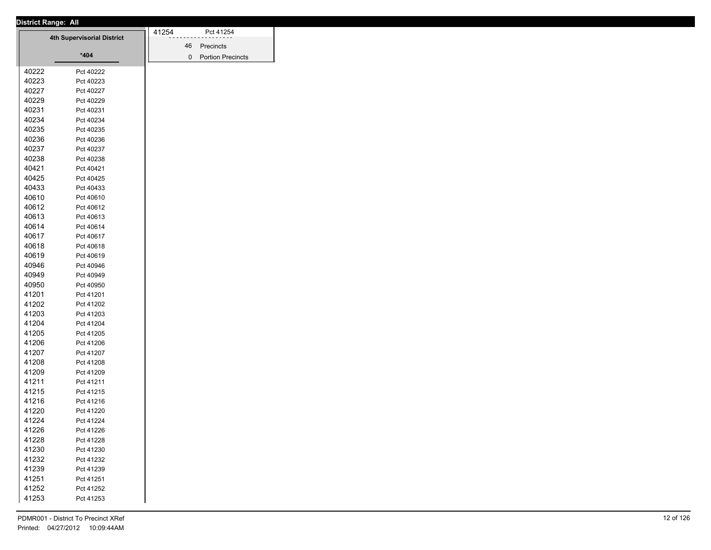|       | District Range: All        |       |                     |
|-------|----------------------------|-------|---------------------|
|       | 4th Supervisorial District | 41254 | Pct 41254           |
|       |                            |       | 46 Precincts        |
|       | $*404$                     |       | 0 Portion Precincts |
| 40222 | Pct 40222                  |       |                     |
| 40223 | Pct 40223                  |       |                     |
| 40227 | Pct 40227                  |       |                     |
| 40229 | Pct 40229                  |       |                     |
| 40231 | Pct 40231                  |       |                     |
| 40234 | Pct 40234                  |       |                     |
| 40235 | Pct 40235                  |       |                     |
| 40236 | Pct 40236                  |       |                     |
| 40237 | Pct 40237                  |       |                     |
| 40238 | Pct 40238                  |       |                     |
| 40421 | Pct 40421                  |       |                     |
| 40425 | Pct 40425                  |       |                     |
| 40433 | Pct 40433                  |       |                     |
| 40610 | Pct 40610                  |       |                     |
| 40612 | Pct 40612                  |       |                     |
| 40613 | Pct 40613                  |       |                     |
| 40614 | Pct 40614                  |       |                     |
| 40617 | Pct 40617                  |       |                     |
| 40618 | Pct 40618                  |       |                     |
| 40619 | Pct 40619                  |       |                     |
| 40946 | Pct 40946                  |       |                     |
| 40949 | Pct 40949                  |       |                     |
| 40950 | Pct 40950                  |       |                     |
| 41201 | Pct 41201                  |       |                     |
| 41202 | Pct 41202                  |       |                     |
| 41203 | Pct 41203                  |       |                     |
| 41204 | Pct 41204                  |       |                     |
| 41205 | Pct 41205                  |       |                     |
| 41206 | Pct 41206                  |       |                     |
| 41207 | Pct 41207                  |       |                     |
| 41208 | Pct 41208                  |       |                     |
| 41209 | Pct 41209                  |       |                     |
| 41211 | Pct 41211                  |       |                     |
| 41215 | Pct 41215                  |       |                     |
| 41216 | Pct 41216                  |       |                     |
| 41220 | Pct 41220                  |       |                     |
| 41224 | Pct 41224                  |       |                     |
| 41226 | Pct 41226                  |       |                     |
| 41228 | Pct 41228                  |       |                     |
| 41230 | Pct 41230                  |       |                     |
| 41232 | Pct 41232                  |       |                     |
| 41239 | Pct 41239                  |       |                     |
| 41251 | Pct 41251                  |       |                     |
| 41252 |                            |       |                     |
| 41253 | Pct 41252                  |       |                     |
|       | Pct 41253                  |       |                     |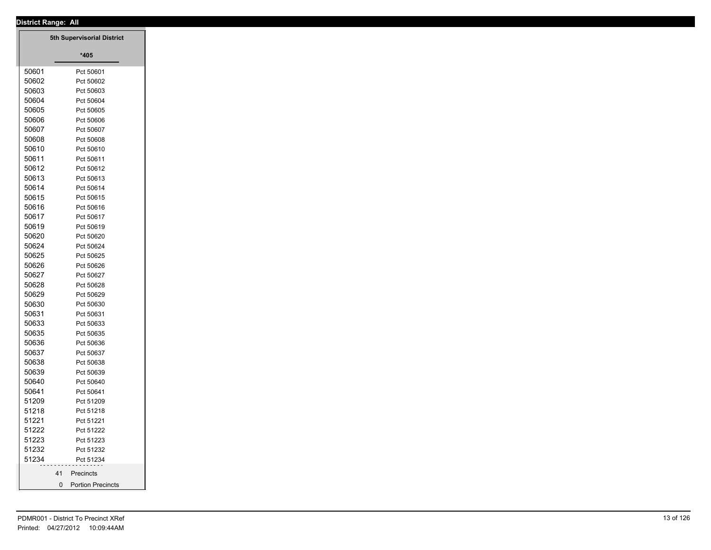|  |                | <b>District Range: All</b>              |
|--|----------------|-----------------------------------------|
|  |                | 5th Supervisorial District              |
|  |                |                                         |
|  |                | $*405$                                  |
|  | 50601          | Pct 50601                               |
|  | 50602          | Pct 50602                               |
|  | 50603          | Pct 50603                               |
|  | 50604          | Pct 50604                               |
|  | 50605          | Pct 50605                               |
|  | 50606          | Pct 50606                               |
|  | 50607          | Pct 50607                               |
|  | 50608          | Pct 50608                               |
|  | 50610          | Pct 50610                               |
|  | 50611          | Pct 50611                               |
|  | 50612          | Pct 50612                               |
|  | 50613          | Pct 50613                               |
|  | 50614          | Pct 50614                               |
|  | 50615          | Pct 50615                               |
|  | 50616          | Pct 50616                               |
|  | 50617          | Pct 50617                               |
|  | 50619          | Pct 50619                               |
|  | 50620          | Pct 50620                               |
|  | 50624          | Pct 50624                               |
|  | 50625          | Pct 50625                               |
|  | 50626          | Pct 50626                               |
|  | 50627<br>50628 | Pct 50627                               |
|  | 50629          | Pct 50628                               |
|  | 50630          | Pct 50629                               |
|  | 50631          | Pct 50630                               |
|  | 50633          | Pct 50631<br>Pct 50633                  |
|  | 50635          | Pct 50635                               |
|  | 50636          | Pct 50636                               |
|  | 50637          | Pct 50637                               |
|  | 50638          | Pct 50638                               |
|  | 50639          | Pct 50639                               |
|  | 50640          | Pct 50640                               |
|  | 50641          | Pct 50641                               |
|  | 51209          | Pct 51209                               |
|  | 51218          | Pct 51218                               |
|  | 51221          | Pct 51221                               |
|  | 51222          | Pct 51222                               |
|  | 51223          | Pct 51223                               |
|  | 51232          | Pct 51232                               |
|  | 51234          | Pct 51234                               |
|  |                | Precincts<br>41                         |
|  |                | $\mathbf 0$<br><b>Portion Precincts</b> |
|  |                |                                         |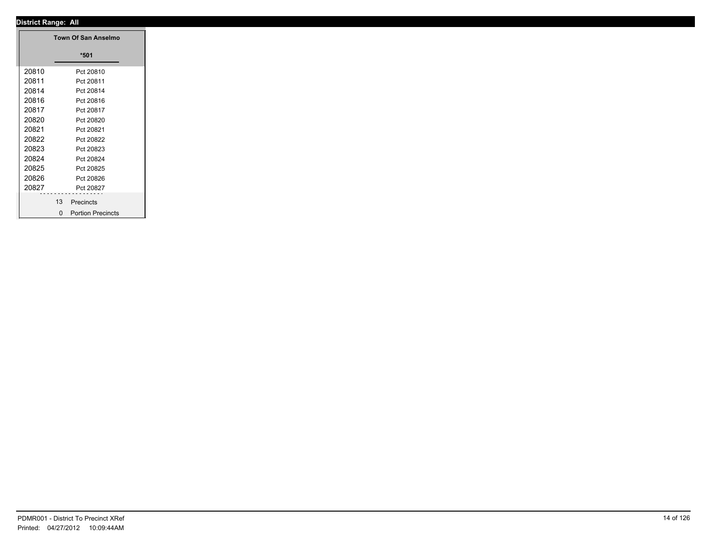|       | Town Of San Anselmo  |
|-------|----------------------|
|       | $*501$               |
| 20810 | Pct 20810            |
| 20811 | Pct 20811            |
| 20814 | Pct 20814            |
| 20816 | Pct 20816            |
| 20817 | Pct 20817            |
| 20820 | Pct 20820            |
| 20821 | Pct 20821            |
| 20822 | Pct 20822            |
| 20823 | Pct 20823            |
| 20824 | Pct 20824            |
| 20825 | Pct 20825            |
| 20826 | Pct 20826            |
| 20827 | Pct 20827            |
|       | .<br>13<br>Precincts |
|       |                      |
|       | 0 Portion Precincts  |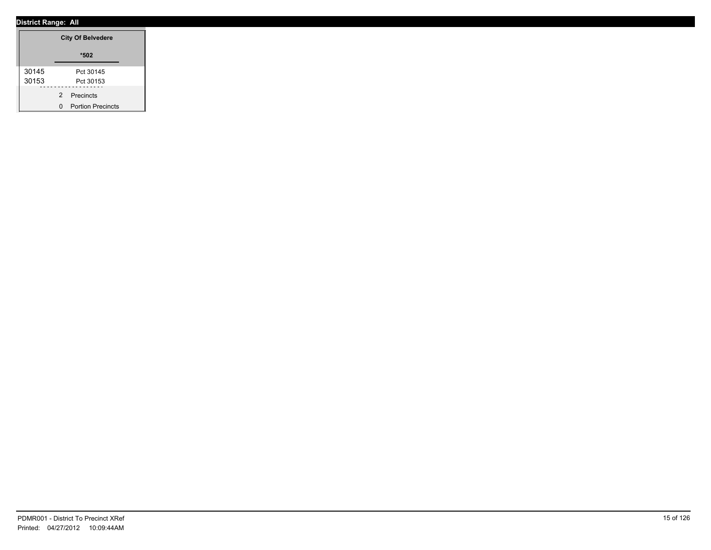|       | <b>City Of Belvedere</b> |
|-------|--------------------------|
|       | $*502$                   |
| 30145 | Pct 30145                |
| 30153 | Pct 30153                |
|       | 2 Precincts              |
|       | 0 Portion Precincts      |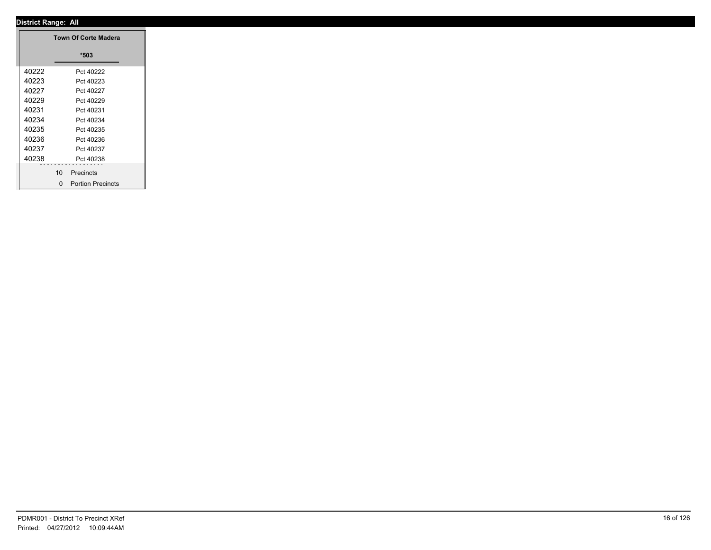|       |                 | <b>Town Of Corte Madera</b> |
|-------|-----------------|-----------------------------|
|       |                 | $*503$                      |
| 40222 |                 | Pct 40222                   |
| 40223 |                 | Pct 40223                   |
| 40227 |                 | Pct 40227                   |
| 40229 |                 | Pct 40229                   |
| 40231 |                 | Pct 40231                   |
| 40234 |                 | Pct 40234                   |
| 40235 |                 | Pct 40235                   |
| 40236 |                 | Pct 40236                   |
| 40237 |                 | Pct 40237                   |
| 40238 |                 | Pct 40238                   |
|       | 10 <sup>1</sup> | .<br>Precincts              |
|       |                 |                             |
|       |                 | 0 Portion Precincts         |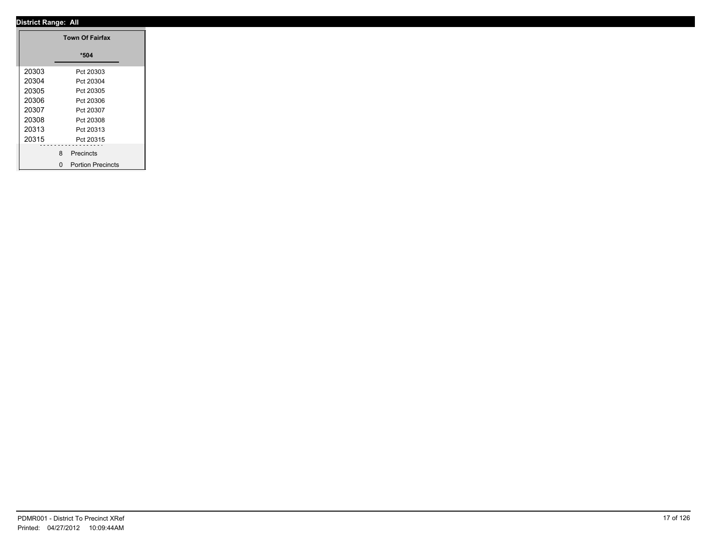|       | <b>Town Of Fairfax</b> |
|-------|------------------------|
|       | $*504$                 |
| 20303 | Pct 20303              |
| 20304 | Pct 20304              |
| 20305 | Pct 20305              |
| 20306 | Pct 20306              |
| 20307 | Pct 20307              |
| 20308 | Pct 20308              |
| 20313 | Pct 20313              |
| 20315 | Pct 20315              |
|       |                        |
|       | 8 Precincts            |
|       | 0 Portion Precincts    |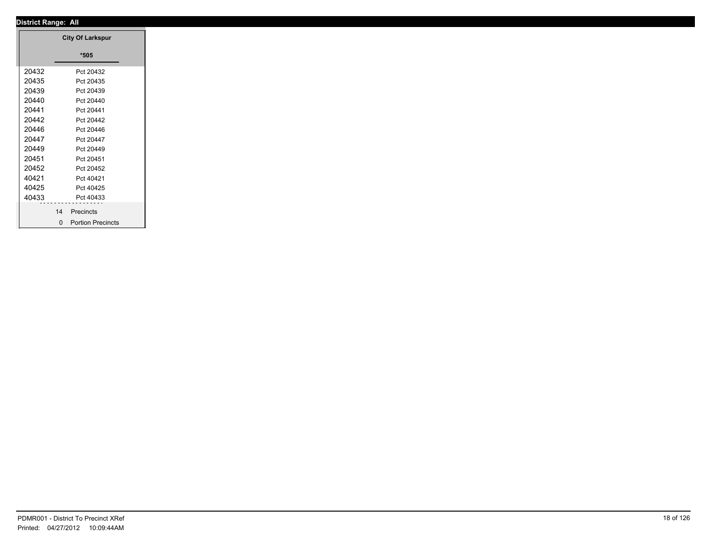|       | <b>City Of Larkspur</b> |
|-------|-------------------------|
|       | $*505$                  |
| 20432 | Pct 20432               |
| 20435 | Pct 20435               |
| 20439 | Pct 20439               |
| 20440 | Pct 20440               |
| 20441 | Pct 20441               |
| 20442 | Pct 20442               |
| 20446 | Pct 20446               |
| 20447 | Pct 20447               |
| 20449 | Pct 20449               |
| 20451 | Pct 20451               |
| 20452 | Pct 20452               |
| 40421 | Pct 40421               |
| 40425 | Pct 40425               |
| 40433 | Pct 40433               |
|       | 14<br>Precincts         |
|       | 0 Portion Precincts     |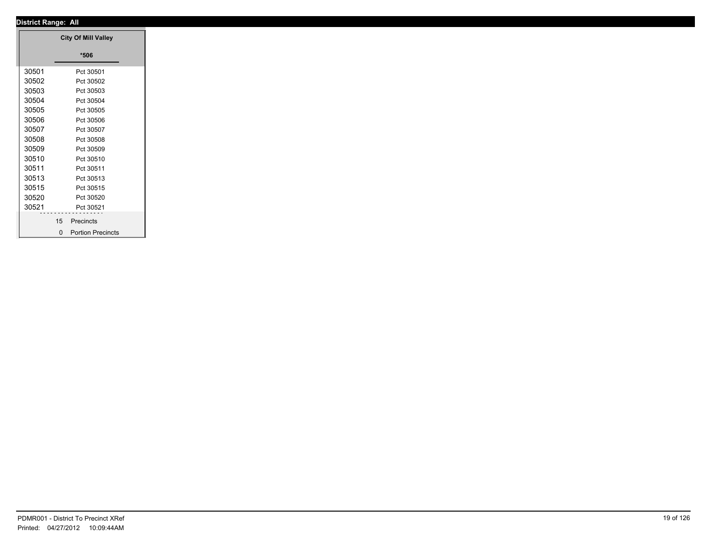|       |    | <b>City Of Mill Valley</b> |
|-------|----|----------------------------|
|       |    | $*506$                     |
|       |    |                            |
| 30501 |    | Pct 30501                  |
| 30502 |    | Pct 30502                  |
| 30503 |    | Pct 30503                  |
| 30504 |    | Pct 30504                  |
| 30505 |    | Pct 30505                  |
| 30506 |    | Pct 30506                  |
| 30507 |    | Pct 30507                  |
| 30508 |    | Pct 30508                  |
| 30509 |    | Pct 30509                  |
| 30510 |    | Pct 30510                  |
| 30511 |    | Pct 30511                  |
| 30513 |    | Pct 30513                  |
| 30515 |    | Pct 30515                  |
| 30520 |    | Pct 30520                  |
| 30521 | .  | Pct 30521                  |
|       | 15 | Precincts                  |
|       |    | 0 Portion Precincts        |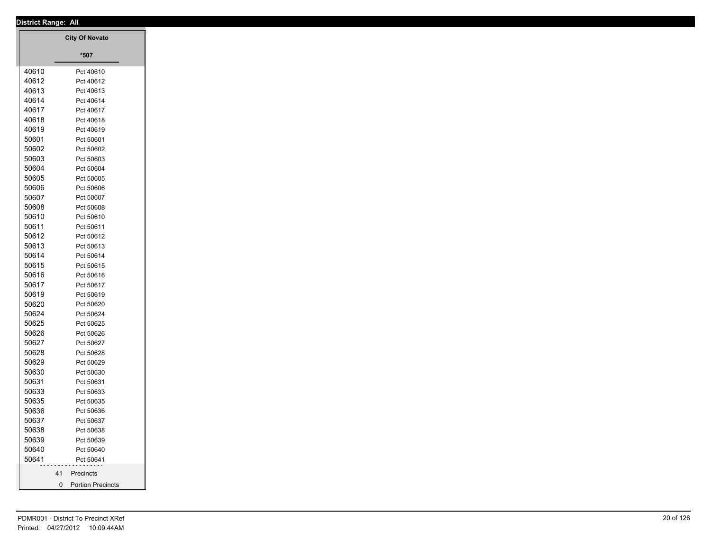|                | <b>District Range: All</b> |
|----------------|----------------------------|
|                | <b>City Of Novato</b>      |
|                |                            |
|                | $^{\star}507$              |
| 40610          | Pct 40610                  |
| 40612          | Pct 40612                  |
| 40613          | Pct 40613                  |
| 40614          | Pct 40614                  |
| 40617          | Pct 40617                  |
| 40618          | Pct 40618                  |
| 40619          | Pct 40619                  |
| 50601          | Pct 50601                  |
| 50602          | Pct 50602                  |
| 50603          | Pct 50603                  |
| 50604          | Pct 50604                  |
| 50605<br>50606 | Pct 50605                  |
| 50607          | Pct 50606<br>Pct 50607     |
| 50608          | Pct 50608                  |
| 50610          | Pct 50610                  |
| 50611          | Pct 50611                  |
| 50612          | Pct 50612                  |
| 50613          | Pct 50613                  |
| 50614          | Pct 50614                  |
| 50615          | Pct 50615                  |
| 50616          | Pct 50616                  |
| 50617          | Pct 50617                  |
| 50619          | Pct 50619                  |
| 50620          | Pct 50620                  |
| 50624          | Pct 50624                  |
| 50625          | Pct 50625                  |
| 50626          | Pct 50626                  |
| 50627          | Pct 50627                  |
| 50628          | Pct 50628                  |
| 50629          | Pct 50629                  |
| 50630          | Pct 50630                  |
| 50631<br>50633 | Pct 50631<br>Pct 50633     |
| 50635          | Pct 50635                  |
| 50636          | Pct 50636                  |
| 50637          | Pct 50637                  |
| 50638          | Pct 50638                  |
| 50639          | Pct 50639                  |
| 50640          | Pct 50640                  |
| 50641          | Pct 50641                  |
|                | Precincts<br>41            |
|                | $\overline{0}$             |
|                | <b>Portion Precincts</b>   |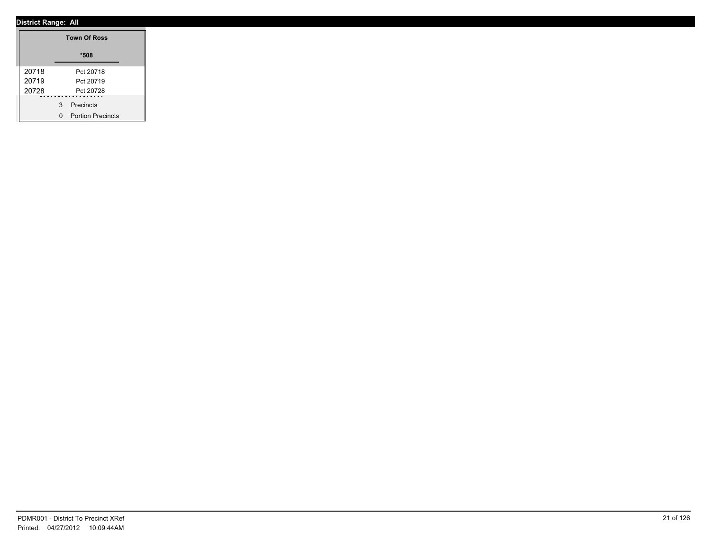|       | <b>Town Of Ross</b> |
|-------|---------------------|
|       | *508                |
| 20718 | Pct 20718           |
| 20719 | Pct 20719           |
| 20728 | Pct 20728           |
|       | 3 Precincts         |
|       | 0 Portion Precincts |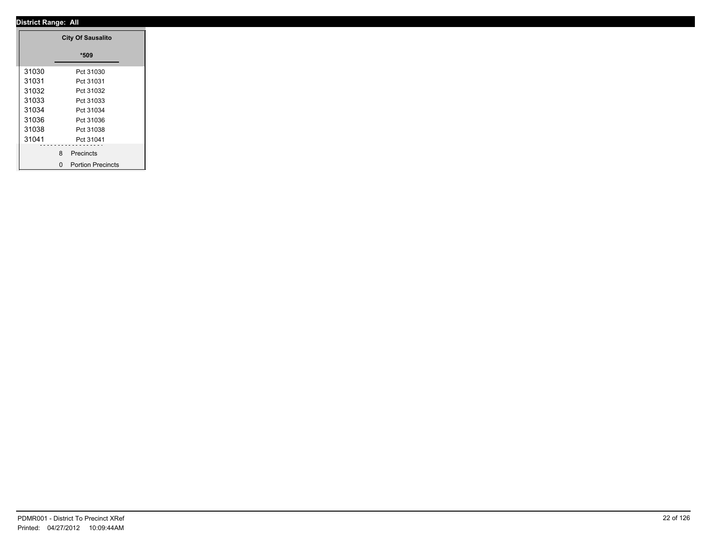|       | <b>City Of Sausalito</b> |
|-------|--------------------------|
|       | $*509$                   |
| 31030 | Pct 31030                |
| 31031 | Pct 31031                |
| 31032 | Pct 31032                |
| 31033 | Pct 31033                |
| 31034 | Pct 31034                |
| 31036 | Pct 31036                |
| 31038 | Pct 31038                |
| 31041 | Pct 31041                |
|       |                          |
|       | 8 Precincts              |
|       | 0 Portion Precincts      |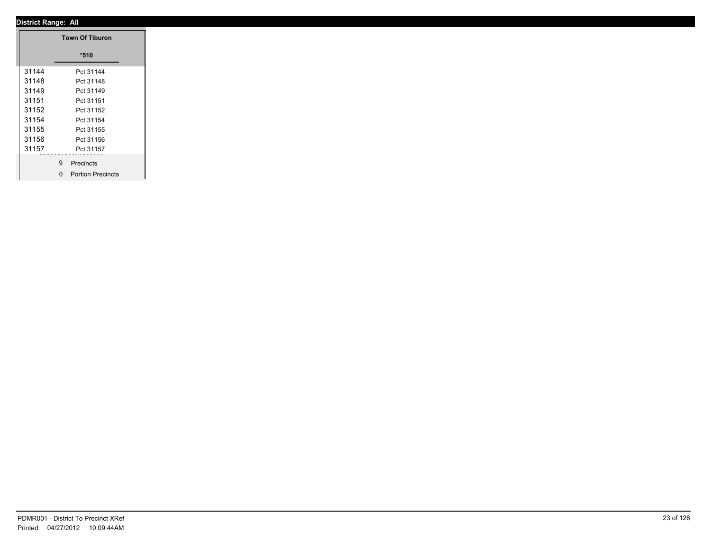|       | <b>Town Of Tiburon</b> |
|-------|------------------------|
|       | $*510$                 |
| 31144 | Pct 31144              |
| 31148 | Pct 31148              |
| 31149 | Pct 31149              |
| 31151 | Pct 31151              |
| 31152 | Pct 31152              |
| 31154 | Pct 31154              |
| 31155 | Pct 31155              |
| 31156 | Pct 31156              |
| 31157 | Pct 31157              |
|       | 9 Precincts            |
|       | 0 Portion Precincts    |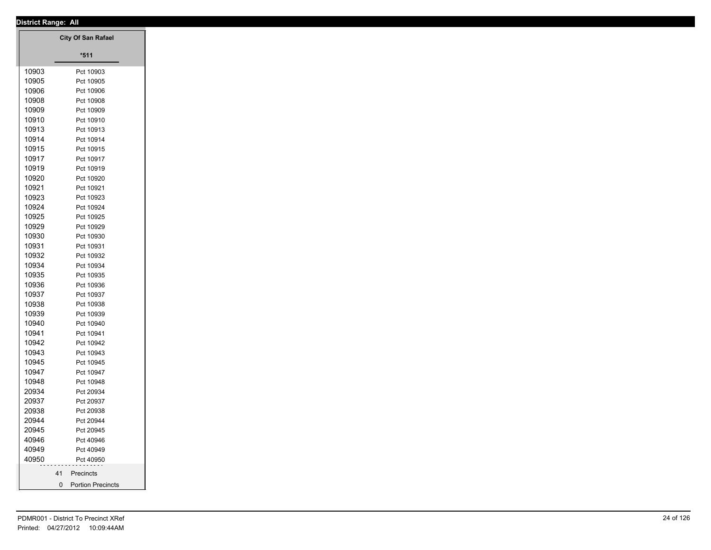|       | District Range: All       |
|-------|---------------------------|
|       | <b>City Of San Rafael</b> |
|       |                           |
|       | $*511$                    |
| 10903 | Pct 10903                 |
| 10905 | Pct 10905                 |
| 10906 | Pct 10906                 |
| 10908 | Pct 10908                 |
| 10909 | Pct 10909                 |
| 10910 | Pct 10910                 |
| 10913 | Pct 10913                 |
| 10914 | Pct 10914                 |
| 10915 | Pct 10915                 |
| 10917 | Pct 10917                 |
| 10919 | Pct 10919                 |
| 10920 | Pct 10920                 |
| 10921 | Pct 10921                 |
| 10923 | Pct 10923                 |
| 10924 | Pct 10924                 |
| 10925 | Pct 10925                 |
| 10929 | Pct 10929                 |
| 10930 | Pct 10930                 |
| 10931 | Pct 10931                 |
| 10932 | Pct 10932                 |
| 10934 | Pct 10934                 |
| 10935 | Pct 10935                 |
| 10936 | Pct 10936                 |
| 10937 | Pct 10937                 |
| 10938 | Pct 10938                 |
| 10939 | Pct 10939                 |
| 10940 | Pct 10940                 |
| 10941 | Pct 10941                 |
| 10942 |                           |
|       | Pct 10942                 |
| 10943 | Pct 10943                 |
| 10945 | Pct 10945                 |
| 10947 | Pct 10947                 |
| 10948 | Pct 10948                 |
| 20934 | Pct 20934                 |
| 20937 | Pct 20937                 |
| 20938 | Pct 20938                 |
| 20944 | Pct 20944                 |
| 20945 | Pct 20945                 |
| 40946 | Pct 40946                 |
| 40949 | Pct 40949                 |
| 40950 | Pct 40950                 |
|       | 41 Precincts              |
|       | 0 Portion Precincts       |
|       |                           |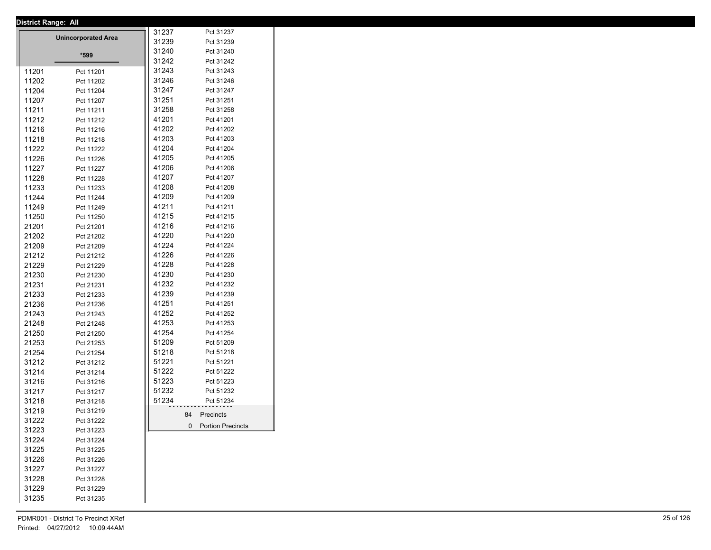| <b>District Range: All</b> |                            |       |                     |
|----------------------------|----------------------------|-------|---------------------|
|                            | <b>Unincorporated Area</b> | 31237 | Pct 31237           |
|                            |                            | 31239 | Pct 31239           |
|                            | *599                       | 31240 | Pct 31240           |
|                            |                            | 31242 | Pct 31242           |
| 11201                      | Pct 11201                  | 31243 | Pct 31243           |
| 11202                      | Pct 11202                  | 31246 | Pct 31246           |
| 11204                      | Pct 11204                  | 31247 | Pct 31247           |
| 11207                      | Pct 11207                  | 31251 | Pct 31251           |
| 11211                      | Pct 11211                  | 31258 | Pct 31258           |
| 11212                      | Pct 11212                  | 41201 | Pct 41201           |
| 11216                      | Pct 11216                  | 41202 | Pct 41202           |
| 11218                      | Pct 11218                  | 41203 | Pct 41203           |
| 11222                      | Pct 11222                  | 41204 | Pct 41204           |
| 11226                      | Pct 11226                  | 41205 | Pct 41205           |
| 11227                      | Pct 11227                  | 41206 | Pct 41206           |
| 11228                      | Pct 11228                  | 41207 | Pct 41207           |
| 11233                      | Pct 11233                  | 41208 | Pct 41208           |
| 11244                      | Pct 11244                  | 41209 | Pct 41209           |
| 11249                      | Pct 11249                  | 41211 | Pct 41211           |
| 11250                      | Pct 11250                  | 41215 | Pct 41215           |
| 21201                      | Pct 21201                  | 41216 | Pct 41216           |
| 21202                      | Pct 21202                  | 41220 | Pct 41220           |
| 21209                      | Pct 21209                  | 41224 | Pct 41224           |
| 21212                      | Pct 21212                  | 41226 | Pct 41226           |
| 21229                      | Pct 21229                  | 41228 | Pct 41228           |
| 21230                      | Pct 21230                  | 41230 | Pct 41230           |
| 21231                      | Pct 21231                  | 41232 | Pct 41232           |
| 21233                      | Pct 21233                  | 41239 | Pct 41239           |
| 21236                      | Pct 21236                  | 41251 | Pct 41251           |
| 21243                      | Pct 21243                  | 41252 | Pct 41252           |
| 21248                      | Pct 21248                  | 41253 | Pct 41253           |
| 21250                      | Pct 21250                  | 41254 | Pct 41254           |
| 21253                      | Pct 21253                  | 51209 | Pct 51209           |
| 21254                      | Pct 21254                  | 51218 | Pct 51218           |
| 31212                      | Pct 31212                  | 51221 | Pct 51221           |
| 31214                      | Pct 31214                  | 51222 | Pct 51222           |
| 31216                      | Pct 31216                  | 51223 | Pct 51223           |
| 31217                      | Pct 31217                  | 51232 | Pct 51232           |
| 31218                      | Pct 31218                  | 51234 | Pct 51234           |
| 31219                      |                            |       |                     |
|                            | Pct 31219                  |       | 84 Precincts        |
| 31222<br>31223             | Pct 31222                  |       | 0 Portion Precincts |
| 31224                      | Pct 31223                  |       |                     |
|                            | Pct 31224                  |       |                     |
| 31225                      | Pct 31225                  |       |                     |
| 31226                      | Pct 31226                  |       |                     |
| 31227                      | Pct 31227                  |       |                     |
| 31228                      | Pct 31228                  |       |                     |
| 31229                      | Pct 31229                  |       |                     |
| 31235                      | Pct 31235                  |       |                     |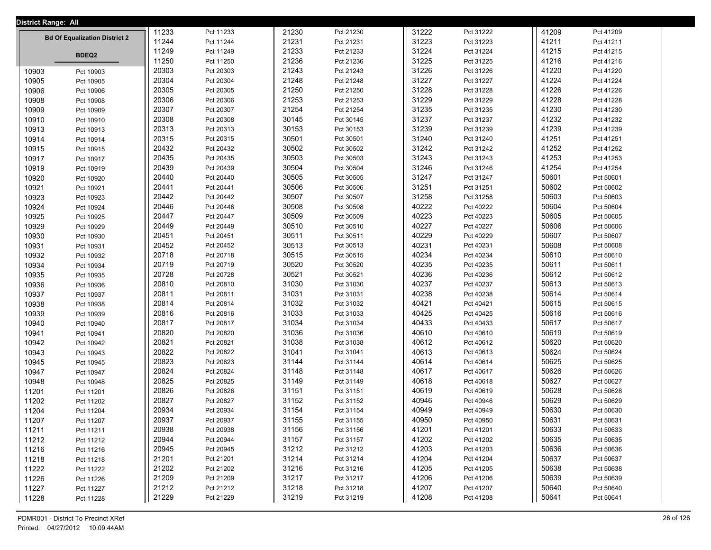| <b>District Range: All</b> |                                      |       |           |       |           |       |           |       |           |  |
|----------------------------|--------------------------------------|-------|-----------|-------|-----------|-------|-----------|-------|-----------|--|
|                            |                                      | 11233 | Pct 11233 | 21230 | Pct 21230 | 31222 | Pct 31222 | 41209 | Pct 41209 |  |
|                            | <b>Bd Of Equalization District 2</b> | 11244 | Pct 11244 | 21231 | Pct 21231 | 31223 | Pct 31223 | 41211 | Pct 41211 |  |
|                            | <b>BDEQ2</b>                         | 11249 | Pct 11249 | 21233 | Pct 21233 | 31224 | Pct 31224 | 41215 | Pct 41215 |  |
|                            |                                      | 11250 | Pct 11250 | 21236 | Pct 21236 | 31225 | Pct 31225 | 41216 | Pct 41216 |  |
| 10903                      | Pct 10903                            | 20303 | Pct 20303 | 21243 | Pct 21243 | 31226 | Pct 31226 | 41220 | Pct 41220 |  |
| 10905                      | Pct 10905                            | 20304 | Pct 20304 | 21248 | Pct 21248 | 31227 | Pct 31227 | 41224 | Pct 41224 |  |
| 10906                      | Pct 10906                            | 20305 | Pct 20305 | 21250 | Pct 21250 | 31228 | Pct 31228 | 41226 | Pct 41226 |  |
| 10908                      | Pct 10908                            | 20306 | Pct 20306 | 21253 | Pct 21253 | 31229 | Pct 31229 | 41228 | Pct 41228 |  |
| 10909                      | Pct 10909                            | 20307 | Pct 20307 | 21254 | Pct 21254 | 31235 | Pct 31235 | 41230 | Pct 41230 |  |
| 10910                      | Pct 10910                            | 20308 | Pct 20308 | 30145 | Pct 30145 | 31237 | Pct 31237 | 41232 | Pct 41232 |  |
| 10913                      | Pct 10913                            | 20313 | Pct 20313 | 30153 | Pct 30153 | 31239 | Pct 31239 | 41239 | Pct 41239 |  |
| 10914                      | Pct 10914                            | 20315 | Pct 20315 | 30501 | Pct 30501 | 31240 | Pct 31240 | 41251 | Pct 41251 |  |
| 10915                      | Pct 10915                            | 20432 | Pct 20432 | 30502 | Pct 30502 | 31242 | Pct 31242 | 41252 | Pct 41252 |  |
| 10917                      | Pct 10917                            | 20435 | Pct 20435 | 30503 | Pct 30503 | 31243 | Pct 31243 | 41253 | Pct 41253 |  |
| 10919                      | Pct 10919                            | 20439 | Pct 20439 | 30504 | Pct 30504 | 31246 | Pct 31246 | 41254 | Pct 41254 |  |
| 10920                      | Pct 10920                            | 20440 | Pct 20440 | 30505 | Pct 30505 | 31247 | Pct 31247 | 50601 | Pct 50601 |  |
| 10921                      | Pct 10921                            | 20441 | Pct 20441 | 30506 | Pct 30506 | 31251 | Pct 31251 | 50602 | Pct 50602 |  |
| 10923                      | Pct 10923                            | 20442 | Pct 20442 | 30507 | Pct 30507 | 31258 | Pct 31258 | 50603 | Pct 50603 |  |
| 10924                      | Pct 10924                            | 20446 | Pct 20446 | 30508 | Pct 30508 | 40222 | Pct 40222 | 50604 | Pct 50604 |  |
| 10925                      | Pct 10925                            | 20447 | Pct 20447 | 30509 | Pct 30509 | 40223 | Pct 40223 | 50605 | Pct 50605 |  |
| 10929                      | Pct 10929                            | 20449 | Pct 20449 | 30510 | Pct 30510 | 40227 | Pct 40227 | 50606 | Pct 50606 |  |
| 10930                      | Pct 10930                            | 20451 | Pct 20451 | 30511 | Pct 30511 | 40229 | Pct 40229 | 50607 | Pct 50607 |  |
| 10931                      | Pct 10931                            | 20452 | Pct 20452 | 30513 | Pct 30513 | 40231 | Pct 40231 | 50608 | Pct 50608 |  |
| 10932                      | Pct 10932                            | 20718 | Pct 20718 | 30515 | Pct 30515 | 40234 | Pct 40234 | 50610 | Pct 50610 |  |
| 10934                      | Pct 10934                            | 20719 | Pct 20719 | 30520 | Pct 30520 | 40235 | Pct 40235 | 50611 | Pct 50611 |  |
| 10935                      | Pct 10935                            | 20728 | Pct 20728 | 30521 | Pct 30521 | 40236 | Pct 40236 | 50612 | Pct 50612 |  |
| 10936                      | Pct 10936                            | 20810 | Pct 20810 | 31030 | Pct 31030 | 40237 | Pct 40237 | 50613 | Pct 50613 |  |
| 10937                      | Pct 10937                            | 20811 | Pct 20811 | 31031 | Pct 31031 | 40238 | Pct 40238 | 50614 | Pct 50614 |  |
| 10938                      | Pct 10938                            | 20814 | Pct 20814 | 31032 | Pct 31032 | 40421 | Pct 40421 | 50615 | Pct 50615 |  |
| 10939                      | Pct 10939                            | 20816 | Pct 20816 | 31033 | Pct 31033 | 40425 | Pct 40425 | 50616 | Pct 50616 |  |
| 10940                      | Pct 10940                            | 20817 | Pct 20817 | 31034 | Pct 31034 | 40433 | Pct 40433 | 50617 | Pct 50617 |  |
| 10941                      | Pct 10941                            | 20820 | Pct 20820 | 31036 | Pct 31036 | 40610 | Pct 40610 | 50619 | Pct 50619 |  |
| 10942                      | Pct 10942                            | 20821 | Pct 20821 | 31038 | Pct 31038 | 40612 | Pct 40612 | 50620 | Pct 50620 |  |
| 10943                      | Pct 10943                            | 20822 | Pct 20822 | 31041 | Pct 31041 | 40613 | Pct 40613 | 50624 | Pct 50624 |  |
| 10945                      | Pct 10945                            | 20823 | Pct 20823 | 31144 | Pct 31144 | 40614 | Pct 40614 | 50625 | Pct 50625 |  |
| 10947                      | Pct 10947                            | 20824 | Pct 20824 | 31148 | Pct 31148 | 40617 | Pct 40617 | 50626 | Pct 50626 |  |
| 10948                      | Pct 10948                            | 20825 | Pct 20825 | 31149 | Pct 31149 | 40618 | Pct 40618 | 50627 | Pct 50627 |  |
| 11201                      | Pct 11201                            | 20826 | Pct 20826 | 31151 | Pct 31151 | 40619 | Pct 40619 | 50628 | Pct 50628 |  |
| 11202                      | Pct 11202                            | 20827 | Pct 20827 | 31152 | Pct 31152 | 40946 | Pct 40946 | 50629 | Pct 50629 |  |
| 11204                      | Pct 11204                            | 20934 | Pct 20934 | 31154 | Pct 31154 | 40949 | Pct 40949 | 50630 | Pct 50630 |  |
| 11207                      | Pct 11207                            | 20937 | Pct 20937 | 31155 | Pct 31155 | 40950 | Pct 40950 | 50631 | Pct 50631 |  |
| 11211                      | Pct 11211                            | 20938 | Pct 20938 | 31156 | Pct 31156 | 41201 | Pct 41201 | 50633 | Pct 50633 |  |
| 11212                      | Pct 11212                            | 20944 | Pct 20944 | 31157 | Pct 31157 | 41202 | Pct 41202 | 50635 | Pct 50635 |  |
| 11216                      | Pct 11216                            | 20945 | Pct 20945 | 31212 | Pct 31212 | 41203 | Pct 41203 | 50636 | Pct 50636 |  |
| 11218                      | Pct 11218                            | 21201 | Pct 21201 | 31214 | Pct 31214 | 41204 | Pct 41204 | 50637 | Pct 50637 |  |
| 11222                      | Pct 11222                            | 21202 | Pct 21202 | 31216 | Pct 31216 | 41205 | Pct 41205 | 50638 | Pct 50638 |  |
| 11226                      | Pct 11226                            | 21209 | Pct 21209 | 31217 | Pct 31217 | 41206 | Pct 41206 | 50639 | Pct 50639 |  |
| 11227                      | Pct 11227                            | 21212 | Pct 21212 | 31218 | Pct 31218 | 41207 | Pct 41207 | 50640 | Pct 50640 |  |
| 11228                      | Pct 11228                            | 21229 | Pct 21229 | 31219 | Pct 31219 | 41208 | Pct 41208 | 50641 | Pct 50641 |  |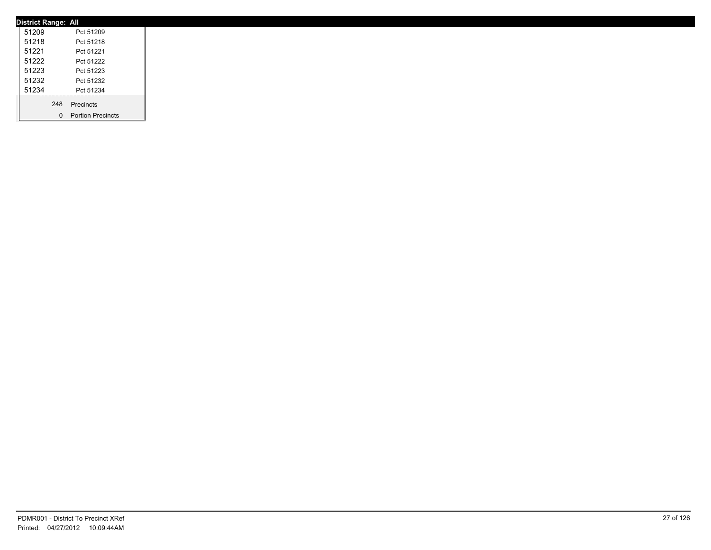| <b>District Range: All</b> |                     |
|----------------------------|---------------------|
| 51209                      | Pct 51209           |
| 51218                      | Pct 51218           |
| 51221                      | Pct 51221           |
| 51222                      | Pct 51222           |
| 51223                      | Pct 51223           |
| 51232                      | Pct 51232           |
| 51234                      | Pct 51234           |
|                            | 248 Precincts       |
|                            |                     |
|                            | 0 Portion Precincts |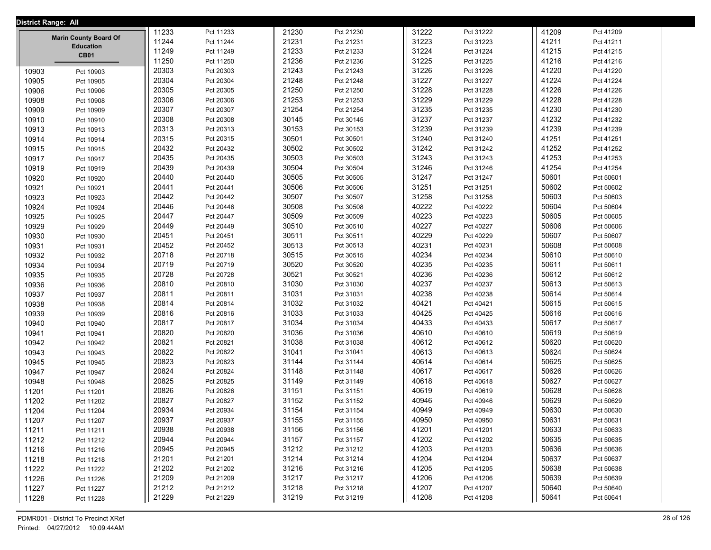| District Range: All |                                 |       |                        |       |           |                |                    |  |       |           |  |
|---------------------|---------------------------------|-------|------------------------|-------|-----------|----------------|--------------------|--|-------|-----------|--|
|                     |                                 | 11233 | Pct 11233              | 21230 | Pct 21230 |                | 31222<br>Pct 31222 |  | 41209 | Pct 41209 |  |
|                     | <b>Marin County Board Of</b>    | 11244 | Pct 11244              | 21231 | Pct 21231 | 31223          | Pct 31223          |  | 41211 | Pct 41211 |  |
|                     | <b>Education</b><br><b>CB01</b> | 11249 | Pct 11249              | 21233 | Pct 21233 | 31224          | Pct 31224          |  | 41215 | Pct 41215 |  |
|                     |                                 | 11250 | Pct 11250              | 21236 | Pct 21236 | 31225          | Pct 31225          |  | 41216 | Pct 41216 |  |
| 10903               | Pct 10903                       | 20303 | Pct 20303              | 21243 | Pct 21243 | 31226          | Pct 31226          |  | 41220 | Pct 41220 |  |
| 10905               | Pct 10905                       | 20304 | Pct 20304              | 21248 | Pct 21248 | 31227          | Pct 31227          |  | 41224 | Pct 41224 |  |
| 10906               | Pct 10906                       | 20305 | Pct 20305              | 21250 | Pct 21250 | 31228          | Pct 31228          |  | 41226 | Pct 41226 |  |
| 10908               | Pct 10908                       | 20306 | Pct 20306              | 21253 | Pct 21253 | 31229          | Pct 31229          |  | 41228 | Pct 41228 |  |
| 10909               | Pct 10909                       | 20307 | Pct 20307              | 21254 | Pct 21254 | 31235          | Pct 31235          |  | 41230 | Pct 41230 |  |
| 10910               | Pct 10910                       | 20308 | Pct 20308              | 30145 | Pct 30145 | 31237          | Pct 31237          |  | 41232 | Pct 41232 |  |
| 10913               | Pct 10913                       | 20313 | Pct 20313              | 30153 | Pct 30153 | 31239          | Pct 31239          |  | 41239 | Pct 41239 |  |
| 10914               | Pct 10914                       | 20315 | Pct 20315              | 30501 | Pct 30501 | 31240          | Pct 31240          |  | 41251 | Pct 41251 |  |
| 10915               | Pct 10915                       | 20432 | Pct 20432              | 30502 | Pct 30502 | 31242          | Pct 31242          |  | 41252 | Pct 41252 |  |
| 10917               | Pct 10917                       | 20435 | Pct 20435              | 30503 | Pct 30503 | 31243          | Pct 31243          |  | 41253 | Pct 41253 |  |
| 10919               | Pct 10919                       | 20439 | Pct 20439              | 30504 | Pct 30504 | 31246          | Pct 31246          |  | 41254 | Pct 41254 |  |
| 10920               | Pct 10920                       | 20440 | Pct 20440              | 30505 | Pct 30505 | 31247          | Pct 31247          |  | 50601 | Pct 50601 |  |
| 10921               | Pct 10921                       | 20441 | Pct 20441              | 30506 | Pct 30506 | 31251          | Pct 31251          |  | 50602 | Pct 50602 |  |
| 10923               | Pct 10923                       | 20442 | Pct 20442              | 30507 | Pct 30507 | 31258          | Pct 31258          |  | 50603 | Pct 50603 |  |
| 10924               | Pct 10924                       | 20446 | Pct 20446              | 30508 | Pct 30508 | 40222          | Pct 40222          |  | 50604 | Pct 50604 |  |
| 10925               | Pct 10925                       | 20447 | Pct 20447              | 30509 | Pct 30509 | 40223          | Pct 40223          |  | 50605 | Pct 50605 |  |
| 10929               | Pct 10929                       | 20449 | Pct 20449              | 30510 | Pct 30510 | 40227          | Pct 40227          |  | 50606 | Pct 50606 |  |
| 10930               | Pct 10930                       | 20451 | Pct 20451              | 30511 | Pct 30511 | 40229          | Pct 40229          |  | 50607 | Pct 50607 |  |
| 10931               | Pct 10931                       | 20452 | Pct 20452              | 30513 | Pct 30513 | 40231          | Pct 40231          |  | 50608 | Pct 50608 |  |
| 10932               | Pct 10932                       | 20718 | Pct 20718              | 30515 | Pct 30515 | 40234          | Pct 40234          |  | 50610 | Pct 50610 |  |
| 10934               |                                 | 20719 | Pct 20719              | 30520 | Pct 30520 | 40235          | Pct 40235          |  | 50611 | Pct 50611 |  |
|                     | Pct 10934                       | 20728 | Pct 20728              | 30521 | Pct 30521 | 40236          | Pct 40236          |  | 50612 | Pct 50612 |  |
| 10935               | Pct 10935                       | 20810 | Pct 20810              | 31030 | Pct 31030 | 40237          | Pct 40237          |  | 50613 | Pct 50613 |  |
| 10936               | Pct 10936                       | 20811 | Pct 20811              | 31031 | Pct 31031 | 40238          | Pct 40238          |  | 50614 | Pct 50614 |  |
| 10937<br>10938      | Pct 10937                       | 20814 | Pct 20814              | 31032 | Pct 31032 | 40421          | Pct 40421          |  | 50615 | Pct 50615 |  |
|                     | Pct 10938                       | 20816 |                        | 31033 | Pct 31033 | 40425          | Pct 40425          |  | 50616 | Pct 50616 |  |
| 10939               | Pct 10939                       | 20817 | Pct 20816<br>Pct 20817 | 31034 | Pct 31034 | 40433          | Pct 40433          |  | 50617 | Pct 50617 |  |
| 10940               | Pct 10940                       | 20820 | Pct 20820              | 31036 | Pct 31036 |                | Pct 40610          |  | 50619 | Pct 50619 |  |
| 10941               | Pct 10941                       | 20821 |                        | 31038 |           | 40610<br>40612 |                    |  | 50620 |           |  |
| 10942               | Pct 10942                       | 20822 | Pct 20821              | 31041 | Pct 31038 |                | Pct 40612          |  | 50624 | Pct 50620 |  |
| 10943               | Pct 10943                       |       | Pct 20822              |       | Pct 31041 | 40613          | Pct 40613          |  |       | Pct 50624 |  |
| 10945               | Pct 10945                       | 20823 | Pct 20823              | 31144 | Pct 31144 | 40614          | Pct 40614          |  | 50625 | Pct 50625 |  |
| 10947               | Pct 10947                       | 20824 | Pct 20824              | 31148 | Pct 31148 | 40617          | Pct 40617          |  | 50626 | Pct 50626 |  |
| 10948               | Pct 10948                       | 20825 | Pct 20825              | 31149 | Pct 31149 | 40618          | Pct 40618          |  | 50627 | Pct 50627 |  |
| 11201               | Pct 11201                       | 20826 | Pct 20826              | 31151 | Pct 31151 | 40619          | Pct 40619          |  | 50628 | Pct 50628 |  |
| 11202               | Pct 11202                       | 20827 | Pct 20827              | 31152 | Pct 31152 | 40946          | Pct 40946          |  | 50629 | Pct 50629 |  |
| 11204               | Pct 11204                       | 20934 | Pct 20934              | 31154 | Pct 31154 | 40949          | Pct 40949          |  | 50630 | Pct 50630 |  |
| 11207               | Pct 11207                       | 20937 | Pct 20937              | 31155 | Pct 31155 | 40950          | Pct 40950          |  | 50631 | Pct 50631 |  |
| 11211               | Pct 11211                       | 20938 | Pct 20938              | 31156 | Pct 31156 | 41201          | Pct 41201          |  | 50633 | Pct 50633 |  |
| 11212               | Pct 11212                       | 20944 | Pct 20944              | 31157 | Pct 31157 | 41202          | Pct 41202          |  | 50635 | Pct 50635 |  |
| 11216               | Pct 11216                       | 20945 | Pct 20945              | 31212 | Pct 31212 | 41203          | Pct 41203          |  | 50636 | Pct 50636 |  |
| 11218               | Pct 11218                       | 21201 | Pct 21201              | 31214 | Pct 31214 | 41204          | Pct 41204          |  | 50637 | Pct 50637 |  |
| 11222               | Pct 11222                       | 21202 | Pct 21202              | 31216 | Pct 31216 | 41205          | Pct 41205          |  | 50638 | Pct 50638 |  |
| 11226               | Pct 11226                       | 21209 | Pct 21209              | 31217 | Pct 31217 | 41206          | Pct 41206          |  | 50639 | Pct 50639 |  |
| 11227               | Pct 11227                       | 21212 | Pct 21212              | 31218 | Pct 31218 | 41207          | Pct 41207          |  | 50640 | Pct 50640 |  |
| 11228               | Pct 11228                       | 21229 | Pct 21229              | 31219 | Pct 31219 | 41208          | Pct 41208          |  | 50641 | Pct 50641 |  |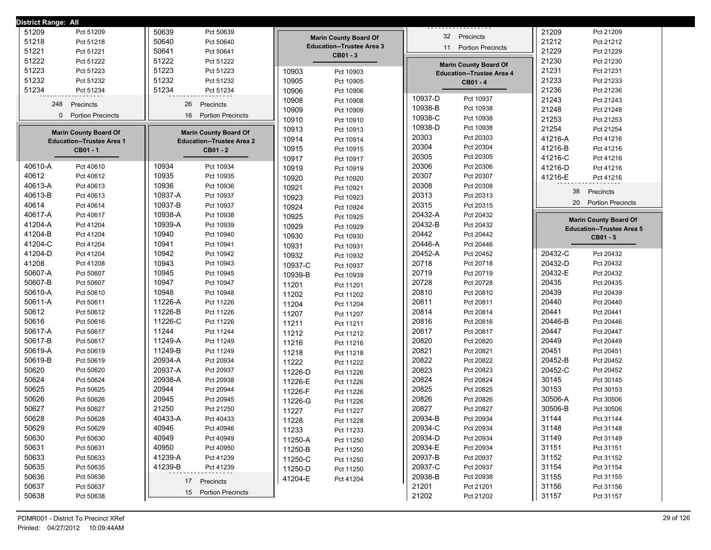| District Range: All               |                                  |                                  |                                  |                                  |
|-----------------------------------|----------------------------------|----------------------------------|----------------------------------|----------------------------------|
| 51209<br>Pct 51209                | 50639<br>Pct 50639               |                                  | 32 Precincts                     | 21209<br>Pct 21209               |
| 51218                             | 50640                            | <b>Marin County Board Of</b>     |                                  | 21212                            |
| Pct 51218                         | Pct 50640                        | <b>Education--Trustee Area 3</b> |                                  | Pct 21212                        |
| 51221                             | 50641                            | CB01 - 3                         | <b>Portion Precincts</b>         | 21229                            |
| Pct 51221                         | Pct 50641                        |                                  | 11                               | Pct 21229                        |
| 51222<br>Pct 51222                | 51222<br>Pct 51222               |                                  | <b>Marin County Board Of</b>     | 21230<br>Pct 21230               |
| 51223                             | 51223                            | 10903                            | <b>Education--Trustee Area 4</b> | 21231                            |
| Pct 51223                         | Pct 51223                        | Pct 10903                        |                                  | Pct 21231                        |
| 51232                             | 51232                            | 10905                            | CB01 - 4                         | 21233                            |
| Pct 51232                         | Pct 51232                        | Pct 10905                        |                                  | Pct 21233                        |
| 51234                             | 51234                            | 10906                            |                                  | 21236                            |
| Pct 51234                         | Pct 51234                        | Pct 10906                        |                                  | Pct 21236                        |
| 248                               | 26                               | 10908                            | 10937-D                          | 21243                            |
| Precincts                         | Precincts                        | Pct 10908                        | Pct 10937                        | Pct 21243                        |
| <b>Portion Precincts</b>          | 16                               | 10909                            | 10938-B                          | 21248                            |
| 0                                 | <b>Portion Precincts</b>         | Pct 10909                        | Pct 10938                        | Pct 21248                        |
|                                   |                                  | 10910<br>Pct 10910               | 10938-C<br>Pct 10938             | 21253<br>Pct 21253               |
| <b>Marin County Board Of</b>      | <b>Marin County Board Of</b>     | 10913<br>Pct 10913               | 10938-D<br>Pct 10938             | 21254<br>Pct 21254               |
| <b>Education--Trustee Area 1</b>  | <b>Education--Trustee Area 2</b> | 10914<br>Pct 10914               | 20303<br>Pct 20303               | 41216-A<br>Pct 41216             |
| CB01-1                            | CB01 - 2                         | 10915<br>Pct 10915               | 20304<br>Pct 20304               | 41216-B<br>Pct 41216             |
|                                   |                                  | 10917<br>Pct 10917               | 20305<br>Pct 20305               | 41216-C<br>Pct 41216             |
| 40610-A                           | 10934                            | 10919                            | 20306                            | 41216-D                          |
| Pct 40610                         | Pct 10934                        | Pct 10919                        | Pct 20306                        | Pct 41216                        |
| 40612                             | 10935                            | 10920                            | 20307                            | 41216-E                          |
| Pct 40612                         | Pct 10935                        | Pct 10920                        | Pct 20307                        | Pct 41216                        |
| 40613-A                           | 10936                            | 10921                            | 20308                            | 38                               |
| Pct 40613                         | Pct 10936                        | Pct 10921                        | Pct 20308                        | Precincts                        |
| 40613-B                           | 10937-A                          | 10923                            | 20313                            | <b>Portion Precincts</b>         |
| Pct 40613                         | Pct 10937                        | Pct 10923                        | Pct 20313                        | 20                               |
| 40614                             | 10937-B                          | 10924                            | 20315                            |                                  |
| Pct 40614                         | Pct 10937                        | Pct 10924                        | Pct 20315                        |                                  |
| 40617-A                           | 10938-A                          | 10925                            | 20432-A                          | <b>Marin County Board Of</b>     |
| Pct 40617                         | Pct 10938                        | Pct 10925                        | Pct 20432                        |                                  |
| 41204-A                           | 10939-A                          | 10929                            | 20432-B                          | <b>Education--Trustee Area 5</b> |
| Pct 41204                         | Pct 10939                        | Pct 10929                        | Pct 20432                        |                                  |
| 41204-B                           | 10940                            | 10930                            | 20442                            | CB01-5                           |
| Pct 41204                         | Pct 10940                        | Pct 10930                        | Pct 20442                        |                                  |
| 41204-C                           | 10941                            | 10931                            | 20446-A                          |                                  |
| Pct 41204                         | Pct 10941                        | Pct 10931                        | Pct 20446                        |                                  |
| 41204-D                           | 10942                            | 10932                            | 20452-A                          | 20432-C                          |
| Pct 41204                         | Pct 10942                        | Pct 10932                        | Pct 20452                        | Pct 20432                        |
| 41208                             | 10943                            | 10937-C                          | 20718                            | 20432-D                          |
| Pct 41208                         | Pct 10943                        | Pct 10937                        | Pct 20718                        | Pct 20432                        |
| 50607-A                           | 10945                            | 10939-B                          | 20719                            | 20432-E                          |
| Pct 50607                         | Pct 10945                        | Pct 10939                        | Pct 20719                        | Pct 20432                        |
| 50607-B                           | 10947                            | 11201                            | 20728                            | 20435                            |
| Pct 50607                         | Pct 10947                        | Pct 11201                        | Pct 20728                        | Pct 20435                        |
| 50610-A<br>Pct 50610<br>50611-A   | 10948<br>Pct 10948               | 11202<br>Pct 11202               | 20810<br>Pct 20810<br>20811      | 20439<br>Pct 20439               |
| Pct 50611<br>50612                | 11226-A<br>Pct 11226             | 11204<br>Pct 11204               | Pct 20811<br>20814               | 20440<br>Pct 20440<br>20441      |
| Pct 50612<br>50616                | 11226-B<br>Pct 11226<br>11226-C  | 11207<br>Pct 11207               | Pct 20814<br>20816               | Pct 20441<br>20446-B             |
| Pct 50616<br>50617-A<br>Pct 50617 | Pct 11226<br>11244<br>Pct 11244  | 11211<br>Pct 11211               | Pct 20816<br>20817<br>Pct 20817  | Pct 20446<br>20447<br>Pct 20447  |
| 50617-B                           | 11249-A                          | 11212                            | 20820                            | 20449                            |
| Pct 50617                         | Pct 11249                        | Pct 11212                        | Pct 20820                        | Pct 20449                        |
| 50619-A                           | 11249-B                          | 11216                            | 20821                            | 20451                            |
| Pct 50619                         | Pct 11249                        | Pct 11216                        | Pct 20821                        | Pct 20451                        |
| 50619-B                           | 20934-A                          | 11218                            | 20822                            | 20452-B                          |
| Pct 50619                         | Pct 20934                        | Pct 11218                        | Pct 20822                        | Pct 20452                        |
| 50620                             | 20937-A                          | 11222                            | 20823                            | 20452-C                          |
| Pct 50620                         | Pct 20937                        | Pct 11222                        | Pct 20823                        | Pct 20452                        |
| 50624                             | 20938-A                          | 11226-D                          | 20824                            | 30145                            |
| Pct 50624                         | Pct 20938                        | Pct 11226                        | Pct 20824                        | Pct 30145                        |
| 50625                             | 20944                            | 11226-E                          | 20825                            | 30153                            |
| Pct 50625                         | Pct 20944                        | Pct 11226                        | Pct 20825                        | Pct 30153                        |
| 50626                             | 20945                            | 11226-F                          | 20826                            | 30506-A                          |
| Pct 50626                         | Pct 20945                        | Pct 11226                        | Pct 20826                        | Pct 30506                        |
| 50627                             | 21250                            | 11226-G                          | 20827                            | 30506-B                          |
| Pct 50627                         | Pct 21250                        | Pct 11226                        | Pct 20827                        | Pct 30506                        |
| 50628                             | 40433-A                          | 11227                            | 20934-B                          | 31144                            |
| Pct 50628                         | Pct 40433                        | Pct 11227                        | Pct 20934                        | Pct 31144                        |
| 50629                             | 40946                            | 11228                            | 20934-C                          | 31148                            |
| Pct 50629                         | Pct 40946                        | Pct 11228                        | Pct 20934                        | Pct 31148                        |
| 50630                             | 40949                            | 11233                            | 20934-D                          | 31149                            |
| Pct 50630                         | Pct 40949                        | Pct 11233                        | Pct 20934                        | Pct 31149                        |
| 50631                             | 40950                            | 11250-A                          | 20934-E                          | 31151                            |
| Pct 50631                         | Pct 40950                        | Pct 11250                        | Pct 20934                        | Pct 31151                        |
| 50633                             | 41239-A                          | 11250-B                          | 20937-B                          | 31152                            |
| Pct 50633                         | Pct 41239                        | Pct 11250                        | Pct 20937                        | Pct 31152                        |
| 50635                             | 41239-B                          | 11250-C                          | 20937-C                          | 31154                            |
| Pct 50635                         | Pct 41239                        | Pct 11250                        | Pct 20937                        | Pct 31154                        |
| 50636                             |                                  | 11250-D                          | 20938-B                          | 31155                            |
| Pct 50636                         |                                  | Pct 11250                        | Pct 20938                        | Pct 31155                        |
| 50637                             | 17 Precincts                     | 41204-E                          | 21201                            | 31156                            |
| Pct 50637                         |                                  | Pct 41204                        | Pct 21201                        | Pct 31156                        |
| 50638<br>Pct 50638                | 15 Portion Precincts             |                                  | 21202<br>Pct 21202               | 31157<br>Pct 31157               |
|                                   |                                  |                                  |                                  |                                  |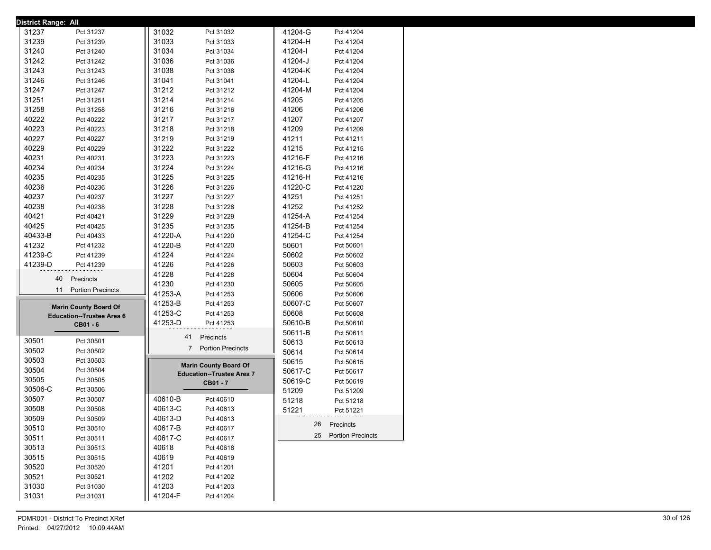| <b>District Range: All</b> |                                  |                                  |         |                      |
|----------------------------|----------------------------------|----------------------------------|---------|----------------------|
| 31237                      | Pct 31237                        | 31032<br>Pct 31032               | 41204-G | Pct 41204            |
| 31239                      | Pct 31239                        | 31033<br>Pct 31033               | 41204-H | Pct 41204            |
| 31240                      | Pct 31240                        | 31034<br>Pct 31034               | 41204-l | Pct 41204            |
| 31242                      | Pct 31242                        | 31036<br>Pct 31036               | 41204-J | Pct 41204            |
| 31243                      | Pct 31243                        | 31038<br>Pct 31038               | 41204-K | Pct 41204            |
| 31246                      | Pct 31246                        | 31041<br>Pct 31041               | 41204-L | Pct 41204            |
| 31247                      | Pct 31247                        | 31212<br>Pct 31212               | 41204-M | Pct 41204            |
| 31251                      | Pct 31251                        | 31214<br>Pct 31214               | 41205   | Pct 41205            |
| 31258                      | Pct 31258                        | 31216<br>Pct 31216               | 41206   | Pct 41206            |
| 40222                      | Pct 40222                        | 31217<br>Pct 31217               | 41207   | Pct 41207            |
| 40223                      | Pct 40223                        | 31218<br>Pct 31218               | 41209   | Pct 41209            |
| 40227                      | Pct 40227                        | 31219<br>Pct 31219               | 41211   | Pct 41211            |
| 40229                      | Pct 40229                        | 31222<br>Pct 31222               | 41215   | Pct 41215            |
| 40231                      |                                  | 31223                            | 41216-F |                      |
|                            | Pct 40231                        | Pct 31223                        |         | Pct 41216            |
| 40234                      | Pct 40234                        | 31224<br>Pct 31224               | 41216-G | Pct 41216            |
| 40235                      | Pct 40235                        | 31225<br>Pct 31225               | 41216-H | Pct 41216            |
| 40236                      | Pct 40236                        | 31226<br>Pct 31226               | 41220-C | Pct 41220            |
| 40237                      | Pct 40237                        | 31227<br>Pct 31227               | 41251   | Pct 41251            |
| 40238                      | Pct 40238                        | 31228<br>Pct 31228               | 41252   | Pct 41252            |
| 40421                      | Pct 40421                        | 31229<br>Pct 31229               | 41254-A | Pct 41254            |
| 40425                      | Pct 40425                        | 31235<br>Pct 31235               | 41254-B | Pct 41254            |
| 40433-B                    | Pct 40433                        | 41220-A<br>Pct 41220             | 41254-C | Pct 41254            |
| 41232                      | Pct 41232                        | 41220-B<br>Pct 41220             | 50601   | Pct 50601            |
| 41239-C                    | Pct 41239                        | 41224<br>Pct 41224               | 50602   | Pct 50602            |
| 41239-D                    | Pct 41239                        | 41226<br>Pct 41226               | 50603   | Pct 50603            |
|                            | Precincts<br>40                  | 41228<br>Pct 41228               | 50604   | Pct 50604            |
|                            |                                  | 41230<br>Pct 41230               | 50605   | Pct 50605            |
|                            | 11 Portion Precincts             | 41253-A<br>Pct 41253             | 50606   | Pct 50606            |
|                            | <b>Marin County Board Of</b>     | 41253-B<br>Pct 41253             | 50607-C | Pct 50607            |
|                            | <b>Education--Trustee Area 6</b> | 41253-C<br>Pct 41253             | 50608   | Pct 50608            |
|                            | CB01 - 6                         | 41253-D<br>Pct 41253             | 50610-B | Pct 50610            |
|                            |                                  |                                  | 50611-B | Pct 50611            |
| 30501                      | Pct 30501                        | Precincts<br>41                  | 50613   | Pct 50613            |
| 30502                      | Pct 30502                        | 7 Portion Precincts              | 50614   | Pct 50614            |
| 30503                      | Pct 30503                        |                                  | 50615   | Pct 50615            |
| 30504                      | Pct 30504                        | <b>Marin County Board Of</b>     | 50617-C | Pct 50617            |
| 30505                      | Pct 30505                        | <b>Education--Trustee Area 7</b> | 50619-C | Pct 50619            |
| 30506-C                    | Pct 30506                        | CB01 - 7                         | 51209   | Pct 51209            |
| 30507                      | Pct 30507                        | 40610-B<br>Pct 40610             | 51218   |                      |
| 30508                      | Pct 30508                        | 40613-C<br>Pct 40613             |         | Pct 51218            |
| 30509                      |                                  | 40613-D                          | 51221   | Pct 51221            |
|                            | Pct 30509                        | Pct 40613<br>40617-B             |         | 26 Precincts         |
| 30510                      | Pct 30510                        | Pct 40617<br>40617-C             |         | 25 Portion Precincts |
| 30511                      | Pct 30511                        | Pct 40617                        |         |                      |
| 30513                      | Pct 30513                        | 40618<br>Pct 40618               |         |                      |
| 30515                      | Pct 30515                        | 40619<br>Pct 40619               |         |                      |
| 30520                      | Pct 30520                        | 41201<br>Pct 41201               |         |                      |
| 30521                      | Pct 30521                        | 41202<br>Pct 41202               |         |                      |
| 31030                      | Pct 31030                        | 41203<br>Pct 41203               |         |                      |
| 31031                      | Pct 31031                        | 41204-F<br>Pct 41204             |         |                      |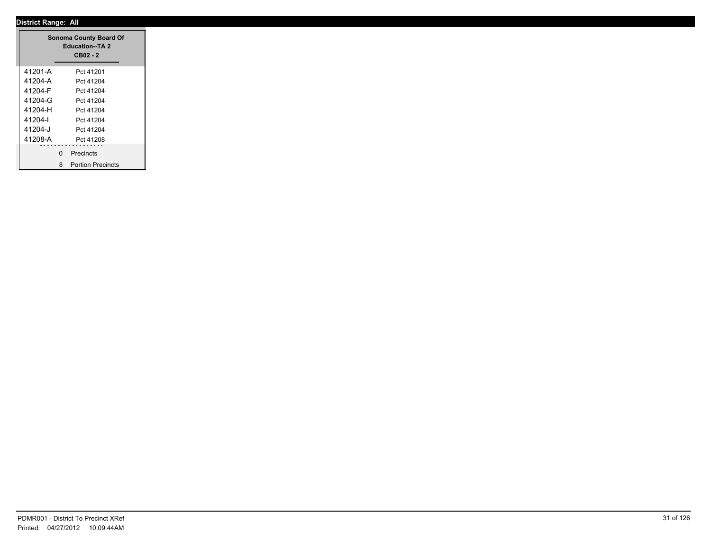|         |   | <b>Sonoma County Board Of</b><br><b>Education--TA 2</b><br>CB02 - 2 |  |
|---------|---|---------------------------------------------------------------------|--|
| 41201-A |   | Pct 41201                                                           |  |
| 41204-A |   | Pct 41204                                                           |  |
| 41204-F |   | Pct 41204                                                           |  |
| 41204-G |   | Pct 41204                                                           |  |
| 41204-H |   | Pct 41204                                                           |  |
| 41204-l |   | Pct 41204                                                           |  |
| 41204-J |   | Pct 41204                                                           |  |
| 41208-A |   | Pct 41208                                                           |  |
|         | 0 | <b>Precincts</b>                                                    |  |
|         |   |                                                                     |  |
|         | 8 | <b>Portion Precincts</b>                                            |  |

۳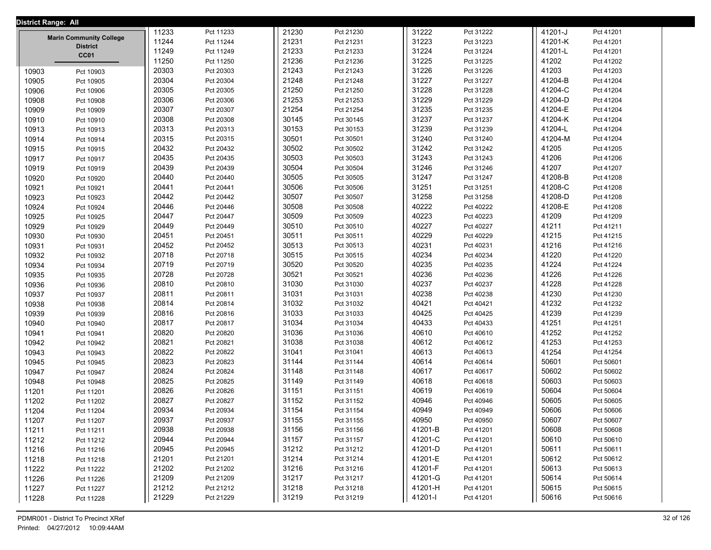| District Range: All |                                                   |       |           |       |           |  |         |           |  |         |           |  |
|---------------------|---------------------------------------------------|-------|-----------|-------|-----------|--|---------|-----------|--|---------|-----------|--|
|                     |                                                   | 11233 | Pct 11233 | 21230 | Pct 21230 |  | 31222   | Pct 31222 |  | 41201-J | Pct 41201 |  |
|                     | <b>Marin Community College</b><br><b>District</b> | 11244 | Pct 11244 | 21231 | Pct 21231 |  | 31223   | Pct 31223 |  | 41201-K | Pct 41201 |  |
|                     | CC01                                              | 11249 | Pct 11249 | 21233 | Pct 21233 |  | 31224   | Pct 31224 |  | 41201-L | Pct 41201 |  |
|                     |                                                   | 11250 | Pct 11250 | 21236 | Pct 21236 |  | 31225   | Pct 31225 |  | 41202   | Pct 41202 |  |
| 10903               | Pct 10903                                         | 20303 | Pct 20303 | 21243 | Pct 21243 |  | 31226   | Pct 31226 |  | 41203   | Pct 41203 |  |
| 10905               | Pct 10905                                         | 20304 | Pct 20304 | 21248 | Pct 21248 |  | 31227   | Pct 31227 |  | 41204-B | Pct 41204 |  |
| 10906               | Pct 10906                                         | 20305 | Pct 20305 | 21250 | Pct 21250 |  | 31228   | Pct 31228 |  | 41204-C | Pct 41204 |  |
| 10908               | Pct 10908                                         | 20306 | Pct 20306 | 21253 | Pct 21253 |  | 31229   | Pct 31229 |  | 41204-D | Pct 41204 |  |
| 10909               | Pct 10909                                         | 20307 | Pct 20307 | 21254 | Pct 21254 |  | 31235   | Pct 31235 |  | 41204-E | Pct 41204 |  |
| 10910               | Pct 10910                                         | 20308 | Pct 20308 | 30145 | Pct 30145 |  | 31237   | Pct 31237 |  | 41204-K | Pct 41204 |  |
| 10913               | Pct 10913                                         | 20313 | Pct 20313 | 30153 | Pct 30153 |  | 31239   | Pct 31239 |  | 41204-L | Pct 41204 |  |
| 10914               | Pct 10914                                         | 20315 | Pct 20315 | 30501 | Pct 30501 |  | 31240   | Pct 31240 |  | 41204-M | Pct 41204 |  |
| 10915               | Pct 10915                                         | 20432 | Pct 20432 | 30502 | Pct 30502 |  | 31242   | Pct 31242 |  | 41205   | Pct 41205 |  |
| 10917               | Pct 10917                                         | 20435 | Pct 20435 | 30503 | Pct 30503 |  | 31243   | Pct 31243 |  | 41206   | Pct 41206 |  |
| 10919               | Pct 10919                                         | 20439 | Pct 20439 | 30504 | Pct 30504 |  | 31246   | Pct 31246 |  | 41207   | Pct 41207 |  |
| 10920               | Pct 10920                                         | 20440 | Pct 20440 | 30505 | Pct 30505 |  | 31247   | Pct 31247 |  | 41208-B | Pct 41208 |  |
| 10921               | Pct 10921                                         | 20441 | Pct 20441 | 30506 | Pct 30506 |  | 31251   | Pct 31251 |  | 41208-C | Pct 41208 |  |
| 10923               | Pct 10923                                         | 20442 | Pct 20442 | 30507 | Pct 30507 |  | 31258   | Pct 31258 |  | 41208-D | Pct 41208 |  |
| 10924               | Pct 10924                                         | 20446 | Pct 20446 | 30508 | Pct 30508 |  | 40222   | Pct 40222 |  | 41208-E | Pct 41208 |  |
| 10925               | Pct 10925                                         | 20447 | Pct 20447 | 30509 | Pct 30509 |  | 40223   | Pct 40223 |  | 41209   | Pct 41209 |  |
| 10929               | Pct 10929                                         | 20449 | Pct 20449 | 30510 | Pct 30510 |  | 40227   | Pct 40227 |  | 41211   | Pct 41211 |  |
| 10930               | Pct 10930                                         | 20451 | Pct 20451 | 30511 | Pct 30511 |  | 40229   | Pct 40229 |  | 41215   | Pct 41215 |  |
| 10931               | Pct 10931                                         | 20452 | Pct 20452 | 30513 | Pct 30513 |  | 40231   | Pct 40231 |  | 41216   | Pct 41216 |  |
| 10932               | Pct 10932                                         | 20718 | Pct 20718 | 30515 | Pct 30515 |  | 40234   | Pct 40234 |  | 41220   | Pct 41220 |  |
| 10934               | Pct 10934                                         | 20719 | Pct 20719 | 30520 | Pct 30520 |  | 40235   | Pct 40235 |  | 41224   | Pct 41224 |  |
| 10935               | Pct 10935                                         | 20728 | Pct 20728 | 30521 | Pct 30521 |  | 40236   | Pct 40236 |  | 41226   | Pct 41226 |  |
| 10936               | Pct 10936                                         | 20810 | Pct 20810 | 31030 | Pct 31030 |  | 40237   | Pct 40237 |  | 41228   | Pct 41228 |  |
| 10937               | Pct 10937                                         | 20811 | Pct 20811 | 31031 | Pct 31031 |  | 40238   | Pct 40238 |  | 41230   | Pct 41230 |  |
| 10938               | Pct 10938                                         | 20814 | Pct 20814 | 31032 | Pct 31032 |  | 40421   | Pct 40421 |  | 41232   | Pct 41232 |  |
| 10939               | Pct 10939                                         | 20816 | Pct 20816 | 31033 | Pct 31033 |  | 40425   | Pct 40425 |  | 41239   | Pct 41239 |  |
| 10940               | Pct 10940                                         | 20817 | Pct 20817 | 31034 | Pct 31034 |  | 40433   | Pct 40433 |  | 41251   | Pct 41251 |  |
| 10941               | Pct 10941                                         | 20820 | Pct 20820 | 31036 | Pct 31036 |  | 40610   | Pct 40610 |  | 41252   | Pct 41252 |  |
| 10942               | Pct 10942                                         | 20821 | Pct 20821 | 31038 | Pct 31038 |  | 40612   | Pct 40612 |  | 41253   | Pct 41253 |  |
| 10943               | Pct 10943                                         | 20822 | Pct 20822 | 31041 | Pct 31041 |  | 40613   | Pct 40613 |  | 41254   | Pct 41254 |  |
| 10945               | Pct 10945                                         | 20823 | Pct 20823 | 31144 | Pct 31144 |  | 40614   | Pct 40614 |  | 50601   | Pct 50601 |  |
| 10947               | Pct 10947                                         | 20824 | Pct 20824 | 31148 | Pct 31148 |  | 40617   | Pct 40617 |  | 50602   | Pct 50602 |  |
| 10948               | Pct 10948                                         | 20825 | Pct 20825 | 31149 | Pct 31149 |  | 40618   | Pct 40618 |  | 50603   | Pct 50603 |  |
| 11201               | Pct 11201                                         | 20826 | Pct 20826 | 31151 | Pct 31151 |  | 40619   | Pct 40619 |  | 50604   | Pct 50604 |  |
| 11202               | Pct 11202                                         | 20827 | Pct 20827 | 31152 | Pct 31152 |  | 40946   | Pct 40946 |  | 50605   | Pct 50605 |  |
| 11204               | Pct 11204                                         | 20934 | Pct 20934 | 31154 | Pct 31154 |  | 40949   | Pct 40949 |  | 50606   | Pct 50606 |  |
| 11207               | Pct 11207                                         | 20937 | Pct 20937 | 31155 | Pct 31155 |  | 40950   | Pct 40950 |  | 50607   | Pct 50607 |  |
| 11211               | Pct 11211                                         | 20938 | Pct 20938 | 31156 | Pct 31156 |  | 41201-B | Pct 41201 |  | 50608   | Pct 50608 |  |
| 11212               | Pct 11212                                         | 20944 | Pct 20944 | 31157 | Pct 31157 |  | 41201-C | Pct 41201 |  | 50610   | Pct 50610 |  |
| 11216               | Pct 11216                                         | 20945 | Pct 20945 | 31212 | Pct 31212 |  | 41201-D | Pct 41201 |  | 50611   | Pct 50611 |  |
| 11218               | Pct 11218                                         | 21201 | Pct 21201 | 31214 | Pct 31214 |  | 41201-E | Pct 41201 |  | 50612   | Pct 50612 |  |
| 11222               | Pct 11222                                         | 21202 | Pct 21202 | 31216 | Pct 31216 |  | 41201-F | Pct 41201 |  | 50613   | Pct 50613 |  |
| 11226               | Pct 11226                                         | 21209 | Pct 21209 | 31217 | Pct 31217 |  | 41201-G | Pct 41201 |  | 50614   | Pct 50614 |  |
| 11227               | Pct 11227                                         | 21212 | Pct 21212 | 31218 | Pct 31218 |  | 41201-H | Pct 41201 |  | 50615   | Pct 50615 |  |
| 11228               | Pct 11228                                         | 21229 | Pct 21229 | 31219 | Pct 31219 |  | 41201-l | Pct 41201 |  | 50616   | Pct 50616 |  |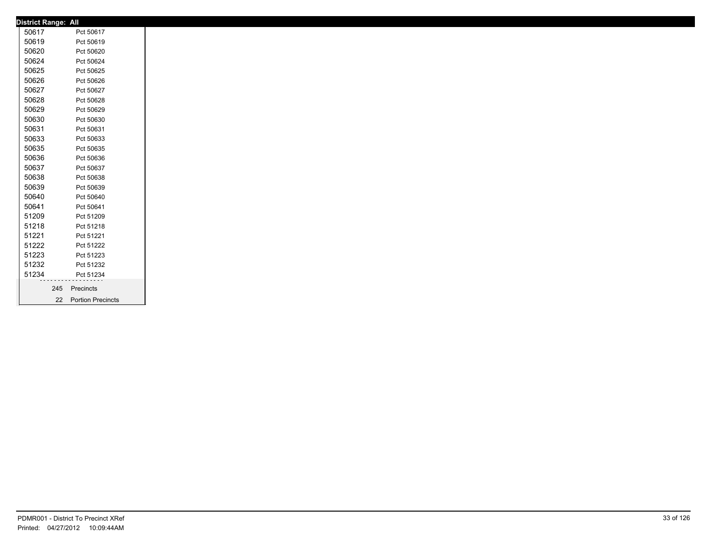| 50617<br>50619<br>50620<br>50624<br>50625<br>50626 |   | Pct 50617<br>Pct 50619<br>Pct 50620<br>Pct 50624 |
|----------------------------------------------------|---|--------------------------------------------------|
|                                                    |   |                                                  |
|                                                    |   |                                                  |
|                                                    |   |                                                  |
|                                                    |   |                                                  |
|                                                    |   | Pct 50625                                        |
|                                                    |   | Pct 50626                                        |
| 50627                                              |   | Pct 50627                                        |
| 50628                                              |   | Pct 50628                                        |
| 50629                                              |   | Pct 50629                                        |
| 50630                                              |   | Pct 50630                                        |
| 50631                                              |   | Pct 50631                                        |
| 50633                                              |   | Pct 50633                                        |
| 50635                                              |   | Pct 50635                                        |
| 50636                                              |   | Pct 50636                                        |
| 50637                                              |   | Pct 50637                                        |
| 50638                                              |   | Pct 50638                                        |
| 50639                                              |   | Pct 50639                                        |
| 50640                                              |   | Pct 50640                                        |
| 50641                                              |   | Pct 50641                                        |
| 51209                                              |   | Pct 51209                                        |
| 51218                                              |   | Pct 51218                                        |
| 51221                                              |   | Pct 51221                                        |
| 51222                                              |   | Pct 51222                                        |
| 51223                                              |   | Pct 51223                                        |
| 51232                                              |   | Pct 51232                                        |
| 51234                                              | . | Pct 51234                                        |
|                                                    |   | 245 Precincts                                    |
|                                                    |   | 22 Portion Precincts                             |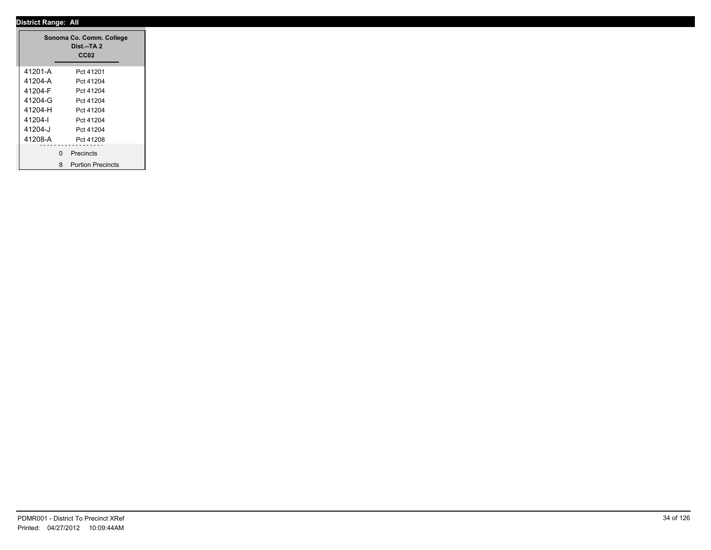|         |              | Sonoma Co. Comm. College<br>Dist.--TA 2<br>CC <sub>02</sub> |
|---------|--------------|-------------------------------------------------------------|
| 41201-A |              | Pct 41201                                                   |
| 41204-A |              | Pct 41204                                                   |
| 41204-F |              | Pct 41204                                                   |
| 41204-G |              | Pct 41204                                                   |
| 41204-H |              | Pct 41204                                                   |
| 41204-l |              | Pct 41204                                                   |
| 41204-J |              | Pct 41204                                                   |
| 41208-A |              | Pct 41208                                                   |
|         |              |                                                             |
|         | $\mathbf{0}$ | Precincts                                                   |
|         | 8            | <b>Portion Precincts</b>                                    |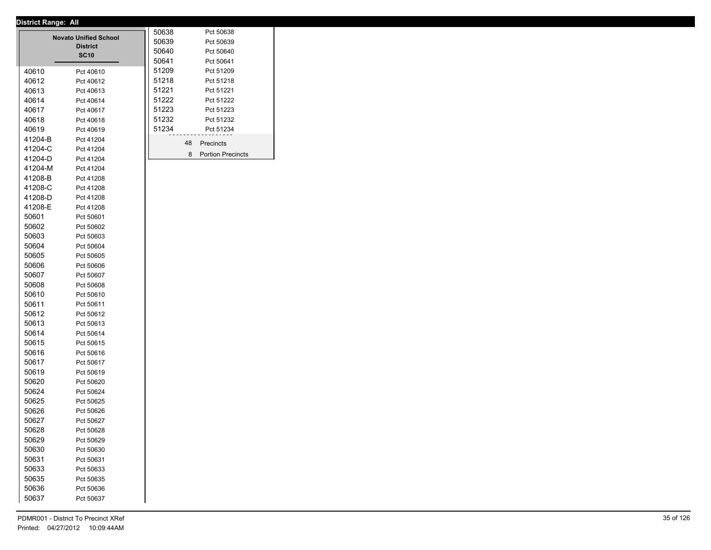| 50639<br>Pct 50639<br><b>District</b><br>50640<br>Pct 50640<br><b>SC10</b><br>50641<br>Pct 50641<br>51209<br>Pct 51209<br>40610<br>Pct 40610<br>51218<br>Pct 51218<br>40612<br>Pct 40612<br>51221<br>Pct 51221<br>40613<br>Pct 40613<br>51222<br>40614<br>Pct 51222<br>Pct 40614<br>51223<br>Pct 51223<br>40617<br>Pct 40617<br>51232<br>Pct 51232<br>40618<br>Pct 40618<br>51234<br>Pct 51234<br>40619<br>Pct 40619<br>41204-B<br>Pct 41204<br>48<br>Precincts<br>41204-C<br>Pct 41204<br>8<br><b>Portion Precincts</b><br>41204-D<br>Pct 41204<br>41204-M<br>Pct 41204<br>41208-B<br>Pct 41208<br>41208-C<br>Pct 41208<br>41208-D<br>Pct 41208<br>41208-E<br>Pct 41208<br>50601<br>Pct 50601<br>50602<br>Pct 50602<br>50603<br>Pct 50603<br>50604<br>Pct 50604<br>50605<br>Pct 50605<br>50606<br>Pct 50606<br>50607<br>Pct 50607<br>50608<br>Pct 50608<br>50610<br>Pct 50610<br>50611<br>Pct 50611<br>50612<br>Pct 50612<br>50613<br>Pct 50613<br>50614<br>Pct 50614<br>50615<br>Pct 50615<br>50616<br>Pct 50616<br>50617<br>Pct 50617<br>50619<br>Pct 50619<br>50620<br>Pct 50620<br>50624<br>Pct 50624<br>50625<br>Pct 50625<br>50626<br>Pct 50626<br>50627<br>Pct 50627<br>50628<br>Pct 50628<br>50629<br>Pct 50629<br>50630<br>Pct 50630<br>50631<br>Pct 50631<br>50633<br>Pct 50633<br>50635<br>Pct 50635<br>50636<br>Pct 50636<br>50637<br>Pct 50637 |  | <b>Novato Unified School</b> | 50638 | Pct 50638 |
|--------------------------------------------------------------------------------------------------------------------------------------------------------------------------------------------------------------------------------------------------------------------------------------------------------------------------------------------------------------------------------------------------------------------------------------------------------------------------------------------------------------------------------------------------------------------------------------------------------------------------------------------------------------------------------------------------------------------------------------------------------------------------------------------------------------------------------------------------------------------------------------------------------------------------------------------------------------------------------------------------------------------------------------------------------------------------------------------------------------------------------------------------------------------------------------------------------------------------------------------------------------------------------------------------------------------------------------------------------------|--|------------------------------|-------|-----------|
|                                                                                                                                                                                                                                                                                                                                                                                                                                                                                                                                                                                                                                                                                                                                                                                                                                                                                                                                                                                                                                                                                                                                                                                                                                                                                                                                                              |  |                              |       |           |
|                                                                                                                                                                                                                                                                                                                                                                                                                                                                                                                                                                                                                                                                                                                                                                                                                                                                                                                                                                                                                                                                                                                                                                                                                                                                                                                                                              |  |                              |       |           |
|                                                                                                                                                                                                                                                                                                                                                                                                                                                                                                                                                                                                                                                                                                                                                                                                                                                                                                                                                                                                                                                                                                                                                                                                                                                                                                                                                              |  |                              |       |           |
|                                                                                                                                                                                                                                                                                                                                                                                                                                                                                                                                                                                                                                                                                                                                                                                                                                                                                                                                                                                                                                                                                                                                                                                                                                                                                                                                                              |  |                              |       |           |
|                                                                                                                                                                                                                                                                                                                                                                                                                                                                                                                                                                                                                                                                                                                                                                                                                                                                                                                                                                                                                                                                                                                                                                                                                                                                                                                                                              |  |                              |       |           |
|                                                                                                                                                                                                                                                                                                                                                                                                                                                                                                                                                                                                                                                                                                                                                                                                                                                                                                                                                                                                                                                                                                                                                                                                                                                                                                                                                              |  |                              |       |           |
|                                                                                                                                                                                                                                                                                                                                                                                                                                                                                                                                                                                                                                                                                                                                                                                                                                                                                                                                                                                                                                                                                                                                                                                                                                                                                                                                                              |  |                              |       |           |
|                                                                                                                                                                                                                                                                                                                                                                                                                                                                                                                                                                                                                                                                                                                                                                                                                                                                                                                                                                                                                                                                                                                                                                                                                                                                                                                                                              |  |                              |       |           |
|                                                                                                                                                                                                                                                                                                                                                                                                                                                                                                                                                                                                                                                                                                                                                                                                                                                                                                                                                                                                                                                                                                                                                                                                                                                                                                                                                              |  |                              |       |           |
|                                                                                                                                                                                                                                                                                                                                                                                                                                                                                                                                                                                                                                                                                                                                                                                                                                                                                                                                                                                                                                                                                                                                                                                                                                                                                                                                                              |  |                              |       |           |
|                                                                                                                                                                                                                                                                                                                                                                                                                                                                                                                                                                                                                                                                                                                                                                                                                                                                                                                                                                                                                                                                                                                                                                                                                                                                                                                                                              |  |                              |       |           |
|                                                                                                                                                                                                                                                                                                                                                                                                                                                                                                                                                                                                                                                                                                                                                                                                                                                                                                                                                                                                                                                                                                                                                                                                                                                                                                                                                              |  |                              |       |           |
|                                                                                                                                                                                                                                                                                                                                                                                                                                                                                                                                                                                                                                                                                                                                                                                                                                                                                                                                                                                                                                                                                                                                                                                                                                                                                                                                                              |  |                              |       |           |
|                                                                                                                                                                                                                                                                                                                                                                                                                                                                                                                                                                                                                                                                                                                                                                                                                                                                                                                                                                                                                                                                                                                                                                                                                                                                                                                                                              |  |                              |       |           |
|                                                                                                                                                                                                                                                                                                                                                                                                                                                                                                                                                                                                                                                                                                                                                                                                                                                                                                                                                                                                                                                                                                                                                                                                                                                                                                                                                              |  |                              |       |           |
|                                                                                                                                                                                                                                                                                                                                                                                                                                                                                                                                                                                                                                                                                                                                                                                                                                                                                                                                                                                                                                                                                                                                                                                                                                                                                                                                                              |  |                              |       |           |
|                                                                                                                                                                                                                                                                                                                                                                                                                                                                                                                                                                                                                                                                                                                                                                                                                                                                                                                                                                                                                                                                                                                                                                                                                                                                                                                                                              |  |                              |       |           |
|                                                                                                                                                                                                                                                                                                                                                                                                                                                                                                                                                                                                                                                                                                                                                                                                                                                                                                                                                                                                                                                                                                                                                                                                                                                                                                                                                              |  |                              |       |           |
|                                                                                                                                                                                                                                                                                                                                                                                                                                                                                                                                                                                                                                                                                                                                                                                                                                                                                                                                                                                                                                                                                                                                                                                                                                                                                                                                                              |  |                              |       |           |
|                                                                                                                                                                                                                                                                                                                                                                                                                                                                                                                                                                                                                                                                                                                                                                                                                                                                                                                                                                                                                                                                                                                                                                                                                                                                                                                                                              |  |                              |       |           |
|                                                                                                                                                                                                                                                                                                                                                                                                                                                                                                                                                                                                                                                                                                                                                                                                                                                                                                                                                                                                                                                                                                                                                                                                                                                                                                                                                              |  |                              |       |           |
|                                                                                                                                                                                                                                                                                                                                                                                                                                                                                                                                                                                                                                                                                                                                                                                                                                                                                                                                                                                                                                                                                                                                                                                                                                                                                                                                                              |  |                              |       |           |
|                                                                                                                                                                                                                                                                                                                                                                                                                                                                                                                                                                                                                                                                                                                                                                                                                                                                                                                                                                                                                                                                                                                                                                                                                                                                                                                                                              |  |                              |       |           |
|                                                                                                                                                                                                                                                                                                                                                                                                                                                                                                                                                                                                                                                                                                                                                                                                                                                                                                                                                                                                                                                                                                                                                                                                                                                                                                                                                              |  |                              |       |           |
|                                                                                                                                                                                                                                                                                                                                                                                                                                                                                                                                                                                                                                                                                                                                                                                                                                                                                                                                                                                                                                                                                                                                                                                                                                                                                                                                                              |  |                              |       |           |
|                                                                                                                                                                                                                                                                                                                                                                                                                                                                                                                                                                                                                                                                                                                                                                                                                                                                                                                                                                                                                                                                                                                                                                                                                                                                                                                                                              |  |                              |       |           |
|                                                                                                                                                                                                                                                                                                                                                                                                                                                                                                                                                                                                                                                                                                                                                                                                                                                                                                                                                                                                                                                                                                                                                                                                                                                                                                                                                              |  |                              |       |           |
|                                                                                                                                                                                                                                                                                                                                                                                                                                                                                                                                                                                                                                                                                                                                                                                                                                                                                                                                                                                                                                                                                                                                                                                                                                                                                                                                                              |  |                              |       |           |
|                                                                                                                                                                                                                                                                                                                                                                                                                                                                                                                                                                                                                                                                                                                                                                                                                                                                                                                                                                                                                                                                                                                                                                                                                                                                                                                                                              |  |                              |       |           |
|                                                                                                                                                                                                                                                                                                                                                                                                                                                                                                                                                                                                                                                                                                                                                                                                                                                                                                                                                                                                                                                                                                                                                                                                                                                                                                                                                              |  |                              |       |           |
|                                                                                                                                                                                                                                                                                                                                                                                                                                                                                                                                                                                                                                                                                                                                                                                                                                                                                                                                                                                                                                                                                                                                                                                                                                                                                                                                                              |  |                              |       |           |
|                                                                                                                                                                                                                                                                                                                                                                                                                                                                                                                                                                                                                                                                                                                                                                                                                                                                                                                                                                                                                                                                                                                                                                                                                                                                                                                                                              |  |                              |       |           |
|                                                                                                                                                                                                                                                                                                                                                                                                                                                                                                                                                                                                                                                                                                                                                                                                                                                                                                                                                                                                                                                                                                                                                                                                                                                                                                                                                              |  |                              |       |           |
|                                                                                                                                                                                                                                                                                                                                                                                                                                                                                                                                                                                                                                                                                                                                                                                                                                                                                                                                                                                                                                                                                                                                                                                                                                                                                                                                                              |  |                              |       |           |
|                                                                                                                                                                                                                                                                                                                                                                                                                                                                                                                                                                                                                                                                                                                                                                                                                                                                                                                                                                                                                                                                                                                                                                                                                                                                                                                                                              |  |                              |       |           |
|                                                                                                                                                                                                                                                                                                                                                                                                                                                                                                                                                                                                                                                                                                                                                                                                                                                                                                                                                                                                                                                                                                                                                                                                                                                                                                                                                              |  |                              |       |           |
|                                                                                                                                                                                                                                                                                                                                                                                                                                                                                                                                                                                                                                                                                                                                                                                                                                                                                                                                                                                                                                                                                                                                                                                                                                                                                                                                                              |  |                              |       |           |
|                                                                                                                                                                                                                                                                                                                                                                                                                                                                                                                                                                                                                                                                                                                                                                                                                                                                                                                                                                                                                                                                                                                                                                                                                                                                                                                                                              |  |                              |       |           |
|                                                                                                                                                                                                                                                                                                                                                                                                                                                                                                                                                                                                                                                                                                                                                                                                                                                                                                                                                                                                                                                                                                                                                                                                                                                                                                                                                              |  |                              |       |           |
|                                                                                                                                                                                                                                                                                                                                                                                                                                                                                                                                                                                                                                                                                                                                                                                                                                                                                                                                                                                                                                                                                                                                                                                                                                                                                                                                                              |  |                              |       |           |
|                                                                                                                                                                                                                                                                                                                                                                                                                                                                                                                                                                                                                                                                                                                                                                                                                                                                                                                                                                                                                                                                                                                                                                                                                                                                                                                                                              |  |                              |       |           |
|                                                                                                                                                                                                                                                                                                                                                                                                                                                                                                                                                                                                                                                                                                                                                                                                                                                                                                                                                                                                                                                                                                                                                                                                                                                                                                                                                              |  |                              |       |           |
|                                                                                                                                                                                                                                                                                                                                                                                                                                                                                                                                                                                                                                                                                                                                                                                                                                                                                                                                                                                                                                                                                                                                                                                                                                                                                                                                                              |  |                              |       |           |
|                                                                                                                                                                                                                                                                                                                                                                                                                                                                                                                                                                                                                                                                                                                                                                                                                                                                                                                                                                                                                                                                                                                                                                                                                                                                                                                                                              |  |                              |       |           |
|                                                                                                                                                                                                                                                                                                                                                                                                                                                                                                                                                                                                                                                                                                                                                                                                                                                                                                                                                                                                                                                                                                                                                                                                                                                                                                                                                              |  |                              |       |           |
|                                                                                                                                                                                                                                                                                                                                                                                                                                                                                                                                                                                                                                                                                                                                                                                                                                                                                                                                                                                                                                                                                                                                                                                                                                                                                                                                                              |  |                              |       |           |
|                                                                                                                                                                                                                                                                                                                                                                                                                                                                                                                                                                                                                                                                                                                                                                                                                                                                                                                                                                                                                                                                                                                                                                                                                                                                                                                                                              |  |                              |       |           |
|                                                                                                                                                                                                                                                                                                                                                                                                                                                                                                                                                                                                                                                                                                                                                                                                                                                                                                                                                                                                                                                                                                                                                                                                                                                                                                                                                              |  |                              |       |           |
|                                                                                                                                                                                                                                                                                                                                                                                                                                                                                                                                                                                                                                                                                                                                                                                                                                                                                                                                                                                                                                                                                                                                                                                                                                                                                                                                                              |  |                              |       |           |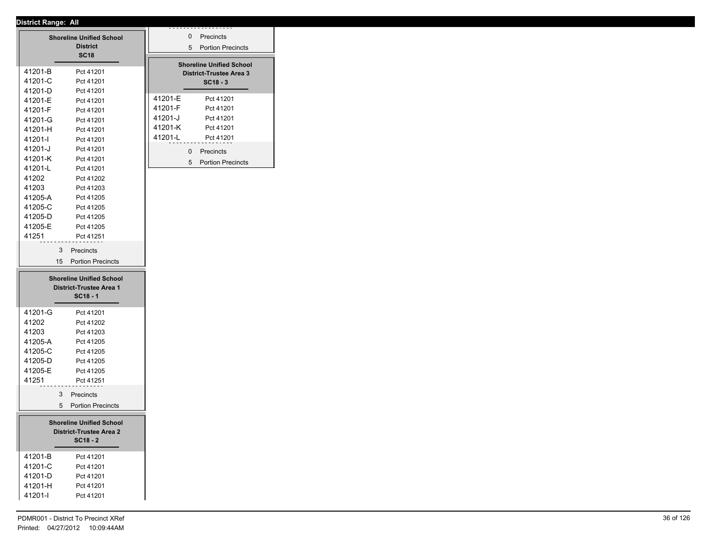|                                                                                 | <b>Shoreline Unified School</b><br><b>District</b><br><b>SC18</b>                                    |                                          | 0<br>5            | Precincts<br><b>Portion Precincts</b>                                           |
|---------------------------------------------------------------------------------|------------------------------------------------------------------------------------------------------|------------------------------------------|-------------------|---------------------------------------------------------------------------------|
| 41201-B<br>41201-C                                                              | Pct 41201<br>Pct 41201                                                                               |                                          |                   | <b>Shoreline Unified School</b><br><b>District-Trustee Area 3</b><br>$SC18 - 3$ |
| 41201-D<br>41201-E<br>41201-F<br>41201-G<br>41201-H                             | Pct 41201<br>Pct 41201<br>Pct 41201<br>Pct 41201<br>Pct 41201                                        | 41201-E<br>41201-F<br>41201-J<br>41201-K |                   | Pct 41201<br>Pct 41201<br>Pct 41201<br>Pct 41201                                |
| 41201-l<br>41201-J<br>41201-K<br>41201-L<br>41202                               | Pct 41201<br>Pct 41201<br>Pct 41201<br>Pct 41201<br>Pct 41202                                        | 41201-L                                  | $\mathbf{0}$<br>5 | Pct 41201<br>Precincts<br><b>Portion Precincts</b>                              |
| 41203<br>41205-A<br>41205-C<br>41205-D<br>41205-E                               | Pct 41203<br>Pct 41205<br>Pct 41205<br>Pct 41205<br>Pct 41205                                        |                                          |                   |                                                                                 |
| 41251<br>3<br>15                                                                | Pct 41251<br>Precincts<br><b>Portion Precincts</b>                                                   |                                          |                   |                                                                                 |
| <b>Shoreline Unified School</b><br><b>District-Trustee Area 1</b><br>$SC18 - 1$ |                                                                                                      |                                          |                   |                                                                                 |
|                                                                                 |                                                                                                      |                                          |                   |                                                                                 |
| 41201-G<br>41202<br>41203<br>41205-A<br>41205-C<br>41205-D<br>41205-E<br>41251  | Pct 41201<br>Pct 41202<br>Pct 41203<br>Pct 41205<br>Pct 41205<br>Pct 41205<br>Pct 41205<br>Pct 41251 |                                          |                   |                                                                                 |
| 3<br>5                                                                          | Precincts<br><b>Portion Precincts</b>                                                                |                                          |                   |                                                                                 |
|                                                                                 | <b>Shoreline Unified School</b><br><b>District-Trustee Area 2</b><br>$SC18 - 2$                      |                                          |                   |                                                                                 |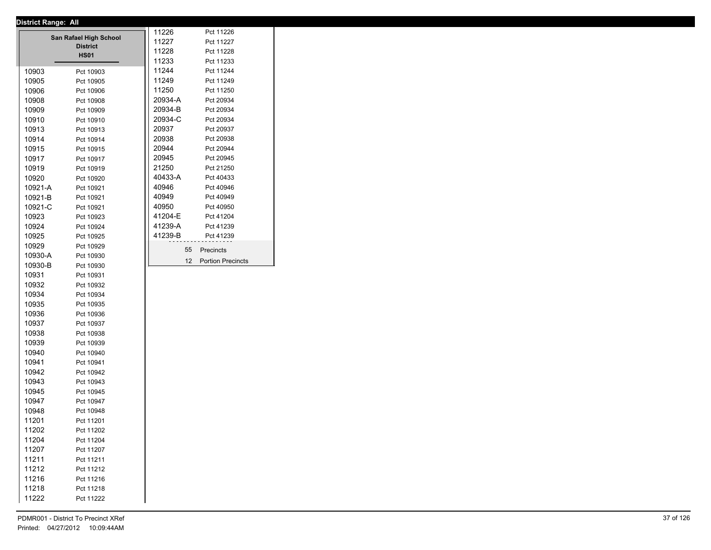|         | <b>District Range: All</b> |         |                      |
|---------|----------------------------|---------|----------------------|
|         | San Rafael High School     | 11226   | Pct 11226            |
|         | <b>District</b>            | 11227   | Pct 11227            |
|         | <b>HS01</b>                | 11228   | Pct 11228            |
|         |                            | 11233   | Pct 11233            |
| 10903   | Pct 10903                  | 11244   | Pct 11244            |
| 10905   | Pct 10905                  | 11249   | Pct 11249            |
| 10906   | Pct 10906                  | 11250   | Pct 11250            |
| 10908   | Pct 10908                  | 20934-A | Pct 20934            |
| 10909   | Pct 10909                  | 20934-B | Pct 20934            |
| 10910   | Pct 10910                  | 20934-C | Pct 20934            |
| 10913   | Pct 10913                  | 20937   | Pct 20937            |
| 10914   | Pct 10914                  | 20938   | Pct 20938            |
| 10915   | Pct 10915                  | 20944   | Pct 20944            |
| 10917   | Pct 10917                  | 20945   | Pct 20945            |
| 10919   | Pct 10919                  | 21250   | Pct 21250            |
| 10920   | Pct 10920                  | 40433-A | Pct 40433            |
| 10921-A | Pct 10921                  | 40946   | Pct 40946            |
| 10921-B | Pct 10921                  | 40949   | Pct 40949            |
| 10921-C | Pct 10921                  | 40950   | Pct 40950            |
| 10923   | Pct 10923                  | 41204-E | Pct 41204            |
| 10924   | Pct 10924                  | 41239-A | Pct 41239            |
| 10925   | Pct 10925                  | 41239-B | Pct 41239            |
| 10929   | Pct 10929                  |         |                      |
| 10930-A | Pct 10930                  | 55      | Precincts            |
| 10930-B | Pct 10930                  |         | 12 Portion Precincts |
| 10931   | Pct 10931                  |         |                      |
| 10932   | Pct 10932                  |         |                      |
| 10934   | Pct 10934                  |         |                      |
| 10935   | Pct 10935                  |         |                      |
| 10936   | Pct 10936                  |         |                      |
| 10937   | Pct 10937                  |         |                      |
| 10938   | Pct 10938                  |         |                      |
| 10939   | Pct 10939                  |         |                      |
| 10940   | Pct 10940                  |         |                      |
| 10941   | Pct 10941                  |         |                      |
| 10942   | Pct 10942                  |         |                      |
| 10943   | Pct 10943                  |         |                      |
| 10945   | Pct 10945                  |         |                      |
| 10947   | Pct 10947                  |         |                      |
| 10948   | Pct 10948                  |         |                      |
| 11201   | Pct 11201                  |         |                      |
| 11202   | Pct 11202                  |         |                      |
| 11204   | Pct 11204                  |         |                      |
| 11207   | Pct 11207                  |         |                      |
| 11211   | Pct 11211                  |         |                      |
| 11212   |                            |         |                      |
| 11216   | Pct 11212                  |         |                      |
|         | Pct 11216                  |         |                      |
| 11218   | Pct 11218                  |         |                      |
| 11222   | Pct 11222                  |         |                      |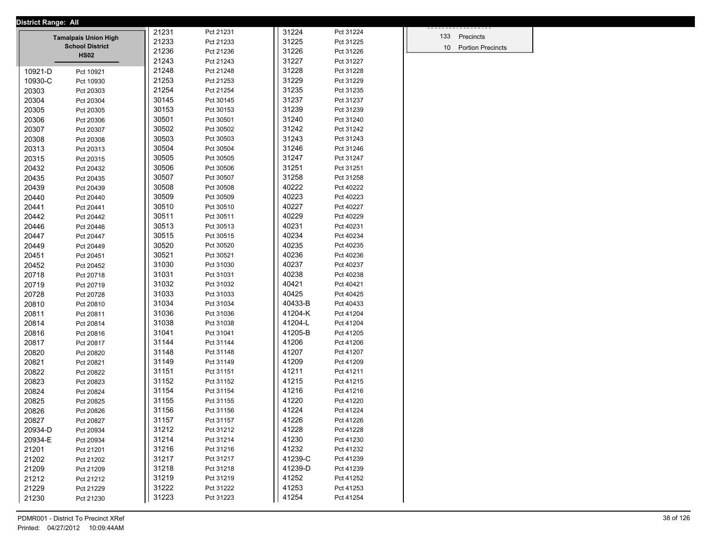| <b>District Range: All</b> |                                                       |                |           |                  |                        |                      |  |
|----------------------------|-------------------------------------------------------|----------------|-----------|------------------|------------------------|----------------------|--|
|                            |                                                       | 21231          | Pct 21231 | 31224            | Pct 31224              | 133 Precincts        |  |
|                            | <b>Tamalpais Union High</b><br><b>School District</b> | 21233          | Pct 21233 | 31225            | Pct 31225              |                      |  |
|                            | <b>HS02</b>                                           | 21236          | Pct 21236 | 31226            | Pct 31226              | 10 Portion Precincts |  |
|                            |                                                       | 21243          | Pct 21243 | 31227            | Pct 31227              |                      |  |
| 10921-D                    | Pct 10921                                             | 21248          | Pct 21248 | 31228            | Pct 31228              |                      |  |
| 10930-C                    | Pct 10930                                             | 21253          | Pct 21253 | 31229            | Pct 31229              |                      |  |
| 20303                      | Pct 20303                                             | 21254          | Pct 21254 | 31235            | Pct 31235              |                      |  |
| 20304                      | Pct 20304                                             | 30145          | Pct 30145 | 31237            | Pct 31237              |                      |  |
| 20305                      | Pct 20305                                             | 30153          | Pct 30153 | 31239            | Pct 31239              |                      |  |
| 20306                      | Pct 20306                                             | 30501          | Pct 30501 | 31240            | Pct 31240              |                      |  |
| 20307                      | Pct 20307                                             | 30502          | Pct 30502 | 31242            | Pct 31242              |                      |  |
| 20308                      | Pct 20308                                             | 30503          | Pct 30503 | 31243            | Pct 31243              |                      |  |
| 20313                      | Pct 20313                                             | 30504          | Pct 30504 | 31246            | Pct 31246              |                      |  |
| 20315                      | Pct 20315                                             | 30505          | Pct 30505 | 31247            | Pct 31247              |                      |  |
| 20432                      | Pct 20432                                             | 30506          | Pct 30506 | 31251            | Pct 31251              |                      |  |
| 20435                      | Pct 20435                                             | 30507          | Pct 30507 | 31258            | Pct 31258              |                      |  |
| 20439                      | Pct 20439                                             | 30508          | Pct 30508 | 40222            | Pct 40222              |                      |  |
| 20440                      | Pct 20440                                             | 30509          | Pct 30509 | 40223            | Pct 40223              |                      |  |
| 20441                      | Pct 20441                                             | 30510          | Pct 30510 | 40227            | Pct 40227              |                      |  |
| 20442                      | Pct 20442                                             | 30511          | Pct 30511 | 40229            | Pct 40229              |                      |  |
| 20446                      | Pct 20446                                             | 30513          | Pct 30513 | 40231            | Pct 40231              |                      |  |
| 20447                      | Pct 20447                                             | 30515          | Pct 30515 | 40234            | Pct 40234              |                      |  |
| 20449                      | Pct 20449                                             | 30520          | Pct 30520 | 40235            | Pct 40235              |                      |  |
| 20451                      | Pct 20451                                             | 30521          | Pct 30521 | 40236            | Pct 40236              |                      |  |
| 20452                      | Pct 20452                                             | 31030          | Pct 31030 | 40237            | Pct 40237              |                      |  |
| 20718                      | Pct 20718                                             | 31031          | Pct 31031 | 40238            | Pct 40238              |                      |  |
| 20719                      | Pct 20719                                             | 31032          | Pct 31032 | 40421            | Pct 40421              |                      |  |
| 20728                      | Pct 20728                                             | 31033          | Pct 31033 | 40425            | Pct 40425              |                      |  |
| 20810                      | Pct 20810                                             | 31034          | Pct 31034 | 40433-B          | Pct 40433              |                      |  |
| 20811                      | Pct 20811                                             | 31036          | Pct 31036 | 41204-K          | Pct 41204              |                      |  |
| 20814                      | Pct 20814                                             | 31038          | Pct 31038 | 41204-L          | Pct 41204              |                      |  |
| 20816                      | Pct 20816                                             | 31041          | Pct 31041 | 41205-B          | Pct 41205              |                      |  |
| 20817                      | Pct 20817                                             | 31144          | Pct 31144 | 41206            | Pct 41206              |                      |  |
| 20820                      | Pct 20820                                             | 31148          | Pct 31148 | 41207            | Pct 41207              |                      |  |
| 20821                      | Pct 20821                                             | 31149          | Pct 31149 | 41209            | Pct 41209              |                      |  |
| 20822                      | Pct 20822                                             | 31151          | Pct 31151 | 41211            | Pct 41211              |                      |  |
| 20823                      | Pct 20823                                             | 31152          | Pct 31152 | 41215            | Pct 41215              |                      |  |
| 20824                      | Pct 20824                                             | 31154          | Pct 31154 | 41216            | Pct 41216              |                      |  |
| 20825                      | Pct 20825                                             | 31155          | Pct 31155 | 41220            | Pct 41220              |                      |  |
| 20826                      | Pct 20826                                             | 31156          | Pct 31156 | 41224            | Pct 41224              |                      |  |
| 20827                      | Pct 20827                                             | 31157          | Pct 31157 | 41226            | Pct 41226<br>Pct 41228 |                      |  |
| 20934-D                    | Pct 20934                                             | 31212          | Pct 31212 | 41228            |                        |                      |  |
| 20934-E                    | Pct 20934                                             | 31214          | Pct 31214 | 41230            | Pct 41230              |                      |  |
| 21201                      | Pct 21201                                             | 31216<br>31217 | Pct 31216 | 41232<br>41239-C | Pct 41232              |                      |  |
| 21202                      | Pct 21202                                             | 31218          | Pct 31217 | 41239-D          | Pct 41239              |                      |  |
| 21209                      | Pct 21209                                             |                | Pct 31218 |                  | Pct 41239              |                      |  |
| 21212                      | Pct 21212                                             | 31219          | Pct 31219 | 41252<br>41253   | Pct 41252              |                      |  |
| 21229                      | Pct 21229                                             | 31222          | Pct 31222 |                  | Pct 41253              |                      |  |
| 21230                      | Pct 21230                                             | 31223          | Pct 31223 | 41254            | Pct 41254              |                      |  |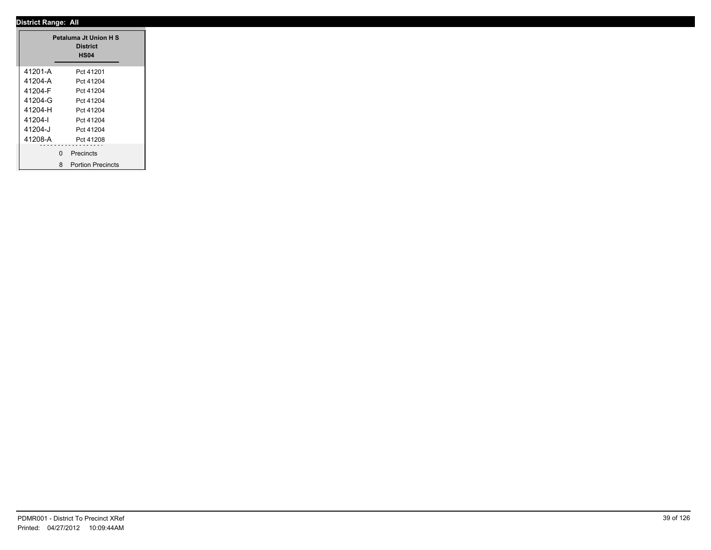|         |               | Petaluma Jt Union H S<br><b>District</b><br><b>HS04</b> |
|---------|---------------|---------------------------------------------------------|
| 41201-A |               | Pct 41201                                               |
| 41204-A |               | Pct 41204                                               |
| 41204-F |               | Pct 41204                                               |
| 41204-G |               | Pct 41204                                               |
| 41204-H |               | Pct 41204                                               |
| 41204-l |               | Pct 41204                                               |
| 41204-J |               | Pct 41204                                               |
| 41208-A |               | Pct 41208                                               |
|         | --------<br>0 | .<br>Precincts                                          |
|         |               | 8 Portion Precincts                                     |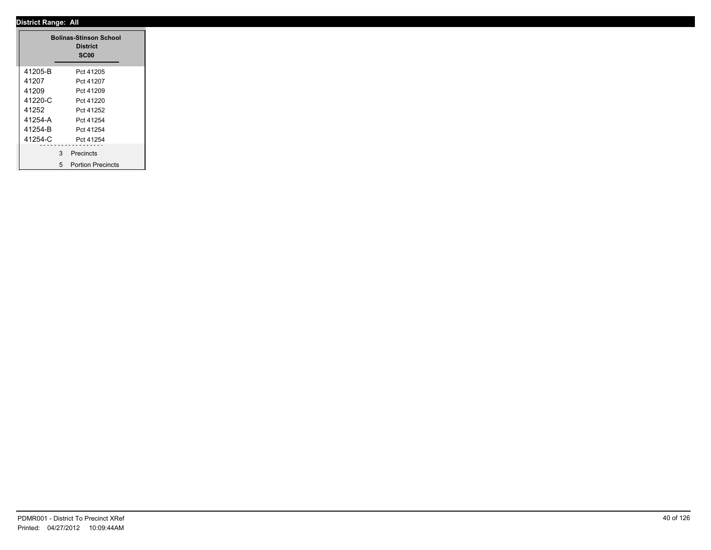.

|         |   | <b>Bolinas-Stinson School</b><br><b>District</b><br><b>SC00</b> |  |
|---------|---|-----------------------------------------------------------------|--|
| 41205-B |   | Pct 41205                                                       |  |
| 41207   |   | Pct 41207                                                       |  |
| 41209   |   | Pct 41209                                                       |  |
| 41220-C |   | Pct 41220                                                       |  |
| 41252   |   | Pct 41252                                                       |  |
| 41254-A |   | Pct 41254                                                       |  |
| 41254-B |   | Pct 41254                                                       |  |
| 41254-C |   | Pct 41254                                                       |  |
|         | 3 | Precincts                                                       |  |
|         | 5 | <b>Portion Precincts</b>                                        |  |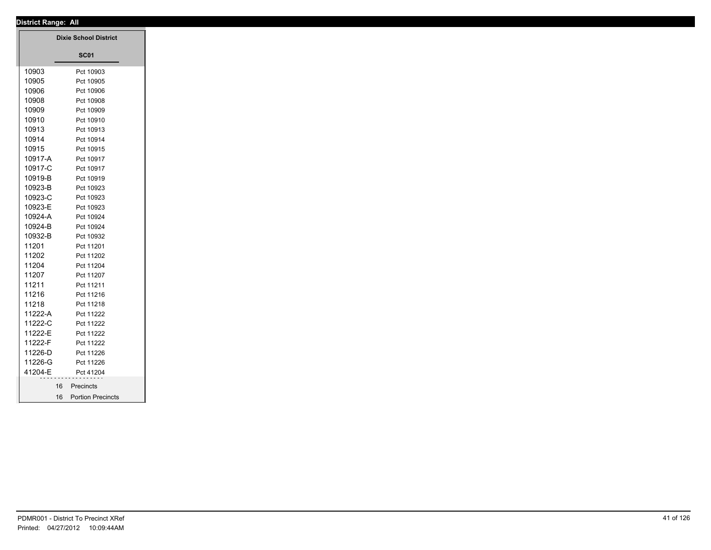|         | <b>Dixie School District</b> |
|---------|------------------------------|
|         | <b>SC01</b>                  |
| 10903   | Pct 10903                    |
| 10905   | Pct 10905                    |
| 10906   | Pct 10906                    |
| 10908   | Pct 10908                    |
| 10909   | Pct 10909                    |
| 10910   | Pct 10910                    |
| 10913   | Pct 10913                    |
| 10914   | Pct 10914                    |
| 10915   | Pct 10915                    |
| 10917-A | Pct 10917                    |
| 10917-C | Pct 10917                    |
| 10919-B | Pct 10919                    |
| 10923-B | Pct 10923                    |
| 10923-C | Pct 10923                    |
| 10923-E | Pct 10923                    |
| 10924-A | Pct 10924                    |
| 10924-B | Pct 10924                    |
| 10932-B | Pct 10932                    |
| 11201   | Pct 11201                    |
| 11202   | Pct 11202                    |
| 11204   | Pct 11204                    |
| 11207   | Pct 11207                    |
| 11211   | Pct 11211                    |
| 11216   | Pct 11216                    |
| 11218   | Pct 11218                    |
| 11222-A | Pct 11222                    |
| 11222-C | Pct 11222                    |
| 11222-E | Pct 11222                    |
| 11222-F | Pct 11222                    |
| 11226-D | Pct 11226                    |
| 11226-G | Pct 11226                    |
| 41204-E | Pct 41204                    |
| 16      | Precincts                    |
|         | 16 Portion Precincts         |
|         |                              |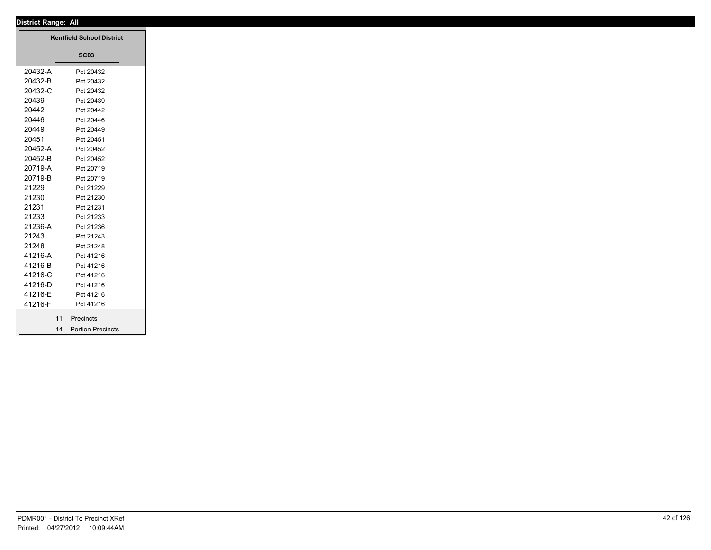## **District Range: All SC03 Kentfield School District** 20432-A Pct 20432 20432-B Pct 20432 20432-C Pct 20432 20439 Pct 20439 20442 Pct 20442 20446 Pct 20446 20449 Pct 20449 20451 Pct 20451 20452-A Pct 20452 20452-B Pct 20452 20719-A Pct 20719 20719-B Pct 20719 21229 Pct 21229 21230 Pct 21230 21231 Pct 21231 21233 Pct 21233 21236-A Pct 21236 21243 Pct 21243 21248 Pct 21248 41216-A Pct 41216 41216-B Pct 41216 41216-C Pct 41216 41216-D Pct 41216 41216-E Pct 41216 41216-F Pct 41216 11 Precincts 14 Portion Precincts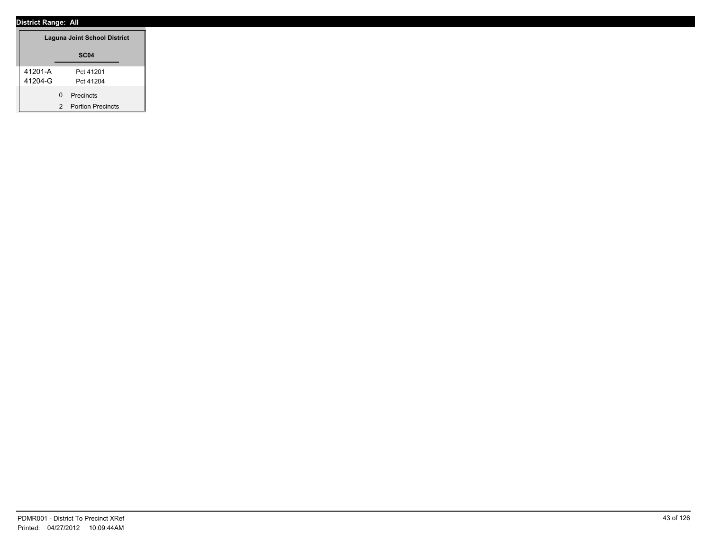| Laguna Joint School District |                               |  |  |
|------------------------------|-------------------------------|--|--|
| SC <sub>04</sub>             |                               |  |  |
| 41201-A                      | Pct 41201                     |  |  |
| 41204-G                      | Pct 41204                     |  |  |
|                              | Precincts<br>O                |  |  |
|                              | <b>Portion Precincts</b><br>2 |  |  |

÷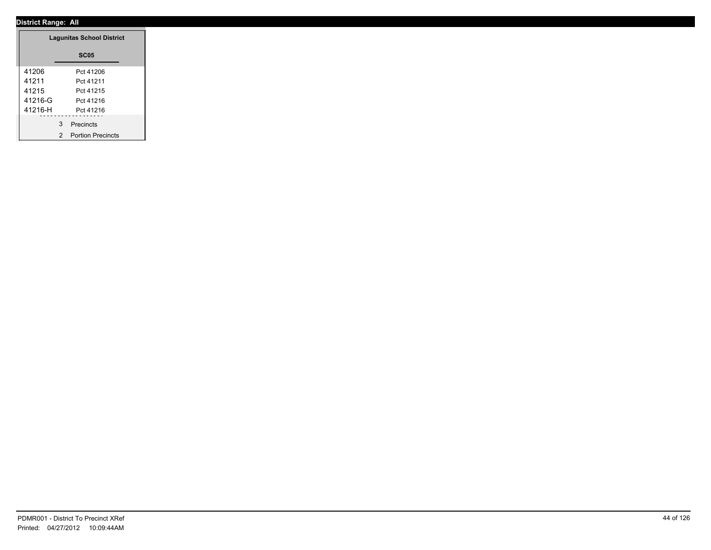|         | <b>Lagunitas School District</b> |
|---------|----------------------------------|
|         | <b>SC05</b>                      |
| 41206   | Pct 41206                        |
| 41211   | Pct 41211                        |
| 41215   | Pct 41215                        |
| 41216-G | Pct 41216                        |
| 41216-H | Pct 41216                        |
|         | 3 Precincts                      |
|         | 2 Portion Precincts              |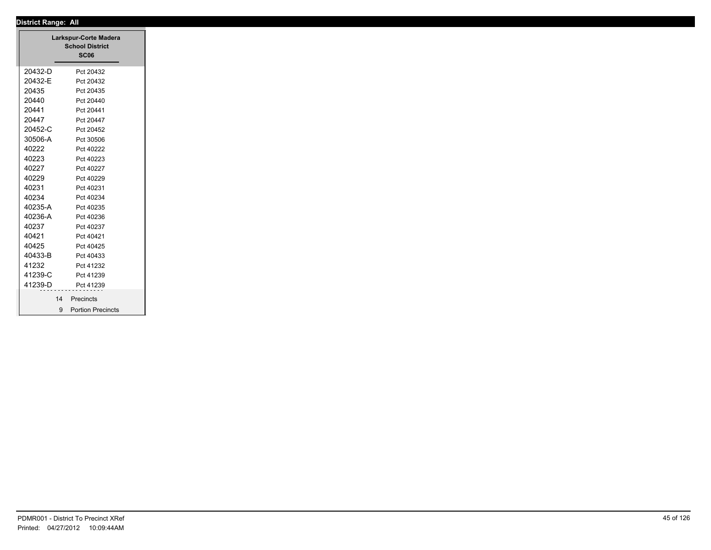|         | Larkspur-Corte Madera<br><b>School District</b><br><b>SC06</b> |
|---------|----------------------------------------------------------------|
| 20432-D | Pct 20432                                                      |
| 20432-E | Pct 20432                                                      |
| 20435   | Pct 20435                                                      |
| 20440   | Pct 20440                                                      |
| 20441   | Pct 20441                                                      |
| 20447   | Pct 20447                                                      |
| 20452-C | Pct 20452                                                      |
| 30506-A | Pct 30506                                                      |
| 40222   | Pct 40222                                                      |
| 40223   | Pct 40223                                                      |
| 40227   | Pct 40227                                                      |
| 40229   | Pct 40229                                                      |
| 40231   | Pct 40231                                                      |
| 40234   | Pct 40234                                                      |
| 40235-A | Pct 40235                                                      |
| 40236-A | Pct 40236                                                      |
| 40237   | Pct 40237                                                      |
| 40421   | Pct 40421                                                      |
| 40425   | Pct 40425                                                      |
| 40433-B | Pct 40433                                                      |
| 41232   | Pct 41232                                                      |
| 41239-C | Pct 41239                                                      |
| 41239-D | Pct 41239                                                      |
|         | Precincts<br>14                                                |
|         | 9 Portion Precincts                                            |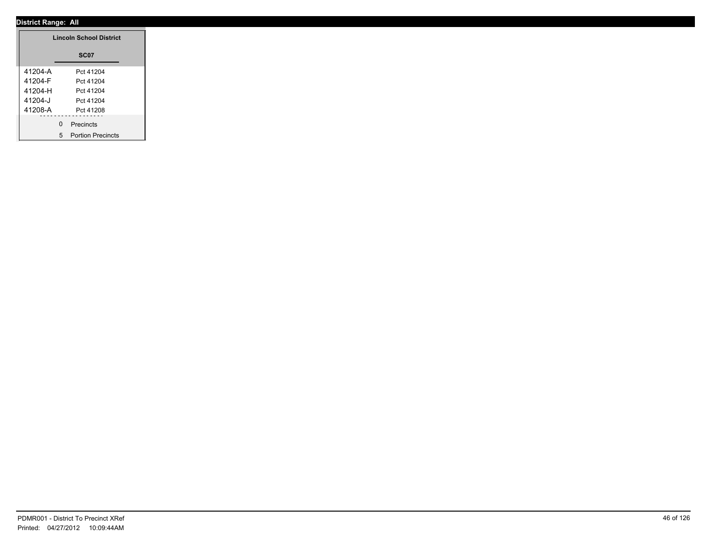|         | <b>Lincoln School District</b> |
|---------|--------------------------------|
|         | <b>SC07</b>                    |
| 41204-A | Pct 41204                      |
| 41204-F | Pct 41204                      |
| 41204-H | Pct 41204                      |
| 41204-J | Pct 41204                      |
| 41208-A | Pct 41208                      |
|         | 0 Precincts                    |
|         | 5 Portion Precincts            |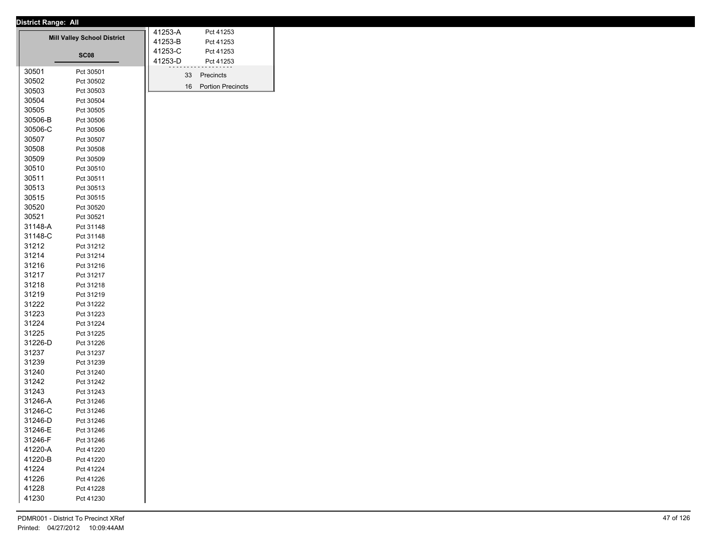| <b>District Range: All</b> |  |
|----------------------------|--|

|         |                                    | 41253-A | Pct 41253                |
|---------|------------------------------------|---------|--------------------------|
|         | <b>Mill Valley School District</b> | 41253-B | Pct 41253                |
|         | SC <sub>08</sub>                   |         | Pct 41253                |
|         |                                    | 41253-D | Pct 41253                |
| 30501   | Pct 30501                          | 33      | Precincts                |
| 30502   | Pct 30502                          |         |                          |
| 30503   | Pct 30503                          | 16      | <b>Portion Precincts</b> |
| 30504   | Pct 30504                          |         |                          |
| 30505   | Pct 30505                          |         |                          |
| 30506-B | Pct 30506                          |         |                          |
| 30506-C | Pct 30506                          |         |                          |
| 30507   | Pct 30507                          |         |                          |
| 30508   | Pct 30508                          |         |                          |
| 30509   | Pct 30509                          |         |                          |
| 30510   | Pct 30510                          |         |                          |
| 30511   | Pct 30511                          |         |                          |
| 30513   | Pct 30513                          |         |                          |
| 30515   | Pct 30515                          |         |                          |
| 30520   | Pct 30520                          |         |                          |
| 30521   | Pct 30521                          |         |                          |
| 31148-A | Pct 31148                          |         |                          |
| 31148-C | Pct 31148                          |         |                          |
| 31212   | Pct 31212                          |         |                          |
| 31214   | Pct 31214                          |         |                          |
| 31216   | Pct 31216                          |         |                          |
| 31217   | Pct 31217                          |         |                          |
| 31218   | Pct 31218                          |         |                          |
| 31219   | Pct 31219                          |         |                          |
| 31222   | Pct 31222                          |         |                          |
| 31223   | Pct 31223                          |         |                          |
| 31224   | Pct 31224                          |         |                          |
| 31225   | Pct 31225                          |         |                          |
| 31226-D | Pct 31226                          |         |                          |
| 31237   | Pct 31237                          |         |                          |
| 31239   | Pct 31239                          |         |                          |
| 31240   | Pct 31240                          |         |                          |
| 31242   | Pct 31242                          |         |                          |
| 31243   | Pct 31243                          |         |                          |
| 31246-A | Pct 31246                          |         |                          |
| 31246-C | Pct 31246                          |         |                          |
| 31246-D | Pct 31246                          |         |                          |
| 31246-E | Pct 31246                          |         |                          |
| 31246-F | Pct 31246                          |         |                          |
| 41220-A | Pct 41220                          |         |                          |
| 41220-B | Pct 41220                          |         |                          |
| 41224   | Pct 41224                          |         |                          |
| 41226   | Pct 41226                          |         |                          |
| 41228   | Pct 41228                          |         |                          |
| 41230   | Pct 41230                          |         |                          |
|         |                                    |         |                          |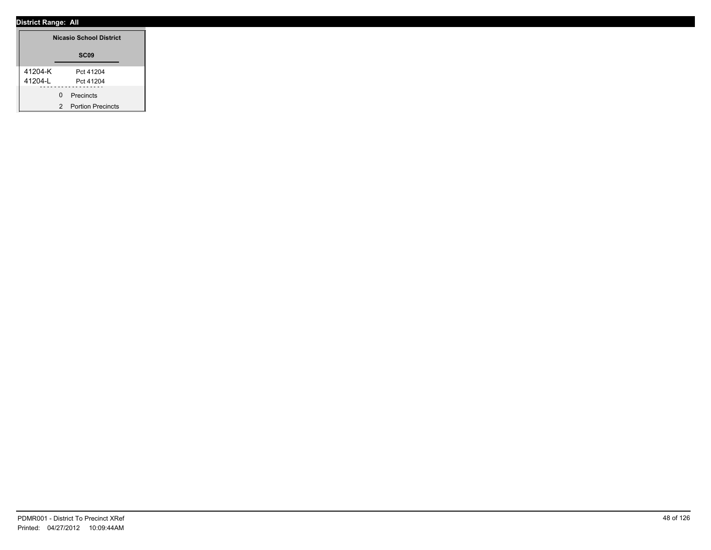| <b>Nicasio School District</b> |                                    |
|--------------------------------|------------------------------------|
|                                | SC <sub>09</sub>                   |
| 41204-K<br>41204-L             | Pct 41204<br>Pct 41204             |
|                                | 0 Precincts<br>2 Portion Precincts |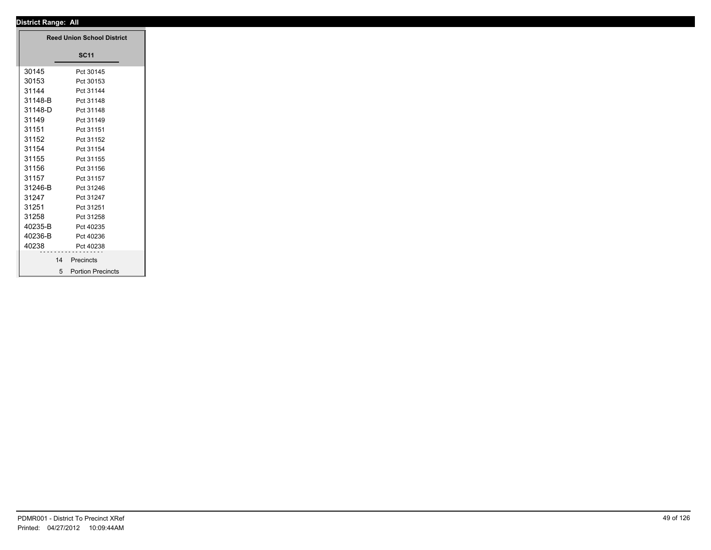| <b>Reed Union School District</b> |                     |
|-----------------------------------|---------------------|
|                                   | <b>SC11</b>         |
| 30145                             | Pct 30145           |
| 30153                             | Pct 30153           |
| 31144                             | Pct 31144           |
| 31148-B                           | Pct 31148           |
| 31148-D                           | Pct 31148           |
| 31149                             | Pct 31149           |
| 31151                             | Pct 31151           |
| 31152                             | Pct 31152           |
| 31154                             | Pct 31154           |
| 31155                             | Pct 31155           |
| 31156                             | Pct 31156           |
| 31157                             | Pct 31157           |
| 31246-B                           | Pct 31246           |
| 31247                             | Pct 31247           |
| 31251                             | Pct 31251           |
| 31258                             | Pct 31258           |
| 40235-B                           | Pct 40235           |
| 40236-B                           | Pct 40236           |
| 40238                             | Pct 40238           |
| 14                                | Precincts           |
|                                   | 5 Portion Precincts |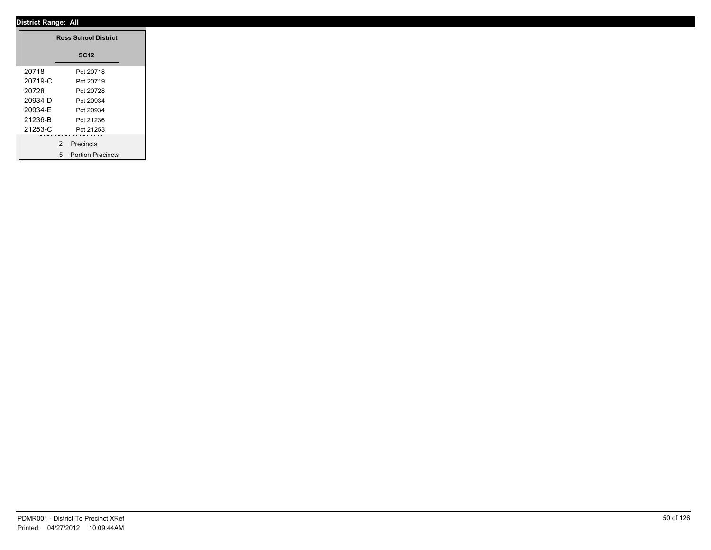|         | <b>Ross School District</b> |  |
|---------|-----------------------------|--|
|         | <b>SC12</b>                 |  |
| 20718   | Pct 20718                   |  |
| 20719-C | Pct 20719                   |  |
| 20728   | Pct 20728                   |  |
| 20934-D | Pct 20934                   |  |
| 20934-E | Pct 20934                   |  |
| 21236-B | Pct 21236                   |  |
| 21253-C | Pct 21253                   |  |
|         | .<br>2 Precincts            |  |
|         | 5 Portion Precincts         |  |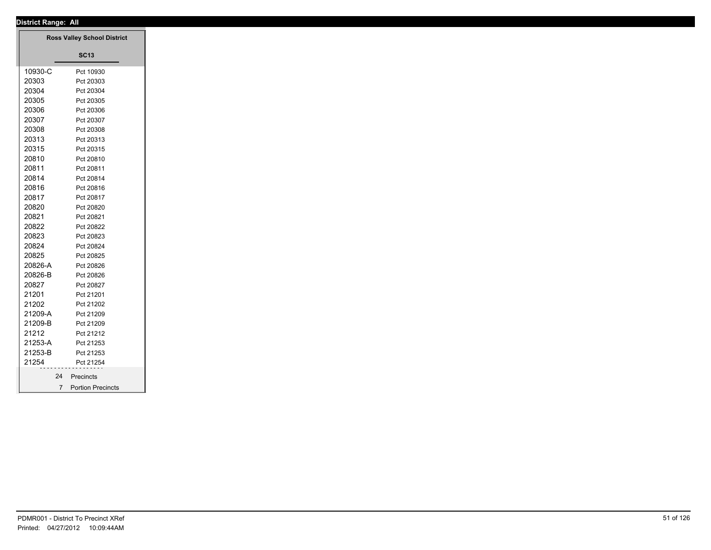| District Range: All |                                    |  |
|---------------------|------------------------------------|--|
|                     | <b>Ross Valley School District</b> |  |
|                     |                                    |  |
|                     | <b>SC13</b>                        |  |
| 10930-C             | Pct 10930                          |  |
| 20303               | Pct 20303                          |  |
| 20304               | Pct 20304                          |  |
| 20305               | Pct 20305                          |  |
| 20306               | Pct 20306                          |  |
| 20307               | Pct 20307                          |  |
| 20308               | Pct 20308                          |  |
| 20313               | Pct 20313                          |  |
| 20315               | Pct 20315                          |  |
| 20810               | Pct 20810                          |  |
| 20811               | Pct 20811                          |  |
| 20814               | Pct 20814                          |  |
| 20816               | Pct 20816                          |  |
| 20817               | Pct 20817                          |  |
| 20820               | Pct 20820                          |  |
| 20821               | Pct 20821                          |  |
| 20822               | Pct 20822                          |  |
| 20823               | Pct 20823                          |  |
| 20824               | Pct 20824                          |  |
| 20825               | Pct 20825                          |  |
| 20826-A             | Pct 20826                          |  |
| 20826-B             | Pct 20826                          |  |
| 20827               | Pct 20827                          |  |
| 21201               | Pct 21201                          |  |
| 21202               | Pct 21202                          |  |
| 21209-A             | Pct 21209                          |  |
| 21209-B             | Pct 21209                          |  |
| 21212               | Pct 21212                          |  |
| 21253-A             | Pct 21253                          |  |
| 21253-B             | Pct 21253                          |  |
| 21254               | Pct 21254                          |  |
|                     | 24 Precincts                       |  |
|                     | 7 Portion Precincts                |  |
|                     |                                    |  |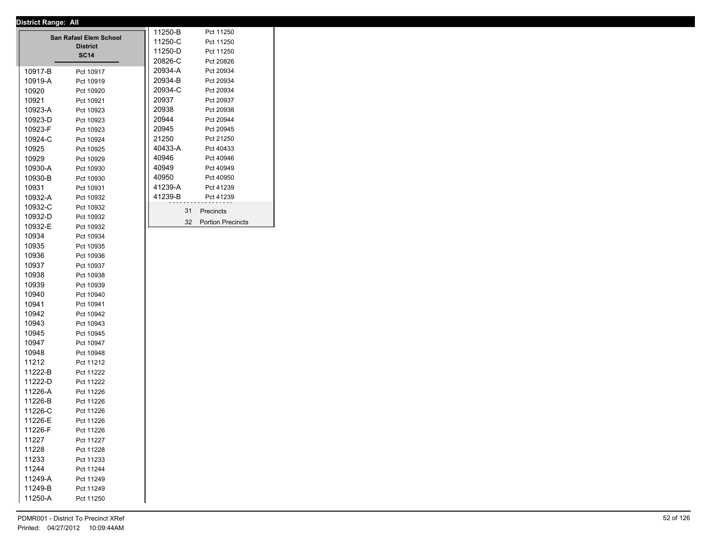|                                           | 11250-B     |  | Pct 11250 |    |                          |  |
|-------------------------------------------|-------------|--|-----------|----|--------------------------|--|
| San Rafael Elem School<br><b>District</b> |             |  | 11250-C   |    | Pct 11250                |  |
|                                           | <b>SC14</b> |  | 11250-D   |    | Pct 11250                |  |
|                                           |             |  | 20826-C   |    | Pct 20826                |  |
| 10917-B                                   | Pct 10917   |  | 20934-A   |    | Pct 20934                |  |
| 10919-A                                   | Pct 10919   |  | 20934-B   |    | Pct 20934                |  |
| 10920                                     | Pct 10920   |  | 20934-C   |    | Pct 20934                |  |
| 10921                                     | Pct 10921   |  | 20937     |    | Pct 20937                |  |
| 10923-A                                   | Pct 10923   |  | 20938     |    | Pct 20938                |  |
| 10923-D                                   | Pct 10923   |  | 20944     |    | Pct 20944                |  |
| 10923-F                                   | Pct 10923   |  | 20945     |    | Pct 20945                |  |
| 10924-C                                   | Pct 10924   |  | 21250     |    | Pct 21250                |  |
| 10925                                     | Pct 10925   |  | 40433-A   |    | Pct 40433                |  |
| 10929                                     | Pct 10929   |  | 40946     |    | Pct 40946                |  |
| 10930-A                                   | Pct 10930   |  | 40949     |    | Pct 40949                |  |
| 10930-B                                   | Pct 10930   |  | 40950     |    | Pct 40950                |  |
| 10931                                     | Pct 10931   |  | 41239-A   |    | Pct 41239                |  |
| 10932-A                                   | Pct 10932   |  | 41239-B   |    | Pct 41239                |  |
| 10932-C                                   | Pct 10932   |  |           | 31 | <b>Precincts</b>         |  |
| 10932-D                                   | Pct 10932   |  |           | 32 | <b>Portion Precincts</b> |  |
| 10932-E                                   | Pct 10932   |  |           |    |                          |  |
| 10934                                     | Pct 10934   |  |           |    |                          |  |
| 10935                                     | Pct 10935   |  |           |    |                          |  |
| 10936                                     | Pct 10936   |  |           |    |                          |  |
| 10937                                     | Pct 10937   |  |           |    |                          |  |

10938 Pct 10938 10939 Pct 10939 10940 Pct 10940 10941 Pct 10941 10942 Pct 10942 10943 Pct 10943 10945 Pct 10945 10947 Pct 10947 10948 Pct 10948 11212 Pct 11212 11222-B Pct 11222 11222-D Pct 11222 11226-A Pct 11226 11226-B Pct 11226 11226-C Pct 11226 11226-E Pct 11226 11226-F Pct 11226 11227 Pct 11227 11228 Pct 11228 11233 Pct 11233 11244 Pct 11244 11249-A Pct 11249 11249-B Pct 11249 11250-A Pct 11250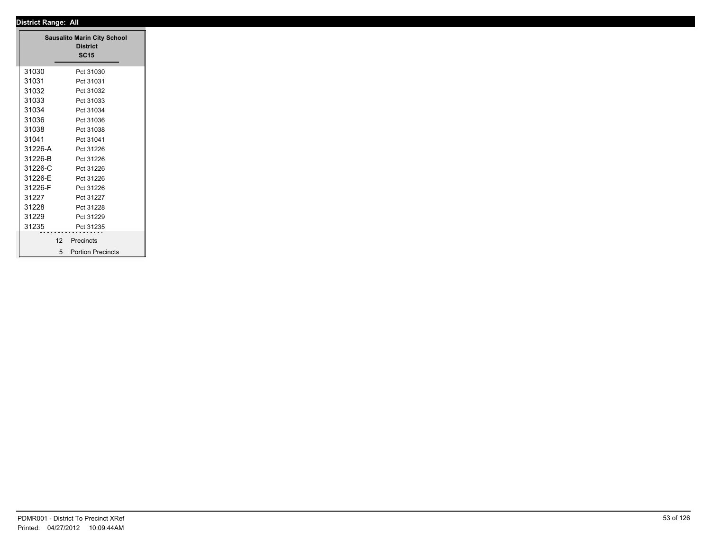| <b>District Range: All</b>                 |  |
|--------------------------------------------|--|
| <b>Sausalito Marin City School</b>         |  |
| <b>District</b>                            |  |
| <b>SC15</b>                                |  |
| 31030<br>Pct 31030                         |  |
| 31031<br>Pct 31031                         |  |
| 31032<br>Pct 31032                         |  |
| 31033<br>Pct 31033                         |  |
| 31034<br>Pct 31034                         |  |
| 31036<br>Pct 31036                         |  |
| 31038<br>Pct 31038                         |  |
| 31041<br>Pct 31041                         |  |
| 31226-A<br>Pct 31226                       |  |
| 31226-B<br>Pct 31226                       |  |
| 31226-C<br>Pct 31226                       |  |
| 31226-E<br>Pct 31226                       |  |
| 31226-F<br>Pct 31226                       |  |
| 31227<br>Pct 31227                         |  |
| 31228<br>Pct 31228                         |  |
| 31229<br>Pct 31229                         |  |
| 31235<br>Pct 31235                         |  |
| 12<br>Precincts                            |  |
| <b>Portion Precincts</b><br>5 <sup>5</sup> |  |
|                                            |  |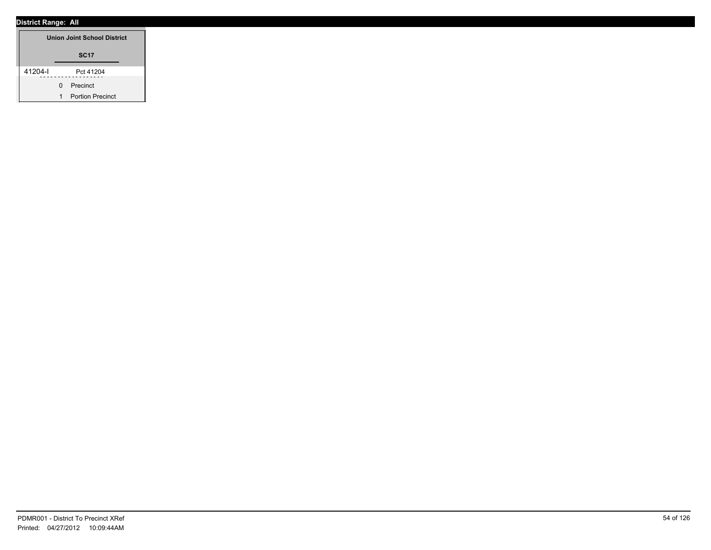| <b>Union Joint School District</b> |   |                         |  |  |
|------------------------------------|---|-------------------------|--|--|
|                                    |   | <b>SC17</b>             |  |  |
| 41204-l                            |   | Pct 41204               |  |  |
|                                    | O | Precinct                |  |  |
|                                    | 1 | <b>Portion Precinct</b> |  |  |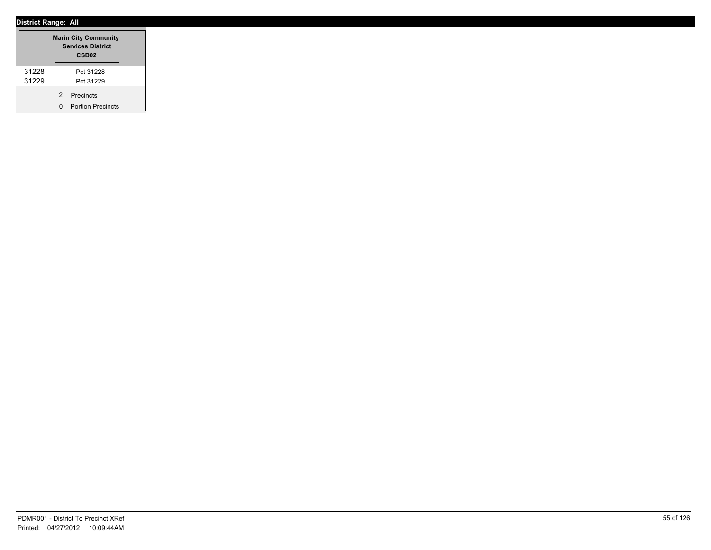|       |   | <b>Marin City Community</b><br><b>Services District</b><br>CSD <sub>02</sub> |
|-------|---|------------------------------------------------------------------------------|
| 31228 |   | Pct 31228                                                                    |
| 31229 |   | Pct 31229                                                                    |
|       | 2 | Precincts                                                                    |
|       | n | <b>Portion Precincts</b>                                                     |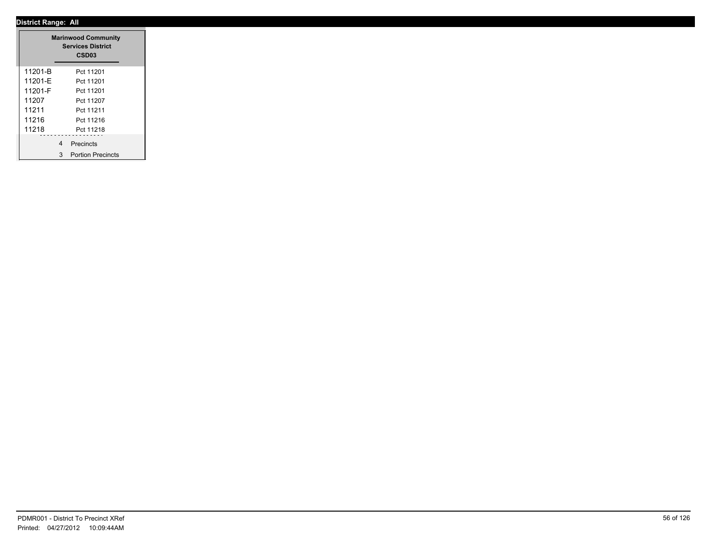|         |   | <b>Marinwood Community</b><br><b>Services District</b><br>CSD03 |
|---------|---|-----------------------------------------------------------------|
| 11201-B |   | Pct 11201                                                       |
| 11201-E |   | Pct 11201                                                       |
| 11201-F |   | Pct 11201                                                       |
| 11207   |   | Pct 11207                                                       |
| 11211   |   | Pct 11211                                                       |
| 11216   |   | Pct 11216                                                       |
| 11218   |   | Pct 11218                                                       |
|         | 4 | Precincts                                                       |
|         | 3 | <b>Portion Precincts</b>                                        |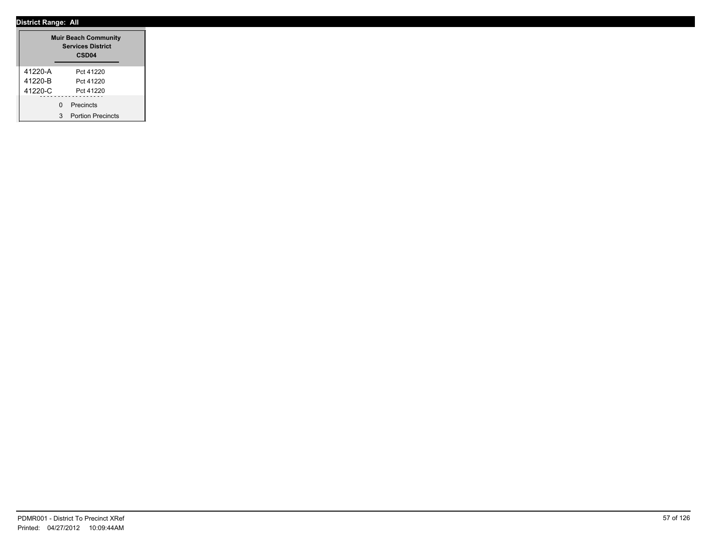|         |   | <b>Muir Beach Community</b><br><b>Services District</b><br>CSD <sub>04</sub> |  |
|---------|---|------------------------------------------------------------------------------|--|
| 41220-A |   | Pct 41220                                                                    |  |
| 41220-B |   | Pct 41220                                                                    |  |
| 41220-C |   | Pct 41220                                                                    |  |
|         | U | Precincts                                                                    |  |
|         | 3 | <b>Portion Precincts</b>                                                     |  |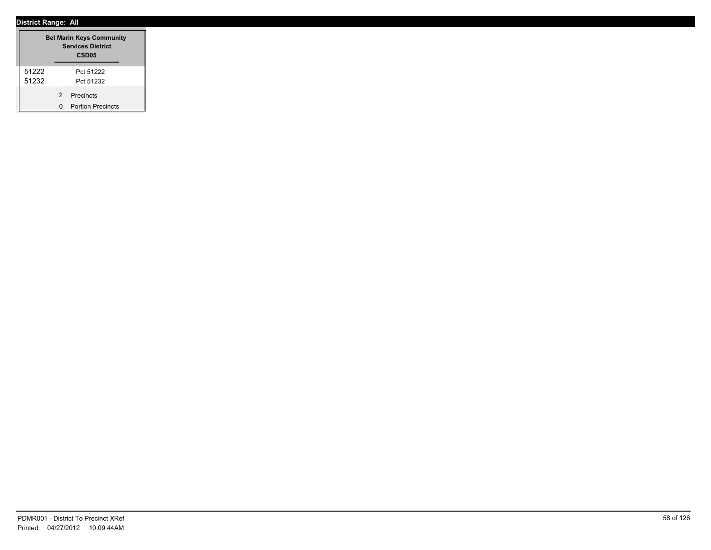|       |   | <b>Bel Marin Keys Community</b><br><b>Services District</b><br>CSD <sub>05</sub> |
|-------|---|----------------------------------------------------------------------------------|
| 51222 |   | Pct 51222                                                                        |
| 51232 |   | Pct 51232                                                                        |
|       | 2 | Precincts                                                                        |
|       |   | <b>Portion Precincts</b>                                                         |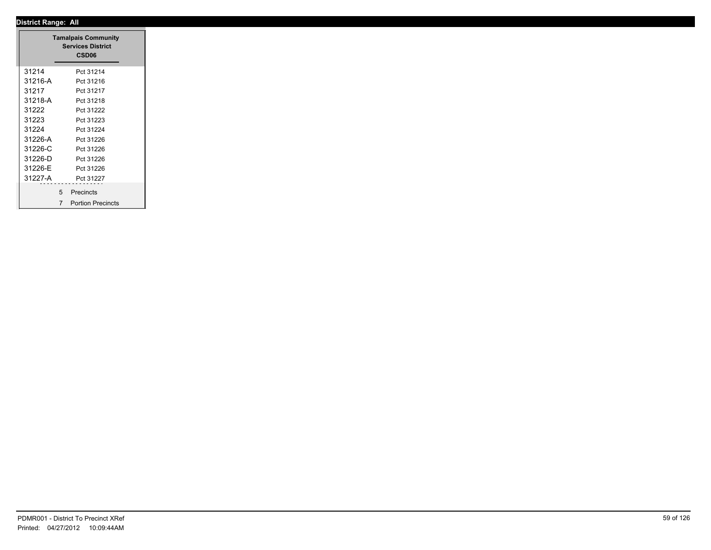|                                                                                                                                                      | <b>Tamalpais Community</b><br><b>Services District</b><br>CSD06 |
|------------------------------------------------------------------------------------------------------------------------------------------------------|-----------------------------------------------------------------|
| 31214                                                                                                                                                | Pct 31214                                                       |
| 31216-A                                                                                                                                              | Pct 31216                                                       |
| 31217                                                                                                                                                | Pct 31217                                                       |
| 31218-A                                                                                                                                              | Pct 31218                                                       |
| 31222                                                                                                                                                | Pct 31222                                                       |
| 31223                                                                                                                                                | Pct 31223                                                       |
| 31224                                                                                                                                                | Pct 31224                                                       |
| 31226-A                                                                                                                                              | Pct 31226                                                       |
| 31226-C                                                                                                                                              | Pct 31226                                                       |
| 31226-D                                                                                                                                              | Pct 31226                                                       |
| 31226-E                                                                                                                                              | Pct 31226                                                       |
| 31227-A                                                                                                                                              | Pct 31227                                                       |
| $\frac{1}{2} \left( \frac{1}{2} \right) \left( \frac{1}{2} \right) \left( \frac{1}{2} \right) \left( \frac{1}{2} \right) \left( \frac{1}{2} \right)$ | - - - - - - - - - -<br>5 Precincts                              |
|                                                                                                                                                      | <b>Portion Precincts</b><br>$\overline{7}$                      |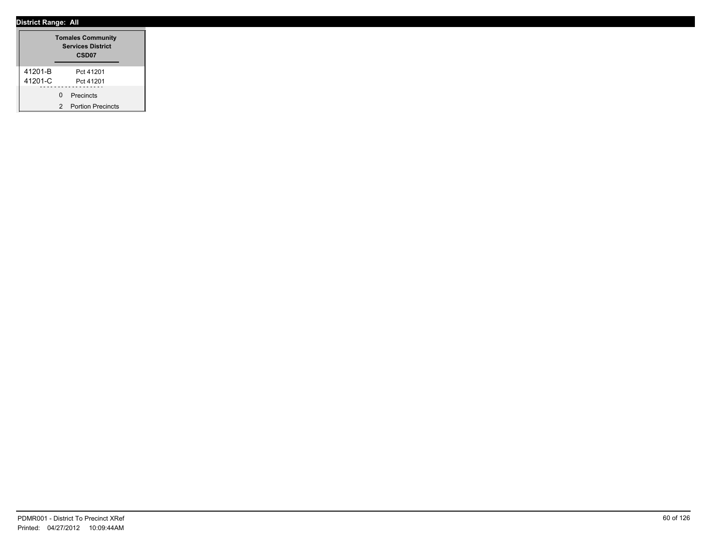|         |   | <b>Tomales Community</b><br><b>Services District</b><br>CSD <sub>07</sub> |
|---------|---|---------------------------------------------------------------------------|
| 41201-B |   | Pct 41201                                                                 |
| 41201-C |   | Pct 41201                                                                 |
|         | U | Precincts                                                                 |
|         | 2 | <b>Portion Precincts</b>                                                  |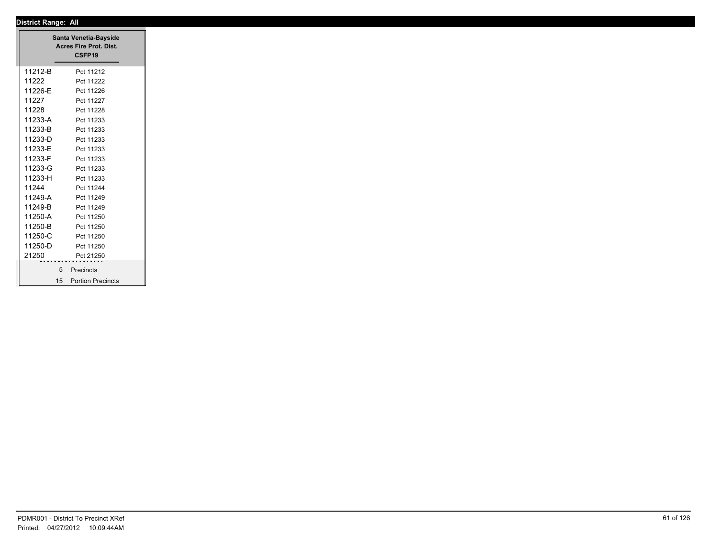|         | Santa Venetia-Bayside<br>Acres Fire Prot. Dist.<br>CSFP19 |
|---------|-----------------------------------------------------------|
| 11212-B | Pct 11212                                                 |
| 11222   | Pct 11222                                                 |
| 11226-E | Pct 11226                                                 |
| 11227   | Pct 11227                                                 |
| 11228   | Pct 11228                                                 |
| 11233-A | Pct 11233                                                 |
| 11233-B | Pct 11233                                                 |
| 11233-D | Pct 11233                                                 |
| 11233-E | Pct 11233                                                 |
| 11233-F | Pct 11233                                                 |
| 11233-G | Pct 11233                                                 |
| 11233-H | Pct 11233                                                 |
| 11244   | Pct 11244                                                 |
| 11249-A | Pct 11249                                                 |
| 11249-B | Pct 11249                                                 |
| 11250-A | Pct 11250                                                 |
| 11250-B | Pct 11250                                                 |
| 11250-C | Pct 11250                                                 |
| 11250-D | Pct 11250                                                 |
| 21250   | Pct 21250                                                 |
|         | 5 Precincts                                               |
| 15      | <b>Portion Precincts</b>                                  |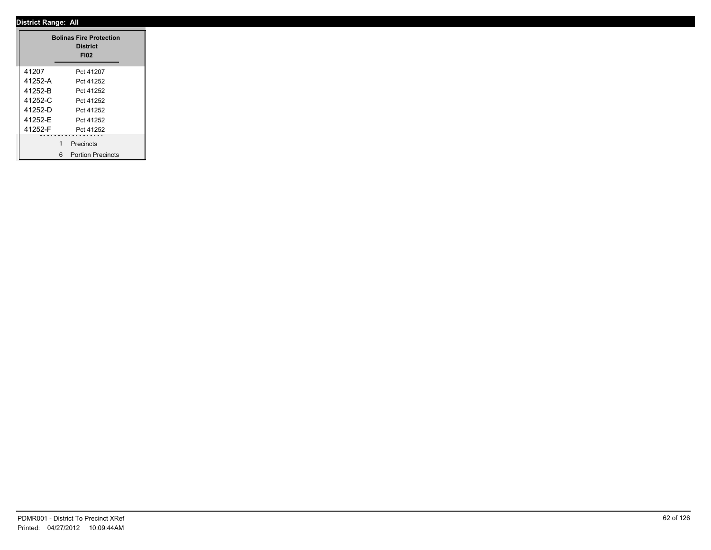|         |   | <b>Bolinas Fire Protection</b><br><b>District</b><br><b>FI02</b> |  |
|---------|---|------------------------------------------------------------------|--|
| 41207   |   | Pct 41207                                                        |  |
| 41252-A |   | Pct 41252                                                        |  |
| 41252-B |   | Pct 41252                                                        |  |
| 41252-C |   | Pct 41252                                                        |  |
| 41252-D |   | Pct 41252                                                        |  |
| 41252-E |   | Pct 41252                                                        |  |
| 41252-F |   | Pct 41252                                                        |  |
|         | 1 | Precincts                                                        |  |
|         | 6 | <b>Portion Precincts</b>                                         |  |

 $\overline{\phantom{a}}$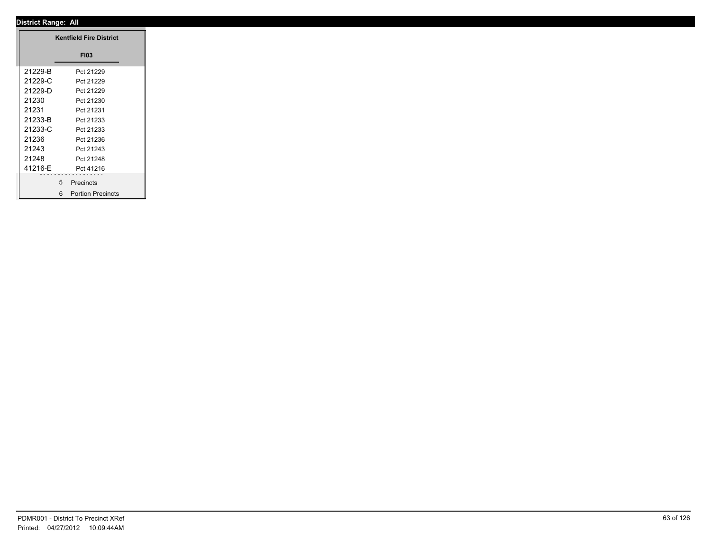|          | <b>Kentfield Fire District</b> |
|----------|--------------------------------|
|          | <b>FI03</b>                    |
| 21229-B  | Pct 21229                      |
| 21229-C  | Pct 21229                      |
| 21229-D  | Pct 21229                      |
| 21230    | Pct 21230                      |
| 21231    | Pct 21231                      |
| 21233-B  | Pct 21233                      |
| 21233-C  | Pct 21233                      |
| 21236    | Pct 21236                      |
| 21243    | Pct 21243                      |
| 21248    | Pct 21248                      |
| 41216-E  | Pct 41216                      |
| -------- | .                              |
|          | 5 <sup>5</sup><br>Precincts    |
|          | 6 Portion Precincts            |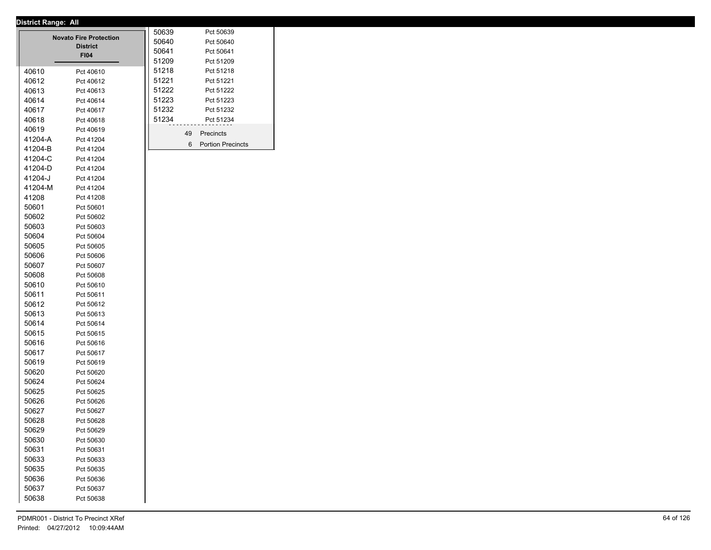|                | <b>Novato Fire Protection</b><br><b>District</b><br><b>FI04</b> | 50639<br>50640<br>50641<br>51209 |    | Pct 50639<br>Pct 50640<br>Pct 50641<br>Pct 51209 |
|----------------|-----------------------------------------------------------------|----------------------------------|----|--------------------------------------------------|
| 40610          | Pct 40610                                                       | 51218                            |    | Pct 51218                                        |
| 40612          | Pct 40612                                                       | 51221                            |    | Pct 51221                                        |
| 40613          | Pct 40613                                                       | 51222                            |    | Pct 51222                                        |
| 40614          | Pct 40614                                                       | 51223                            |    | Pct 51223                                        |
| 40617          | Pct 40617                                                       | 51232                            |    | Pct 51232                                        |
| 40618          | Pct 40618                                                       | 51234                            |    | Pct 51234                                        |
| 40619          | Pct 40619                                                       |                                  | 49 | Precincts                                        |
| 41204-A        | Pct 41204                                                       |                                  | 6  | <b>Portion Precincts</b>                         |
| 41204-B        | Pct 41204                                                       |                                  |    |                                                  |
| 41204-C        | Pct 41204                                                       |                                  |    |                                                  |
| 41204-D        | Pct 41204                                                       |                                  |    |                                                  |
| 41204-J        | Pct 41204                                                       |                                  |    |                                                  |
| 41204-M        | Pct 41204                                                       |                                  |    |                                                  |
| 41208          | Pct 41208                                                       |                                  |    |                                                  |
| 50601          | Pct 50601                                                       |                                  |    |                                                  |
| 50602          | Pct 50602                                                       |                                  |    |                                                  |
| 50603          | Pct 50603                                                       |                                  |    |                                                  |
| 50604          | Pct 50604                                                       |                                  |    |                                                  |
| 50605          | Pct 50605                                                       |                                  |    |                                                  |
| 50606          | Pct 50606                                                       |                                  |    |                                                  |
| 50607          | Pct 50607                                                       |                                  |    |                                                  |
| 50608          | Pct 50608                                                       |                                  |    |                                                  |
| 50610          | Pct 50610                                                       |                                  |    |                                                  |
| 50611          | Pct 50611                                                       |                                  |    |                                                  |
| 50612          | Pct 50612                                                       |                                  |    |                                                  |
| 50613          | Pct 50613                                                       |                                  |    |                                                  |
| 50614          | Pct 50614                                                       |                                  |    |                                                  |
| 50615<br>50616 | Pct 50615                                                       |                                  |    |                                                  |
| 50617          | Pct 50616<br>Pct 50617                                          |                                  |    |                                                  |
| 50619          |                                                                 |                                  |    |                                                  |
| 50620          | Pct 50619<br>Pct 50620                                          |                                  |    |                                                  |
| 50624          | Pct 50624                                                       |                                  |    |                                                  |
| 50625          | Pct 50625                                                       |                                  |    |                                                  |
| 50626          | Pct 50626                                                       |                                  |    |                                                  |
| 50627          | Pct 50627                                                       |                                  |    |                                                  |
| 50628          | Pct 50628                                                       |                                  |    |                                                  |
| 50629          | Pct 50629                                                       |                                  |    |                                                  |
| 50630          | Pct 50630                                                       |                                  |    |                                                  |
| 50631          | Pct 50631                                                       |                                  |    |                                                  |
| 50633          | Pct 50633                                                       |                                  |    |                                                  |
| 50635          | Pct 50635                                                       |                                  |    |                                                  |
| 50636          | Pct 50636                                                       |                                  |    |                                                  |
| 50637          | Pct 50637                                                       |                                  |    |                                                  |
| 50638          | Pct 50638                                                       |                                  |    |                                                  |
|                |                                                                 |                                  |    |                                                  |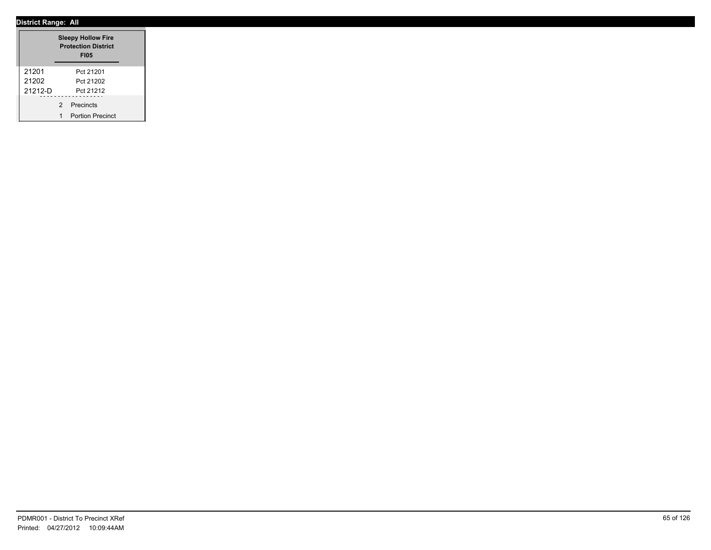|           |               | <b>Sleepy Hollow Fire</b><br><b>Protection District</b><br><b>FI05</b> |  |
|-----------|---------------|------------------------------------------------------------------------|--|
| 21201     |               | Pct 21201                                                              |  |
| 21202     |               | Pct 21202                                                              |  |
| $21212-D$ |               | Pct 21212                                                              |  |
|           | $\mathcal{P}$ | Precincts                                                              |  |
|           | 1             | <b>Portion Precinct</b>                                                |  |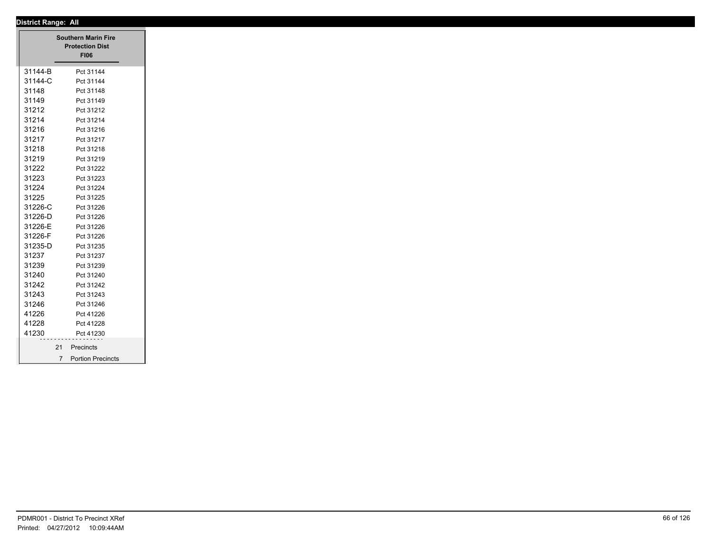|         | <b>Southern Marin Fire</b><br><b>Protection Dist</b><br><b>FI06</b> |
|---------|---------------------------------------------------------------------|
| 31144-B | Pct 31144                                                           |
| 31144-C | Pct 31144                                                           |
| 31148   | Pct 31148                                                           |
| 31149   | Pct 31149                                                           |
| 31212   | Pct 31212                                                           |
| 31214   | Pct 31214                                                           |
| 31216   | Pct 31216                                                           |
| 31217   | Pct 31217                                                           |
| 31218   | Pct 31218                                                           |
| 31219   | Pct 31219                                                           |
| 31222   | Pct 31222                                                           |
| 31223   | Pct 31223                                                           |
| 31224   | Pct 31224                                                           |
| 31225   | Pct 31225                                                           |
| 31226-C | Pct 31226                                                           |
| 31226-D | Pct 31226                                                           |
| 31226-E | Pct 31226                                                           |
| 31226-F | Pct 31226                                                           |
| 31235-D | Pct 31235                                                           |
| 31237   | Pct 31237                                                           |
| 31239   | Pct 31239                                                           |
| 31240   | Pct 31240                                                           |
| 31242   | Pct 31242                                                           |
| 31243   | Pct 31243                                                           |
| 31246   | Pct 31246                                                           |
| 41226   | Pct 41226                                                           |
| 41228   | Pct 41228                                                           |
| 41230   | Pct 41230                                                           |
|         | 21<br>Precincts                                                     |
|         |                                                                     |
|         | <b>Portion Precincts</b><br>$7^{\circ}$                             |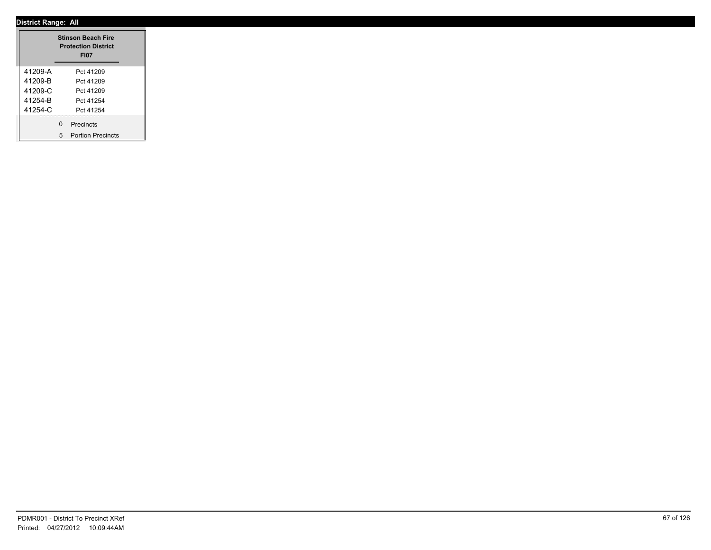|         | <b>Stinson Beach Fire</b><br><b>Protection District</b><br><b>FI07</b> |
|---------|------------------------------------------------------------------------|
| 41209-A | Pct 41209                                                              |
| 41209-B | Pct 41209                                                              |
| 41209-C | Pct 41209                                                              |
| 41254-B | Pct 41254                                                              |
| 41254-C | Pct 41254                                                              |
|         | 0 Precincts<br>5 Portion Precincts                                     |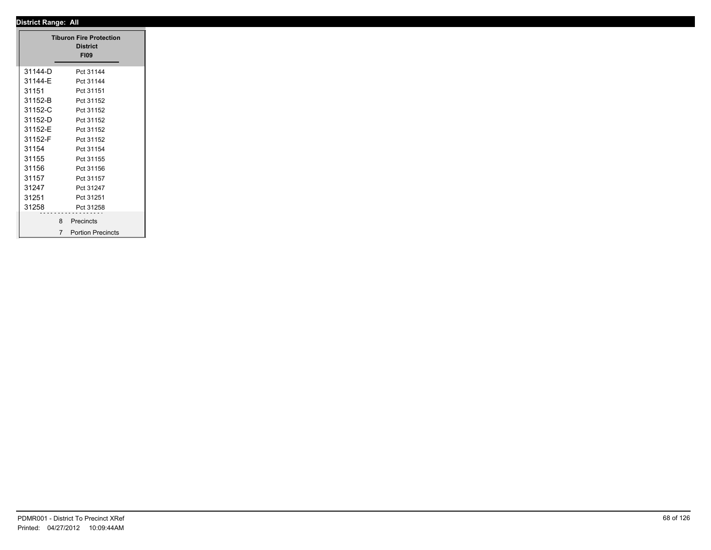| <b>Tiburon Fire Protection</b> |                     |
|--------------------------------|---------------------|
|                                | <b>District</b>     |
|                                | <b>FI09</b>         |
| 31144-D                        | Pct 31144           |
| 31144-E                        | Pct 31144           |
| 31151                          | Pct 31151           |
| 31152-B                        | Pct 31152           |
| 31152-C                        | Pct 31152           |
| 31152-D                        | Pct 31152           |
| 31152-E                        | Pct 31152           |
| 31152-F                        | Pct 31152           |
| 31154                          | Pct 31154           |
| 31155                          | Pct 31155           |
| 31156                          | Pct 31156           |
| 31157                          | Pct 31157           |
| 31247                          | Pct 31247           |
| 31251                          | Pct 31251           |
| 31258                          | Pct 31258           |
|                                | 8 Precincts         |
|                                | 7 Portion Precincts |
|                                |                     |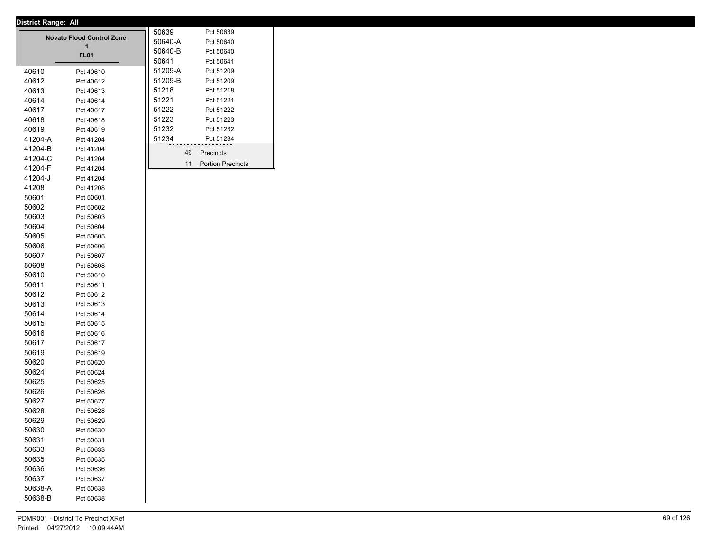|         | <b>Novato Flood Control Zone</b><br>1<br><b>FL01</b> | 50639<br>50640-A<br>50640-B<br>50641 |    | Pct 50639<br>Pct 50640<br>Pct 50640<br>Pct 50641 |
|---------|------------------------------------------------------|--------------------------------------|----|--------------------------------------------------|
| 40610   |                                                      | 51209-A                              |    | Pct 51209                                        |
| 40612   | Pct 40610<br>Pct 40612                               | 51209-B                              |    | Pct 51209                                        |
| 40613   | Pct 40613                                            | 51218                                |    | Pct 51218                                        |
| 40614   | Pct 40614                                            | 51221                                |    | Pct 51221                                        |
| 40617   | Pct 40617                                            | 51222                                |    | Pct 51222                                        |
| 40618   | Pct 40618                                            | 51223                                |    | Pct 51223                                        |
| 40619   | Pct 40619                                            | 51232                                |    | Pct 51232                                        |
| 41204-A | Pct 41204                                            | 51234                                |    | Pct 51234                                        |
| 41204-B | Pct 41204                                            |                                      |    |                                                  |
| 41204-C | Pct 41204                                            |                                      | 46 | Precincts                                        |
| 41204-F | Pct 41204                                            |                                      | 11 | <b>Portion Precincts</b>                         |
| 41204-J | Pct 41204                                            |                                      |    |                                                  |
| 41208   | Pct 41208                                            |                                      |    |                                                  |
| 50601   | Pct 50601                                            |                                      |    |                                                  |
| 50602   | Pct 50602                                            |                                      |    |                                                  |
| 50603   | Pct 50603                                            |                                      |    |                                                  |
| 50604   | Pct 50604                                            |                                      |    |                                                  |
| 50605   | Pct 50605                                            |                                      |    |                                                  |
| 50606   | Pct 50606                                            |                                      |    |                                                  |
| 50607   | Pct 50607                                            |                                      |    |                                                  |
| 50608   | Pct 50608                                            |                                      |    |                                                  |
| 50610   | Pct 50610                                            |                                      |    |                                                  |
| 50611   | Pct 50611                                            |                                      |    |                                                  |
| 50612   | Pct 50612                                            |                                      |    |                                                  |
| 50613   | Pct 50613                                            |                                      |    |                                                  |
| 50614   | Pct 50614                                            |                                      |    |                                                  |
| 50615   | Pct 50615                                            |                                      |    |                                                  |
| 50616   | Pct 50616                                            |                                      |    |                                                  |
| 50617   | Pct 50617                                            |                                      |    |                                                  |
| 50619   | Pct 50619                                            |                                      |    |                                                  |
| 50620   | Pct 50620                                            |                                      |    |                                                  |
| 50624   | Pct 50624                                            |                                      |    |                                                  |
| 50625   | Pct 50625                                            |                                      |    |                                                  |
| 50626   | Pct 50626                                            |                                      |    |                                                  |
| 50627   | Pct 50627                                            |                                      |    |                                                  |
| 50628   | Pct 50628                                            |                                      |    |                                                  |
| 50629   | Pct 50629                                            |                                      |    |                                                  |
| 50630   | Pct 50630                                            |                                      |    |                                                  |
| 50631   | Pct 50631                                            |                                      |    |                                                  |
| 50633   | Pct 50633                                            |                                      |    |                                                  |
| 50635   | Pct 50635                                            |                                      |    |                                                  |
| 50636   | Pct 50636                                            |                                      |    |                                                  |
| 50637   | Pct 50637                                            |                                      |    |                                                  |
| 50638-A | Pct 50638                                            |                                      |    |                                                  |
| 50638-B | Pct 50638                                            |                                      |    |                                                  |
|         |                                                      |                                      |    |                                                  |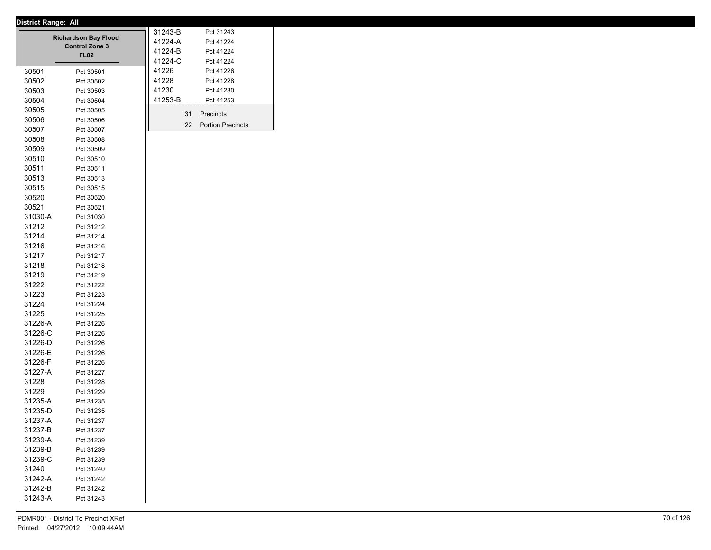|         | <b>Richardson Bay Flood</b><br><b>Control Zone 3</b><br><b>FL02</b> | 31243-B<br>41224-A<br>41224-B<br>41224-C |    | Pct 31243<br>Pct 41224<br>Pct 41224<br>Pct 41224 |
|---------|---------------------------------------------------------------------|------------------------------------------|----|--------------------------------------------------|
| 30501   | Pct 30501                                                           | 41226                                    |    | Pct 41226                                        |
| 30502   | Pct 30502                                                           | 41228                                    |    | Pct 41228                                        |
| 30503   | Pct 30503                                                           | 41230                                    |    | Pct 41230                                        |
| 30504   | Pct 30504                                                           | 41253-B                                  |    | Pct 41253                                        |
| 30505   | Pct 30505                                                           |                                          | 31 | Precincts                                        |
| 30506   | Pct 30506                                                           |                                          | 22 | <b>Portion Precincts</b>                         |
| 30507   | Pct 30507                                                           |                                          |    |                                                  |
| 30508   | Pct 30508                                                           |                                          |    |                                                  |
| 30509   | Pct 30509                                                           |                                          |    |                                                  |
| 30510   | Pct 30510                                                           |                                          |    |                                                  |
| 30511   | Pct 30511                                                           |                                          |    |                                                  |
| 30513   | Pct 30513                                                           |                                          |    |                                                  |
| 30515   | Pct 30515                                                           |                                          |    |                                                  |
| 30520   | Pct 30520                                                           |                                          |    |                                                  |
| 30521   | Pct 30521                                                           |                                          |    |                                                  |
| 31030-A | Pct 31030                                                           |                                          |    |                                                  |
| 31212   | Pct 31212                                                           |                                          |    |                                                  |
| 31214   | Pct 31214                                                           |                                          |    |                                                  |
| 31216   | Pct 31216                                                           |                                          |    |                                                  |
| 31217   | Pct 31217                                                           |                                          |    |                                                  |
| 31218   | Pct 31218                                                           |                                          |    |                                                  |
| 31219   | Pct 31219                                                           |                                          |    |                                                  |
| 31222   | Pct 31222                                                           |                                          |    |                                                  |
| 31223   | Pct 31223                                                           |                                          |    |                                                  |
| 31224   | Pct 31224                                                           |                                          |    |                                                  |
| 31225   | Pct 31225                                                           |                                          |    |                                                  |
| 31226-A | Pct 31226                                                           |                                          |    |                                                  |
| 31226-C | Pct 31226                                                           |                                          |    |                                                  |
| 31226-D | Pct 31226                                                           |                                          |    |                                                  |
| 31226-E | Pct 31226                                                           |                                          |    |                                                  |
| 31226-F | Pct 31226                                                           |                                          |    |                                                  |
| 31227-A | Pct 31227                                                           |                                          |    |                                                  |
| 31228   | Pct 31228                                                           |                                          |    |                                                  |
| 31229   | Pct 31229                                                           |                                          |    |                                                  |
| 31235-A | Pct 31235                                                           |                                          |    |                                                  |
| 31235-D | Pct 31235                                                           |                                          |    |                                                  |
| 31237-A | Pct 31237                                                           |                                          |    |                                                  |
| 31237-B | Pct 31237                                                           |                                          |    |                                                  |
| 31239-A | Pct 31239                                                           |                                          |    |                                                  |
| 31239-B | Pct 31239                                                           |                                          |    |                                                  |
| 31239-C | Pct 31239                                                           |                                          |    |                                                  |
| 31240   | Pct 31240                                                           |                                          |    |                                                  |
| 31242-A | Pct 31242                                                           |                                          |    |                                                  |
| 31242-B | Pct 31242                                                           |                                          |    |                                                  |
| 31243-A | Pct 31243                                                           |                                          |    |                                                  |
|         |                                                                     |                                          |    |                                                  |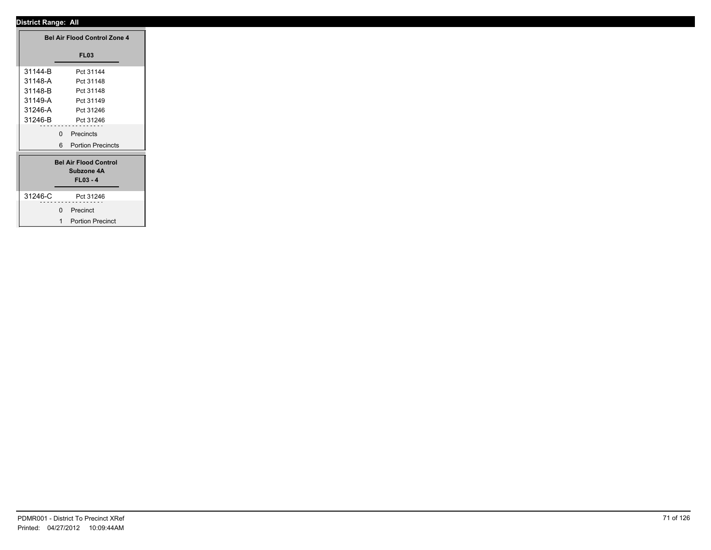| <b>Bel Air Flood Control Zone 4</b> |                              |
|-------------------------------------|------------------------------|
|                                     | <b>FL03</b>                  |
| 31144-B                             | Pct 31144                    |
| 31148-A                             | Pct 31148                    |
| 31148-B                             | Pct 31148                    |
| 31149-A                             | Pct 31149                    |
| 31246-A                             | Pct 31246                    |
| 31246-B                             | Pct 31246                    |
|                                     | Precincts<br>$\mathbf 0$     |
|                                     | 6 Portion Precincts          |
|                                     |                              |
|                                     | <b>Bel Air Flood Control</b> |
|                                     | Subzone 4A                   |
|                                     | $FL03 - 4$                   |
| 31246-C                             | Pct 31246                    |
| --------                            | .                            |
|                                     | 0 Precinct                   |
|                                     | 1 Portion Precinct           |
|                                     |                              |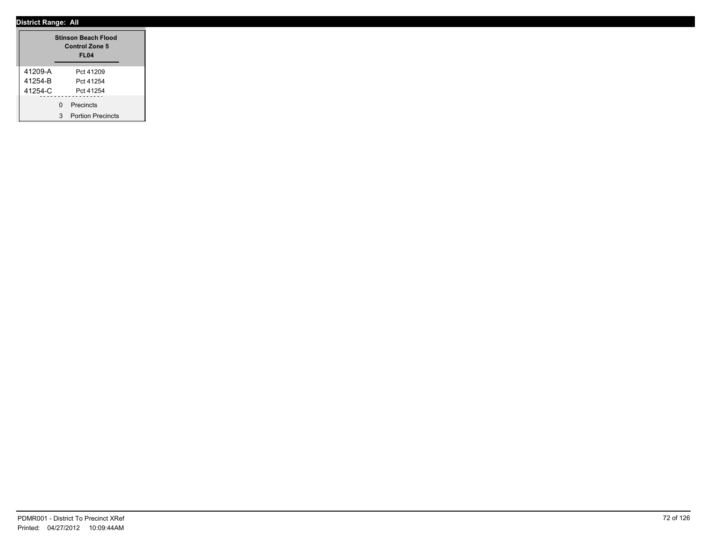|         | <b>Stinson Beach Flood</b><br>Control Zone 5<br><b>FL04</b> |                          |  |  |  |
|---------|-------------------------------------------------------------|--------------------------|--|--|--|
| 41209-A |                                                             | Pct 41209                |  |  |  |
| 41254-B |                                                             | Pct 41254                |  |  |  |
| 41254-C |                                                             | Pct 41254                |  |  |  |
|         | U                                                           | Precincts                |  |  |  |
|         | 3                                                           | <b>Portion Precincts</b> |  |  |  |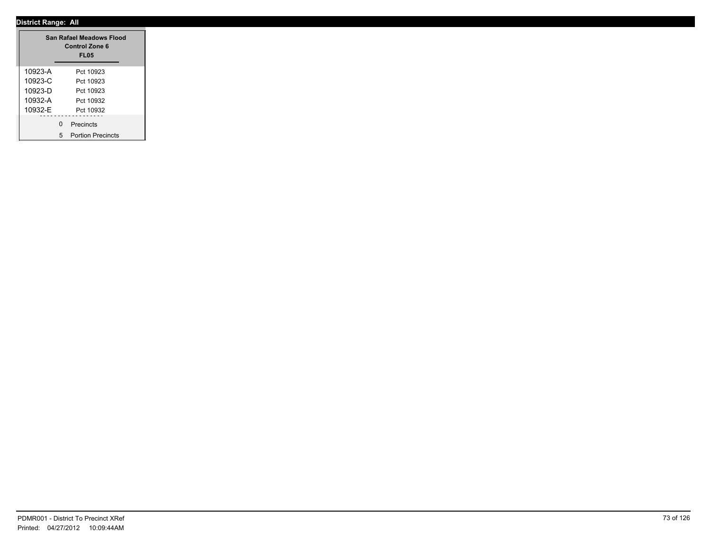|             |   | San Rafael Meadows Flood<br><b>Control Zone 6</b><br><b>FL05</b> |
|-------------|---|------------------------------------------------------------------|
| 10923-A     |   | Pct 10923                                                        |
| $10923 - C$ |   | Pct 10923                                                        |
| 10923-D     |   | Pct 10923                                                        |
| 10932-A     |   | Pct 10932                                                        |
| 10932-F     |   | Pct 10932                                                        |
|             | U | Precincts                                                        |
|             | 5 | <b>Portion Precincts</b>                                         |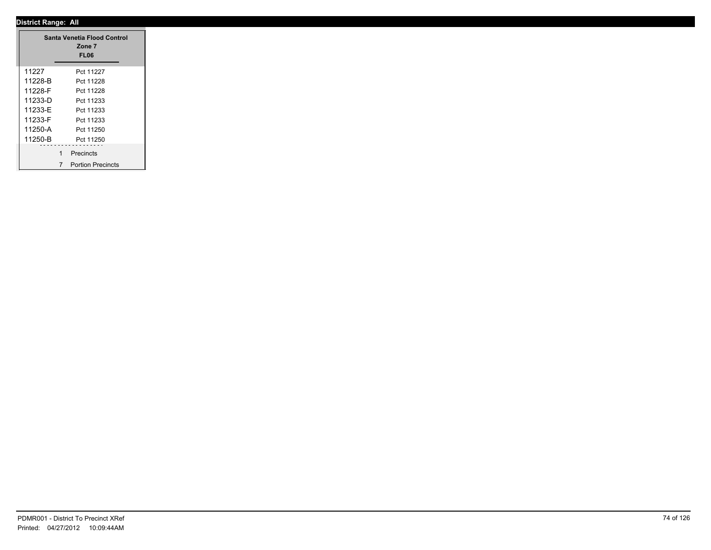|             |   | Santa Venetia Flood Control<br>Zone 7<br>FL <sub>06</sub> |  |
|-------------|---|-----------------------------------------------------------|--|
| 11227       |   | Pct 11227                                                 |  |
| 11228-B     |   | Pct 11228                                                 |  |
| 11228-F     |   | Pct 11228                                                 |  |
| $11233 - D$ |   | Pct 11233                                                 |  |
| 11233-F     |   | Pct 11233                                                 |  |
| 11233-F     |   | Pct 11233                                                 |  |
| 11250-A     |   | Pct 11250                                                 |  |
| 11250-B     |   | Pct 11250                                                 |  |
|             | 1 | Precincts                                                 |  |
|             | 7 | <b>Portion Precincts</b>                                  |  |

 $\overline{\phantom{a}}$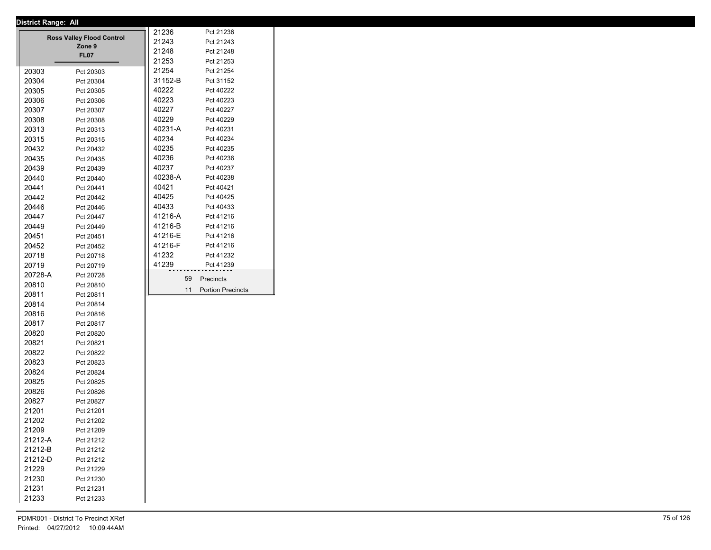|         | District Range: All              |         |                          |
|---------|----------------------------------|---------|--------------------------|
|         | <b>Ross Valley Flood Control</b> | 21236   | Pct 21236                |
|         | Zone 9                           | 21243   | Pct 21243                |
|         | <b>FL07</b>                      | 21248   | Pct 21248                |
|         |                                  | 21253   | Pct 21253                |
| 20303   | Pct 20303                        | 21254   | Pct 21254                |
| 20304   | Pct 20304                        | 31152-B | Pct 31152                |
| 20305   | Pct 20305                        | 40222   | Pct 40222                |
| 20306   | Pct 20306                        | 40223   | Pct 40223                |
| 20307   | Pct 20307                        | 40227   | Pct 40227                |
| 20308   | Pct 20308                        | 40229   | Pct 40229                |
| 20313   | Pct 20313                        | 40231-A | Pct 40231                |
| 20315   | Pct 20315                        | 40234   | Pct 40234                |
| 20432   | Pct 20432                        | 40235   | Pct 40235                |
| 20435   | Pct 20435                        | 40236   | Pct 40236                |
| 20439   | Pct 20439                        | 40237   | Pct 40237                |
| 20440   | Pct 20440                        | 40238-A | Pct 40238                |
| 20441   | Pct 20441                        | 40421   | Pct 40421                |
| 20442   | Pct 20442                        | 40425   | Pct 40425                |
| 20446   | Pct 20446                        | 40433   | Pct 40433                |
| 20447   | Pct 20447                        | 41216-A | Pct 41216                |
| 20449   | Pct 20449                        | 41216-B | Pct 41216                |
| 20451   | Pct 20451                        | 41216-E | Pct 41216                |
| 20452   | Pct 20452                        | 41216-F | Pct 41216                |
| 20718   | Pct 20718                        | 41232   | Pct 41232                |
| 20719   |                                  | 41239   | Pct 41239                |
| 20728-A | Pct 20719                        |         |                          |
| 20810   | Pct 20728                        | 59      | Precincts                |
|         | Pct 20810                        | 11      | <b>Portion Precincts</b> |
| 20811   | Pct 20811                        |         |                          |
| 20814   | Pct 20814                        |         |                          |
| 20816   | Pct 20816                        |         |                          |
| 20817   | Pct 20817                        |         |                          |
| 20820   | Pct 20820                        |         |                          |
| 20821   | Pct 20821                        |         |                          |
| 20822   | Pct 20822                        |         |                          |
| 20823   | Pct 20823                        |         |                          |
| 20824   | Pct 20824                        |         |                          |
| 20825   | Pct 20825                        |         |                          |
| 20826   | Pct 20826                        |         |                          |
| 20827   | Pct 20827                        |         |                          |
| 21201   | Pct 21201                        |         |                          |
| 21202   | Pct 21202                        |         |                          |
| 21209   | Pct 21209                        |         |                          |
| 21212-A | Pct 21212                        |         |                          |
| 21212-B | Pct 21212                        |         |                          |
| 21212-D | Pct 21212                        |         |                          |
| 21229   | Pct 21229                        |         |                          |
| 21230   | Pct 21230                        |         |                          |
| 21231   | Pct 21231                        |         |                          |
| 21233   | Pct 21233                        |         |                          |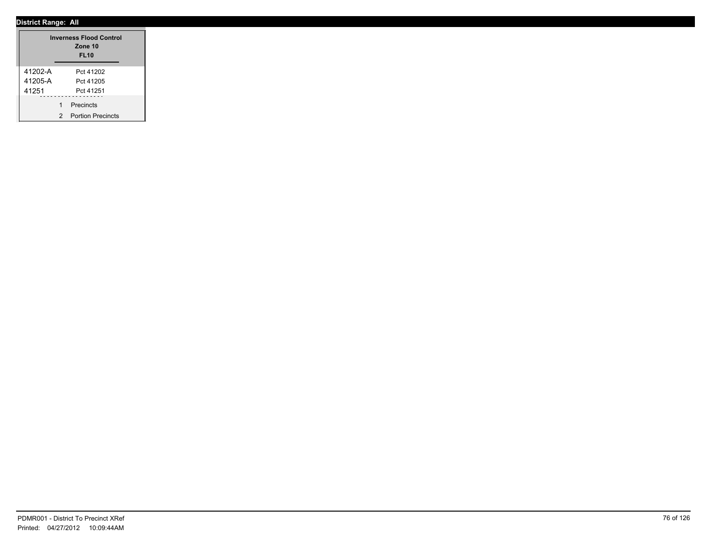|         |   | <b>Inverness Flood Control</b><br>Zone 10<br><b>FL10</b> |  |
|---------|---|----------------------------------------------------------|--|
| 41202-A |   | Pct 41202                                                |  |
| 41205-A |   | Pct 41205                                                |  |
| 41251   |   | Pct 41251                                                |  |
|         | 1 | Precincts                                                |  |
|         | 2 | <b>Portion Precincts</b>                                 |  |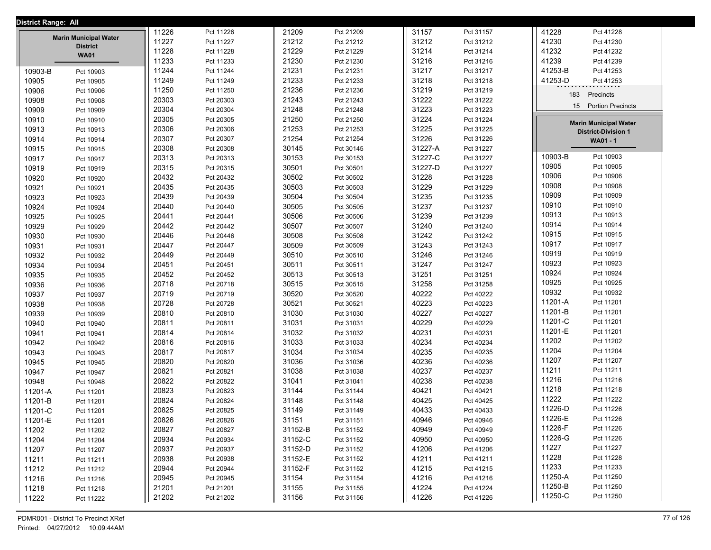| District Range: All |                                                 |       |           |         |           |         |           |         |                              |  |
|---------------------|-------------------------------------------------|-------|-----------|---------|-----------|---------|-----------|---------|------------------------------|--|
|                     |                                                 | 11226 | Pct 11226 | 21209   | Pct 21209 | 31157   | Pct 31157 | 41228   | Pct 41228                    |  |
|                     | <b>Marin Municipal Water</b><br><b>District</b> | 11227 | Pct 11227 | 21212   | Pct 21212 | 31212   | Pct 31212 | 41230   | Pct 41230                    |  |
|                     | <b>WA01</b>                                     | 11228 | Pct 11228 | 21229   | Pct 21229 | 31214   | Pct 31214 | 41232   | Pct 41232                    |  |
|                     |                                                 | 11233 | Pct 11233 | 21230   | Pct 21230 | 31216   | Pct 31216 | 41239   | Pct 41239                    |  |
| 10903-B             | Pct 10903                                       | 11244 | Pct 11244 | 21231   | Pct 21231 | 31217   | Pct 31217 | 41253-B | Pct 41253                    |  |
| 10905               | Pct 10905                                       | 11249 | Pct 11249 | 21233   | Pct 21233 | 31218   | Pct 31218 | 41253-D | Pct 41253                    |  |
| 10906               | Pct 10906                                       | 11250 | Pct 11250 | 21236   | Pct 21236 | 31219   | Pct 31219 | 183     | Precincts                    |  |
| 10908               | Pct 10908                                       | 20303 | Pct 20303 | 21243   | Pct 21243 | 31222   | Pct 31222 |         |                              |  |
| 10909               | Pct 10909                                       | 20304 | Pct 20304 | 21248   | Pct 21248 | 31223   | Pct 31223 | 15      | <b>Portion Precincts</b>     |  |
| 10910               | Pct 10910                                       | 20305 | Pct 20305 | 21250   | Pct 21250 | 31224   | Pct 31224 |         | <b>Marin Municipal Water</b> |  |
| 10913               | Pct 10913                                       | 20306 | Pct 20306 | 21253   | Pct 21253 | 31225   | Pct 31225 |         | <b>District-Division 1</b>   |  |
| 10914               | Pct 10914                                       | 20307 | Pct 20307 | 21254   | Pct 21254 | 31226   | Pct 31226 |         | WA01 - 1                     |  |
| 10915               | Pct 10915                                       | 20308 | Pct 20308 | 30145   | Pct 30145 | 31227-A | Pct 31227 |         |                              |  |
| 10917               | Pct 10917                                       | 20313 | Pct 20313 | 30153   | Pct 30153 | 31227-C | Pct 31227 | 10903-B | Pct 10903                    |  |
| 10919               | Pct 10919                                       | 20315 | Pct 20315 | 30501   | Pct 30501 | 31227-D | Pct 31227 | 10905   | Pct 10905                    |  |
| 10920               | Pct 10920                                       | 20432 | Pct 20432 | 30502   | Pct 30502 | 31228   | Pct 31228 | 10906   | Pct 10906                    |  |
| 10921               | Pct 10921                                       | 20435 | Pct 20435 | 30503   | Pct 30503 | 31229   | Pct 31229 | 10908   | Pct 10908                    |  |
| 10923               | Pct 10923                                       | 20439 | Pct 20439 | 30504   | Pct 30504 | 31235   | Pct 31235 | 10909   | Pct 10909                    |  |
| 10924               | Pct 10924                                       | 20440 | Pct 20440 | 30505   | Pct 30505 | 31237   | Pct 31237 | 10910   | Pct 10910                    |  |
| 10925               | Pct 10925                                       | 20441 | Pct 20441 | 30506   | Pct 30506 | 31239   | Pct 31239 | 10913   | Pct 10913                    |  |
| 10929               | Pct 10929                                       | 20442 | Pct 20442 | 30507   | Pct 30507 | 31240   | Pct 31240 | 10914   | Pct 10914                    |  |
| 10930               | Pct 10930                                       | 20446 | Pct 20446 | 30508   | Pct 30508 | 31242   | Pct 31242 | 10915   | Pct 10915                    |  |
| 10931               | Pct 10931                                       | 20447 | Pct 20447 | 30509   | Pct 30509 | 31243   | Pct 31243 | 10917   | Pct 10917                    |  |
| 10932               | Pct 10932                                       | 20449 | Pct 20449 | 30510   | Pct 30510 | 31246   | Pct 31246 | 10919   | Pct 10919                    |  |
| 10934               | Pct 10934                                       | 20451 | Pct 20451 | 30511   | Pct 30511 | 31247   | Pct 31247 | 10923   | Pct 10923                    |  |
| 10935               | Pct 10935                                       | 20452 | Pct 20452 | 30513   | Pct 30513 | 31251   | Pct 31251 | 10924   | Pct 10924                    |  |
| 10936               | Pct 10936                                       | 20718 | Pct 20718 | 30515   | Pct 30515 | 31258   | Pct 31258 | 10925   | Pct 10925                    |  |
| 10937               | Pct 10937                                       | 20719 | Pct 20719 | 30520   | Pct 30520 | 40222   | Pct 40222 | 10932   | Pct 10932                    |  |
| 10938               | Pct 10938                                       | 20728 | Pct 20728 | 30521   | Pct 30521 | 40223   | Pct 40223 | 11201-A | Pct 11201                    |  |
| 10939               | Pct 10939                                       | 20810 | Pct 20810 | 31030   | Pct 31030 | 40227   | Pct 40227 | 11201-B | Pct 11201                    |  |
| 10940               | Pct 10940                                       | 20811 | Pct 20811 | 31031   | Pct 31031 | 40229   | Pct 40229 | 11201-C | Pct 11201                    |  |
| 10941               | Pct 10941                                       | 20814 | Pct 20814 | 31032   | Pct 31032 | 40231   | Pct 40231 | 11201-E | Pct 11201                    |  |
| 10942               | Pct 10942                                       | 20816 | Pct 20816 | 31033   | Pct 31033 | 40234   | Pct 40234 | 11202   | Pct 11202                    |  |
| 10943               | Pct 10943                                       | 20817 | Pct 20817 | 31034   | Pct 31034 | 40235   | Pct 40235 | 11204   | Pct 11204                    |  |
| 10945               | Pct 10945                                       | 20820 | Pct 20820 | 31036   | Pct 31036 | 40236   | Pct 40236 | 11207   | Pct 11207                    |  |
| 10947               | Pct 10947                                       | 20821 | Pct 20821 | 31038   | Pct 31038 | 40237   | Pct 40237 | 11211   | Pct 11211                    |  |
| 10948               | Pct 10948                                       | 20822 | Pct 20822 | 31041   | Pct 31041 | 40238   | Pct 40238 | 11216   | Pct 11216                    |  |
| 11201-A             | Pct 11201                                       | 20823 | Pct 20823 | 31144   | Pct 31144 | 40421   | Pct 40421 | 11218   | Pct 11218                    |  |
| 11201-B             | Pct 11201                                       | 20824 | Pct 20824 | 31148   | Pct 31148 | 40425   | Pct 40425 | 11222   | Pct 11222                    |  |
| 11201-C             | Pct 11201                                       | 20825 | Pct 20825 | 31149   | Pct 31149 | 40433   | Pct 40433 | 11226-D | Pct 11226                    |  |
| 11201-E             | Pct 11201                                       | 20826 | Pct 20826 | 31151   | Pct 31151 | 40946   | Pct 40946 | 11226-E | Pct 11226                    |  |
| 11202               | Pct 11202                                       | 20827 | Pct 20827 | 31152-B | Pct 31152 | 40949   | Pct 40949 | 11226-F | Pct 11226                    |  |
| 11204               | Pct 11204                                       | 20934 | Pct 20934 | 31152-C | Pct 31152 | 40950   | Pct 40950 | 11226-G | Pct 11226                    |  |
| 11207               | Pct 11207                                       | 20937 | Pct 20937 | 31152-D | Pct 31152 | 41206   | Pct 41206 | 11227   | Pct 11227                    |  |
| 11211               | Pct 11211                                       | 20938 | Pct 20938 | 31152-E | Pct 31152 | 41211   | Pct 41211 | 11228   | Pct 11228                    |  |
| 11212               | Pct 11212                                       | 20944 | Pct 20944 | 31152-F | Pct 31152 | 41215   | Pct 41215 | 11233   | Pct 11233                    |  |
| 11216               | Pct 11216                                       | 20945 | Pct 20945 | 31154   | Pct 31154 | 41216   | Pct 41216 | 11250-A | Pct 11250                    |  |
| 11218               | Pct 11218                                       | 21201 | Pct 21201 | 31155   | Pct 31155 | 41224   | Pct 41224 | 11250-B | Pct 11250                    |  |
| 11222               | Pct 11222                                       | 21202 | Pct 21202 | 31156   | Pct 31156 | 41226   | Pct 41226 | 11250-C | Pct 11250                    |  |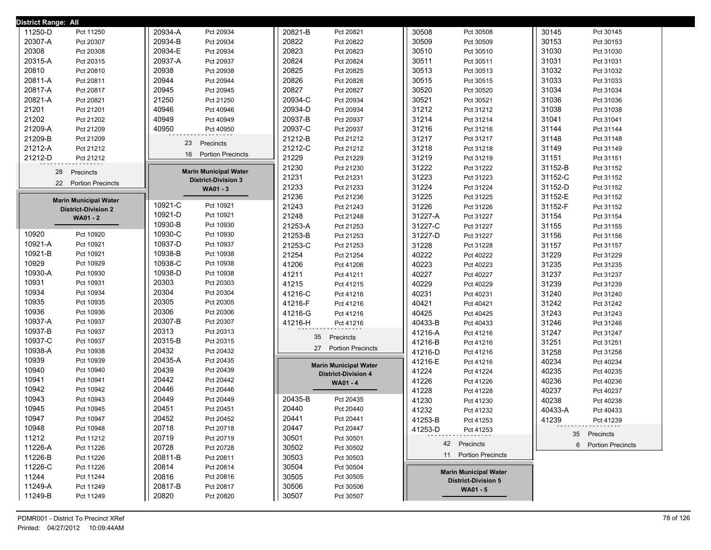| District Range: All          |                              |                              |                              |                      |
|------------------------------|------------------------------|------------------------------|------------------------------|----------------------|
| 11250-D                      | 20934-A                      | 20821-B                      | 30508                        | 30145                |
| Pct 11250                    | Pct 20934                    | Pct 20821                    | Pct 30508                    | Pct 30145            |
| 20307-A                      | 20934-B                      | 20822                        | 30509                        | 30153                |
| Pct 20307                    | Pct 20934                    | Pct 20822                    | Pct 30509                    | Pct 30153            |
| 20308                        | 20934-E                      | 20823                        | 30510                        | 31030                |
| Pct 20308                    | Pct 20934                    | Pct 20823                    | Pct 30510                    | Pct 31030            |
| 20315-A                      | 20937-A                      | 20824                        | 30511                        | 31031                |
| Pct 20315                    | Pct 20937                    | Pct 20824                    | Pct 30511                    | Pct 31031            |
| 20810                        | 20938                        | 20825                        | 30513                        | 31032                |
| Pct 20810                    | Pct 20938                    | Pct 20825                    | Pct 30513                    | Pct 31032            |
| 20811-A                      | 20944                        | 20826                        | 30515                        | 31033                |
| Pct 20811                    | Pct 20944                    | Pct 20826                    | Pct 30515                    | Pct 31033            |
| 20817-A                      | 20945                        | 20827                        | 30520                        | 31034                |
| Pct 20817                    | Pct 20945                    | Pct 20827                    | Pct 30520                    | Pct 31034            |
| 20821-A                      | 21250                        | 20934-C                      | 30521                        | 31036                |
| Pct 20821                    | Pct 21250                    | Pct 20934                    | Pct 30521                    | Pct 31036            |
| 21201                        | 40946                        | 20934-D                      | 31212                        | 31038                |
| Pct 21201                    | Pct 40946                    | Pct 20934                    | Pct 31212                    | Pct 31038            |
| 21202                        | 40949                        | 20937-B                      | 31214                        | 31041                |
| Pct 21202                    | Pct 40949                    | Pct 20937                    | Pct 31214                    | Pct 31041            |
| 21209-A                      | 40950                        | 20937-C                      | 31216                        | 31144                |
| Pct 21209                    | Pct 40950                    | Pct 20937                    | Pct 31216                    | Pct 31144            |
| 21209-B                      | Precincts                    | 21212-B                      | 31217                        | 31148                |
| Pct 21209                    | 23                           | Pct 21212                    | Pct 31217                    | Pct 31148            |
| 21212-A                      |                              | 21212-C                      | 31218                        | 31149                |
| Pct 21212                    |                              | Pct 21212                    | Pct 31218                    | Pct 31149            |
| 21212-D                      | 16                           | 21229                        | 31219                        | 31151                |
| Pct 21212                    | <b>Portion Precincts</b>     | Pct 21229                    | Pct 31219                    | Pct 31151            |
| 28                           | <b>Marin Municipal Water</b> | 21230                        | 31222                        | 31152-B              |
| Precincts                    |                              | Pct 21230                    | Pct 31222                    | Pct 31152            |
| 22 Portion Precincts         | <b>District-Division 3</b>   | 21231<br>Pct 21231           | 31223<br>Pct 31223           | 31152-C<br>Pct 31152 |
|                              | WA01 - 3                     | 21233<br>Pct 21233           | 31224<br>Pct 31224           | 31152-D<br>Pct 31152 |
| <b>Marin Municipal Water</b> |                              | 21236<br>Pct 21236           | 31225<br>Pct 31225           | 31152-E<br>Pct 31152 |
| <b>District-Division 2</b>   | 10921-C                      | 21243                        | 31226                        | 31152-F              |
|                              | Pct 10921                    | Pct 21243                    | Pct 31226                    | Pct 31152            |
| <b>WA01 - 2</b>              | 10921-D                      | 21248                        | 31227-A                      | 31154                |
|                              | Pct 10921                    | Pct 21248                    | Pct 31227                    | Pct 31154            |
|                              | 10930-B                      | 21253-A                      | 31227-C                      | 31155                |
|                              | Pct 10930                    | Pct 21253                    | Pct 31227                    | Pct 31155            |
| 10920                        | 10930-C                      | 21253-B                      | 31227-D                      | 31156                |
| Pct 10920                    | Pct 10930                    | Pct 21253                    | Pct 31227                    | Pct 31156            |
| 10921-A                      | 10937-D                      | 21253-C                      | 31228                        | 31157                |
| Pct 10921                    | Pct 10937                    | Pct 21253                    | Pct 31228                    | Pct 31157            |
| 10921-B                      | 10938-B                      | 21254                        | 40222                        | 31229                |
| Pct 10921                    | Pct 10938                    | Pct 21254                    | Pct 40222                    | Pct 31229            |
| 10929                        | 10938-C                      | 41206                        | 40223                        | 31235                |
| Pct 10929                    | Pct 10938                    | Pct 41206                    | Pct 40223                    | Pct 31235            |
| 10930-A                      | 10938-D                      | 41211                        | 40227                        | 31237                |
| Pct 10930                    | Pct 10938                    | Pct 41211                    | Pct 40227                    | Pct 31237            |
| 10931                        | 20303                        | 41215                        | 40229                        | 31239                |
| Pct 10931                    | Pct 20303                    | Pct 41215                    | Pct 40229                    | Pct 31239            |
| 10934                        | 20304                        | 41216-C                      | 40231                        | 31240                |
| Pct 10934                    | Pct 20304                    | Pct 41216                    | Pct 40231                    | Pct 31240            |
| 10935                        | 20305                        | 41216-F                      | 40421                        | 31242                |
| Pct 10935                    | Pct 20305                    | Pct 41216                    | Pct 40421                    | Pct 31242            |
| 10936                        | 20306                        | 41216-G                      | 40425                        | 31243                |
| Pct 10936                    | Pct 20306                    | Pct 41216                    | Pct 40425                    | Pct 31243            |
| 10937-A                      | 20307-B                      | 41216-H                      | 40433-B                      | 31246                |
| Pct 10937                    | Pct 20307                    | Pct 41216                    | Pct 40433                    | Pct 31246            |
| 10937-B                      | 20313                        | Precincts                    | 41216-A                      | 31247                |
| Pct 10937                    | Pct 20313                    | 35                           | Pct 41216                    | Pct 31247            |
| 10937-C                      | 20315-B                      | 27 Portion Precincts         | 41216-B                      | 31251                |
| Pct 10937                    | Pct 20315                    |                              | Pct 41216                    | Pct 31251            |
| 10938-A                      | 20432                        |                              | 41216-D                      | 31258                |
| Pct 10938                    | Pct 20432                    |                              | Pct 41216                    | Pct 31258            |
| 10939                        | 20435-A                      | <b>Marin Municipal Water</b> | 41216-E                      | 40234                |
| Pct 10939                    | Pct 20435                    |                              | Pct 41216                    | Pct 40234            |
| 10940                        | 20439                        | <b>District-Division 4</b>   | 41224                        | 40235                |
| Pct 10940                    | Pct 20439                    |                              | Pct 41224                    | Pct 40235            |
| 10941                        | 20442                        | WA01 - 4                     | 41226                        | 40236                |
| Pct 10941                    | Pct 20442                    |                              | Pct 41226                    | Pct 40236            |
| 10942                        | 20446                        |                              | 41228                        | 40237                |
| Pct 10942                    | Pct 20446                    |                              | Pct 41228                    | Pct 40237            |
| 10943                        | 20449                        | 20435-B                      | 41230                        | 40238                |
| Pct 10943                    | Pct 20449                    | Pct 20435                    | Pct 41230                    | Pct 40238            |
| 10945                        | 20451                        | 20440                        | 41232                        | 40433-A              |
| Pct 10945                    | Pct 20451                    | Pct 20440                    | Pct 41232                    | Pct 40433            |
| 10947                        | 20452                        | 20441                        | 41253-B                      | 41239                |
| Pct 10947                    | Pct 20452                    | Pct 20441                    | Pct 41253                    | Pct 41239            |
| 10948                        | 20718                        | 20447                        | 41253-D                      | 35 Precincts         |
| Pct 10948                    | Pct 20718                    | Pct 20447                    | Pct 41253                    |                      |
| 11212<br>Pct 11212           | 20719<br>Pct 20719           | 30501<br>Pct 30501           | 42 Precincts                 | 6 Portion Precincts  |
| 11226-A<br>Pct 11226         | 20728<br>Pct 20728           | 30502<br>Pct 30502           | 11 Portion Precincts         |                      |
| 11226-B<br>Pct 11226         | 20811-B<br>Pct 20811         | 30503<br>Pct 30503           |                              |                      |
| 11226-C<br>Pct 11226         | 20814<br>Pct 20814           | 30504<br>Pct 30504           | <b>Marin Municipal Water</b> |                      |
| 11244<br>Pct 11244           | 20816<br>Pct 20816           | 30505<br>Pct 30505           | <b>District-Division 5</b>   |                      |
| 11249-A<br>Pct 11249         | 20817-B<br>Pct 20817         | 30506<br>Pct 30506           | WA01 - 5                     |                      |
| 11249-B<br>Pct 11249         | 20820<br>Pct 20820           | 30507<br>Pct 30507           |                              |                      |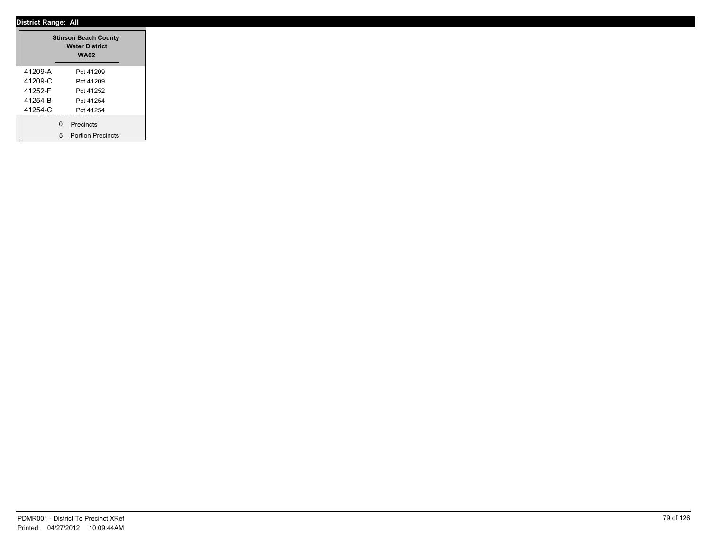|         | <b>Stinson Beach County</b><br><b>Water District</b><br><b>WA02</b> |
|---------|---------------------------------------------------------------------|
| 41209-A | Pct 41209                                                           |
| 41209-C | Pct 41209                                                           |
| 41252-F | Pct 41252                                                           |
| 41254-B | Pct 41254                                                           |
| 41254-C | Pct 41254                                                           |
|         | ------------------<br>0 Precincts<br>5 Portion Precincts            |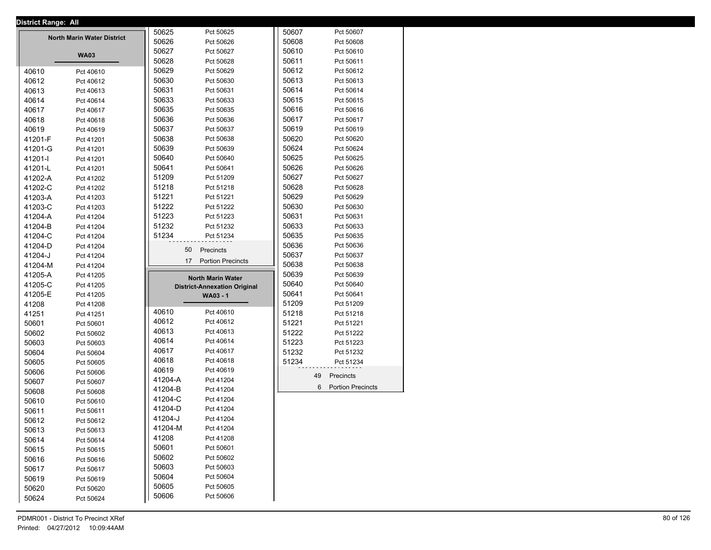|         | <b>District Range: All</b>        |         |                                     |       |                     |
|---------|-----------------------------------|---------|-------------------------------------|-------|---------------------|
|         |                                   | 50625   | Pct 50625                           | 50607 | Pct 50607           |
|         | <b>North Marin Water District</b> | 50626   | Pct 50626                           | 50608 | Pct 50608           |
|         |                                   | 50627   | Pct 50627                           | 50610 | Pct 50610           |
|         | <b>WA03</b>                       | 50628   | Pct 50628                           | 50611 | Pct 50611           |
| 40610   | Pct 40610                         | 50629   | Pct 50629                           | 50612 | Pct 50612           |
| 40612   | Pct 40612                         | 50630   | Pct 50630                           | 50613 | Pct 50613           |
| 40613   | Pct 40613                         | 50631   | Pct 50631                           | 50614 | Pct 50614           |
| 40614   | Pct 40614                         | 50633   | Pct 50633                           | 50615 | Pct 50615           |
| 40617   | Pct 40617                         | 50635   | Pct 50635                           | 50616 | Pct 50616           |
| 40618   | Pct 40618                         | 50636   | Pct 50636                           | 50617 | Pct 50617           |
| 40619   | Pct 40619                         | 50637   | Pct 50637                           | 50619 | Pct 50619           |
| 41201-F | Pct 41201                         | 50638   | Pct 50638                           | 50620 | Pct 50620           |
| 41201-G | Pct 41201                         | 50639   | Pct 50639                           | 50624 | Pct 50624           |
|         |                                   | 50640   | Pct 50640                           | 50625 | Pct 50625           |
| 41201-l | Pct 41201                         |         |                                     |       |                     |
| 41201-L | Pct 41201                         | 50641   | Pct 50641                           | 50626 | Pct 50626           |
| 41202-A | Pct 41202                         | 51209   | Pct 51209                           | 50627 | Pct 50627           |
| 41202-C | Pct 41202                         | 51218   | Pct 51218                           | 50628 | Pct 50628           |
| 41203-A | Pct 41203                         | 51221   | Pct 51221                           | 50629 | Pct 50629           |
| 41203-C | Pct 41203                         | 51222   | Pct 51222                           | 50630 | Pct 50630           |
| 41204-A | Pct 41204                         | 51223   | Pct 51223                           | 50631 | Pct 50631           |
| 41204-B | Pct 41204                         | 51232   | Pct 51232                           | 50633 | Pct 50633           |
| 41204-C | Pct 41204                         | 51234   | Pct 51234                           | 50635 | Pct 50635           |
| 41204-D | Pct 41204                         |         | 50<br>Precincts                     | 50636 | Pct 50636           |
| 41204-J | Pct 41204                         |         |                                     | 50637 | Pct 50637           |
| 41204-M | Pct 41204                         |         | 17 Portion Precincts                | 50638 | Pct 50638           |
| 41205-A | Pct 41205                         |         | <b>North Marin Water</b>            | 50639 | Pct 50639           |
| 41205-C | Pct 41205                         |         | <b>District-Annexation Original</b> | 50640 | Pct 50640           |
| 41205-E | Pct 41205                         |         | WA03 - 1                            | 50641 | Pct 50641           |
| 41208   | Pct 41208                         |         |                                     | 51209 | Pct 51209           |
| 41251   | Pct 41251                         | 40610   | Pct 40610                           | 51218 | Pct 51218           |
| 50601   | Pct 50601                         | 40612   | Pct 40612                           | 51221 | Pct 51221           |
| 50602   | Pct 50602                         | 40613   | Pct 40613                           | 51222 | Pct 51222           |
| 50603   |                                   | 40614   | Pct 40614                           | 51223 | Pct 51223           |
|         | Pct 50603                         | 40617   | Pct 40617                           | 51232 | Pct 51232           |
| 50604   | Pct 50604                         | 40618   | Pct 40618                           |       |                     |
| 50605   | Pct 50605                         | 40619   |                                     | 51234 | Pct 51234           |
| 50606   | Pct 50606                         |         | Pct 40619                           |       | 49<br>Precincts     |
| 50607   | Pct 50607                         | 41204-A | Pct 41204                           |       | 6 Portion Precincts |
| 50608   | Pct 50608                         | 41204-B | Pct 41204                           |       |                     |
| 50610   | Pct 50610                         | 41204-C | Pct 41204                           |       |                     |
| 50611   | Pct 50611                         | 41204-D | Pct 41204                           |       |                     |
| 50612   | Pct 50612                         | 41204-J | Pct 41204                           |       |                     |
| 50613   | Pct 50613                         | 41204-M | Pct 41204                           |       |                     |
| 50614   | Pct 50614                         | 41208   | Pct 41208                           |       |                     |
| 50615   | Pct 50615                         | 50601   | Pct 50601                           |       |                     |
| 50616   | Pct 50616                         | 50602   | Pct 50602                           |       |                     |
| 50617   | Pct 50617                         | 50603   | Pct 50603                           |       |                     |
| 50619   | Pct 50619                         | 50604   | Pct 50604                           |       |                     |
| 50620   | Pct 50620                         | 50605   | Pct 50605                           |       |                     |
|         |                                   | 50606   | Pct 50606                           |       |                     |
| 50624   | Pct 50624                         |         |                                     |       |                     |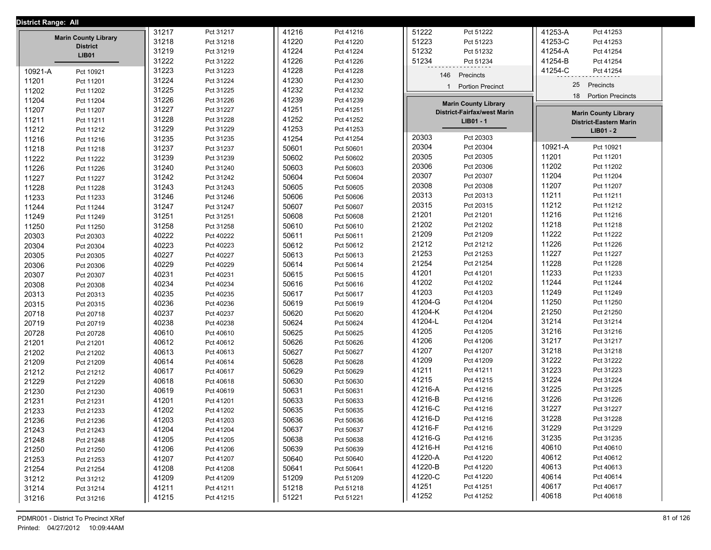| District Range: All |                                                |       |           |       |           |              |                                    |         |                               |
|---------------------|------------------------------------------------|-------|-----------|-------|-----------|--------------|------------------------------------|---------|-------------------------------|
|                     |                                                | 31217 | Pct 31217 | 41216 | Pct 41216 | 51222        | Pct 51222                          | 41253-A | Pct 41253                     |
|                     | <b>Marin County Library</b><br><b>District</b> | 31218 | Pct 31218 | 41220 | Pct 41220 | 51223        | Pct 51223                          | 41253-C | Pct 41253                     |
|                     | <b>LIB01</b>                                   | 31219 | Pct 31219 | 41224 | Pct 41224 | 51232        | Pct 51232                          | 41254-A | Pct 41254                     |
|                     |                                                | 31222 | Pct 31222 | 41226 | Pct 41226 | 51234        | Pct 51234                          | 41254-B | Pct 41254                     |
| 10921-A             | Pct 10921                                      | 31223 | Pct 31223 | 41228 | Pct 41228 | 146          | Precincts                          | 41254-C | Pct 41254                     |
| 11201               | Pct 11201                                      | 31224 | Pct 31224 | 41230 | Pct 41230 |              |                                    | 25      | Precincts                     |
| 11202               | Pct 11202                                      | 31225 | Pct 31225 | 41232 | Pct 41232 | $\mathbf{1}$ | <b>Portion Precinct</b>            | 18      |                               |
| 11204               | Pct 11204                                      | 31226 | Pct 31226 | 41239 | Pct 41239 |              | <b>Marin County Library</b>        |         | <b>Portion Precincts</b>      |
| 11207               | Pct 11207                                      | 31227 | Pct 31227 | 41251 | Pct 41251 |              | <b>District-Fairfax/west Marin</b> |         | <b>Marin County Library</b>   |
| 11211               | Pct 11211                                      | 31228 | Pct 31228 | 41252 | Pct 41252 |              | LIB01 - 1                          |         | <b>District-Eastern Marin</b> |
| 11212               | Pct 11212                                      | 31229 | Pct 31229 | 41253 | Pct 41253 |              |                                    |         | LIB01 - 2                     |
| 11216               | Pct 11216                                      | 31235 | Pct 31235 | 41254 | Pct 41254 | 20303        | Pct 20303                          |         |                               |
| 11218               | Pct 11218                                      | 31237 | Pct 31237 | 50601 | Pct 50601 | 20304        | Pct 20304                          | 10921-A | Pct 10921                     |
| 11222               | Pct 11222                                      | 31239 | Pct 31239 | 50602 | Pct 50602 | 20305        | Pct 20305                          | 11201   | Pct 11201                     |
| 11226               | Pct 11226                                      | 31240 | Pct 31240 | 50603 | Pct 50603 | 20306        | Pct 20306                          | 11202   | Pct 11202                     |
| 11227               | Pct 11227                                      | 31242 | Pct 31242 | 50604 | Pct 50604 | 20307        | Pct 20307                          | 11204   | Pct 11204                     |
| 11228               | Pct 11228                                      | 31243 | Pct 31243 | 50605 | Pct 50605 | 20308        | Pct 20308                          | 11207   | Pct 11207                     |
| 11233               | Pct 11233                                      | 31246 | Pct 31246 | 50606 | Pct 50606 | 20313        | Pct 20313                          | 11211   | Pct 11211                     |
| 11244               | Pct 11244                                      | 31247 | Pct 31247 | 50607 | Pct 50607 | 20315        | Pct 20315                          | 11212   | Pct 11212                     |
| 11249               | Pct 11249                                      | 31251 | Pct 31251 | 50608 | Pct 50608 | 21201        | Pct 21201                          | 11216   | Pct 11216                     |
| 11250               | Pct 11250                                      | 31258 | Pct 31258 | 50610 | Pct 50610 | 21202        | Pct 21202                          | 11218   | Pct 11218                     |
| 20303               | Pct 20303                                      | 40222 | Pct 40222 | 50611 | Pct 50611 | 21209        | Pct 21209                          | 11222   | Pct 11222                     |
| 20304               | Pct 20304                                      | 40223 | Pct 40223 | 50612 | Pct 50612 | 21212        | Pct 21212                          | 11226   | Pct 11226                     |
| 20305               | Pct 20305                                      | 40227 | Pct 40227 | 50613 | Pct 50613 | 21253        | Pct 21253                          | 11227   | Pct 11227                     |
| 20306               | Pct 20306                                      | 40229 | Pct 40229 | 50614 | Pct 50614 | 21254        | Pct 21254                          | 11228   | Pct 11228                     |
| 20307               | Pct 20307                                      | 40231 | Pct 40231 | 50615 | Pct 50615 | 41201        | Pct 41201                          | 11233   | Pct 11233                     |
| 20308               | Pct 20308                                      | 40234 | Pct 40234 | 50616 | Pct 50616 | 41202        | Pct 41202                          | 11244   | Pct 11244                     |
| 20313               | Pct 20313                                      | 40235 | Pct 40235 | 50617 | Pct 50617 | 41203        | Pct 41203                          | 11249   | Pct 11249                     |
| 20315               | Pct 20315                                      | 40236 | Pct 40236 | 50619 | Pct 50619 | 41204-G      | Pct 41204                          | 11250   | Pct 11250                     |
| 20718               | Pct 20718                                      | 40237 | Pct 40237 | 50620 | Pct 50620 | 41204-K      | Pct 41204                          | 21250   | Pct 21250                     |
| 20719               | Pct 20719                                      | 40238 | Pct 40238 | 50624 | Pct 50624 | 41204-L      | Pct 41204                          | 31214   | Pct 31214                     |
| 20728               | Pct 20728                                      | 40610 | Pct 40610 | 50625 | Pct 50625 | 41205        | Pct 41205                          | 31216   | Pct 31216                     |
| 21201               | Pct 21201                                      | 40612 | Pct 40612 | 50626 | Pct 50626 | 41206        | Pct 41206                          | 31217   | Pct 31217                     |
| 21202               | Pct 21202                                      | 40613 | Pct 40613 | 50627 | Pct 50627 | 41207        | Pct 41207                          | 31218   | Pct 31218                     |
| 21209               | Pct 21209                                      | 40614 | Pct 40614 | 50628 | Pct 50628 | 41209        | Pct 41209                          | 31222   | Pct 31222                     |
| 21212               | Pct 21212                                      | 40617 | Pct 40617 | 50629 | Pct 50629 | 41211        | Pct 41211                          | 31223   | Pct 31223                     |
| 21229               | Pct 21229                                      | 40618 | Pct 40618 | 50630 | Pct 50630 | 41215        | Pct 41215                          | 31224   | Pct 31224                     |
| 21230               | Pct 21230                                      | 40619 | Pct 40619 | 50631 | Pct 50631 | 41216-A      | Pct 41216                          | 31225   | Pct 31225                     |
| 21231               | Pct 21231                                      | 41201 | Pct 41201 | 50633 | Pct 50633 | 41216-B      | Pct 41216                          | 31226   | Pct 31226                     |
| 21233               | Pct 21233                                      | 41202 | Pct 41202 | 50635 | Pct 50635 | 41216-C      | Pct 41216                          | 31227   | Pct 31227                     |
| 21236               | Pct 21236                                      | 41203 | Pct 41203 | 50636 | Pct 50636 | 41216-D      | Pct 41216                          | 31228   | Pct 31228                     |
| 21243               | Pct 21243                                      | 41204 | Pct 41204 | 50637 | Pct 50637 | 41216-F      | Pct 41216                          | 31229   | Pct 31229                     |
| 21248               | Pct 21248                                      | 41205 | Pct 41205 | 50638 | Pct 50638 | 41216-G      | Pct 41216                          | 31235   | Pct 31235                     |
| 21250               | Pct 21250                                      | 41206 | Pct 41206 | 50639 | Pct 50639 | 41216-H      | Pct 41216                          | 40610   | Pct 40610                     |
| 21253               | Pct 21253                                      | 41207 | Pct 41207 | 50640 | Pct 50640 | 41220-A      | Pct 41220                          | 40612   | Pct 40612                     |
| 21254               | Pct 21254                                      | 41208 | Pct 41208 | 50641 | Pct 50641 | 41220-B      | Pct 41220                          | 40613   | Pct 40613                     |
| 31212               | Pct 31212                                      | 41209 | Pct 41209 | 51209 | Pct 51209 | 41220-C      | Pct 41220                          | 40614   | Pct 40614                     |
| 31214               | Pct 31214                                      | 41211 | Pct 41211 | 51218 | Pct 51218 | 41251        | Pct 41251                          | 40617   | Pct 40617                     |
| 31216               | Pct 31216                                      | 41215 | Pct 41215 | 51221 | Pct 51221 | 41252        | Pct 41252                          | 40618   | Pct 40618                     |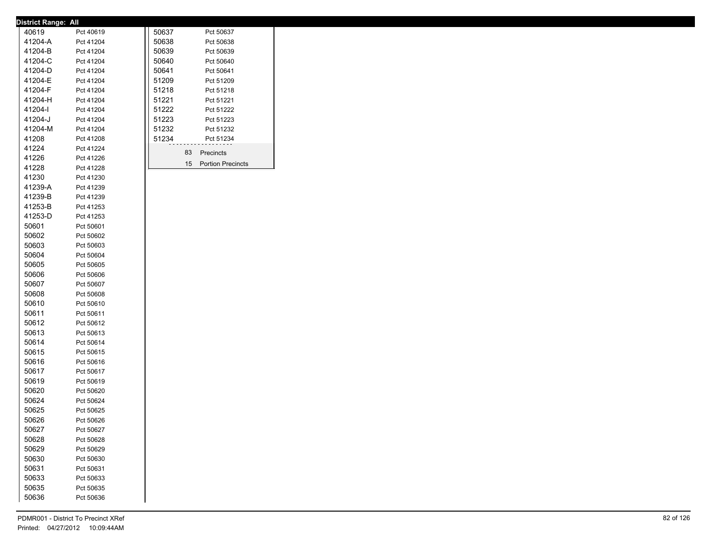| District Range: All |           |       |    |                   |
|---------------------|-----------|-------|----|-------------------|
| 40619               | Pct 40619 | 50637 |    | Pct 50637         |
| 41204-A             | Pct 41204 | 50638 |    | Pct 50638         |
| 41204-B             | Pct 41204 | 50639 |    | Pct 50639         |
| 41204-C             | Pct 41204 | 50640 |    | Pct 50640         |
| 41204-D             | Pct 41204 | 50641 |    | Pct 50641         |
| 41204-E             | Pct 41204 | 51209 |    | Pct 51209         |
| 41204-F             | Pct 41204 | 51218 |    | Pct 51218         |
| 41204-H             | Pct 41204 | 51221 |    | Pct 51221         |
| 41204-l             | Pct 41204 | 51222 |    | Pct 51222         |
| 41204-J             | Pct 41204 | 51223 |    | Pct 51223         |
| 41204-M             | Pct 41204 | 51232 |    | Pct 51232         |
| 41208               | Pct 41208 | 51234 |    | Pct 51234         |
| 41224               | Pct 41224 |       |    |                   |
| 41226               | Pct 41226 |       | 83 | Precincts         |
| 41228               | Pct 41228 |       | 15 | Portion Precincts |
| 41230               | Pct 41230 |       |    |                   |
| 41239-A             | Pct 41239 |       |    |                   |
| 41239-B             | Pct 41239 |       |    |                   |
| 41253-B             | Pct 41253 |       |    |                   |
| 41253-D             | Pct 41253 |       |    |                   |
| 50601               | Pct 50601 |       |    |                   |
| 50602               | Pct 50602 |       |    |                   |
| 50603               | Pct 50603 |       |    |                   |
| 50604               | Pct 50604 |       |    |                   |
| 50605               | Pct 50605 |       |    |                   |
| 50606               | Pct 50606 |       |    |                   |
| 50607               | Pct 50607 |       |    |                   |
| 50608               | Pct 50608 |       |    |                   |
| 50610               | Pct 50610 |       |    |                   |
| 50611               | Pct 50611 |       |    |                   |
| 50612               | Pct 50612 |       |    |                   |
| 50613               | Pct 50613 |       |    |                   |
| 50614               | Pct 50614 |       |    |                   |
| 50615               | Pct 50615 |       |    |                   |
| 50616               | Pct 50616 |       |    |                   |
| 50617               | Pct 50617 |       |    |                   |
| 50619               | Pct 50619 |       |    |                   |
| 50620               | Pct 50620 |       |    |                   |
| 50624               | Pct 50624 |       |    |                   |
| 50625               | Pct 50625 |       |    |                   |
| 50626               | Pct 50626 |       |    |                   |
| 50627               | Pct 50627 |       |    |                   |
| 50628               | Pct 50628 |       |    |                   |
| 50629               | Pct 50629 |       |    |                   |
| 50630               | Pct 50630 |       |    |                   |
| 50631               | Pct 50631 |       |    |                   |
| 50633               | Pct 50633 |       |    |                   |
| 50635               | Pct 50635 |       |    |                   |
| 50636               | Pct 50636 |       |    |                   |
|                     |           |       |    |                   |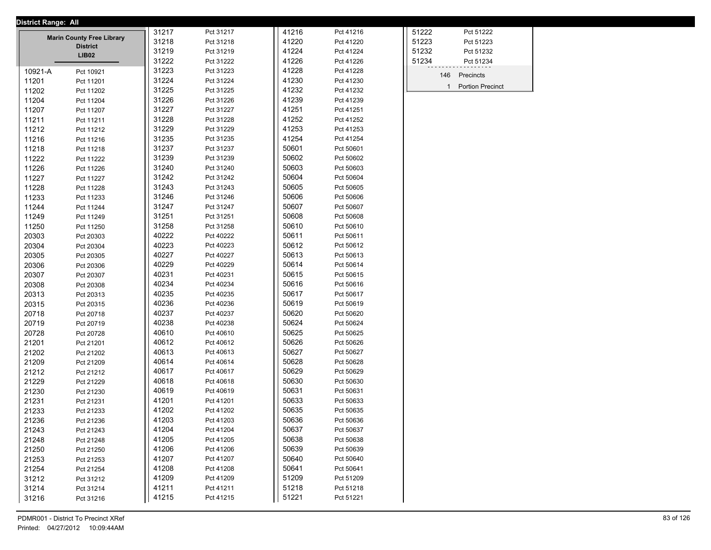| District Range: All |                                                     |       |           |       |           |                                           |
|---------------------|-----------------------------------------------------|-------|-----------|-------|-----------|-------------------------------------------|
|                     |                                                     | 31217 | Pct 31217 | 41216 | Pct 41216 | 51222<br>Pct 51222                        |
|                     | <b>Marin County Free Library</b><br><b>District</b> | 31218 | Pct 31218 | 41220 | Pct 41220 | 51223<br>Pct 51223                        |
|                     | <b>LIB02</b>                                        | 31219 | Pct 31219 | 41224 | Pct 41224 | 51232<br>Pct 51232                        |
|                     |                                                     | 31222 | Pct 31222 | 41226 | Pct 41226 | 51234<br>Pct 51234                        |
| 10921-A             | Pct 10921                                           | 31223 | Pct 31223 | 41228 | Pct 41228 | 146<br>Precincts                          |
| 11201               | Pct 11201                                           | 31224 | Pct 31224 | 41230 | Pct 41230 |                                           |
| 11202               | Pct 11202                                           | 31225 | Pct 31225 | 41232 | Pct 41232 | <b>Portion Precinct</b><br>$\overline{1}$ |
| 11204               | Pct 11204                                           | 31226 | Pct 31226 | 41239 | Pct 41239 |                                           |
| 11207               | Pct 11207                                           | 31227 | Pct 31227 | 41251 | Pct 41251 |                                           |
| 11211               | Pct 11211                                           | 31228 | Pct 31228 | 41252 | Pct 41252 |                                           |
| 11212               | Pct 11212                                           | 31229 | Pct 31229 | 41253 | Pct 41253 |                                           |
| 11216               | Pct 11216                                           | 31235 | Pct 31235 | 41254 | Pct 41254 |                                           |
| 11218               | Pct 11218                                           | 31237 | Pct 31237 | 50601 | Pct 50601 |                                           |
| 11222               | Pct 11222                                           | 31239 | Pct 31239 | 50602 | Pct 50602 |                                           |
| 11226               | Pct 11226                                           | 31240 | Pct 31240 | 50603 | Pct 50603 |                                           |
| 11227               | Pct 11227                                           | 31242 | Pct 31242 | 50604 | Pct 50604 |                                           |
| 11228               | Pct 11228                                           | 31243 | Pct 31243 | 50605 | Pct 50605 |                                           |
| 11233               | Pct 11233                                           | 31246 | Pct 31246 | 50606 | Pct 50606 |                                           |
| 11244               | Pct 11244                                           | 31247 | Pct 31247 | 50607 | Pct 50607 |                                           |
| 11249               | Pct 11249                                           | 31251 | Pct 31251 | 50608 | Pct 50608 |                                           |
| 11250               | Pct 11250                                           | 31258 | Pct 31258 | 50610 | Pct 50610 |                                           |
| 20303               | Pct 20303                                           | 40222 | Pct 40222 | 50611 | Pct 50611 |                                           |
| 20304               | Pct 20304                                           | 40223 | Pct 40223 | 50612 | Pct 50612 |                                           |
| 20305               | Pct 20305                                           | 40227 | Pct 40227 | 50613 | Pct 50613 |                                           |
| 20306               | Pct 20306                                           | 40229 | Pct 40229 | 50614 | Pct 50614 |                                           |
| 20307               | Pct 20307                                           | 40231 | Pct 40231 | 50615 | Pct 50615 |                                           |
| 20308               | Pct 20308                                           | 40234 | Pct 40234 | 50616 | Pct 50616 |                                           |
| 20313               | Pct 20313                                           | 40235 | Pct 40235 | 50617 | Pct 50617 |                                           |
| 20315               | Pct 20315                                           | 40236 | Pct 40236 | 50619 | Pct 50619 |                                           |
| 20718               | Pct 20718                                           | 40237 | Pct 40237 | 50620 | Pct 50620 |                                           |
| 20719               | Pct 20719                                           | 40238 | Pct 40238 | 50624 | Pct 50624 |                                           |
| 20728               | Pct 20728                                           | 40610 | Pct 40610 | 50625 | Pct 50625 |                                           |
| 21201               | Pct 21201                                           | 40612 | Pct 40612 | 50626 | Pct 50626 |                                           |
| 21202               | Pct 21202                                           | 40613 | Pct 40613 | 50627 | Pct 50627 |                                           |
| 21209               | Pct 21209                                           | 40614 | Pct 40614 | 50628 | Pct 50628 |                                           |
| 21212               | Pct 21212                                           | 40617 | Pct 40617 | 50629 | Pct 50629 |                                           |
| 21229               | Pct 21229                                           | 40618 | Pct 40618 | 50630 | Pct 50630 |                                           |
| 21230               | Pct 21230                                           | 40619 | Pct 40619 | 50631 | Pct 50631 |                                           |
| 21231               | Pct 21231                                           | 41201 | Pct 41201 | 50633 | Pct 50633 |                                           |
| 21233               | Pct 21233                                           | 41202 | Pct 41202 | 50635 | Pct 50635 |                                           |
| 21236               | Pct 21236                                           | 41203 | Pct 41203 | 50636 | Pct 50636 |                                           |
| 21243               | Pct 21243                                           | 41204 | Pct 41204 | 50637 | Pct 50637 |                                           |
| 21248               | Pct 21248                                           | 41205 | Pct 41205 | 50638 | Pct 50638 |                                           |
| 21250               | Pct 21250                                           | 41206 | Pct 41206 | 50639 | Pct 50639 |                                           |
| 21253               | Pct 21253                                           | 41207 | Pct 41207 | 50640 | Pct 50640 |                                           |
| 21254               | Pct 21254                                           | 41208 | Pct 41208 | 50641 | Pct 50641 |                                           |
| 31212               | Pct 31212                                           | 41209 | Pct 41209 | 51209 | Pct 51209 |                                           |
| 31214               | Pct 31214                                           | 41211 | Pct 41211 | 51218 | Pct 51218 |                                           |
| 31216               | Pct 31216                                           | 41215 | Pct 41215 | 51221 | Pct 51221 |                                           |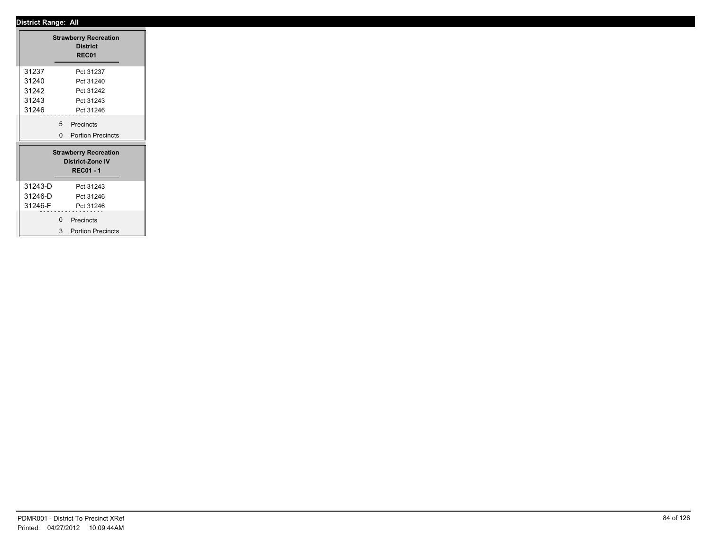┓

|         |             | <b>Strawberry Recreation</b><br><b>District</b><br>REC01                    |
|---------|-------------|-----------------------------------------------------------------------------|
| 31237   |             | Pct 31237                                                                   |
| 31240   |             | Pct 31240                                                                   |
| 31242   |             | Pct 31242                                                                   |
| 31243   |             | Pct 31243                                                                   |
| 31246   |             | Pct 31246                                                                   |
|         |             | 5 Precincts                                                                 |
|         |             | 0 Portion Precincts                                                         |
|         |             | <b>Strawberry Recreation</b><br><b>District-Zone IV</b><br><b>REC01 - 1</b> |
| 31243-D |             | Pct 31243                                                                   |
| 31246-D |             | Pct 31246                                                                   |
| 31246-F |             | Pct 31246                                                                   |
|         | $\mathbf 0$ | Precincts                                                                   |
|         | 3           | <b>Portion Precincts</b>                                                    |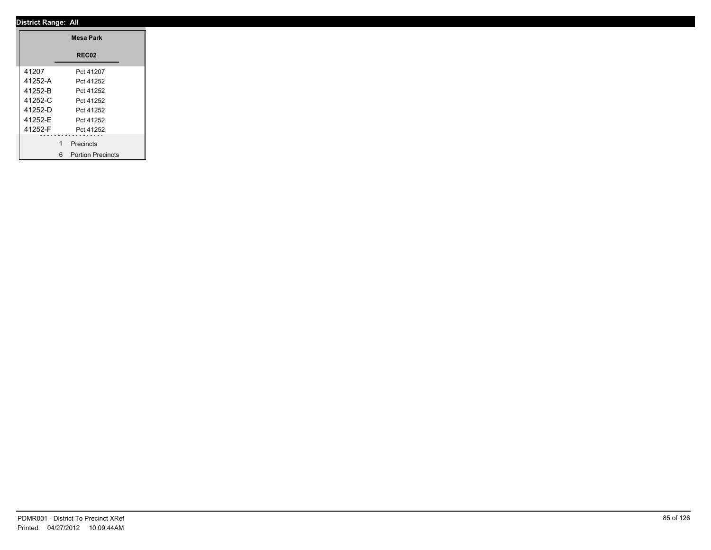|         | <b>Mesa Park</b>    |
|---------|---------------------|
|         | REC02               |
| 41207   | Pct 41207           |
| 41252-A | Pct 41252           |
| 41252-B | Pct 41252           |
| 41252-C | Pct 41252           |
| 41252-D | Pct 41252           |
| 41252-E | Pct 41252           |
| 41252-F | Pct 41252           |
|         | Precincts           |
|         |                     |
|         | 6 Portion Precincts |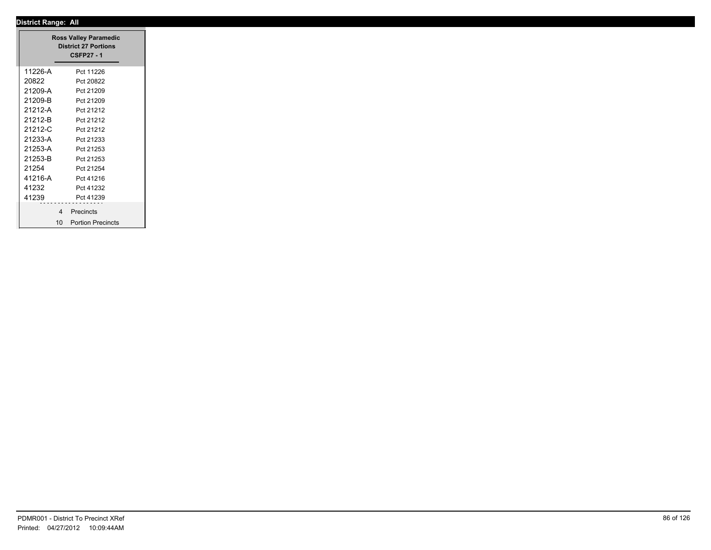|         | <b>Ross Valley Paramedic</b><br><b>District 27 Portions</b><br><b>CSFP27 - 1</b> |
|---------|----------------------------------------------------------------------------------|
| 11226-A | Pct 11226                                                                        |
| 20822   | Pct 20822                                                                        |
| 21209-A | Pct 21209                                                                        |
| 21209-B | Pct 21209                                                                        |
| 21212-A | Pct 21212                                                                        |
| 21212-B | Pct 21212                                                                        |
| 21212-C | Pct 21212                                                                        |
| 21233-A | Pct 21233                                                                        |
| 21253-A | Pct 21253                                                                        |
| 21253-B | Pct 21253                                                                        |
| 21254   | Pct 21254                                                                        |
| 41216-A | Pct 41216                                                                        |
| 41232   | Pct 41232                                                                        |
| 41239   | Pct 41239                                                                        |
|         | 4 Precincts                                                                      |
|         | 10 Portion Precincts                                                             |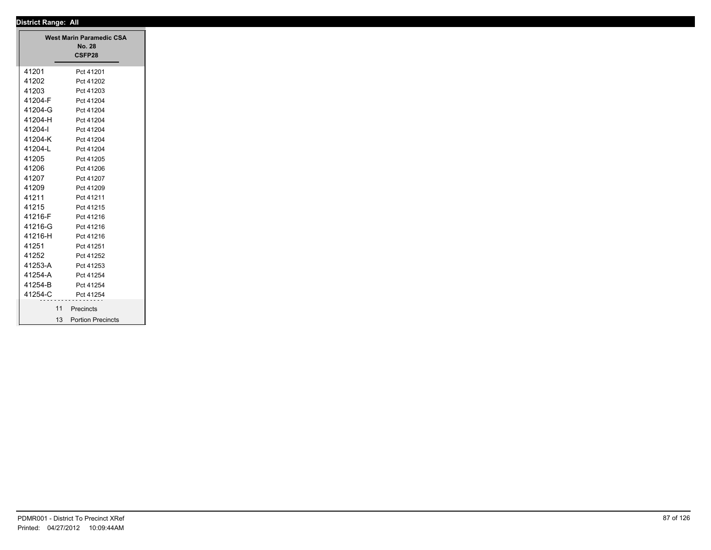| <b>District Range: All</b> |                                 |
|----------------------------|---------------------------------|
|                            | <b>West Marin Paramedic CSA</b> |
|                            | <b>No. 28</b>                   |
|                            | CSFP28                          |
| 41201                      | Pct 41201                       |
| 41202                      | Pct 41202                       |
| 41203                      | Pct 41203                       |
| 41204-F                    | Pct 41204                       |
| 41204-G                    | Pct 41204                       |
| 41204-H                    | Pct 41204                       |
| 41204-l                    | Pct 41204                       |
| 41204-K                    | Pct 41204                       |
| 41204-L                    | Pct 41204                       |
| 41205                      | Pct 41205                       |
| 41206                      | Pct 41206                       |
| 41207                      | Pct 41207                       |
| 41209                      | Pct 41209                       |
| 41211                      | Pct 41211                       |
| 41215                      | Pct 41215                       |
| 41216-F                    | Pct 41216                       |
| 41216-G                    | Pct 41216                       |
| 41216-H                    | Pct 41216                       |
| 41251                      | Pct 41251                       |
| 41252                      | Pct 41252                       |
| 41253-A                    | Pct 41253                       |
| 41254-A                    | Pct 41254                       |
| 41254-B                    | Pct 41254                       |
| 41254-C                    | Pct 41254                       |
|                            | 11 Precincts                    |
|                            | 13 Portion Precincts            |
|                            |                                 |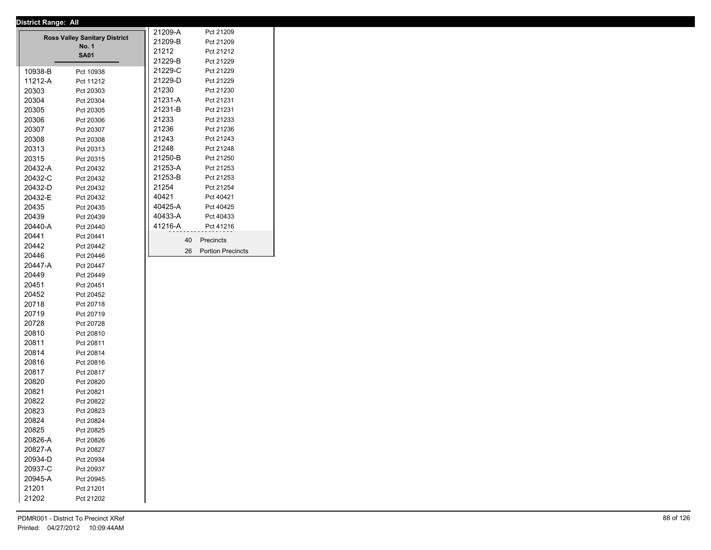|         |                                      | 21209-A | Pct 21209                |
|---------|--------------------------------------|---------|--------------------------|
|         | <b>Ross Valley Sanitary District</b> | 21209-B | Pct 21209                |
|         | <b>No. 1</b><br><b>SA01</b>          | 21212   | Pct 21212                |
|         |                                      | 21229-B | Pct 21229                |
| 10938-B | Pct 10938                            | 21229-C | Pct 21229                |
| 11212-A | Pct 11212                            | 21229-D | Pct 21229                |
| 20303   | Pct 20303                            | 21230   | Pct 21230                |
| 20304   | Pct 20304                            | 21231-A | Pct 21231                |
| 20305   | Pct 20305                            | 21231-B | Pct 21231                |
| 20306   | Pct 20306                            | 21233   | Pct 21233                |
| 20307   | Pct 20307                            | 21236   | Pct 21236                |
| 20308   | Pct 20308                            | 21243   | Pct 21243                |
| 20313   | Pct 20313                            | 21248   | Pct 21248                |
| 20315   | Pct 20315                            | 21250-B | Pct 21250                |
| 20432-A | Pct 20432                            | 21253-A | Pct 21253                |
| 20432-C | Pct 20432                            | 21253-B | Pct 21253                |
| 20432-D | Pct 20432                            | 21254   | Pct 21254                |
| 20432-E | Pct 20432                            | 40421   | Pct 40421                |
| 20435   | Pct 20435                            | 40425-A | Pct 40425                |
| 20439   | Pct 20439                            | 40433-A | Pct 40433                |
| 20440-A | Pct 20440                            | 41216-A | Pct 41216                |
| 20441   | Pct 20441                            |         |                          |
| 20442   | Pct 20442                            | 40      | Precincts                |
| 20446   | Pct 20446                            | 26      | <b>Portion Precincts</b> |
| 20447-A | Pct 20447                            |         |                          |
| 20449   | Pct 20449                            |         |                          |
| 20451   | Pct 20451                            |         |                          |
| 20452   | Pct 20452                            |         |                          |
| 20718   | Pct 20718                            |         |                          |
| 20719   | Pct 20719                            |         |                          |
| 20728   | Pct 20728                            |         |                          |
| 20810   | Pct 20810                            |         |                          |
| 20811   | Pct 20811                            |         |                          |
| 20814   | Pct 20814                            |         |                          |
| 20816   | Pct 20816                            |         |                          |
| 20817   | Pct 20817                            |         |                          |
| 20820   | Pct 20820                            |         |                          |
| 20821   | Pct 20821                            |         |                          |
| 20822   | Pct 20822                            |         |                          |
| 20823   | Pct 20823                            |         |                          |
| 20824   | Pct 20824                            |         |                          |
| 20825   | Pct 20825                            |         |                          |
| 20826-A | Pct 20826                            |         |                          |
| 20827-A | Pct 20827                            |         |                          |
| 20934-D | Pct 20934                            |         |                          |
| 20937-C | Pct 20937                            |         |                          |
| 20945-A | Pct 20945                            |         |                          |
| 21201   | Pct 21201                            |         |                          |
| 21202   | Pct 21202                            |         |                          |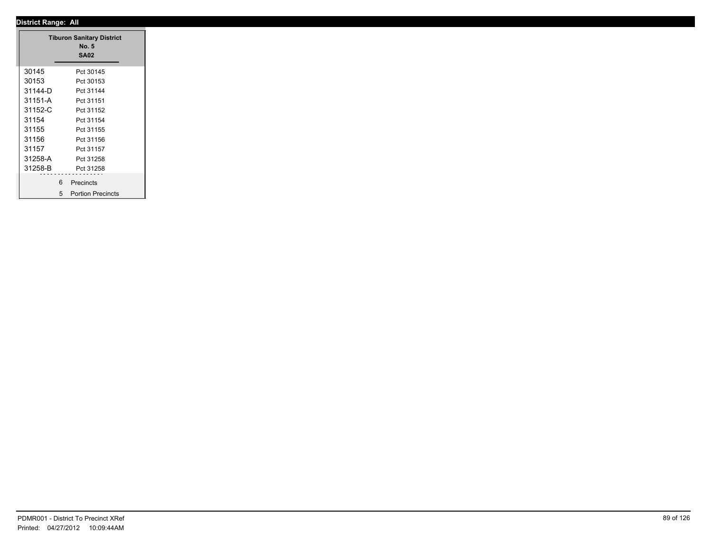### **District Range: All SA02 Tiburon Sanitary District No. 5** 30145 Pct 30145<br>30153 Pct 30153 30153 Pct 30153 31144-D Pct 31144 31151-A Pct 31151 31152-C Pct 31152 31154 Pct 31154 31155 Pct 31155 31156 Pct 31156 31157 Pct 31157 31258-A Pct 31258 31258-B Pct 31258 6 Precincts 5 Portion Precincts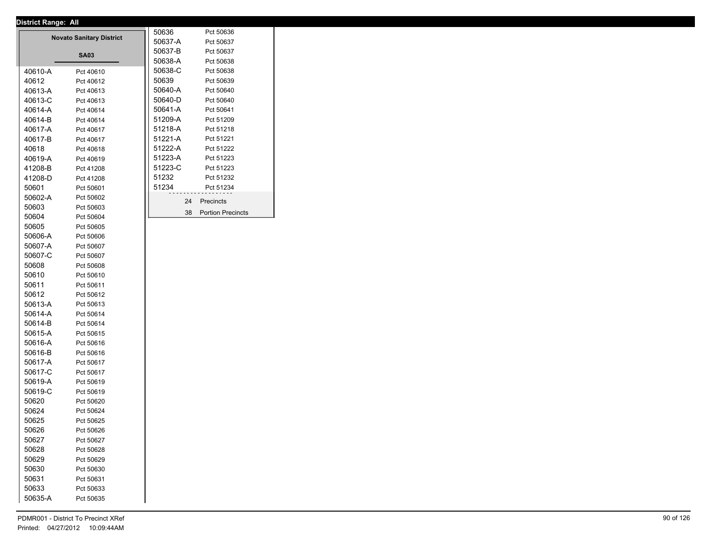|         | <b>Novato Sanitary District</b> | 50636   |    | Pct 50636                |
|---------|---------------------------------|---------|----|--------------------------|
|         |                                 | 50637-A |    | Pct 50637                |
|         | <b>SA03</b>                     | 50637-B |    | Pct 50637                |
|         |                                 | 50638-A |    | Pct 50638                |
| 40610-A | Pct 40610                       | 50638-C |    | Pct 50638                |
| 40612   | Pct 40612                       | 50639   |    | Pct 50639                |
| 40613-A | Pct 40613                       | 50640-A |    | Pct 50640                |
| 40613-C | Pct 40613                       | 50640-D |    | Pct 50640                |
| 40614-A | Pct 40614                       | 50641-A |    | Pct 50641                |
| 40614-B | Pct 40614                       | 51209-A |    | Pct 51209                |
| 40617-A | Pct 40617                       | 51218-A |    | Pct 51218                |
| 40617-B | Pct 40617                       | 51221-A |    | Pct 51221                |
| 40618   | Pct 40618                       | 51222-A |    | Pct 51222                |
| 40619-A | Pct 40619                       | 51223-A |    | Pct 51223                |
| 41208-B | Pct 41208                       | 51223-C |    | Pct 51223                |
| 41208-D | Pct 41208                       | 51232   |    | Pct 51232                |
| 50601   | Pct 50601                       | 51234   |    | Pct 51234                |
| 50602-A | Pct 50602                       |         | 24 | Precincts                |
| 50603   | Pct 50603                       |         |    |                          |
| 50604   | Pct 50604                       |         | 38 | <b>Portion Precincts</b> |
| 50605   | Pct 50605                       |         |    |                          |
| 50606-A | Pct 50606                       |         |    |                          |
| 50607-A | Pct 50607                       |         |    |                          |
| 50607-C | Pct 50607                       |         |    |                          |
| 50608   | Pct 50608                       |         |    |                          |
| 50610   | Pct 50610                       |         |    |                          |
| 50611   | Pct 50611                       |         |    |                          |
| 50612   | Pct 50612                       |         |    |                          |
| 50613-A | Pct 50613                       |         |    |                          |
| 50614-A | Pct 50614                       |         |    |                          |
| 50614-B | Pct 50614                       |         |    |                          |
| 50615-A | Pct 50615                       |         |    |                          |
| 50616-A | Pct 50616                       |         |    |                          |
| 50616-B | Pct 50616                       |         |    |                          |
| 50617-A | Pct 50617                       |         |    |                          |
| 50617-C | Pct 50617                       |         |    |                          |
| 50619-A | Pct 50619                       |         |    |                          |
| 50619-C | Pct 50619                       |         |    |                          |
| 50620   | Pct 50620                       |         |    |                          |
| 50624   | Pct 50624                       |         |    |                          |
| 50625   | Pct 50625                       |         |    |                          |
| 50626   | Pct 50626                       |         |    |                          |
| 50627   | Pct 50627                       |         |    |                          |
| 50628   | Pct 50628                       |         |    |                          |
| 50629   | Pct 50629                       |         |    |                          |
| 50630   | Pct 50630                       |         |    |                          |
| 50631   | Pct 50631                       |         |    |                          |
| 50633   | Pct 50633                       |         |    |                          |
| 50635-A | Pct 50635                       |         |    |                          |
|         |                                 |         |    |                          |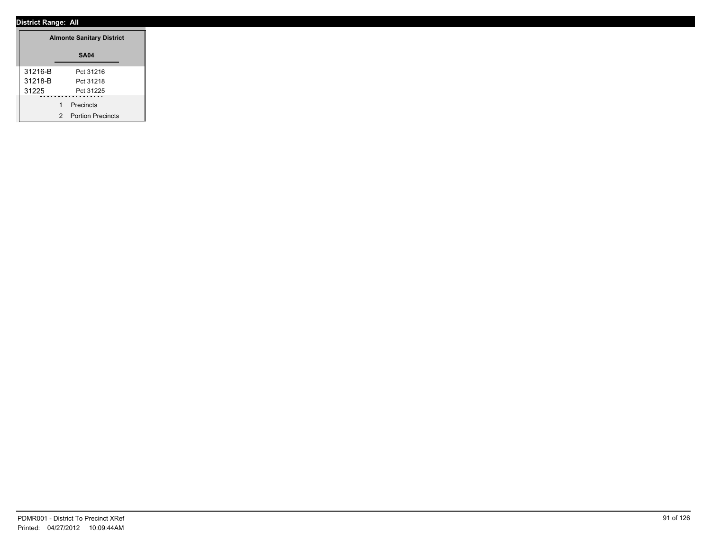|         | <b>Almonte Sanitary District</b> |
|---------|----------------------------------|
|         | <b>SA04</b>                      |
| 31216-B | Pct 31216                        |
| 31218-B | Pct 31218                        |
| 31225   | Pct 31225                        |
|         | Precincts                        |
|         | 2 Portion Precincts              |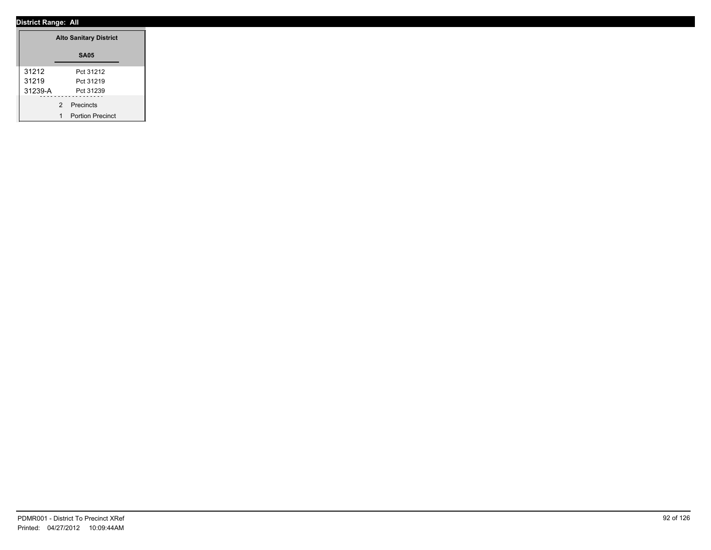|         |             | <b>Alto Sanitary District</b> |
|---------|-------------|-------------------------------|
|         |             | <b>SA05</b>                   |
| 31212   |             | Pct 31212                     |
| 31219   |             | Pct 31219                     |
| 31239-A |             | Pct 31239                     |
|         | 2 Precincts |                               |
|         |             | <b>Portion Precinct</b>       |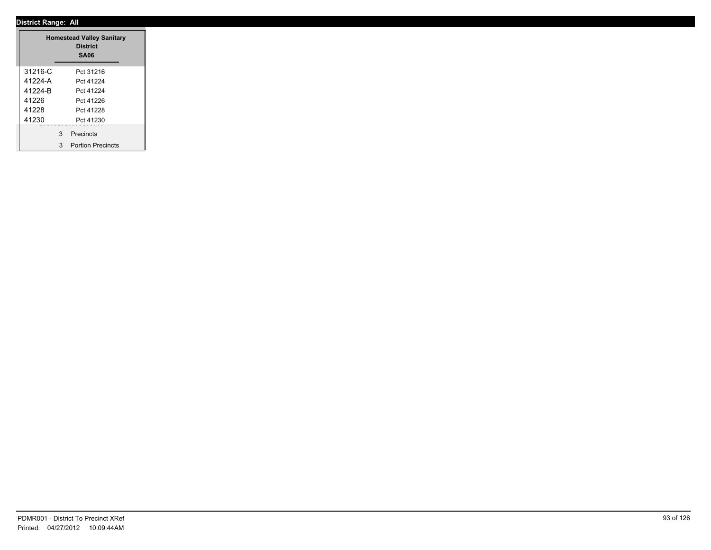|         | <b>Homestead Valley Sanitary</b><br><b>District</b><br><b>SA06</b> |
|---------|--------------------------------------------------------------------|
| 31216-C | Pct 31216                                                          |
| 41224-A | Pct 41224                                                          |
| 41224-B | Pct 41224                                                          |
| 41226   | Pct 41226                                                          |
| 41228   | Pct 41228                                                          |
| 41230   | Pct 41230                                                          |
|         | 3 Precincts                                                        |
|         | 3 Portion Precincts                                                |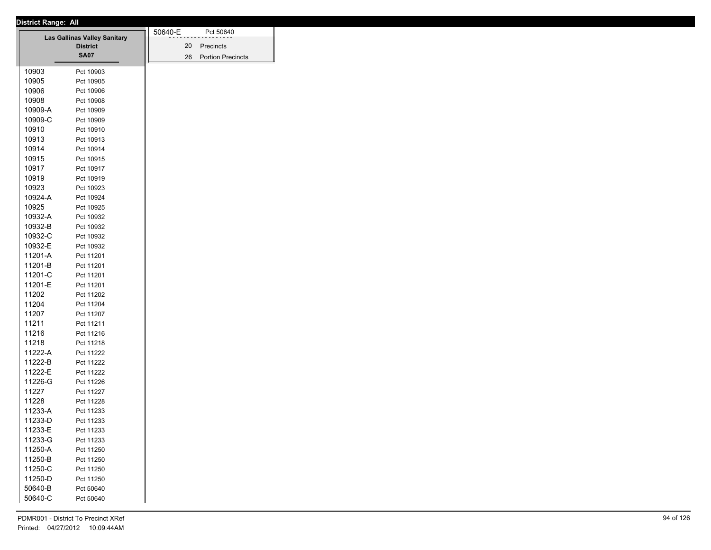| District Range: All |                                     |         |                      |
|---------------------|-------------------------------------|---------|----------------------|
|                     | <b>Las Gallinas Valley Sanitary</b> | 50640-E | Pct 50640            |
|                     | <b>District</b>                     |         | 20 Precincts         |
|                     | <b>SA07</b>                         |         | 26 Portion Precincts |
|                     |                                     |         |                      |
| 10903               | Pct 10903                           |         |                      |
| 10905               | Pct 10905                           |         |                      |
| 10906               | Pct 10906                           |         |                      |
| 10908               | Pct 10908                           |         |                      |
| 10909-A             | Pct 10909                           |         |                      |
| 10909-C             | Pct 10909                           |         |                      |
| 10910               | Pct 10910                           |         |                      |
| 10913               | Pct 10913                           |         |                      |
| 10914               | Pct 10914                           |         |                      |
| 10915               | Pct 10915                           |         |                      |
| 10917               | Pct 10917                           |         |                      |
| 10919               | Pct 10919                           |         |                      |
| 10923               | Pct 10923                           |         |                      |
| 10924-A             | Pct 10924                           |         |                      |
| 10925               | Pct 10925                           |         |                      |
| 10932-A             | Pct 10932                           |         |                      |
| 10932-B             | Pct 10932                           |         |                      |
| 10932-C             | Pct 10932                           |         |                      |
| 10932-E             | Pct 10932                           |         |                      |
| 11201-A             | Pct 11201                           |         |                      |
| 11201-B             | Pct 11201                           |         |                      |
| 11201-C             | Pct 11201                           |         |                      |
| 11201-E             | Pct 11201                           |         |                      |
| 11202               | Pct 11202                           |         |                      |
| 11204               | Pct 11204                           |         |                      |
| 11207               | Pct 11207                           |         |                      |
| 11211               | Pct 11211                           |         |                      |
| 11216               | Pct 11216                           |         |                      |
| 11218               | Pct 11218                           |         |                      |
| 11222-A             | Pct 11222                           |         |                      |
| 11222-B             | Pct 11222                           |         |                      |
| 11222-E             | Pct 11222                           |         |                      |
| 11226-G             | Pct 11226                           |         |                      |
| 11227               | Pct 11227                           |         |                      |
| 11228               | Pct 11228                           |         |                      |
| 11233-A             |                                     |         |                      |
|                     | Pct 11233                           |         |                      |
| 11233-D             | Pct 11233                           |         |                      |
| 11233-E             | Pct 11233                           |         |                      |
| 11233-G             | Pct 11233                           |         |                      |
| 11250-A             | Pct 11250                           |         |                      |
| 11250-B             | Pct 11250                           |         |                      |
| 11250-C             | Pct 11250                           |         |                      |
| 11250-D             | Pct 11250                           |         |                      |
| 50640-B             | Pct 50640                           |         |                      |
| 50640-C             | Pct 50640                           |         |                      |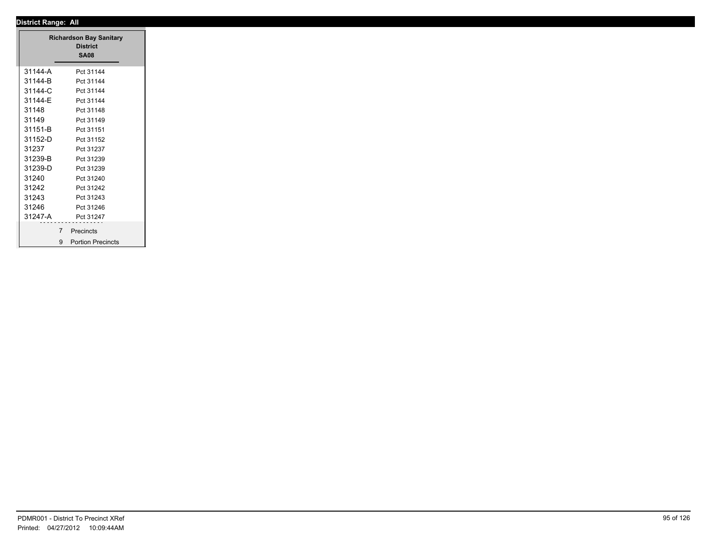|         | <b>Richardson Bay Sanitary</b><br><b>District</b><br><b>SA08</b> |
|---------|------------------------------------------------------------------|
| 31144-A | Pct 31144                                                        |
| 31144-B | Pct 31144                                                        |
| 31144-C | Pct 31144                                                        |
| 31144-E | Pct 31144                                                        |
| 31148   | Pct 31148                                                        |
| 31149   | Pct 31149                                                        |
| 31151-B | Pct 31151                                                        |
| 31152-D | Pct 31152                                                        |
| 31237   | Pct 31237                                                        |
| 31239-B | Pct 31239                                                        |
| 31239-D | Pct 31239                                                        |
| 31240   | Pct 31240                                                        |
| 31242   | Pct 31242                                                        |
| 31243   | Pct 31243                                                        |
| 31246   | Pct 31246                                                        |
| 31247-A | Pct 31247                                                        |
|         |                                                                  |
|         | 7 Precincts                                                      |
|         | 9 Portion Precincts                                              |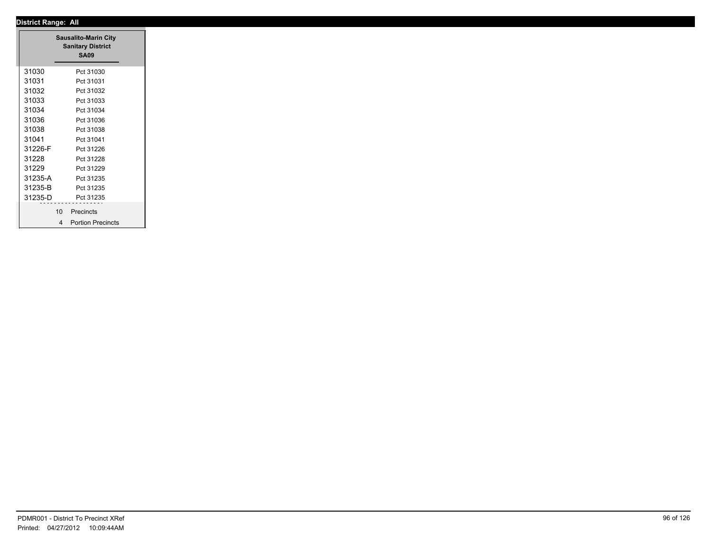|         | <b>Sausalito-Marin City</b><br><b>Sanitary District</b><br><b>SA09</b> |
|---------|------------------------------------------------------------------------|
| 31030   | Pct 31030                                                              |
| 31031   | Pct 31031                                                              |
| 31032   | Pct 31032                                                              |
| 31033   | Pct 31033                                                              |
| 31034   | Pct 31034                                                              |
| 31036   | Pct 31036                                                              |
| 31038   | Pct 31038                                                              |
| 31041   | Pct 31041                                                              |
| 31226-F | Pct 31226                                                              |
| 31228   | Pct 31228                                                              |
| 31229   | Pct 31229                                                              |
| 31235-A | Pct 31235                                                              |
| 31235-B | Pct 31235                                                              |
| 31235-D | Pct 31235                                                              |
|         | .                                                                      |
|         | 10 Precincts                                                           |
|         | 4 Portion Precincts                                                    |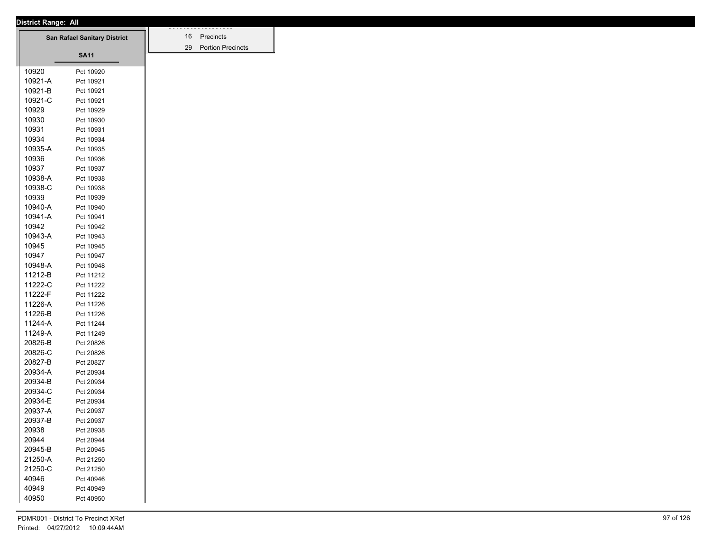| <b>District Range: All</b> |                                     |
|----------------------------|-------------------------------------|
|                            | <b>San Rafael Sanitary District</b> |
|                            |                                     |
|                            | <b>SA11</b>                         |
|                            |                                     |
| 10920                      | Pct 10920                           |
| 10921-A                    | Pct 10921                           |
| 10921-B                    | Pct 10921                           |
| 10921-C                    | Pct 10921                           |
| 10929                      | Pct 10929                           |
| 10930                      | Pct 10930                           |
| 10931                      | Pct 10931                           |
| 10934                      | Pct 10934                           |
| 10935-A                    | Pct 10935                           |
| 10936                      | Pct 10936                           |
| 10937                      | Pct 10937                           |
| 10938-A                    | Pct 10938                           |
| 10938-C                    | Pct 10938                           |
| 10939                      | Pct 10939                           |
| 10940-A                    | Pct 10940                           |
| 10941-A                    | Pct 10941                           |
| 10942                      | Pct 10942                           |
| 10943-A                    | Pct 10943                           |
| 10945                      | Pct 10945                           |
| 10947                      | Pct 10947                           |
| 10948-A                    | Pct 10948                           |
| 11212-B                    | Pct 11212                           |
| 11222-C                    | Pct 11222                           |
| 11222-F                    | Pct 11222                           |
| 11226-A                    | Pct 11226                           |
|                            |                                     |
| 11226-B                    | Pct 11226                           |
| 11244-A                    | Pct 11244                           |
| 11249-A                    | Pct 11249                           |
| 20826-B                    | Pct 20826                           |
| 20826-C                    | Pct 20826                           |
| 20827-B                    | Pct 20827                           |
| 20934-A                    | Pct 20934                           |
| 20934-B                    | Pct 20934                           |
| 20934-C                    | Pct 20934                           |
| 20934-E                    | Pct 20934                           |
| 20937-A                    | Pct 20937                           |
| 20937-B                    | Pct 20937                           |
| 20938                      | Pct 20938                           |
| 20944                      | Pct 20944                           |
| 20945-B                    | Pct 20945                           |
| 21250-A                    | Pct 21250                           |
| 21250-C                    | Pct 21250                           |
| 40946                      | Pct 40946                           |
| 40949                      |                                     |
|                            | Pct 40949                           |
| 40950                      | Pct 40950                           |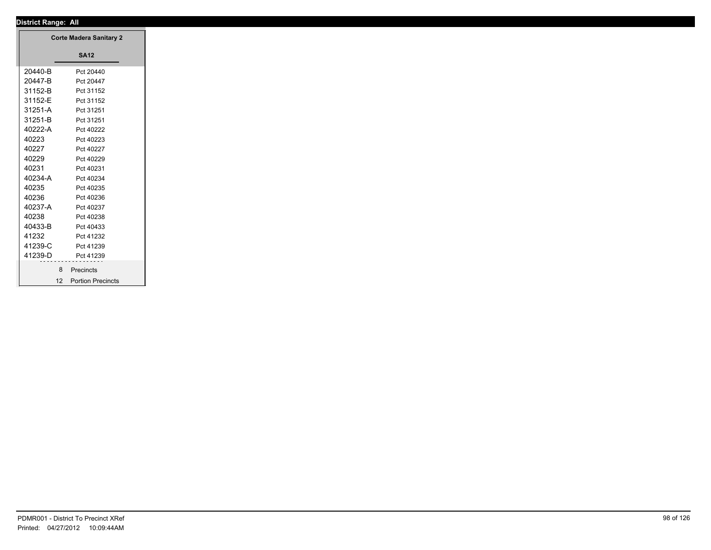┱

| <b>Corte Madera Sanitary 2</b> |                      |
|--------------------------------|----------------------|
|                                | <b>SA12</b>          |
| 20440-B                        | Pct 20440            |
| 20447-B                        | Pct 20447            |
| 31152-B                        | Pct 31152            |
| 31152-E                        | Pct 31152            |
| 31251-A                        | Pct 31251            |
| 31251-B                        | Pct 31251            |
| 40222-A                        | Pct 40222            |
| 40223                          | Pct 40223            |
| 40227                          | Pct 40227            |
| 40229                          | Pct 40229            |
| 40231                          | Pct 40231            |
| 40234-A                        | Pct 40234            |
| 40235                          | Pct 40235            |
| 40236                          | Pct 40236            |
| 40237-A                        | Pct 40237            |
| 40238                          | Pct 40238            |
| 40433-B                        | Pct 40433            |
| 41232                          | Pct 41232            |
| 41239-C                        | Pct 41239            |
| 41239-D                        | Pct 41239            |
| 8                              | Precincts            |
|                                | 12 Portion Precincts |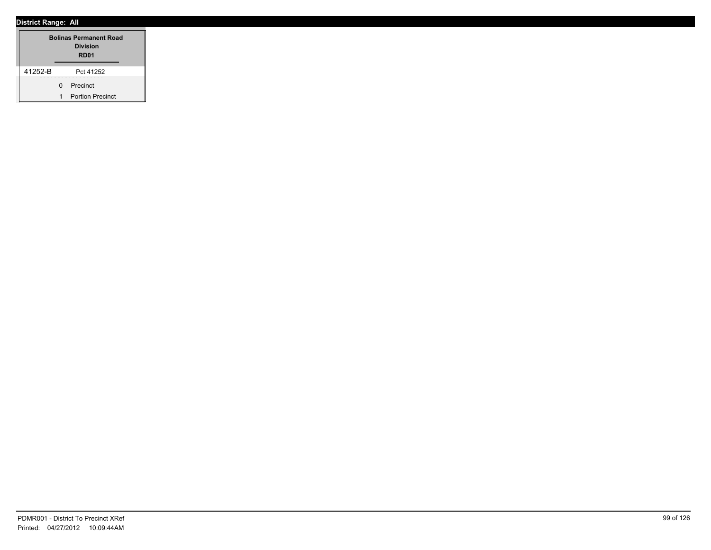|         | <b>Bolinas Permanent Road</b><br><b>Division</b><br>RD <sub>01</sub> |                         |  |
|---------|----------------------------------------------------------------------|-------------------------|--|
| 41252-B |                                                                      | Pct 41252               |  |
|         | <sup>n</sup>                                                         | Precinct                |  |
|         | 1                                                                    | <b>Portion Precinct</b> |  |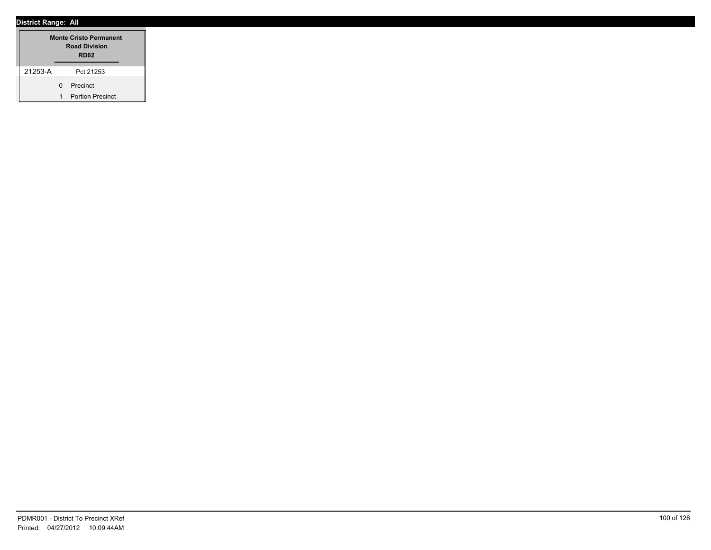|         | <b>Monte Cristo Permanent</b><br><b>Road Division</b><br>RD <sub>02</sub> |                         |  |
|---------|---------------------------------------------------------------------------|-------------------------|--|
| 21253-A |                                                                           | Pct 21253               |  |
|         |                                                                           | 0 Precinct              |  |
|         |                                                                           | <b>Portion Precinct</b> |  |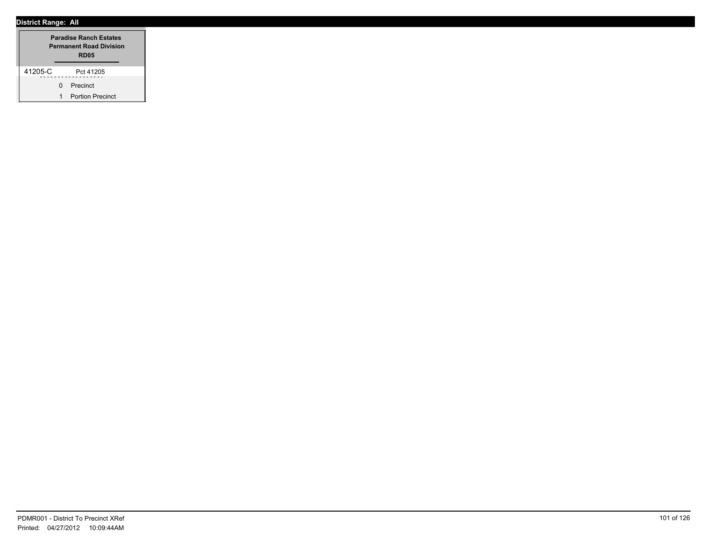|         | <b>Paradise Ranch Estates</b><br><b>Permanent Road Division</b><br><b>RD05</b> |                         |  |
|---------|--------------------------------------------------------------------------------|-------------------------|--|
| 41205-C |                                                                                | Pct 41205               |  |
|         | <sup>n</sup>                                                                   | Precinct                |  |
|         | 1                                                                              | <b>Portion Precinct</b> |  |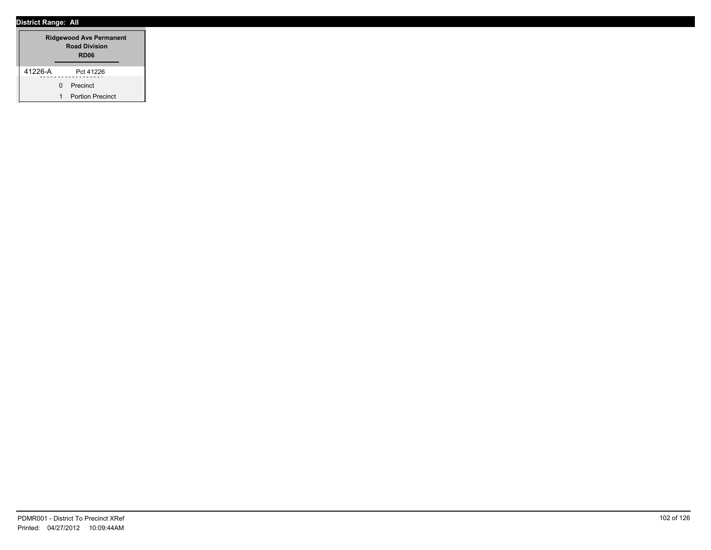|         | <b>Ridgewood Ave Permanent</b><br><b>Road Division</b><br>RD <sub>06</sub> |                         |  |
|---------|----------------------------------------------------------------------------|-------------------------|--|
| 41226-A |                                                                            | Pct 41226               |  |
|         | <sup>n</sup>                                                               | Precinct                |  |
|         | 1                                                                          | <b>Portion Precinct</b> |  |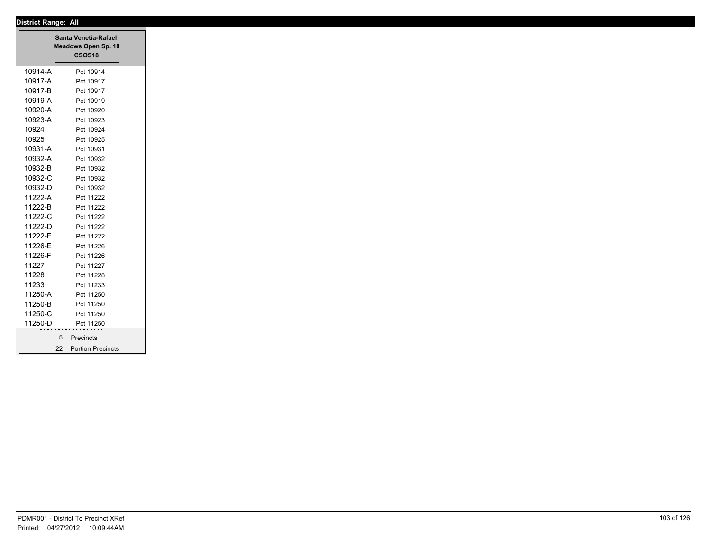|         | Santa Venetia-Rafael<br>Meadows Open Sp. 18<br><b>CSOS18</b> |
|---------|--------------------------------------------------------------|
| 10914-A | Pct 10914                                                    |
| 10917-A | Pct 10917                                                    |
| 10917-B | Pct 10917                                                    |
| 10919-A | Pct 10919                                                    |
| 10920-A | Pct 10920                                                    |
| 10923-A | Pct 10923                                                    |
| 10924   | Pct 10924                                                    |
| 10925   | Pct 10925                                                    |
| 10931-A | Pct 10931                                                    |
| 10932-A | Pct 10932                                                    |
| 10932-B | Pct 10932                                                    |
| 10932-C | Pct 10932                                                    |
| 10932-D | Pct 10932                                                    |
| 11222-A | Pct 11222                                                    |
| 11222-B | Pct 11222                                                    |
| 11222-C | Pct 11222                                                    |
| 11222-D | Pct 11222                                                    |
| 11222-E | Pct 11222                                                    |
| 11226-E | Pct 11226                                                    |
| 11226-F | Pct 11226                                                    |
| 11227   | Pct 11227                                                    |
| 11228   | Pct 11228                                                    |
| 11233   | Pct 11233                                                    |
| 11250-A | Pct 11250                                                    |
| 11250-B | Pct 11250                                                    |
| 11250-C | Pct 11250                                                    |
| 11250-D | Pct 11250                                                    |
|         | 5 <sup>5</sup><br>Precincts                                  |
|         | <b>Portion Precincts</b><br>22                               |
|         |                                                              |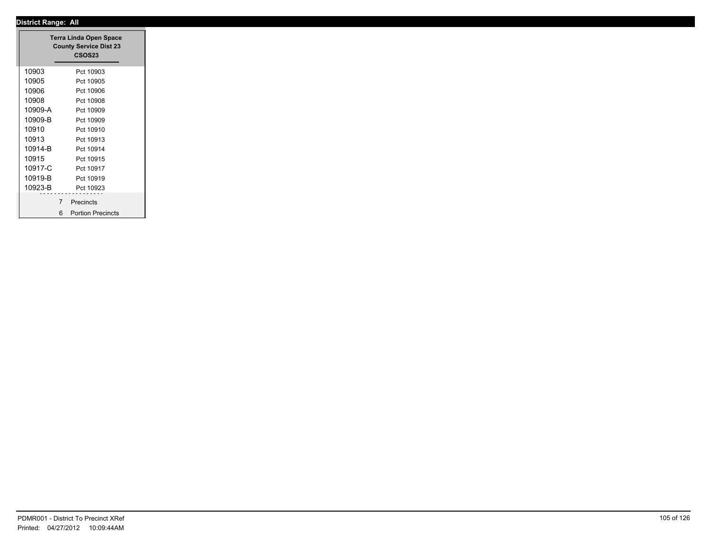| <b>Terra Linda Open Space</b><br><b>County Service Dist 23</b> |                               |
|----------------------------------------------------------------|-------------------------------|
|                                                                | <b>CSOS23</b>                 |
| 10903                                                          | Pct 10903                     |
| 10905                                                          | Pct 10905                     |
| 10906                                                          | Pct 10906                     |
| 10908                                                          | Pct 10908                     |
| 10909-A                                                        | Pct 10909                     |
| 10909-B                                                        | Pct 10909                     |
| 10910                                                          | Pct 10910                     |
| 10913                                                          | Pct 10913                     |
| 10914-B                                                        | Pct 10914                     |
| 10915                                                          | Pct 10915                     |
| 10917-C                                                        | Pct 10917                     |
| 10919-B                                                        | Pct 10919                     |
| 10923-B                                                        | Pct 10923                     |
|                                                                | $\overline{7}$<br>Precincts   |
|                                                                |                               |
|                                                                | 6<br><b>Portion Precincts</b> |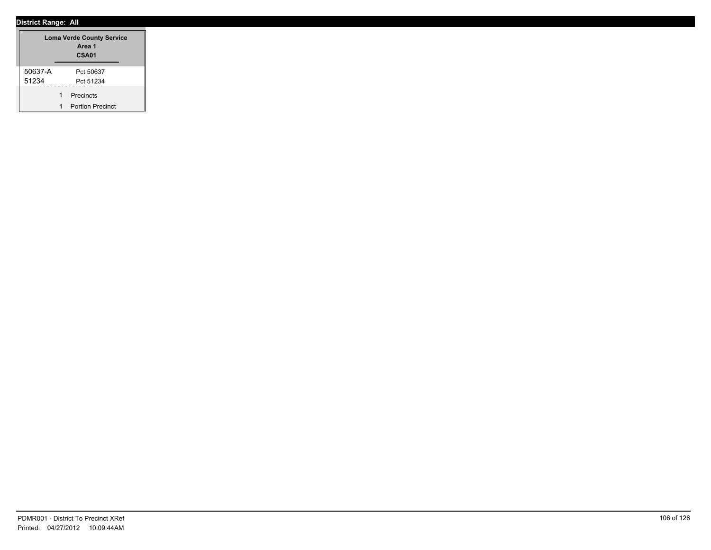|         | <b>Loma Verde County Service</b><br>Area 1<br>CSA01 |
|---------|-----------------------------------------------------|
| 50637-A | Pct 50637                                           |
| 51234   | Pct 51234                                           |
|         | Precincts                                           |
|         | <b>Portion Precinct</b>                             |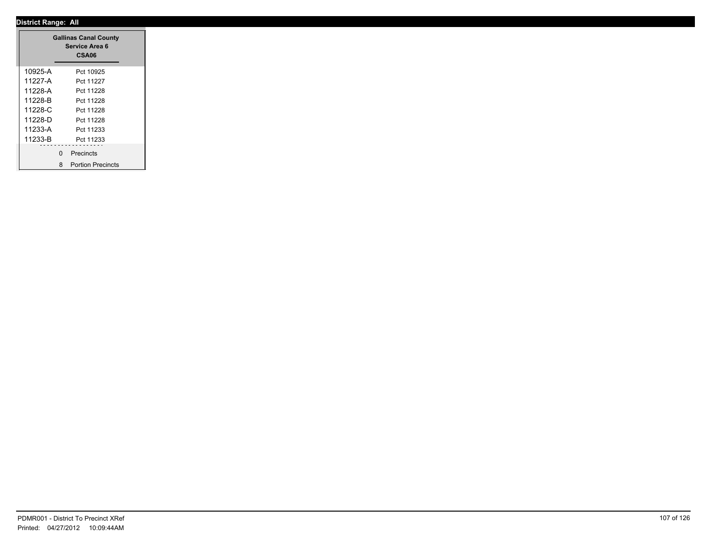|         | <b>Gallinas Canal County</b><br>Service Area 6<br>CSA06 |
|---------|---------------------------------------------------------|
| 10925-A | Pct 10925                                               |
| 11227-A | Pct 11227                                               |
| 11228-A | Pct 11228                                               |
| 11228-B | Pct 11228                                               |
| 11228-C | Pct 11228                                               |
| 11228-D | Pct 11228                                               |
| 11233-A | Pct 11233                                               |
| 11233-B | Pct 11233                                               |
|         | $\mathbf 0$<br>Precincts                                |
|         | <b>Portion Precincts</b><br>8                           |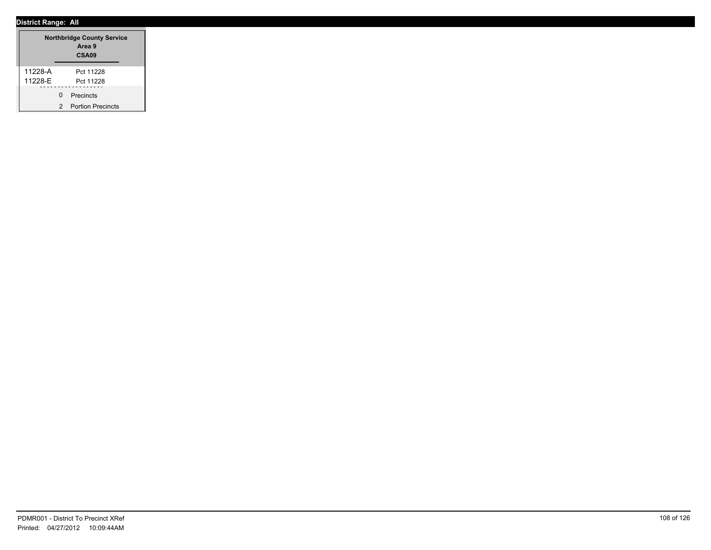|         |   | <b>Northbridge County Service</b><br>Area 9<br>CSA <sub>09</sub> |
|---------|---|------------------------------------------------------------------|
| 11228-A |   | Pct 11228                                                        |
| 11228-E |   | Pct 11228                                                        |
|         | U | Precincts                                                        |
|         | 2 | <b>Portion Precincts</b>                                         |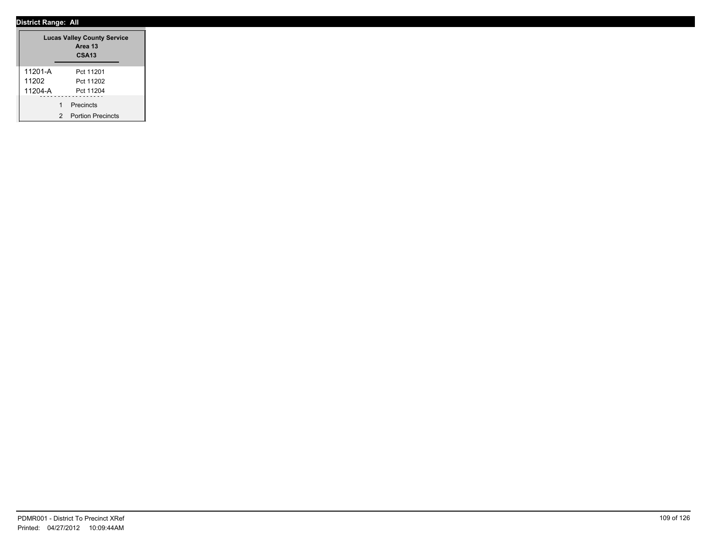|         |   | <b>Lucas Valley County Service</b><br>Area 13<br><b>CSA13</b> |
|---------|---|---------------------------------------------------------------|
| 11201-A |   | Pct 11201                                                     |
| 11202   |   | Pct 11202                                                     |
| 11204-A |   | Pct 11204                                                     |
|         | 1 | Precincts                                                     |
|         | 2 | <b>Portion Precincts</b>                                      |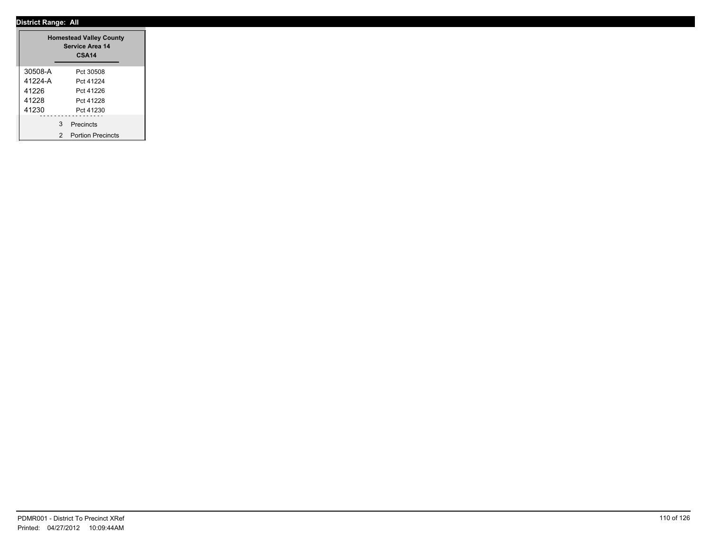|         |   | <b>Homestead Valley County</b><br><b>Service Area 14</b><br><b>CSA14</b> |  |
|---------|---|--------------------------------------------------------------------------|--|
| 30508-A |   | Pct 30508                                                                |  |
| 41224-A |   | Pct 41224                                                                |  |
| 41226   |   | Pct 41226                                                                |  |
| 41228   |   | Pct 41228                                                                |  |
| 41230   |   | Pct 41230                                                                |  |
|         | 3 | Precincts                                                                |  |
|         | 2 | <b>Portion Precincts</b>                                                 |  |

۰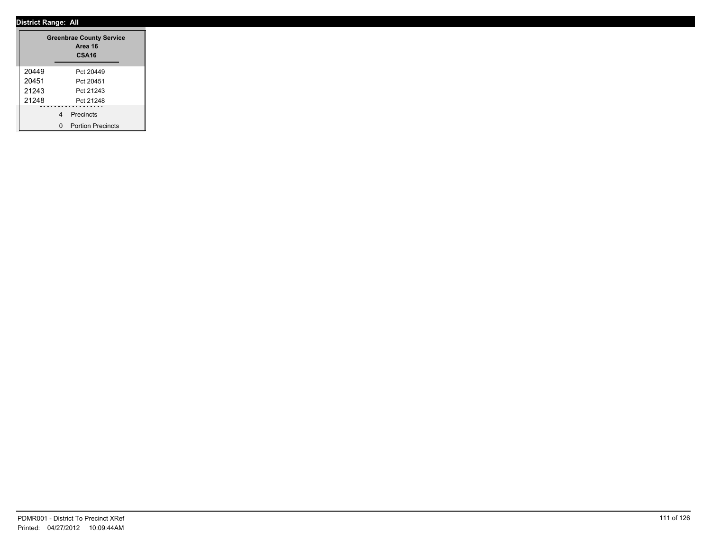|       |   | <b>Greenbrae County Service</b><br>Area 16<br>CSA <sub>16</sub> |
|-------|---|-----------------------------------------------------------------|
| 20449 |   | Pct 20449                                                       |
| 20451 |   | Pct 20451                                                       |
| 21243 |   | Pct 21243                                                       |
| 21248 |   | Pct 21248                                                       |
|       | 4 | Precincts                                                       |
|       | n | <b>Portion Precincts</b>                                        |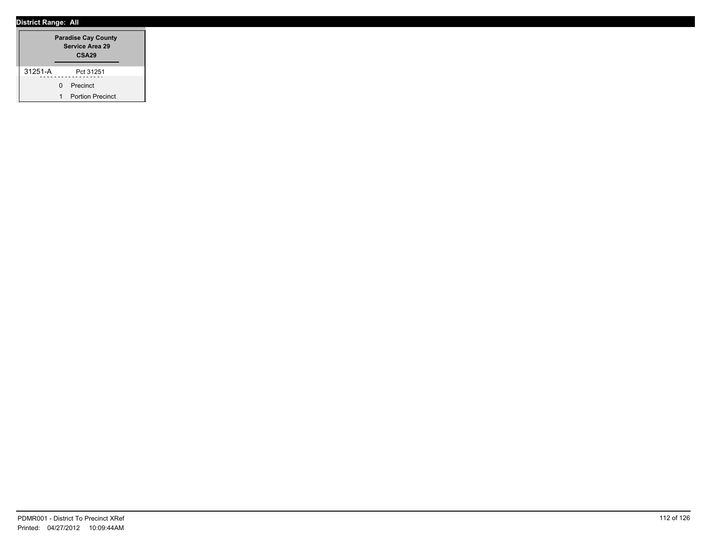|         |              | <b>Paradise Cay County</b><br>Service Area 29<br>CSA <sub>29</sub> |  |
|---------|--------------|--------------------------------------------------------------------|--|
| 31251-A |              | Pct 31251                                                          |  |
|         | <sup>n</sup> | Precinct                                                           |  |
|         |              | <b>Portion Precinct</b>                                            |  |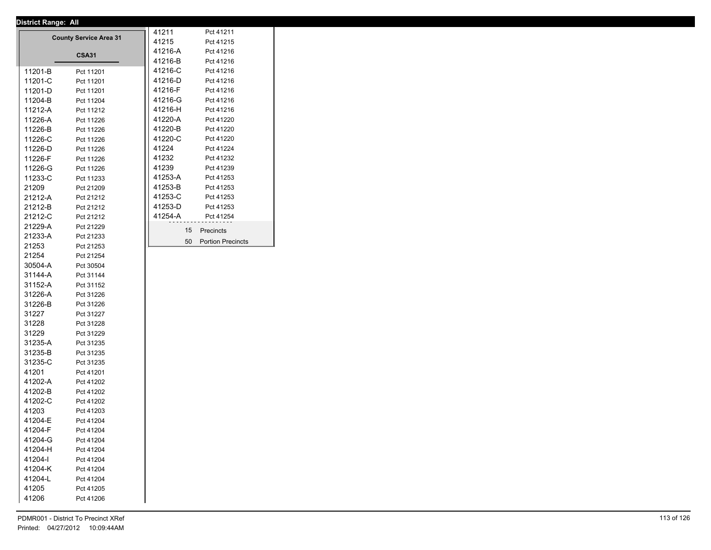| <b>District Range: All</b> |                               |         |                          |
|----------------------------|-------------------------------|---------|--------------------------|
|                            | <b>County Service Area 31</b> | 41211   | Pct 41211                |
|                            |                               | 41215   | Pct 41215                |
|                            | <b>CSA31</b>                  | 41216-A | Pct 41216                |
|                            |                               | 41216-B | Pct 41216                |
| 11201-B                    | Pct 11201                     | 41216-C | Pct 41216                |
| 11201-C                    | Pct 11201                     | 41216-D | Pct 41216                |
| 11201-D                    | Pct 11201                     | 41216-F | Pct 41216                |
| 11204-B                    | Pct 11204                     | 41216-G | Pct 41216                |
| 11212-A                    | Pct 11212                     | 41216-H | Pct 41216                |
| 11226-A                    | Pct 11226                     | 41220-A | Pct 41220                |
| 11226-B                    | Pct 11226                     | 41220-B | Pct 41220                |
| 11226-C                    | Pct 11226                     | 41220-C | Pct 41220                |
| 11226-D                    | Pct 11226                     | 41224   | Pct 41224                |
| 11226-F                    | Pct 11226                     | 41232   | Pct 41232                |
| 11226-G                    | Pct 11226                     | 41239   | Pct 41239                |
| 11233-C                    | Pct 11233                     | 41253-A | Pct 41253                |
| 21209                      | Pct 21209                     | 41253-B | Pct 41253                |
| 21212-A                    | Pct 21212                     | 41253-C | Pct 41253                |
| 21212-B                    | Pct 21212                     | 41253-D | Pct 41253                |
| 21212-C                    | Pct 21212                     | 41254-A | Pct 41254                |
| 21229-A                    | Pct 21229                     | 15      | Precincts                |
| 21233-A                    | Pct 21233                     |         |                          |
| 21253                      | Pct 21253                     | 50      | <b>Portion Precincts</b> |
| 21254                      | Pct 21254                     |         |                          |
| 30504-A                    | Pct 30504                     |         |                          |
| 31144-A                    | Pct 31144                     |         |                          |
| 31152-A                    | Pct 31152                     |         |                          |
| 31226-A                    | Pct 31226                     |         |                          |
| 31226-B                    | Pct 31226                     |         |                          |
| 31227                      | Pct 31227                     |         |                          |
| 31228                      | Pct 31228                     |         |                          |
| 31229                      | Pct 31229                     |         |                          |
| 31235-A                    | Pct 31235                     |         |                          |
| 31235-B                    | Pct 31235                     |         |                          |
| 31235-C                    | Pct 31235                     |         |                          |
| 41201                      | Pct 41201                     |         |                          |
| 41202-A                    | Pct 41202                     |         |                          |
| 41202-B                    | Pct 41202                     |         |                          |
| 41202-C                    | Pct 41202                     |         |                          |
| 41203                      | Pct 41203                     |         |                          |
| 41204-E                    | Pct 41204                     |         |                          |
| 41204-F                    | Pct 41204                     |         |                          |
| 41204-G                    | Pct 41204                     |         |                          |
| 41204-H                    | Pct 41204                     |         |                          |
| 41204-l                    | Pct 41204                     |         |                          |
| 41204-K                    | Pct 41204                     |         |                          |
| 41204-L                    | Pct 41204                     |         |                          |
| 41205                      | Pct 41205                     |         |                          |
|                            |                               |         |                          |
| 41206                      | Pct 41206                     |         |                          |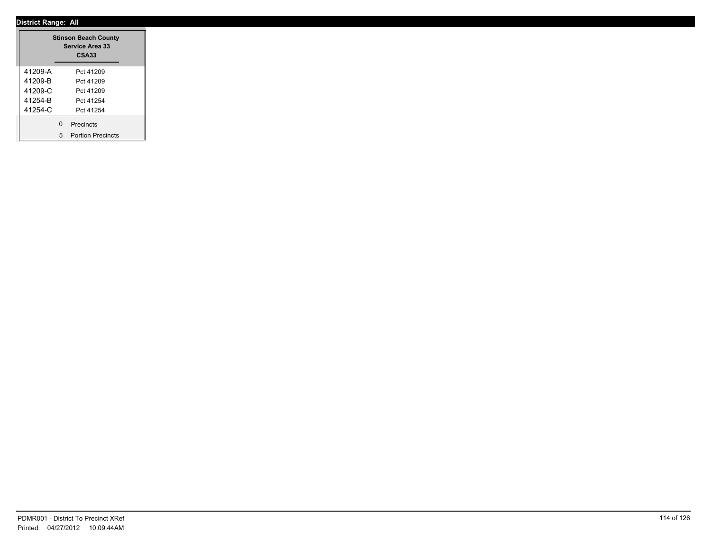|         | <b>Stinson Beach County</b><br><b>Service Area 33</b><br><b>CSA33</b> |
|---------|-----------------------------------------------------------------------|
| 41209-A | Pct 41209                                                             |
| 41209-B | Pct 41209                                                             |
| 41209-C | Pct 41209                                                             |
| 41254-B | Pct 41254                                                             |
| 41254-C | Pct 41254                                                             |
|         | 0 Precincts                                                           |
|         | 5 Portion Precincts                                                   |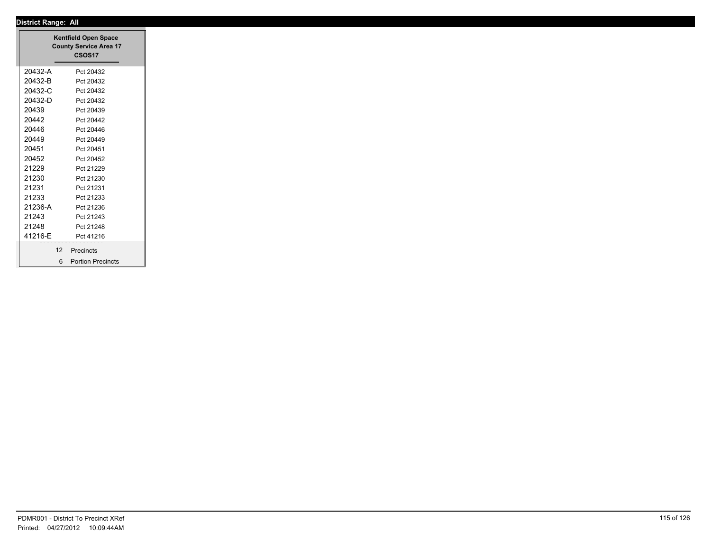|         | <b>Kentfield Open Space</b><br><b>County Service Area 17</b><br><b>CSOS17</b> |
|---------|-------------------------------------------------------------------------------|
| 20432-A | Pct 20432                                                                     |
| 20432-B | Pct 20432                                                                     |
| 20432-C | Pct 20432                                                                     |
| 20432-D | Pct 20432                                                                     |
| 20439   | Pct 20439                                                                     |
| 20442   | Pct 20442                                                                     |
| 20446   | Pct 20446                                                                     |
| 20449   | Pct 20449                                                                     |
| 20451   | Pct 20451                                                                     |
| 20452   | Pct 20452                                                                     |
| 21229   | Pct 21229                                                                     |
| 21230   | Pct 21230                                                                     |
| 21231   | Pct 21231                                                                     |
| 21233   | Pct 21233                                                                     |
| 21236-A | Pct 21236                                                                     |
| 21243   | Pct 21243                                                                     |
| 21248   | Pct 21248                                                                     |
| 41216-E | Pct 41216                                                                     |
|         | 12 Precincts                                                                  |
|         | <b>Portion Precincts</b><br>6                                                 |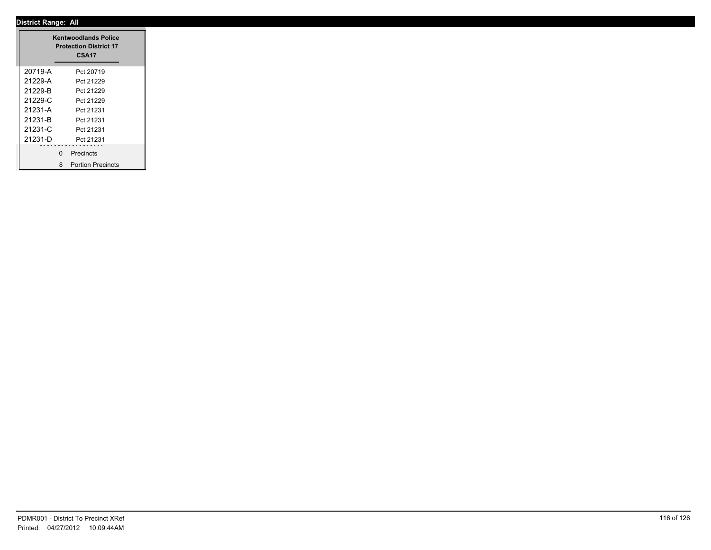|         |   | <b>Kentwoodlands Police</b><br><b>Protection District 17</b><br>CSA17 |
|---------|---|-----------------------------------------------------------------------|
| 20719-A |   | Pct 20719                                                             |
| 21229-A |   | Pct 21229                                                             |
| 21229-B |   | Pct 21229                                                             |
| 21229-C |   | Pct 21229                                                             |
| 21231-A |   | Pct 21231                                                             |
| 21231-B |   | Pct 21231                                                             |
| 21231-C |   | Pct 21231                                                             |
| 21231-D |   | Pct 21231                                                             |
|         | 0 | .<br>Precincts                                                        |
|         |   | 8 Portion Precincts                                                   |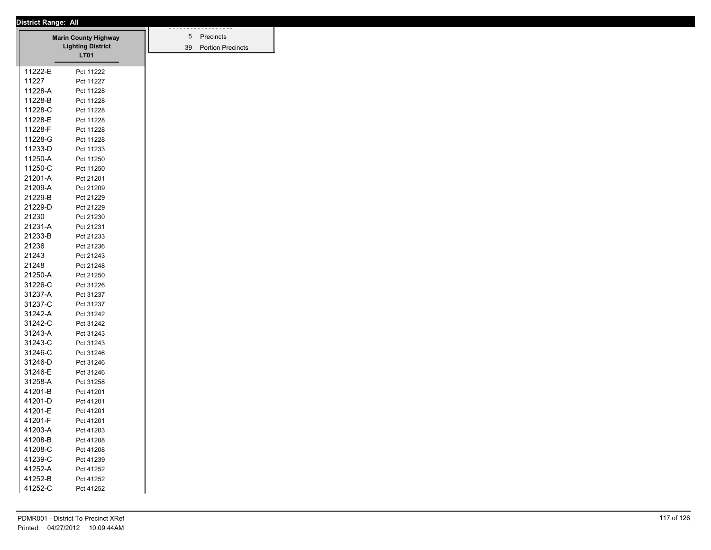|                    | <b>Marin County Highway</b> |
|--------------------|-----------------------------|
|                    | <b>Lighting District</b>    |
|                    | <b>LT01</b>                 |
| 11222-E            | Pct 11222                   |
| 11227              | Pct 11227                   |
| 11228-A            | Pct 11228                   |
| 11228-B            | Pct 11228                   |
| 11228-C            | Pct 11228                   |
| 11228-E            | Pct 11228                   |
| 11228-F            | Pct 11228                   |
| 11228-G            | Pct 11228                   |
| 11233-D            | Pct 11233                   |
| 11250-A            | Pct 11250                   |
| 11250-C            | Pct 11250                   |
| 21201-A            | Pct 21201                   |
| 21209-A            | Pct 21209                   |
| 21229-B            | Pct 21229                   |
| 21229-D            | Pct 21229                   |
| 21230              | Pct 21230                   |
| 21231-A            | Pct 21231                   |
| 21233-B            | Pct 21233                   |
| 21236              | Pct 21236                   |
| 21243              | Pct 21243                   |
| 21248              | Pct 21248                   |
| 21250-A            | Pct 21250                   |
| 31226-C            | Pct 31226                   |
| 31237-A            | Pct 31237                   |
| 31237-C            | Pct 31237                   |
| 31242-A            | Pct 31242                   |
| 31242-C            | Pct 31242                   |
| 31243-A            | Pct 31243                   |
| 31243-C            | Pct 31243                   |
| 31246-C            | Pct 31246                   |
| 31246-D            | Pct 31246                   |
| 31246-E            | Pct 31246                   |
| 31258-A            | Pct 31258                   |
| 41201-B            | Pct 41201                   |
| 41201-D            | Pct 41201                   |
| 41201-E            |                             |
| 41201-F            | Pct 41201                   |
|                    | Pct 41201                   |
| 41203-A<br>41208-B | Pct 41203                   |
|                    | Pct 41208                   |
| 41208-C            | Pct 41208                   |
| 41239-C            | Pct 41239                   |
| 41252-A            | Pct 41252                   |
| 41252-B            | Pct 41252                   |
| 41252-C            | Pct 41252                   |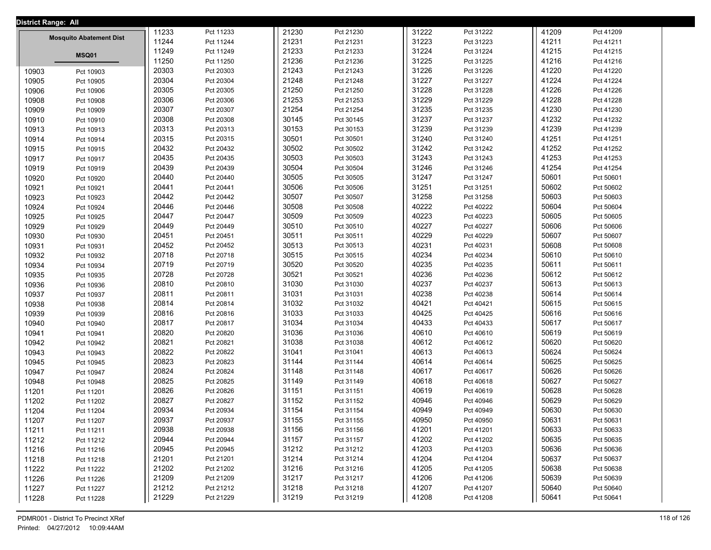| <b>District Range: All</b> |                                |       |           |       |           |       |           |       |           |  |
|----------------------------|--------------------------------|-------|-----------|-------|-----------|-------|-----------|-------|-----------|--|
|                            |                                | 11233 | Pct 11233 | 21230 | Pct 21230 | 31222 | Pct 31222 | 41209 | Pct 41209 |  |
|                            | <b>Mosquito Abatement Dist</b> | 11244 | Pct 11244 | 21231 | Pct 21231 | 31223 | Pct 31223 | 41211 | Pct 41211 |  |
|                            | MSQ01                          | 11249 | Pct 11249 | 21233 | Pct 21233 | 31224 | Pct 31224 | 41215 | Pct 41215 |  |
|                            |                                | 11250 | Pct 11250 | 21236 | Pct 21236 | 31225 | Pct 31225 | 41216 | Pct 41216 |  |
| 10903                      | Pct 10903                      | 20303 | Pct 20303 | 21243 | Pct 21243 | 31226 | Pct 31226 | 41220 | Pct 41220 |  |
| 10905                      | Pct 10905                      | 20304 | Pct 20304 | 21248 | Pct 21248 | 31227 | Pct 31227 | 41224 | Pct 41224 |  |
| 10906                      | Pct 10906                      | 20305 | Pct 20305 | 21250 | Pct 21250 | 31228 | Pct 31228 | 41226 | Pct 41226 |  |
| 10908                      | Pct 10908                      | 20306 | Pct 20306 | 21253 | Pct 21253 | 31229 | Pct 31229 | 41228 | Pct 41228 |  |
| 10909                      | Pct 10909                      | 20307 | Pct 20307 | 21254 | Pct 21254 | 31235 | Pct 31235 | 41230 | Pct 41230 |  |
| 10910                      | Pct 10910                      | 20308 | Pct 20308 | 30145 | Pct 30145 | 31237 | Pct 31237 | 41232 | Pct 41232 |  |
| 10913                      | Pct 10913                      | 20313 | Pct 20313 | 30153 | Pct 30153 | 31239 | Pct 31239 | 41239 | Pct 41239 |  |
| 10914                      | Pct 10914                      | 20315 | Pct 20315 | 30501 | Pct 30501 | 31240 | Pct 31240 | 41251 | Pct 41251 |  |
| 10915                      | Pct 10915                      | 20432 | Pct 20432 | 30502 | Pct 30502 | 31242 | Pct 31242 | 41252 | Pct 41252 |  |
| 10917                      | Pct 10917                      | 20435 | Pct 20435 | 30503 | Pct 30503 | 31243 | Pct 31243 | 41253 | Pct 41253 |  |
| 10919                      | Pct 10919                      | 20439 | Pct 20439 | 30504 | Pct 30504 | 31246 | Pct 31246 | 41254 | Pct 41254 |  |
| 10920                      | Pct 10920                      | 20440 | Pct 20440 | 30505 | Pct 30505 | 31247 | Pct 31247 | 50601 | Pct 50601 |  |
| 10921                      | Pct 10921                      | 20441 | Pct 20441 | 30506 | Pct 30506 | 31251 | Pct 31251 | 50602 | Pct 50602 |  |
| 10923                      | Pct 10923                      | 20442 | Pct 20442 | 30507 | Pct 30507 | 31258 | Pct 31258 | 50603 | Pct 50603 |  |
| 10924                      | Pct 10924                      | 20446 | Pct 20446 | 30508 | Pct 30508 | 40222 | Pct 40222 | 50604 | Pct 50604 |  |
| 10925                      | Pct 10925                      | 20447 | Pct 20447 | 30509 | Pct 30509 | 40223 | Pct 40223 | 50605 | Pct 50605 |  |
| 10929                      | Pct 10929                      | 20449 | Pct 20449 | 30510 | Pct 30510 | 40227 | Pct 40227 | 50606 | Pct 50606 |  |
| 10930                      | Pct 10930                      | 20451 | Pct 20451 | 30511 | Pct 30511 | 40229 | Pct 40229 | 50607 | Pct 50607 |  |
| 10931                      | Pct 10931                      | 20452 | Pct 20452 | 30513 | Pct 30513 | 40231 | Pct 40231 | 50608 | Pct 50608 |  |
| 10932                      | Pct 10932                      | 20718 | Pct 20718 | 30515 | Pct 30515 | 40234 | Pct 40234 | 50610 | Pct 50610 |  |
| 10934                      | Pct 10934                      | 20719 | Pct 20719 | 30520 | Pct 30520 | 40235 | Pct 40235 | 50611 | Pct 50611 |  |
| 10935                      | Pct 10935                      | 20728 | Pct 20728 | 30521 | Pct 30521 | 40236 | Pct 40236 | 50612 | Pct 50612 |  |
| 10936                      | Pct 10936                      | 20810 | Pct 20810 | 31030 | Pct 31030 | 40237 | Pct 40237 | 50613 | Pct 50613 |  |
| 10937                      | Pct 10937                      | 20811 | Pct 20811 | 31031 | Pct 31031 | 40238 | Pct 40238 | 50614 | Pct 50614 |  |
| 10938                      | Pct 10938                      | 20814 | Pct 20814 | 31032 | Pct 31032 | 40421 | Pct 40421 | 50615 | Pct 50615 |  |
| 10939                      | Pct 10939                      | 20816 | Pct 20816 | 31033 | Pct 31033 | 40425 | Pct 40425 | 50616 | Pct 50616 |  |
| 10940                      | Pct 10940                      | 20817 | Pct 20817 | 31034 | Pct 31034 | 40433 | Pct 40433 | 50617 | Pct 50617 |  |
| 10941                      | Pct 10941                      | 20820 | Pct 20820 | 31036 | Pct 31036 | 40610 | Pct 40610 | 50619 | Pct 50619 |  |
| 10942                      | Pct 10942                      | 20821 | Pct 20821 | 31038 | Pct 31038 | 40612 | Pct 40612 | 50620 | Pct 50620 |  |
| 10943                      | Pct 10943                      | 20822 | Pct 20822 | 31041 | Pct 31041 | 40613 | Pct 40613 | 50624 | Pct 50624 |  |
| 10945                      | Pct 10945                      | 20823 | Pct 20823 | 31144 | Pct 31144 | 40614 | Pct 40614 | 50625 | Pct 50625 |  |
| 10947                      | Pct 10947                      | 20824 | Pct 20824 | 31148 | Pct 31148 | 40617 | Pct 40617 | 50626 | Pct 50626 |  |
| 10948                      | Pct 10948                      | 20825 | Pct 20825 | 31149 | Pct 31149 | 40618 | Pct 40618 | 50627 | Pct 50627 |  |
| 11201                      | Pct 11201                      | 20826 | Pct 20826 | 31151 | Pct 31151 | 40619 | Pct 40619 | 50628 | Pct 50628 |  |
| 11202                      | Pct 11202                      | 20827 | Pct 20827 | 31152 | Pct 31152 | 40946 | Pct 40946 | 50629 | Pct 50629 |  |
| 11204                      | Pct 11204                      | 20934 | Pct 20934 | 31154 | Pct 31154 | 40949 | Pct 40949 | 50630 | Pct 50630 |  |
| 11207                      | Pct 11207                      | 20937 | Pct 20937 | 31155 | Pct 31155 | 40950 | Pct 40950 | 50631 | Pct 50631 |  |
| 11211                      | Pct 11211                      | 20938 | Pct 20938 | 31156 | Pct 31156 | 41201 | Pct 41201 | 50633 | Pct 50633 |  |
| 11212                      | Pct 11212                      | 20944 | Pct 20944 | 31157 | Pct 31157 | 41202 | Pct 41202 | 50635 | Pct 50635 |  |
| 11216                      | Pct 11216                      | 20945 | Pct 20945 | 31212 | Pct 31212 | 41203 | Pct 41203 | 50636 | Pct 50636 |  |
| 11218                      | Pct 11218                      | 21201 | Pct 21201 | 31214 | Pct 31214 | 41204 | Pct 41204 | 50637 | Pct 50637 |  |
| 11222                      | Pct 11222                      | 21202 | Pct 21202 | 31216 | Pct 31216 | 41205 | Pct 41205 | 50638 | Pct 50638 |  |
| 11226                      | Pct 11226                      | 21209 | Pct 21209 | 31217 | Pct 31217 | 41206 | Pct 41206 | 50639 | Pct 50639 |  |
| 11227                      | Pct 11227                      | 21212 | Pct 21212 | 31218 | Pct 31218 | 41207 | Pct 41207 | 50640 | Pct 50640 |  |
| 11228                      | Pct 11228                      | 21229 | Pct 21229 | 31219 | Pct 31219 | 41208 | Pct 41208 | 50641 | Pct 50641 |  |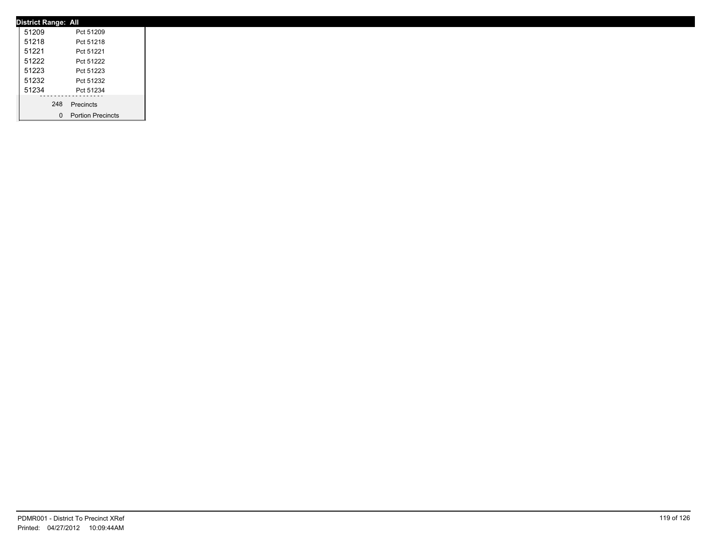| <b>District Range: All</b> |                     |
|----------------------------|---------------------|
| 51209                      | Pct 51209           |
| 51218                      | Pct 51218           |
| 51221                      | Pct 51221           |
| 51222                      | Pct 51222           |
| 51223                      | Pct 51223           |
| 51232                      | Pct 51232           |
| 51234                      | Pct 51234           |
|                            | 248 Precincts       |
|                            |                     |
|                            | 0 Portion Precincts |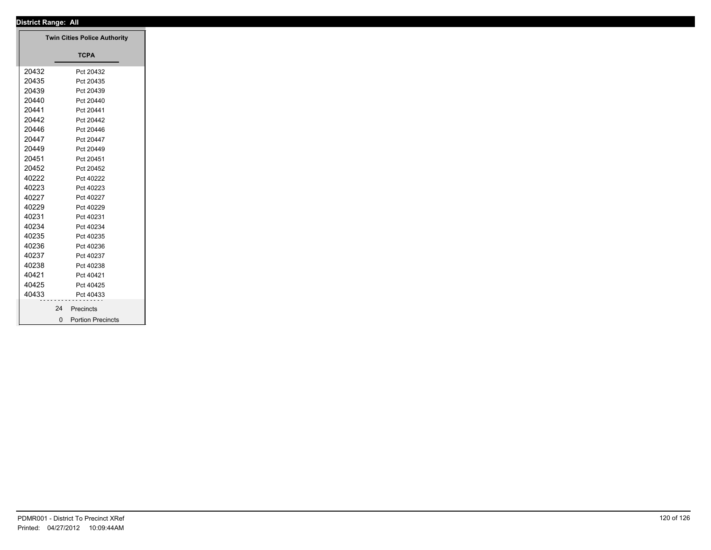| District Range: All |                                     |
|---------------------|-------------------------------------|
|                     | <b>Twin Cities Police Authority</b> |
|                     |                                     |
|                     | <b>TCPA</b>                         |
| 20432               | Pct 20432                           |
| 20435               | Pct 20435                           |
| 20439               | Pct 20439                           |
| 20440               | Pct 20440                           |
| 20441               | Pct 20441                           |
| 20442               | Pct 20442                           |
| 20446               | Pct 20446                           |
| 20447               | Pct 20447                           |
| 20449               | Pct 20449                           |
| 20451               | Pct 20451                           |
| 20452               | Pct 20452                           |
| 40222               | Pct 40222                           |
| 40223               | Pct 40223                           |
| 40227               | Pct 40227                           |
| 40229               | Pct 40229                           |
| 40231               | Pct 40231                           |
| 40234               | Pct 40234                           |
| 40235               | Pct 40235                           |
| 40236               | Pct 40236                           |
| 40237               | Pct 40237                           |
| 40238               | Pct 40238                           |
| 40421               | Pct 40421                           |
| 40425               | Pct 40425                           |
| 40433               | Pct 40433                           |
|                     | 24<br>Precincts                     |
|                     | 0 Portion Precincts                 |
|                     |                                     |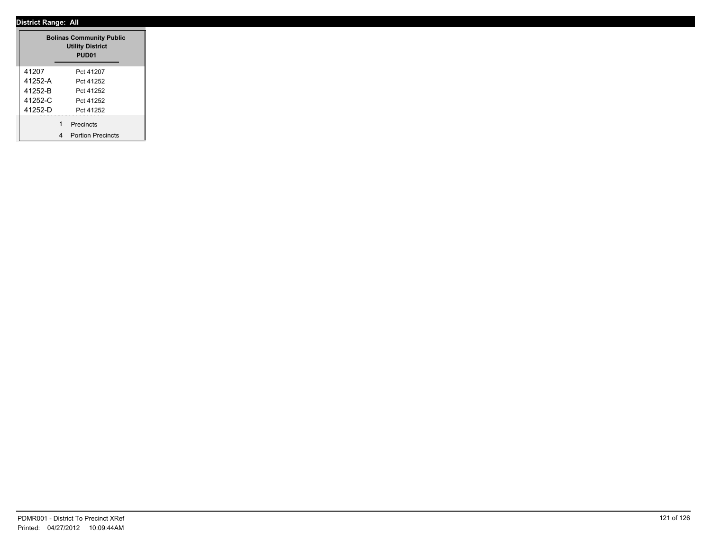| <b>Bolinas Community Public</b><br><b>Utility District</b><br>PUD <sub>01</sub> |                               |  |  |  |  |  |
|---------------------------------------------------------------------------------|-------------------------------|--|--|--|--|--|
| 41207                                                                           | Pct 41207                     |  |  |  |  |  |
| 41252-A                                                                         | Pct 41252                     |  |  |  |  |  |
| 41252-B                                                                         | Pct 41252                     |  |  |  |  |  |
| 41252-C                                                                         | Pct 41252                     |  |  |  |  |  |
| 41252-D                                                                         | Pct 41252                     |  |  |  |  |  |
|                                                                                 | 1<br>Precincts                |  |  |  |  |  |
|                                                                                 | <b>Portion Precincts</b><br>4 |  |  |  |  |  |

 $\overline{\phantom{a}}$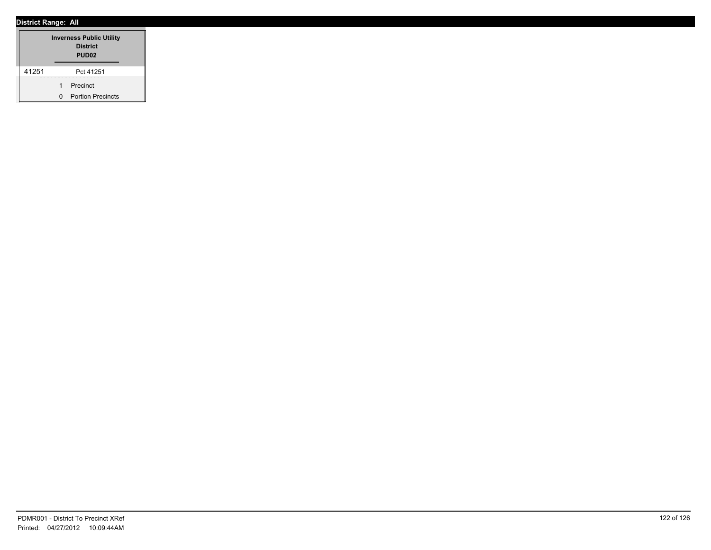| <b>Inverness Public Utility</b><br><b>District</b><br>PUD <sub>02</sub> |   |                          |  |  |  |
|-------------------------------------------------------------------------|---|--------------------------|--|--|--|
| 41251                                                                   |   | Pct 41251                |  |  |  |
|                                                                         | 1 | Precinct                 |  |  |  |
|                                                                         | n | <b>Portion Precincts</b> |  |  |  |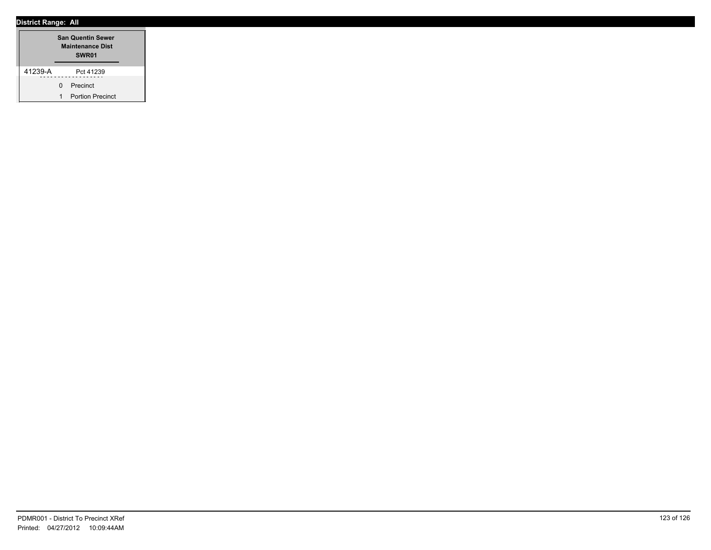|         |              | <b>San Quentin Sewer</b><br><b>Maintenance Dist</b><br>SWR01 |  |
|---------|--------------|--------------------------------------------------------------|--|
| 41239-A |              | Pct 41239                                                    |  |
|         | <sup>n</sup> | Precinct                                                     |  |
|         | 1            | <b>Portion Precinct</b>                                      |  |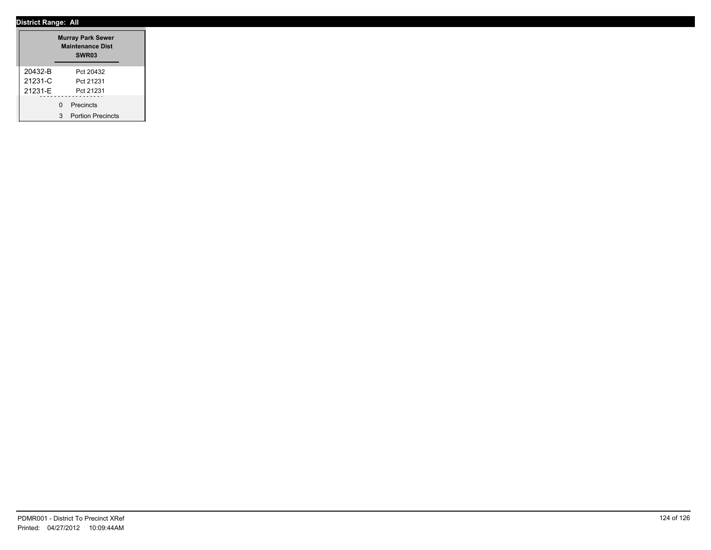|         | <b>Murray Park Sewer</b><br><b>Maintenance Dist</b><br>SWR <sub>03</sub> |                          |  |  |
|---------|--------------------------------------------------------------------------|--------------------------|--|--|
| 20432-B |                                                                          | Pct 20432                |  |  |
| 21231-C |                                                                          | Pct 21231                |  |  |
| 21231-F |                                                                          | Pct 21231                |  |  |
|         | U                                                                        | Precincts                |  |  |
|         | 3                                                                        | <b>Portion Precincts</b> |  |  |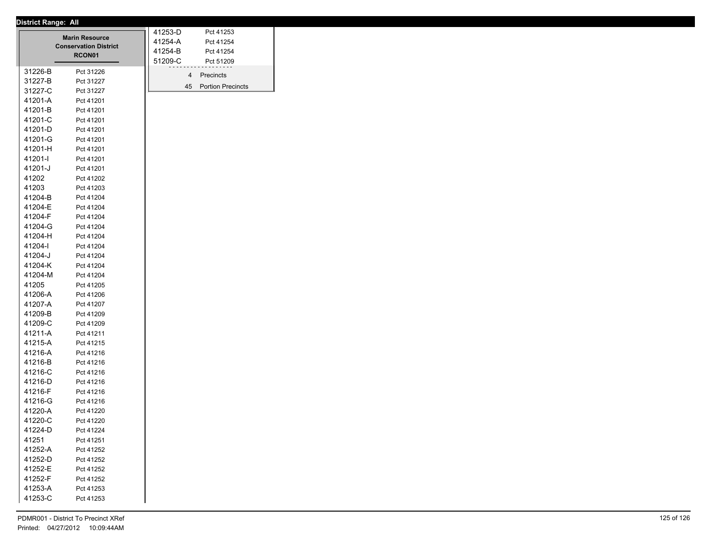|         | <b>Marin Resource</b><br><b>Conservation District</b> | 41253-D<br>Pct 41253<br>41254-A<br>Pct 41254 |
|---------|-------------------------------------------------------|----------------------------------------------|
|         | RCON01                                                | 41254-B<br>Pct 41254                         |
|         |                                                       | 51209-C<br>Pct 51209                         |
| 31226-B | Pct 31226                                             | 4<br>Precincts                               |
| 31227-B | Pct 31227                                             | <b>Portion Precincts</b><br>45               |
| 31227-C | Pct 31227                                             |                                              |
| 41201-A | Pct 41201                                             |                                              |
| 41201-B | Pct 41201                                             |                                              |
| 41201-C | Pct 41201                                             |                                              |
| 41201-D | Pct 41201                                             |                                              |
| 41201-G | Pct 41201                                             |                                              |
| 41201-H | Pct 41201                                             |                                              |
| 41201-l | Pct 41201                                             |                                              |
| 41201-J | Pct 41201                                             |                                              |
| 41202   | Pct 41202                                             |                                              |
| 41203   | Pct 41203                                             |                                              |
| 41204-B | Pct 41204                                             |                                              |
| 41204-E | Pct 41204                                             |                                              |
| 41204-F | Pct 41204                                             |                                              |
| 41204-G | Pct 41204                                             |                                              |
| 41204-H | Pct 41204                                             |                                              |
| 41204-l | Pct 41204                                             |                                              |
| 41204-J | Pct 41204                                             |                                              |
| 41204-K | Pct 41204                                             |                                              |
| 41204-M | Pct 41204                                             |                                              |
| 41205   | Pct 41205                                             |                                              |
| 41206-A | Pct 41206                                             |                                              |
| 41207-A | Pct 41207                                             |                                              |
| 41209-B | Pct 41209                                             |                                              |
| 41209-C | Pct 41209                                             |                                              |
| 41211-A | Pct 41211                                             |                                              |
| 41215-A | Pct 41215                                             |                                              |
| 41216-A | Pct 41216                                             |                                              |
| 41216-B | Pct 41216                                             |                                              |
| 41216-C | Pct 41216                                             |                                              |
| 41216-D | Pct 41216                                             |                                              |
| 41216-F | Pct 41216                                             |                                              |
| 41216-G | Pct 41216                                             |                                              |
| 41220-A | Pct 41220                                             |                                              |
| 41220-C | Pct 41220                                             |                                              |
| 41224-D | Pct 41224                                             |                                              |
| 41251   | Pct 41251                                             |                                              |
| 41252-A | Pct 41252                                             |                                              |
| 41252-D | Pct 41252                                             |                                              |
| 41252-E | Pct 41252                                             |                                              |
| 41252-F | Pct 41252                                             |                                              |
| 41253-A | Pct 41253                                             |                                              |
| 41253-C | Pct 41253                                             |                                              |
|         |                                                       |                                              |